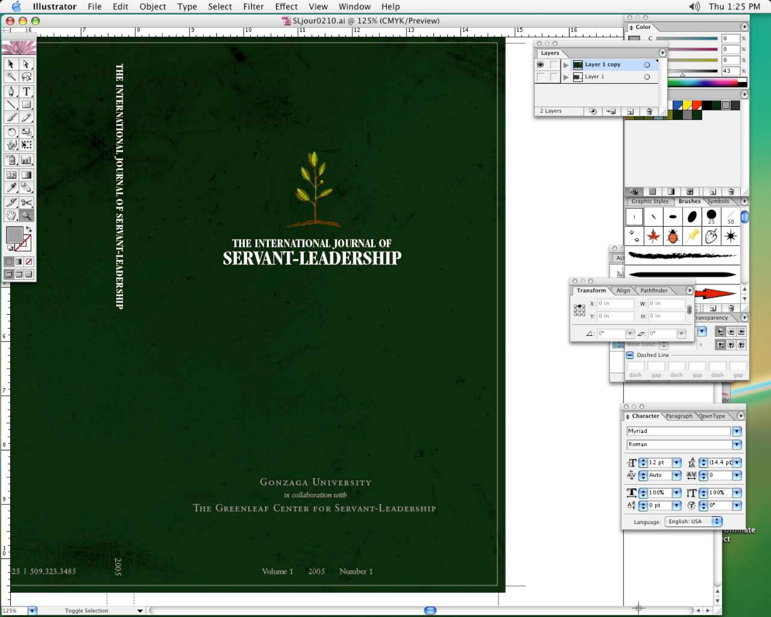# THE INTERNATIONAL JOURNAL OF<br>SERVANT-LEADERSHIP

**GONZAGA UNIVERSITY** in collaboration with THE GREENLEAF CENTER FOR SERVANT-LEADERSHIP

Volume 1 2005 Number 1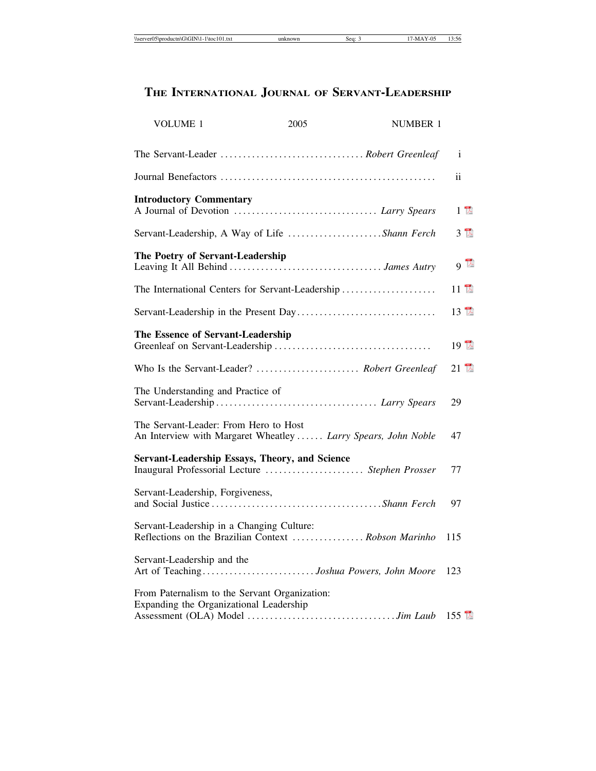# **THE INTERNATIONAL JOURNAL OF SERVANT-LEADERSHIP**

| <b>VOLUME 1</b>                                                                                          | 2005 | <b>NUMBER 1</b> |                            |
|----------------------------------------------------------------------------------------------------------|------|-----------------|----------------------------|
|                                                                                                          |      |                 | i                          |
|                                                                                                          |      |                 | ii                         |
| <b>Introductory Commentary</b>                                                                           |      |                 |                            |
|                                                                                                          |      |                 | $1\,$ $\sim$               |
| Servant-Leadership, A Way of Life Shann Ferch                                                            |      |                 |                            |
| The Poetry of Servant-Leadership                                                                         |      |                 | $9^{\frac{1}{\mathbb{A}}}$ |
| The International Centers for Servant-Leadership                                                         |      |                 | $11 \nL$                   |
|                                                                                                          |      |                 | 13 <sup>2</sup>            |
| The Essence of Servant-Leadership                                                                        |      |                 | 19 <sup>2</sup>            |
| Who Is the Servant-Leader?  Robert Greenleaf                                                             |      |                 | $21$ $\mathbb{R}$          |
| The Understanding and Practice of                                                                        |      |                 | 29                         |
| The Servant-Leader: From Hero to Host<br>An Interview with Margaret Wheatley  Larry Spears, John Noble   |      |                 | 47                         |
| <b>Servant-Leadership Essays, Theory, and Science</b><br>Inaugural Professorial Lecture  Stephen Prosser |      |                 | 77                         |
| Servant-Leadership, Forgiveness,                                                                         |      |                 | 97                         |
| Servant-Leadership in a Changing Culture:<br>Reflections on the Brazilian Context  Robson Marinho        |      |                 | 115                        |
| Servant-Leadership and the<br>Art of TeachingJoshua Powers, John Moore                                   |      |                 | 123                        |
| From Paternalism to the Servant Organization:<br>Expanding the Organizational Leadership                 |      |                 | 155                        |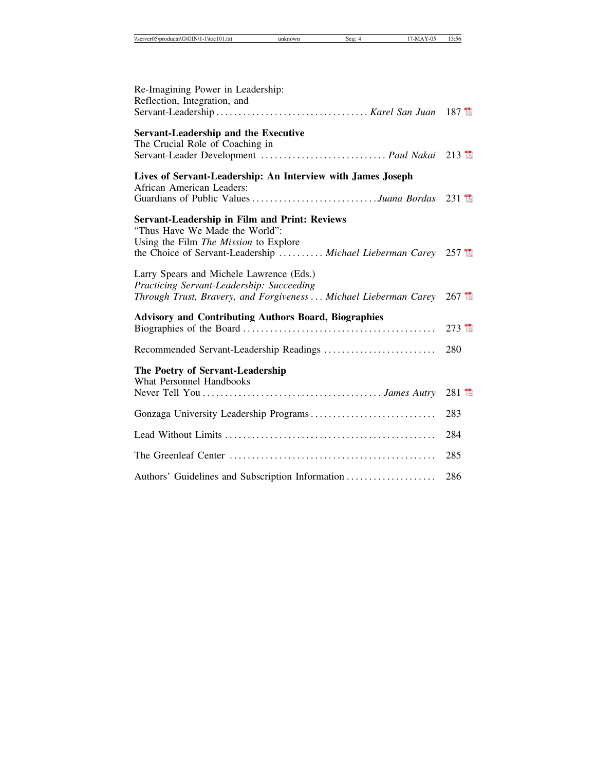| $\sim$<br><b>Service</b><br><i>ilser</i><br><b>MOC</b><br><br>' LAU | sear | -<br>$\sim$<br>.3:56 |
|---------------------------------------------------------------------|------|----------------------|

| Re-Imagining Power in Leadership:<br>Reflection, Integration, and                                                                                                                                |                     |
|--------------------------------------------------------------------------------------------------------------------------------------------------------------------------------------------------|---------------------|
| <b>Servant-Leadership and the Executive</b><br>The Crucial Role of Coaching in                                                                                                                   |                     |
| Servant-Leader Development  Paul Nakai 213                                                                                                                                                       |                     |
| Lives of Servant-Leadership: An Interview with James Joseph<br><b>African American Leaders:</b>                                                                                                  |                     |
| Guardians of Public Values Juana Bordas 231                                                                                                                                                      |                     |
| <b>Servant-Leadership in Film and Print: Reviews</b><br>"Thus Have We Made the World":<br>Using the Film The Mission to Explore<br>the Choice of Servant-Leadership  Michael Lieberman Carey 257 |                     |
| Larry Spears and Michele Lawrence (Eds.)<br>Practicing Servant-Leadership: Succeeding<br>Through Trust, Bravery, and Forgiveness Michael Lieberman Carey                                         | $267 \, \mathrm{K}$ |
| <b>Advisory and Contributing Authors Board, Biographies</b>                                                                                                                                      | 273                 |
|                                                                                                                                                                                                  | 280                 |
| The Poetry of Servant-Leadership<br><b>What Personnel Handbooks</b>                                                                                                                              |                     |
|                                                                                                                                                                                                  | 281                 |
|                                                                                                                                                                                                  | 283                 |
|                                                                                                                                                                                                  | 284                 |
|                                                                                                                                                                                                  | 285                 |
| Authors' Guidelines and Subscription Information                                                                                                                                                 | 286                 |
|                                                                                                                                                                                                  |                     |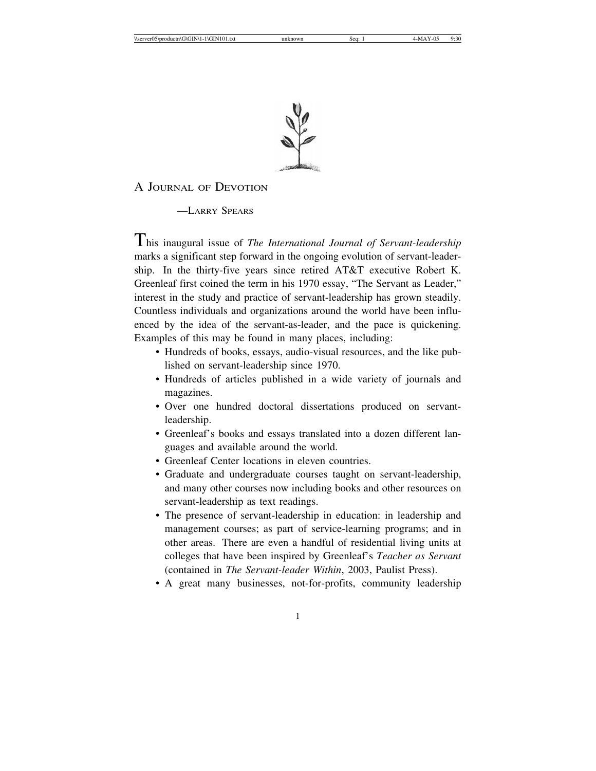

A JOURNAL OF DEVOTION

—LARRY SPEARS

This inaugural issue of *The International Journal of Servant-leadership* marks a significant step forward in the ongoing evolution of servant-leadership. In the thirty-five years since retired AT&T executive Robert K. Greenleaf first coined the term in his 1970 essay, "The Servant as Leader," interest in the study and practice of servant-leadership has grown steadily. Countless individuals and organizations around the world have been influenced by the idea of the servant-as-leader, and the pace is quickening. Examples of this may be found in many places, including:

- Hundreds of books, essays, audio-visual resources, and the like published on servant-leadership since 1970.
- Hundreds of articles published in a wide variety of journals and magazines.
- Over one hundred doctoral dissertations produced on servantleadership.
- Greenleaf's books and essays translated into a dozen different languages and available around the world.
- Greenleaf Center locations in eleven countries.
- Graduate and undergraduate courses taught on servant-leadership, and many other courses now including books and other resources on servant-leadership as text readings.
- The presence of servant-leadership in education: in leadership and management courses; as part of service-learning programs; and in other areas. There are even a handful of residential living units at colleges that have been inspired by Greenleaf's *Teacher as Servant* (contained in *The Servant-leader Within*, 2003, Paulist Press).
- A great many businesses, not-for-profits, community leadership

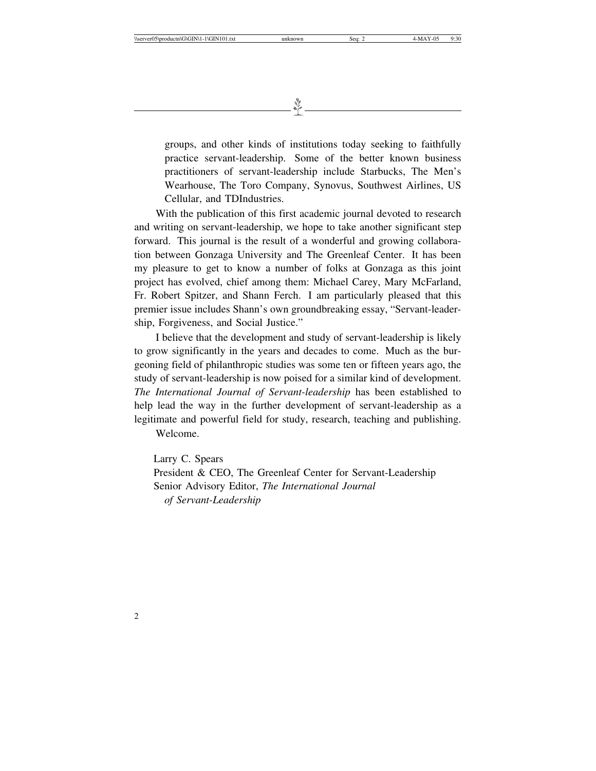¥

groups, and other kinds of institutions today seeking to faithfully practice servant-leadership. Some of the better known business practitioners of servant-leadership include Starbucks, The Men's Wearhouse, The Toro Company, Synovus, Southwest Airlines, US Cellular, and TDIndustries.

With the publication of this first academic journal devoted to research and writing on servant-leadership, we hope to take another significant step forward. This journal is the result of a wonderful and growing collaboration between Gonzaga University and The Greenleaf Center. It has been my pleasure to get to know a number of folks at Gonzaga as this joint project has evolved, chief among them: Michael Carey, Mary McFarland, Fr. Robert Spitzer, and Shann Ferch. I am particularly pleased that this premier issue includes Shann's own groundbreaking essay, "Servant-leadership, Forgiveness, and Social Justice."

I believe that the development and study of servant-leadership is likely to grow significantly in the years and decades to come. Much as the burgeoning field of philanthropic studies was some ten or fifteen years ago, the study of servant-leadership is now poised for a similar kind of development. *The International Journal of Servant-leadership* has been established to help lead the way in the further development of servant-leadership as a legitimate and powerful field for study, research, teaching and publishing.

Welcome.

Larry C. Spears

President & CEO, The Greenleaf Center for Servant-Leadership Senior Advisory Editor, *The International Journal of Servant-Leadership*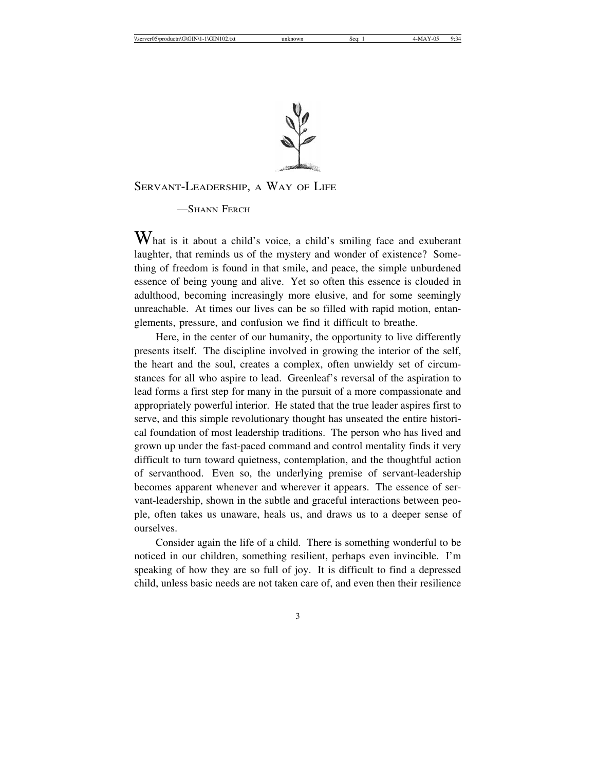

SERVANT-LEADERSHIP, A WAY OF LIFE

—SHANN FERCH

What is it about a child's voice, a child's smiling face and exuberant laughter, that reminds us of the mystery and wonder of existence? Something of freedom is found in that smile, and peace, the simple unburdened essence of being young and alive. Yet so often this essence is clouded in adulthood, becoming increasingly more elusive, and for some seemingly unreachable. At times our lives can be so filled with rapid motion, entanglements, pressure, and confusion we find it difficult to breathe.

Here, in the center of our humanity, the opportunity to live differently presents itself. The discipline involved in growing the interior of the self, the heart and the soul, creates a complex, often unwieldy set of circumstances for all who aspire to lead. Greenleaf's reversal of the aspiration to lead forms a first step for many in the pursuit of a more compassionate and appropriately powerful interior. He stated that the true leader aspires first to serve, and this simple revolutionary thought has unseated the entire historical foundation of most leadership traditions. The person who has lived and grown up under the fast-paced command and control mentality finds it very difficult to turn toward quietness, contemplation, and the thoughtful action of servanthood. Even so, the underlying premise of servant-leadership becomes apparent whenever and wherever it appears. The essence of servant-leadership, shown in the subtle and graceful interactions between people, often takes us unaware, heals us, and draws us to a deeper sense of ourselves.

Consider again the life of a child. There is something wonderful to be noticed in our children, something resilient, perhaps even invincible. I'm speaking of how they are so full of joy. It is difficult to find a depressed child, unless basic needs are not taken care of, and even then their resilience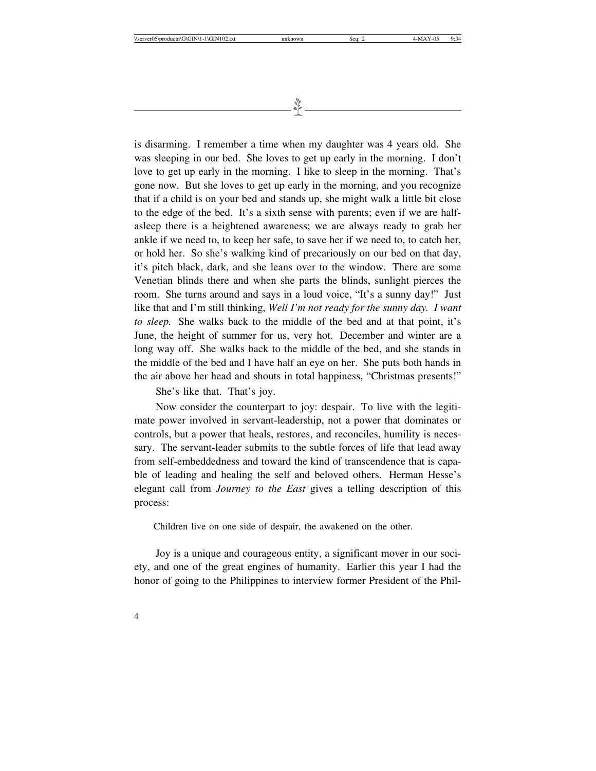| \\server05\productn\G\GIN\1-1\GIN102.txt | unknown | Seq: $2$ | $4-MAY-05$ | 9:34 |
|------------------------------------------|---------|----------|------------|------|
|                                          |         |          |            |      |
|                                          |         |          |            |      |
|                                          |         |          |            |      |
|                                          |         |          |            |      |

is disarming. I remember a time when my daughter was 4 years old. She was sleeping in our bed. She loves to get up early in the morning. I don't love to get up early in the morning. I like to sleep in the morning. That's gone now. But she loves to get up early in the morning, and you recognize that if a child is on your bed and stands up, she might walk a little bit close to the edge of the bed. It's a sixth sense with parents; even if we are halfasleep there is a heightened awareness; we are always ready to grab her ankle if we need to, to keep her safe, to save her if we need to, to catch her, or hold her. So she's walking kind of precariously on our bed on that day, it's pitch black, dark, and she leans over to the window. There are some Venetian blinds there and when she parts the blinds, sunlight pierces the room. She turns around and says in a loud voice, "It's a sunny day!" Just like that and I'm still thinking, *Well I'm not ready for the sunny day. I want to sleep.* She walks back to the middle of the bed and at that point, it's June, the height of summer for us, very hot. December and winter are a long way off. She walks back to the middle of the bed, and she stands in the middle of the bed and I have half an eye on her. She puts both hands in the air above her head and shouts in total happiness, "Christmas presents!"

She's like that. That's joy.

Now consider the counterpart to joy: despair. To live with the legitimate power involved in servant-leadership, not a power that dominates or controls, but a power that heals, restores, and reconciles, humility is necessary. The servant-leader submits to the subtle forces of life that lead away from self-embeddedness and toward the kind of transcendence that is capable of leading and healing the self and beloved others. Herman Hesse's elegant call from *Journey to the East* gives a telling description of this process:

Children live on one side of despair, the awakened on the other.

Joy is a unique and courageous entity, a significant mover in our society, and one of the great engines of humanity. Earlier this year I had the honor of going to the Philippines to interview former President of the Phil-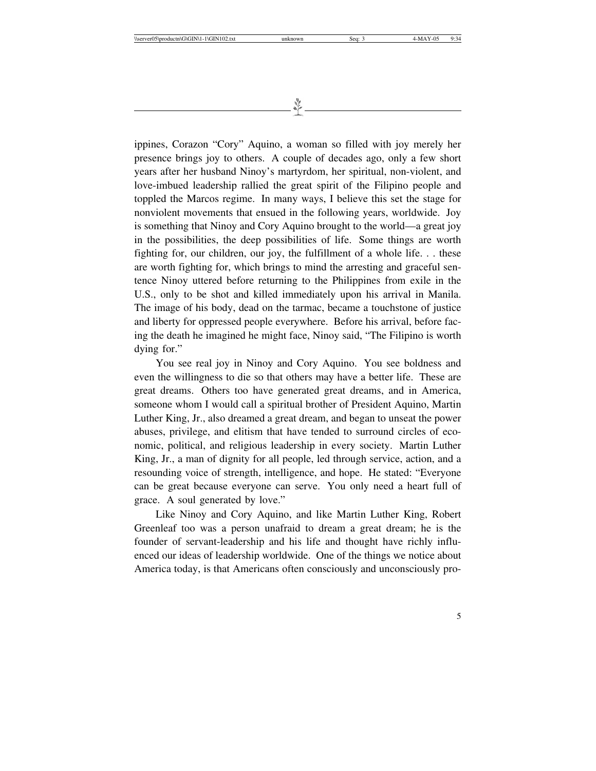ippines, Corazon "Cory" Aquino, a woman so filled with joy merely her presence brings joy to others. A couple of decades ago, only a few short years after her husband Ninoy's martyrdom, her spiritual, non-violent, and love-imbued leadership rallied the great spirit of the Filipino people and toppled the Marcos regime. In many ways, I believe this set the stage for nonviolent movements that ensued in the following years, worldwide. Joy is something that Ninoy and Cory Aquino brought to the world—a great joy in the possibilities, the deep possibilities of life. Some things are worth fighting for, our children, our joy, the fulfillment of a whole life. . . these are worth fighting for, which brings to mind the arresting and graceful sentence Ninoy uttered before returning to the Philippines from exile in the U.S., only to be shot and killed immediately upon his arrival in Manila. The image of his body, dead on the tarmac, became a touchstone of justice and liberty for oppressed people everywhere. Before his arrival, before facing the death he imagined he might face, Ninoy said, "The Filipino is worth dying for."

You see real joy in Ninoy and Cory Aquino. You see boldness and even the willingness to die so that others may have a better life. These are great dreams. Others too have generated great dreams, and in America, someone whom I would call a spiritual brother of President Aquino, Martin Luther King, Jr., also dreamed a great dream, and began to unseat the power abuses, privilege, and elitism that have tended to surround circles of economic, political, and religious leadership in every society. Martin Luther King, Jr., a man of dignity for all people, led through service, action, and a resounding voice of strength, intelligence, and hope. He stated: "Everyone can be great because everyone can serve. You only need a heart full of grace. A soul generated by love."

Like Ninoy and Cory Aquino, and like Martin Luther King, Robert Greenleaf too was a person unafraid to dream a great dream; he is the founder of servant-leadership and his life and thought have richly influenced our ideas of leadership worldwide. One of the things we notice about America today, is that Americans often consciously and unconsciously pro-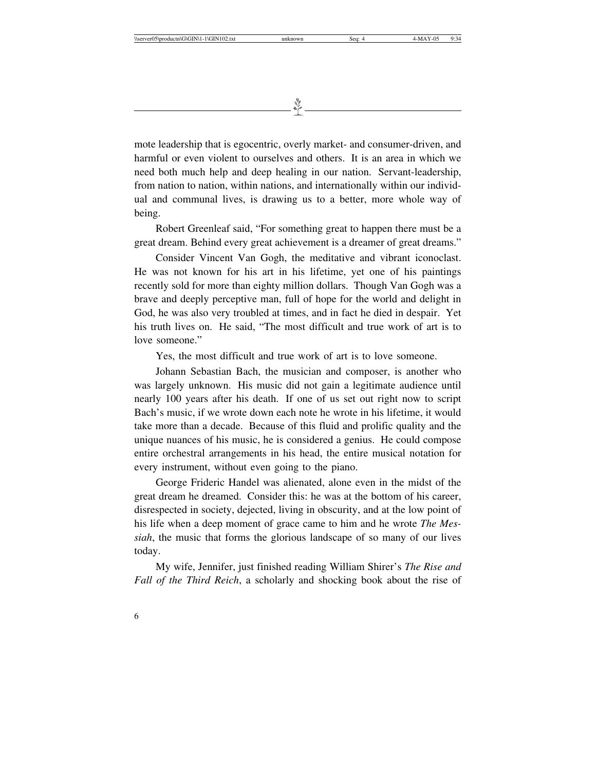mote leadership that is egocentric, overly market- and consumer-driven, and harmful or even violent to ourselves and others. It is an area in which we need both much help and deep healing in our nation. Servant-leadership, from nation to nation, within nations, and internationally within our individual and communal lives, is drawing us to a better, more whole way of being.

Robert Greenleaf said, "For something great to happen there must be a great dream. Behind every great achievement is a dreamer of great dreams."

Consider Vincent Van Gogh, the meditative and vibrant iconoclast. He was not known for his art in his lifetime, yet one of his paintings recently sold for more than eighty million dollars. Though Van Gogh was a brave and deeply perceptive man, full of hope for the world and delight in God, he was also very troubled at times, and in fact he died in despair. Yet his truth lives on. He said, "The most difficult and true work of art is to love someone."

Yes, the most difficult and true work of art is to love someone.

Johann Sebastian Bach, the musician and composer, is another who was largely unknown. His music did not gain a legitimate audience until nearly 100 years after his death. If one of us set out right now to script Bach's music, if we wrote down each note he wrote in his lifetime, it would take more than a decade. Because of this fluid and prolific quality and the unique nuances of his music, he is considered a genius. He could compose entire orchestral arrangements in his head, the entire musical notation for every instrument, without even going to the piano.

George Frideric Handel was alienated, alone even in the midst of the great dream he dreamed. Consider this: he was at the bottom of his career, disrespected in society, dejected, living in obscurity, and at the low point of his life when a deep moment of grace came to him and he wrote *The Messiah*, the music that forms the glorious landscape of so many of our lives today.

My wife, Jennifer, just finished reading William Shirer's *The Rise and Fall of the Third Reich*, a scholarly and shocking book about the rise of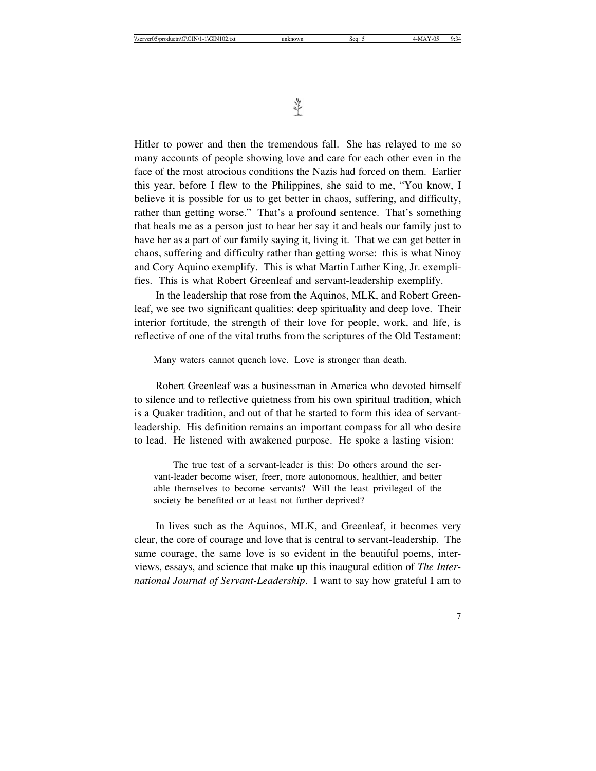Hitler to power and then the tremendous fall. She has relayed to me so many accounts of people showing love and care for each other even in the face of the most atrocious conditions the Nazis had forced on them. Earlier this year, before I flew to the Philippines, she said to me, "You know, I believe it is possible for us to get better in chaos, suffering, and difficulty, rather than getting worse." That's a profound sentence. That's something that heals me as a person just to hear her say it and heals our family just to have her as a part of our family saying it, living it. That we can get better in chaos, suffering and difficulty rather than getting worse: this is what Ninoy and Cory Aquino exemplify. This is what Martin Luther King, Jr. exemplifies. This is what Robert Greenleaf and servant-leadership exemplify.

In the leadership that rose from the Aquinos, MLK, and Robert Greenleaf, we see two significant qualities: deep spirituality and deep love. Their interior fortitude, the strength of their love for people, work, and life, is reflective of one of the vital truths from the scriptures of the Old Testament:

Many waters cannot quench love. Love is stronger than death.

Robert Greenleaf was a businessman in America who devoted himself to silence and to reflective quietness from his own spiritual tradition, which is a Quaker tradition, and out of that he started to form this idea of servantleadership. His definition remains an important compass for all who desire to lead. He listened with awakened purpose. He spoke a lasting vision:

The true test of a servant-leader is this: Do others around the servant-leader become wiser, freer, more autonomous, healthier, and better able themselves to become servants? Will the least privileged of the society be benefited or at least not further deprived?

In lives such as the Aquinos, MLK, and Greenleaf, it becomes very clear, the core of courage and love that is central to servant-leadership. The same courage, the same love is so evident in the beautiful poems, interviews, essays, and science that make up this inaugural edition of *The International Journal of Servant-Leadership*. I want to say how grateful I am to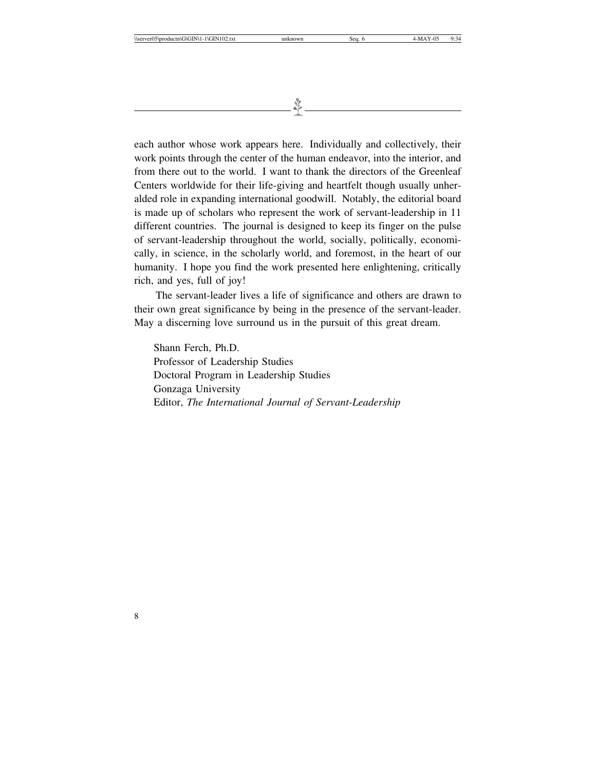| \\server05\productn\G\GIN\1-1\GIN102.txt | unknown | Seq: $6$ | $4-MAY-05$ | 9:34 |
|------------------------------------------|---------|----------|------------|------|
|                                          |         |          |            |      |
|                                          |         |          |            |      |
|                                          |         |          |            |      |

each author whose work appears here. Individually and collectively, their work points through the center of the human endeavor, into the interior, and from there out to the world. I want to thank the directors of the Greenleaf Centers worldwide for their life-giving and heartfelt though usually unheralded role in expanding international goodwill. Notably, the editorial board is made up of scholars who represent the work of servant-leadership in 11 different countries. The journal is designed to keep its finger on the pulse of servant-leadership throughout the world, socially, politically, economically, in science, in the scholarly world, and foremost, in the heart of our humanity. I hope you find the work presented here enlightening, critically rich, and yes, full of joy!

Y

The servant-leader lives a life of significance and others are drawn to their own great significance by being in the presence of the servant-leader. May a discerning love surround us in the pursuit of this great dream.

Shann Ferch, Ph.D. Professor of Leadership Studies Doctoral Program in Leadership Studies Gonzaga University Editor, *The International Journal of Servant-Leadership*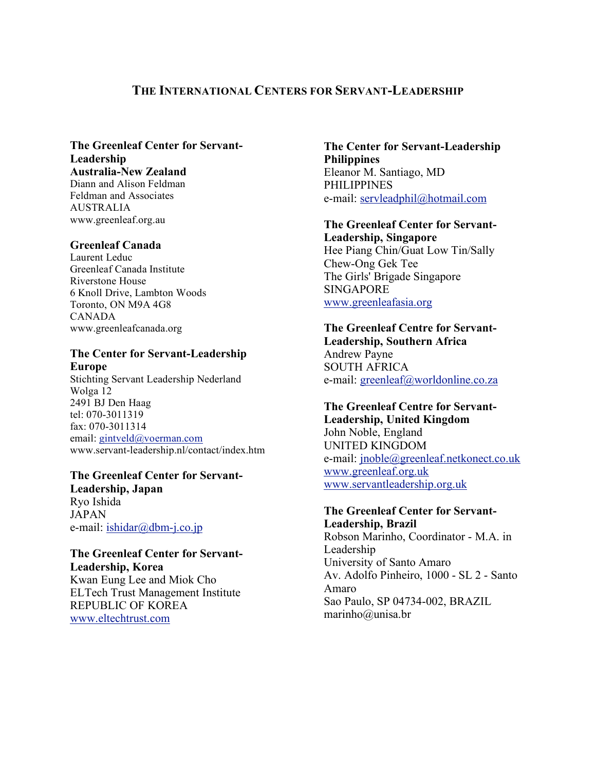## **THE INTERNATIONAL CENTERS FOR SERVANT-LEADERSHIP**

**The Greenleaf Center for Servant-Leadership Australia-New Zealand** Diann and Alison Feldman Feldman and Associates AUSTRALIA

www.greenleaf.org.au

## **Greenleaf Canada**

Laurent Leduc Greenleaf Canada Institute Riverstone House 6 Knoll Drive, Lambton Woods Toronto, ON M9A 4G8 CANADA www.greenleafcanada.org

## **The Center for Servant-Leadership Europe**

Stichting Servant Leadership Nederland Wolga 12 2491 BJ Den Haag tel: 070-3011319 fax: 070-3011314 email: gintveld@voerman.com www.servant-leadership.nl/contact/index.htm

## **The Greenleaf Center for Servant-Leadership, Japan** Ryo Ishida

JAPAN e-mail: ishidar@dbm-j.co.jp

## **The Greenleaf Center for Servant-Leadership, Korea** Kwan Eung Lee and Miok Cho ELTech Trust Management Institute REPUBLIC OF KOREA www.eltechtrust.com

**The Center for Servant-Leadership Philippines** Eleanor M. Santiago, MD PHILIPPINES e-mail: servleadphil@hotmail.com

**The Greenleaf Center for Servant-Leadership, Singapore** Hee Piang Chin/Guat Low Tin/Sally Chew-Ong Gek Tee The Girls' Brigade Singapore SINGAPORE www.greenleafasia.org

**The Greenleaf Centre for Servant-Leadership, Southern Africa**  Andrew Payne SOUTH AFRICA e-mail: greenleaf@worldonline.co.za

**The Greenleaf Centre for Servant-Leadership, United Kingdom** John Noble, England UNITED KINGDOM e-mail: jnoble@greenleaf.netkonect.co.uk www.greenleaf.org.uk www.servantleadership.org.uk

# **The Greenleaf Center for Servant-**

**Leadership, Brazil** Robson Marinho, Coordinator - M.A. in Leadership University of Santo Amaro Av. Adolfo Pinheiro, 1000 - SL 2 - Santo Amaro Sao Paulo, SP 04734-002, BRAZIL marinho@unisa.br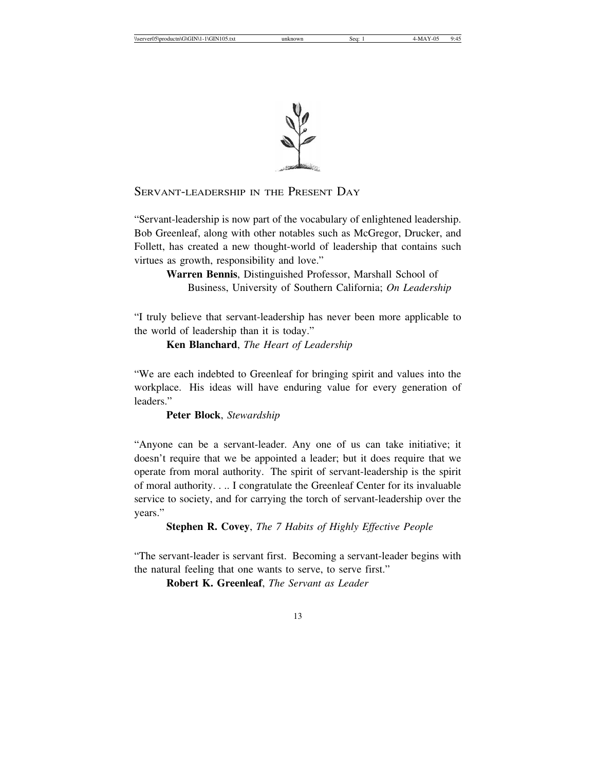

## SERVANT-LEADERSHIP IN THE PRESENT DAY

"Servant-leadership is now part of the vocabulary of enlightened leadership. Bob Greenleaf, along with other notables such as McGregor, Drucker, and Follett, has created a new thought-world of leadership that contains such virtues as growth, responsibility and love."

**Warren Bennis**, Distinguished Professor, Marshall School of Business, University of Southern California; *On Leadership*

"I truly believe that servant-leadership has never been more applicable to the world of leadership than it is today."

**Ken Blanchard**, *The Heart of Leadership*

"We are each indebted to Greenleaf for bringing spirit and values into the workplace. His ideas will have enduring value for every generation of leaders."

#### **Peter Block**, *Stewardship*

"Anyone can be a servant-leader. Any one of us can take initiative; it doesn't require that we be appointed a leader; but it does require that we operate from moral authority. The spirit of servant-leadership is the spirit of moral authority. . .. I congratulate the Greenleaf Center for its invaluable service to society, and for carrying the torch of servant-leadership over the years."

**Stephen R. Covey**, *The 7 Habits of Highly Effective People*

"The servant-leader is servant first. Becoming a servant-leader begins with the natural feeling that one wants to serve, to serve first."

**Robert K. Greenleaf**, *The Servant as Leader*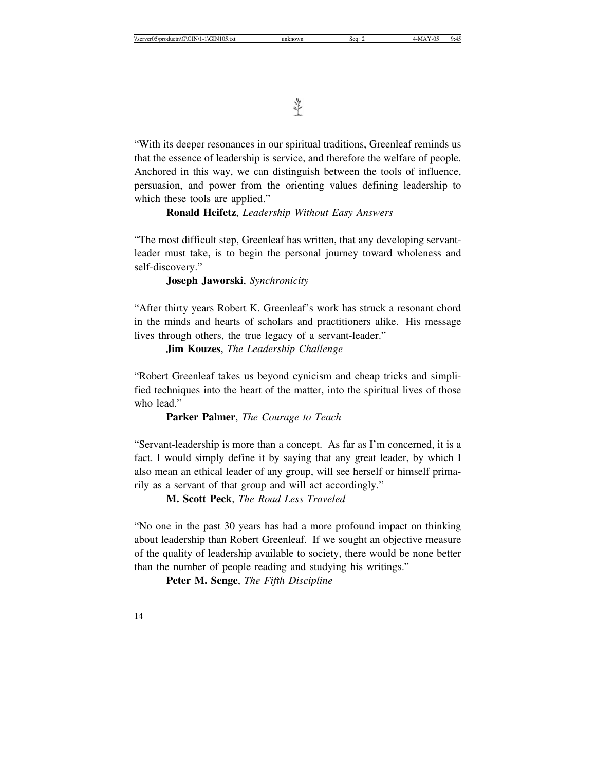| \\server05\productn\G\GIN\1-1\GIN105.txt | unknown | Sea: | $Y-05$<br>A A | 9:45 |
|------------------------------------------|---------|------|---------------|------|
|                                          |         |      |               |      |

"With its deeper resonances in our spiritual traditions, Greenleaf reminds us that the essence of leadership is service, and therefore the welfare of people. Anchored in this way, we can distinguish between the tools of influence, persuasion, and power from the orienting values defining leadership to which these tools are applied."

**Ronald Heifetz**, *Leadership Without Easy Answers*

"The most difficult step, Greenleaf has written, that any developing servantleader must take, is to begin the personal journey toward wholeness and self-discovery."

**Joseph Jaworski**, *Synchronicity*

"After thirty years Robert K. Greenleaf's work has struck a resonant chord in the minds and hearts of scholars and practitioners alike. His message lives through others, the true legacy of a servant-leader."

**Jim Kouzes**, *The Leadership Challenge*

"Robert Greenleaf takes us beyond cynicism and cheap tricks and simplified techniques into the heart of the matter, into the spiritual lives of those who lead."

**Parker Palmer**, *The Courage to Teach*

"Servant-leadership is more than a concept. As far as I'm concerned, it is a fact. I would simply define it by saying that any great leader, by which I also mean an ethical leader of any group, will see herself or himself primarily as a servant of that group and will act accordingly."

**M. Scott Peck**, *The Road Less Traveled*

"No one in the past 30 years has had a more profound impact on thinking about leadership than Robert Greenleaf. If we sought an objective measure of the quality of leadership available to society, there would be none better than the number of people reading and studying his writings."

**Peter M. Senge**, *The Fifth Discipline*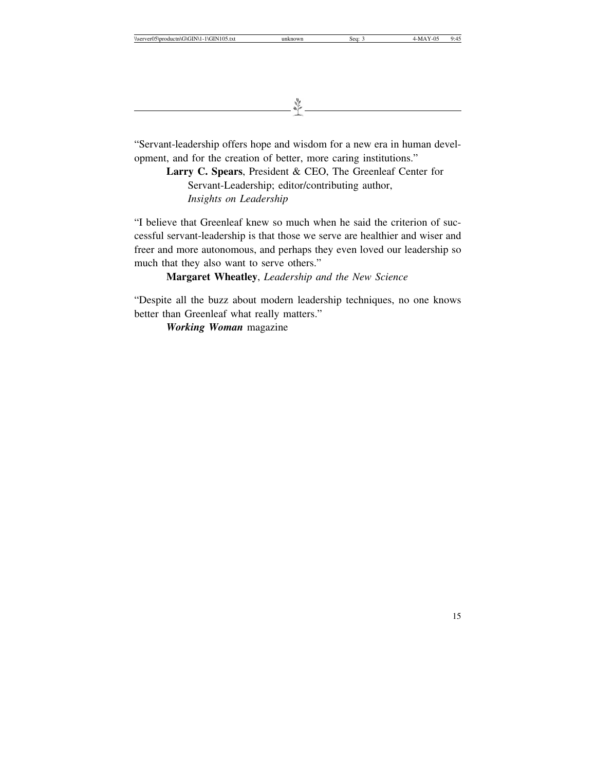"Servant-leadership offers hope and wisdom for a new era in human development, and for the creation of better, more caring institutions."

¥e

**Larry C. Spears**, President & CEO, The Greenleaf Center for Servant-Leadership; editor/contributing author, *Insights on Leadership*

"I believe that Greenleaf knew so much when he said the criterion of successful servant-leadership is that those we serve are healthier and wiser and freer and more autonomous, and perhaps they even loved our leadership so much that they also want to serve others."

**Margaret Wheatley**, *Leadership and the New Science*

"Despite all the buzz about modern leadership techniques, no one knows better than Greenleaf what really matters."

*Working Woman* magazine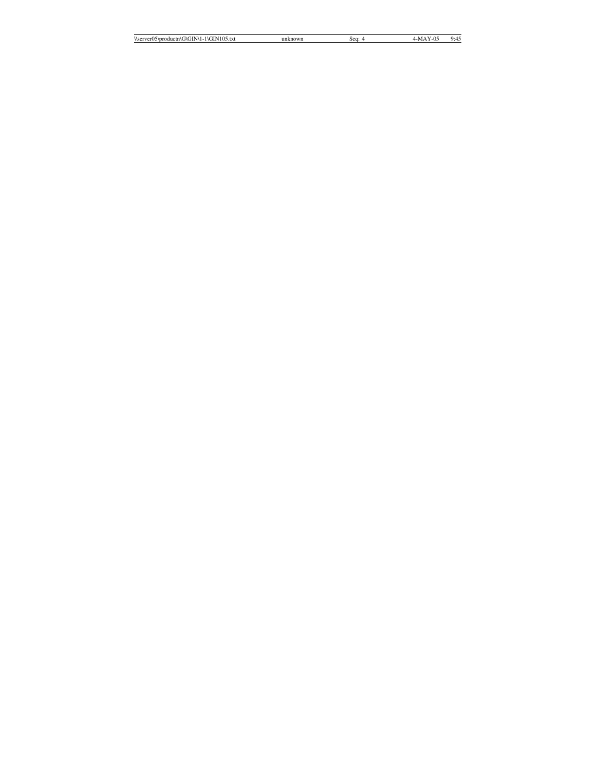| 105<br>Ωc<br>21 N<br>$\lambda$<br><i><b>Nserv</b></i><br>,,,,<br>,,,,,,,,,,<br>.<br>.<br>W.J.U<br>. .<br>w | seq: | u∙⊿<br><b>вл.</b><br>. |
|------------------------------------------------------------------------------------------------------------|------|------------------------|
|------------------------------------------------------------------------------------------------------------|------|------------------------|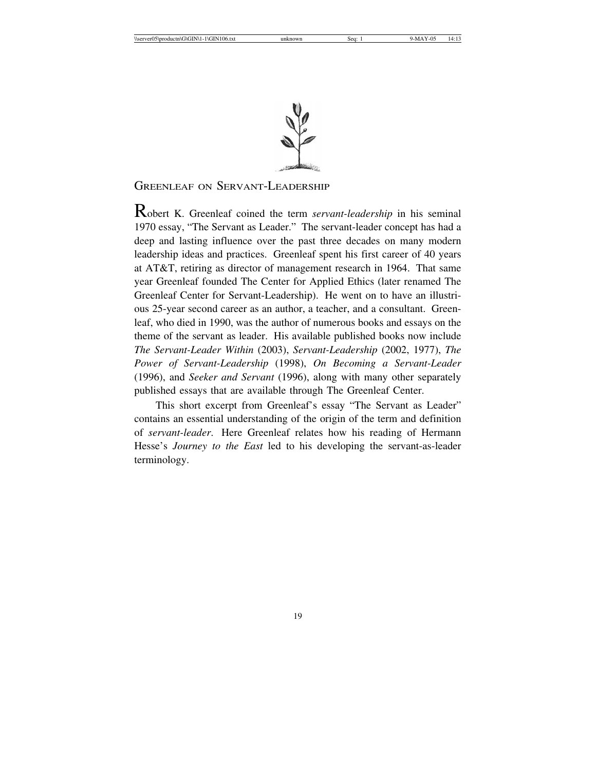

GREENLEAF ON SERVANT-LEADERSHIP

Robert K. Greenleaf coined the term *servant-leadership* in his seminal 1970 essay, "The Servant as Leader." The servant-leader concept has had a deep and lasting influence over the past three decades on many modern leadership ideas and practices. Greenleaf spent his first career of 40 years at AT&T, retiring as director of management research in 1964. That same year Greenleaf founded The Center for Applied Ethics (later renamed The Greenleaf Center for Servant-Leadership). He went on to have an illustrious 25-year second career as an author, a teacher, and a consultant. Greenleaf, who died in 1990, was the author of numerous books and essays on the theme of the servant as leader. His available published books now include *The Servant-Leader Within* (2003), *Servant-Leadership* (2002, 1977), *The Power of Servant-Leadership* (1998), *On Becoming a Servant-Leader* (1996), and *Seeker and Servant* (1996), along with many other separately published essays that are available through The Greenleaf Center.

This short excerpt from Greenleaf's essay "The Servant as Leader" contains an essential understanding of the origin of the term and definition of *servant-leader*. Here Greenleaf relates how his reading of Hermann Hesse's *Journey to the East* led to his developing the servant-as-leader terminology.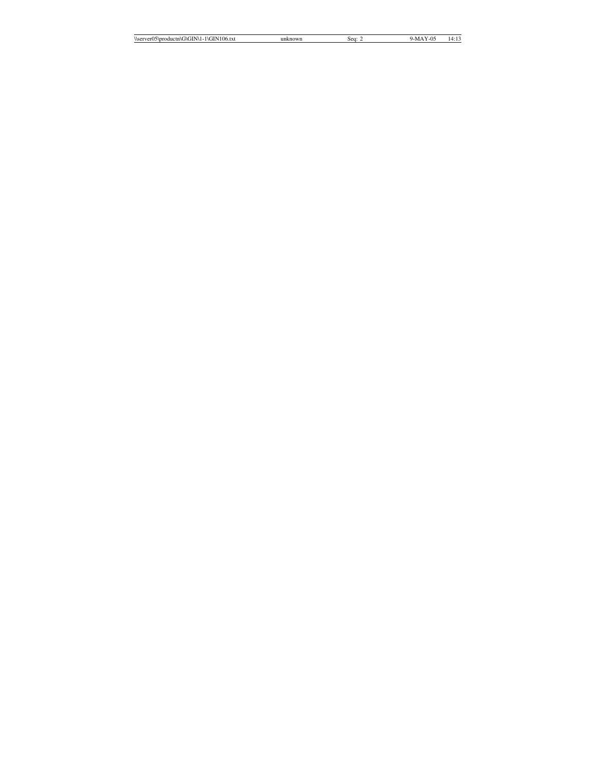| √106.txt<br>oductn\G\GIN\1-1\GIN1^<br>\\server(<br>١DΓ<br>vuu <i>j</i> | .sea<br><b>YY 11</b> | $\sim$<br>ıд·<br>- 13.73 |
|------------------------------------------------------------------------|----------------------|--------------------------|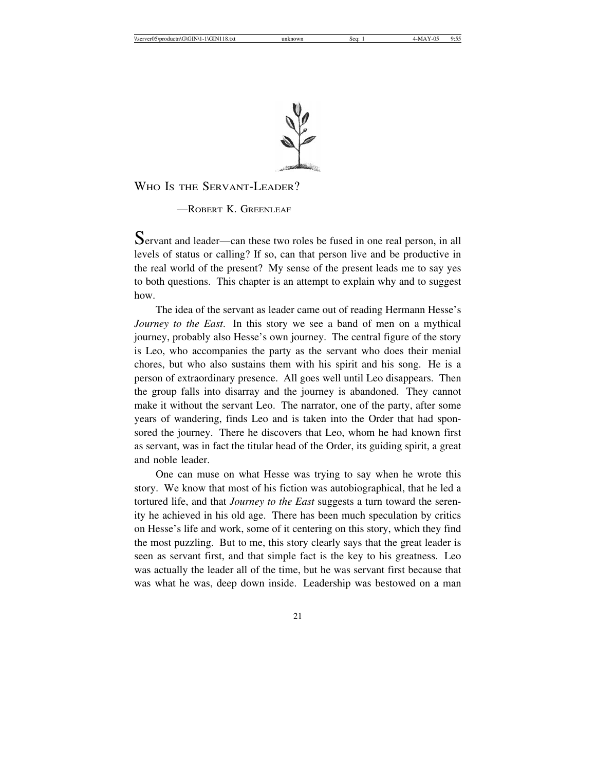

WHO IS THE SERVANT-LEADER?

—ROBERT K. GREENLEAF

Servant and leader—can these two roles be fused in one real person, in all levels of status or calling? If so, can that person live and be productive in the real world of the present? My sense of the present leads me to say yes to both questions. This chapter is an attempt to explain why and to suggest how.

The idea of the servant as leader came out of reading Hermann Hesse's *Journey to the East*. In this story we see a band of men on a mythical journey, probably also Hesse's own journey. The central figure of the story is Leo, who accompanies the party as the servant who does their menial chores, but who also sustains them with his spirit and his song. He is a person of extraordinary presence. All goes well until Leo disappears. Then the group falls into disarray and the journey is abandoned. They cannot make it without the servant Leo. The narrator, one of the party, after some years of wandering, finds Leo and is taken into the Order that had sponsored the journey. There he discovers that Leo, whom he had known first as servant, was in fact the titular head of the Order, its guiding spirit, a great and noble leader.

One can muse on what Hesse was trying to say when he wrote this story. We know that most of his fiction was autobiographical, that he led a tortured life, and that *Journey to the East* suggests a turn toward the serenity he achieved in his old age. There has been much speculation by critics on Hesse's life and work, some of it centering on this story, which they find the most puzzling. But to me, this story clearly says that the great leader is seen as servant first, and that simple fact is the key to his greatness. Leo was actually the leader all of the time, but he was servant first because that was what he was, deep down inside. Leadership was bestowed on a man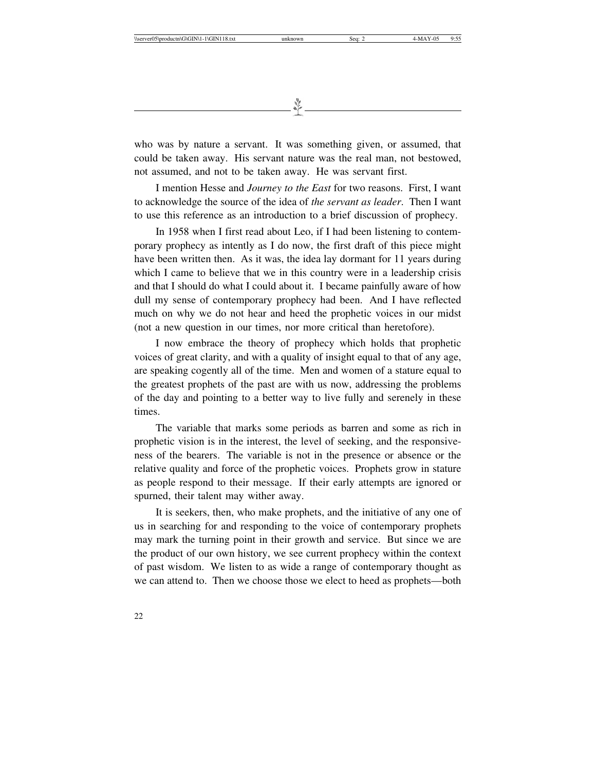who was by nature a servant. It was something given, or assumed, that could be taken away. His servant nature was the real man, not bestowed, not assumed, and not to be taken away. He was servant first.

I mention Hesse and *Journey to the East* for two reasons. First, I want to acknowledge the source of the idea of *the servant as leader*. Then I want to use this reference as an introduction to a brief discussion of prophecy.

In 1958 when I first read about Leo, if I had been listening to contemporary prophecy as intently as I do now, the first draft of this piece might have been written then. As it was, the idea lay dormant for 11 years during which I came to believe that we in this country were in a leadership crisis and that I should do what I could about it. I became painfully aware of how dull my sense of contemporary prophecy had been. And I have reflected much on why we do not hear and heed the prophetic voices in our midst (not a new question in our times, nor more critical than heretofore).

I now embrace the theory of prophecy which holds that prophetic voices of great clarity, and with a quality of insight equal to that of any age, are speaking cogently all of the time. Men and women of a stature equal to the greatest prophets of the past are with us now, addressing the problems of the day and pointing to a better way to live fully and serenely in these times.

The variable that marks some periods as barren and some as rich in prophetic vision is in the interest, the level of seeking, and the responsiveness of the bearers. The variable is not in the presence or absence or the relative quality and force of the prophetic voices. Prophets grow in stature as people respond to their message. If their early attempts are ignored or spurned, their talent may wither away.

It is seekers, then, who make prophets, and the initiative of any one of us in searching for and responding to the voice of contemporary prophets may mark the turning point in their growth and service. But since we are the product of our own history, we see current prophecy within the context of past wisdom. We listen to as wide a range of contemporary thought as we can attend to. Then we choose those we elect to heed as prophets—both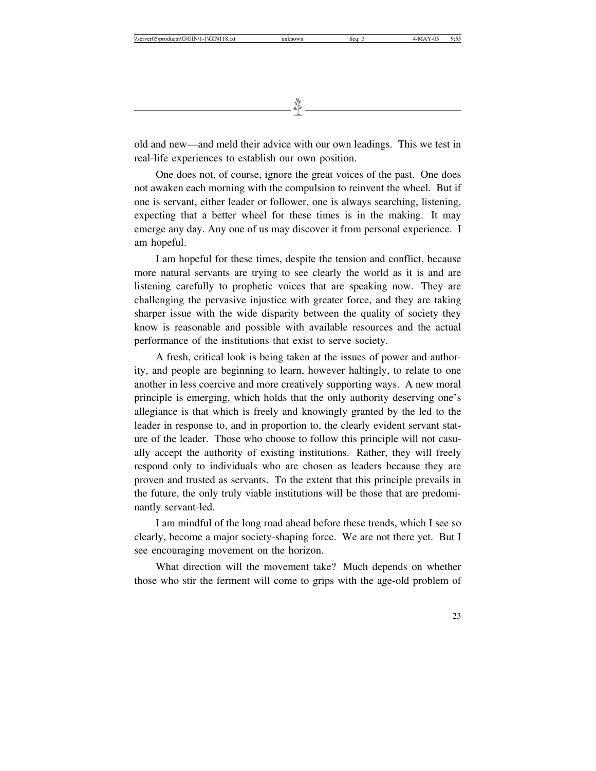old and new—and meld their advice with our own leadings. This we test in real-life experiences to establish our own position.

One does not, of course, ignore the great voices of the past. One does not awaken each morning with the compulsion to reinvent the wheel. But if one is servant, either leader or follower, one is always searching, listening, expecting that a better wheel for these times is in the making. It may emerge any day. Any one of us may discover it from personal experience. I am hopeful.

I am hopeful for these times, despite the tension and conflict, because more natural servants are trying to see clearly the world as it is and are listening carefully to prophetic voices that are speaking now. They are challenging the pervasive injustice with greater force, and they are taking sharper issue with the wide disparity between the quality of society they know is reasonable and possible with available resources and the actual performance of the institutions that exist to serve society.

A fresh, critical look is being taken at the issues of power and authority, and people are beginning to learn, however haltingly, to relate to one another in less coercive and more creatively supporting ways. A new moral principle is emerging, which holds that the only authority deserving one's allegiance is that which is freely and knowingly granted by the led to the leader in response to, and in proportion to, the clearly evident servant stature of the leader. Those who choose to follow this principle will not casually accept the authority of existing institutions. Rather, they will freely respond only to individuals who are chosen as leaders because they are proven and trusted as servants. To the extent that this principle prevails in the future, the only truly viable institutions will be those that are predominantly servant-led.

I am mindful of the long road ahead before these trends, which I see so clearly, become a major society-shaping force. We are not there yet. But I see encouraging movement on the horizon.

What direction will the movement take? Much depends on whether those who stir the ferment will come to grips with the age-old problem of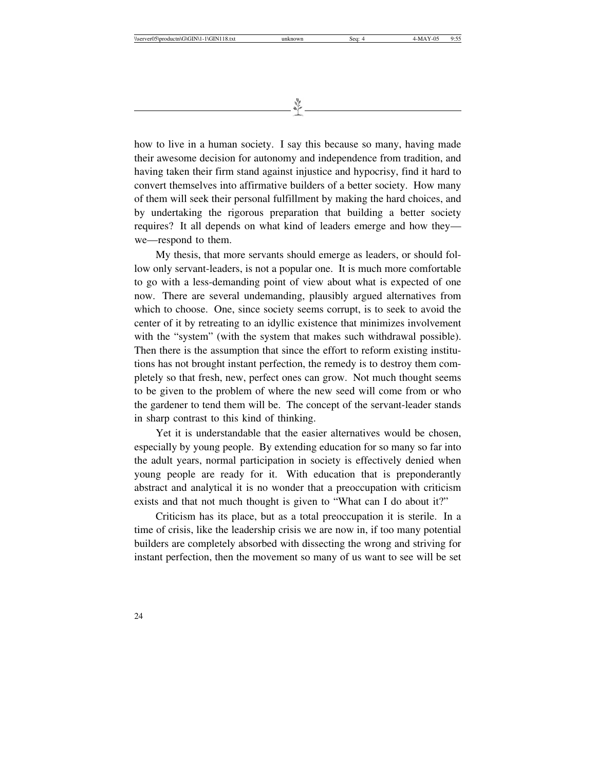how to live in a human society. I say this because so many, having made their awesome decision for autonomy and independence from tradition, and having taken their firm stand against injustice and hypocrisy, find it hard to convert themselves into affirmative builders of a better society. How many of them will seek their personal fulfillment by making the hard choices, and by undertaking the rigorous preparation that building a better society requires? It all depends on what kind of leaders emerge and how they we—respond to them.

My thesis, that more servants should emerge as leaders, or should follow only servant-leaders, is not a popular one. It is much more comfortable to go with a less-demanding point of view about what is expected of one now. There are several undemanding, plausibly argued alternatives from which to choose. One, since society seems corrupt, is to seek to avoid the center of it by retreating to an idyllic existence that minimizes involvement with the "system" (with the system that makes such withdrawal possible). Then there is the assumption that since the effort to reform existing institutions has not brought instant perfection, the remedy is to destroy them completely so that fresh, new, perfect ones can grow. Not much thought seems to be given to the problem of where the new seed will come from or who the gardener to tend them will be. The concept of the servant-leader stands in sharp contrast to this kind of thinking.

Yet it is understandable that the easier alternatives would be chosen, especially by young people. By extending education for so many so far into the adult years, normal participation in society is effectively denied when young people are ready for it. With education that is preponderantly abstract and analytical it is no wonder that a preoccupation with criticism exists and that not much thought is given to "What can I do about it?"

Criticism has its place, but as a total preoccupation it is sterile. In a time of crisis, like the leadership crisis we are now in, if too many potential builders are completely absorbed with dissecting the wrong and striving for instant perfection, then the movement so many of us want to see will be set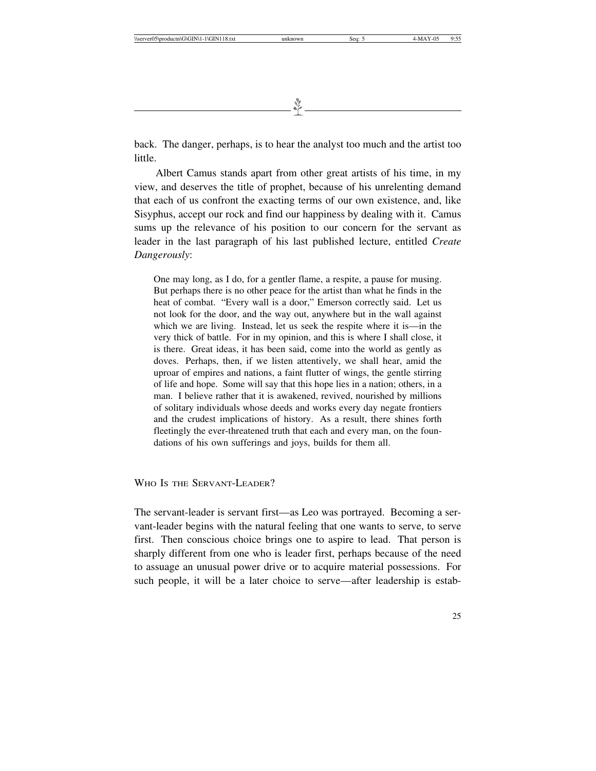back. The danger, perhaps, is to hear the analyst too much and the artist too little.

Albert Camus stands apart from other great artists of his time, in my view, and deserves the title of prophet, because of his unrelenting demand that each of us confront the exacting terms of our own existence, and, like Sisyphus, accept our rock and find our happiness by dealing with it. Camus sums up the relevance of his position to our concern for the servant as leader in the last paragraph of his last published lecture, entitled *Create Dangerously*:

One may long, as I do, for a gentler flame, a respite, a pause for musing. But perhaps there is no other peace for the artist than what he finds in the heat of combat. "Every wall is a door," Emerson correctly said. Let us not look for the door, and the way out, anywhere but in the wall against which we are living. Instead, let us seek the respite where it is—in the very thick of battle. For in my opinion, and this is where I shall close, it is there. Great ideas, it has been said, come into the world as gently as doves. Perhaps, then, if we listen attentively, we shall hear, amid the uproar of empires and nations, a faint flutter of wings, the gentle stirring of life and hope. Some will say that this hope lies in a nation; others, in a man. I believe rather that it is awakened, revived, nourished by millions of solitary individuals whose deeds and works every day negate frontiers and the crudest implications of history. As a result, there shines forth fleetingly the ever-threatened truth that each and every man, on the foundations of his own sufferings and joys, builds for them all.

WHO IS THE SERVANT-LEADER?

The servant-leader is servant first—as Leo was portrayed. Becoming a servant-leader begins with the natural feeling that one wants to serve, to serve first. Then conscious choice brings one to aspire to lead. That person is sharply different from one who is leader first, perhaps because of the need to assuage an unusual power drive or to acquire material possessions. For such people, it will be a later choice to serve—after leadership is estab-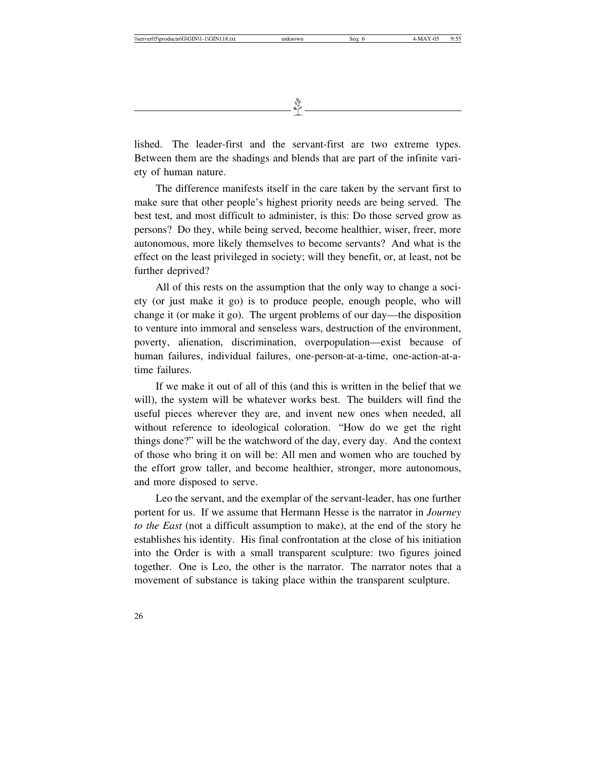lished. The leader-first and the servant-first are two extreme types. Between them are the shadings and blends that are part of the infinite variety of human nature.

The difference manifests itself in the care taken by the servant first to make sure that other people's highest priority needs are being served. The best test, and most difficult to administer, is this: Do those served grow as persons? Do they, while being served, become healthier, wiser, freer, more autonomous, more likely themselves to become servants? And what is the effect on the least privileged in society; will they benefit, or, at least, not be further deprived?

All of this rests on the assumption that the only way to change a society (or just make it go) is to produce people, enough people, who will change it (or make it go). The urgent problems of our day—the disposition to venture into immoral and senseless wars, destruction of the environment, poverty, alienation, discrimination, overpopulation—exist because of human failures, individual failures, one-person-at-a-time, one-action-at-atime failures.

If we make it out of all of this (and this is written in the belief that we will), the system will be whatever works best. The builders will find the useful pieces wherever they are, and invent new ones when needed, all without reference to ideological coloration. "How do we get the right things done?" will be the watchword of the day, every day. And the context of those who bring it on will be: All men and women who are touched by the effort grow taller, and become healthier, stronger, more autonomous, and more disposed to serve.

Leo the servant, and the exemplar of the servant-leader, has one further portent for us. If we assume that Hermann Hesse is the narrator in *Journey to the East* (not a difficult assumption to make), at the end of the story he establishes his identity. His final confrontation at the close of his initiation into the Order is with a small transparent sculpture: two figures joined together. One is Leo, the other is the narrator. The narrator notes that a movement of substance is taking place within the transparent sculpture.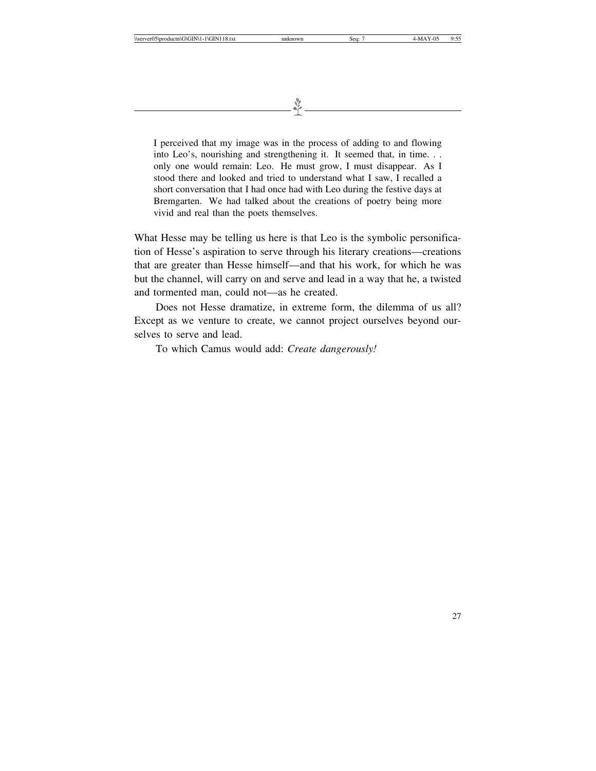| \\server05\productn\G\GIN\1-1\GIN118.txt | unknown | Seq: | $4-MAY-05$ | 9:55 |
|------------------------------------------|---------|------|------------|------|
|                                          |         |      |            |      |
|                                          |         |      |            |      |
|                                          |         |      |            |      |
|                                          |         |      |            |      |

¥

I perceived that my image was in the process of adding to and flowing into Leo's, nourishing and strengthening it. It seemed that, in time. . . only one would remain: Leo. He must grow, I must disappear. As I stood there and looked and tried to understand what I saw, I recalled a short conversation that I had once had with Leo during the festive days at Bremgarten. We had talked about the creations of poetry being more vivid and real than the poets themselves.

What Hesse may be telling us here is that Leo is the symbolic personification of Hesse's aspiration to serve through his literary creations—creations that are greater than Hesse himself—and that his work, for which he was but the channel, will carry on and serve and lead in a way that he, a twisted and tormented man, could not—as he created.

Does not Hesse dramatize, in extreme form, the dilemma of us all? Except as we venture to create, we cannot project ourselves beyond ourselves to serve and lead.

To which Camus would add: *Create dangerously!*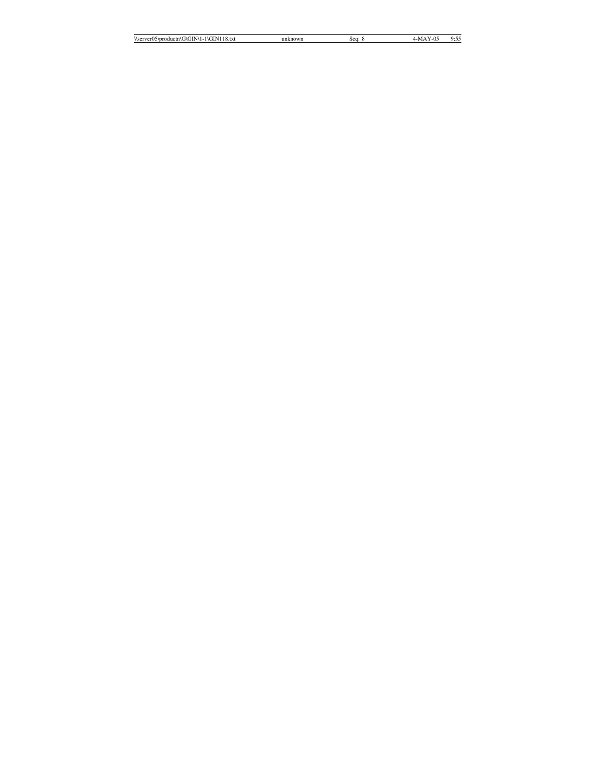| $\Omega$<br>$+1$<br><i><b>Nserv</b></i><br>$\boldsymbol{\mathcal{M}}$<br>' \ I J I<br>$\cdots$<br>$10.1\lambda$<br>,,,,,,,,,,, | Seq. | u.<br>.<br>. |
|--------------------------------------------------------------------------------------------------------------------------------|------|--------------|
|--------------------------------------------------------------------------------------------------------------------------------|------|--------------|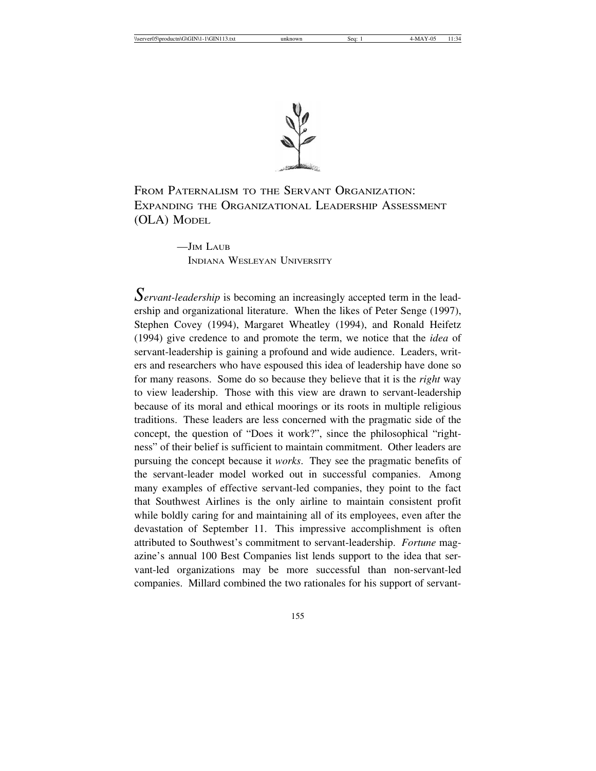

FROM PATERNALISM TO THE SERVANT ORGANIZATION: EXPANDING THE ORGANIZATIONAL LEADERSHIP ASSESSMENT (OLA) MODEL

> —JIM LAUB INDIANA WESLEYAN UNIVERSITY

*Servant-leadership* is becoming an increasingly accepted term in the leadership and organizational literature. When the likes of Peter Senge (1997), Stephen Covey (1994), Margaret Wheatley (1994), and Ronald Heifetz (1994) give credence to and promote the term, we notice that the *idea* of servant-leadership is gaining a profound and wide audience. Leaders, writers and researchers who have espoused this idea of leadership have done so for many reasons. Some do so because they believe that it is the *right* way to view leadership. Those with this view are drawn to servant-leadership because of its moral and ethical moorings or its roots in multiple religious traditions. These leaders are less concerned with the pragmatic side of the concept, the question of "Does it work?", since the philosophical "rightness" of their belief is sufficient to maintain commitment. Other leaders are pursuing the concept because it *works*. They see the pragmatic benefits of the servant-leader model worked out in successful companies. Among many examples of effective servant-led companies, they point to the fact that Southwest Airlines is the only airline to maintain consistent profit while boldly caring for and maintaining all of its employees, even after the devastation of September 11. This impressive accomplishment is often attributed to Southwest's commitment to servant-leadership. *Fortune* magazine's annual 100 Best Companies list lends support to the idea that servant-led organizations may be more successful than non-servant-led companies. Millard combined the two rationales for his support of servant-

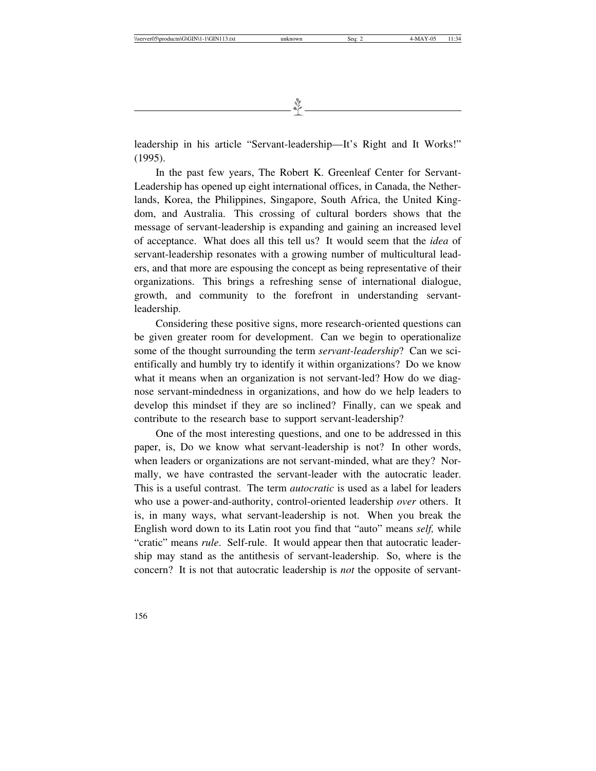leadership in his article "Servant-leadership—It's Right and It Works!" (1995).

In the past few years, The Robert K. Greenleaf Center for Servant-Leadership has opened up eight international offices, in Canada, the Netherlands, Korea, the Philippines, Singapore, South Africa, the United Kingdom, and Australia. This crossing of cultural borders shows that the message of servant-leadership is expanding and gaining an increased level of acceptance. What does all this tell us? It would seem that the *idea* of servant-leadership resonates with a growing number of multicultural leaders, and that more are espousing the concept as being representative of their organizations. This brings a refreshing sense of international dialogue, growth, and community to the forefront in understanding servantleadership.

Considering these positive signs, more research-oriented questions can be given greater room for development. Can we begin to operationalize some of the thought surrounding the term *servant-leadership*? Can we scientifically and humbly try to identify it within organizations? Do we know what it means when an organization is not servant-led? How do we diagnose servant-mindedness in organizations, and how do we help leaders to develop this mindset if they are so inclined? Finally, can we speak and contribute to the research base to support servant-leadership?

One of the most interesting questions, and one to be addressed in this paper, is, Do we know what servant-leadership is not? In other words, when leaders or organizations are not servant-minded, what are they? Normally, we have contrasted the servant-leader with the autocratic leader. This is a useful contrast. The term *autocratic* is used as a label for leaders who use a power-and-authority, control-oriented leadership *over* others. It is, in many ways, what servant-leadership is not. When you break the English word down to its Latin root you find that "auto" means *self,* while "cratic" means *rule*. Self-rule. It would appear then that autocratic leadership may stand as the antithesis of servant-leadership. So, where is the concern? It is not that autocratic leadership is *not* the opposite of servant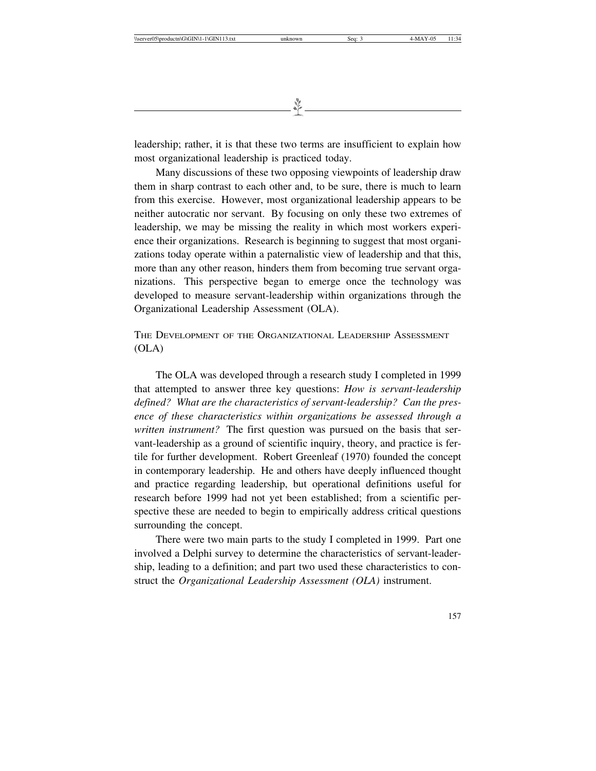leadership; rather, it is that these two terms are insufficient to explain how most organizational leadership is practiced today.

Many discussions of these two opposing viewpoints of leadership draw them in sharp contrast to each other and, to be sure, there is much to learn from this exercise. However, most organizational leadership appears to be neither autocratic nor servant. By focusing on only these two extremes of leadership, we may be missing the reality in which most workers experience their organizations. Research is beginning to suggest that most organizations today operate within a paternalistic view of leadership and that this, more than any other reason, hinders them from becoming true servant organizations. This perspective began to emerge once the technology was developed to measure servant-leadership within organizations through the Organizational Leadership Assessment (OLA).

THE DEVELOPMENT OF THE ORGANIZATIONAL LEADERSHIP ASSESSMENT (OLA)

The OLA was developed through a research study I completed in 1999 that attempted to answer three key questions: *How is servant-leadership defined? What are the characteristics of servant-leadership? Can the presence of these characteristics within organizations be assessed through a written instrument?* The first question was pursued on the basis that servant-leadership as a ground of scientific inquiry, theory, and practice is fertile for further development. Robert Greenleaf (1970) founded the concept in contemporary leadership. He and others have deeply influenced thought and practice regarding leadership, but operational definitions useful for research before 1999 had not yet been established; from a scientific perspective these are needed to begin to empirically address critical questions surrounding the concept.

There were two main parts to the study I completed in 1999. Part one involved a Delphi survey to determine the characteristics of servant-leadership, leading to a definition; and part two used these characteristics to construct the *Organizational Leadership Assessment (OLA)* instrument.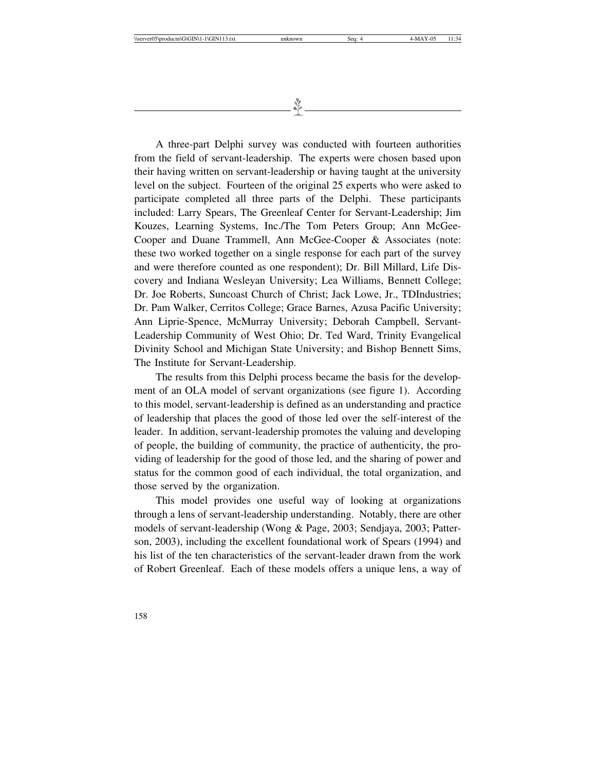A three-part Delphi survey was conducted with fourteen authorities from the field of servant-leadership. The experts were chosen based upon their having written on servant-leadership or having taught at the university level on the subject. Fourteen of the original 25 experts who were asked to participate completed all three parts of the Delphi. These participants included: Larry Spears, The Greenleaf Center for Servant-Leadership; Jim Kouzes, Learning Systems, Inc./The Tom Peters Group; Ann McGee-Cooper and Duane Trammell, Ann McGee-Cooper & Associates (note: these two worked together on a single response for each part of the survey and were therefore counted as one respondent); Dr. Bill Millard, Life Discovery and Indiana Wesleyan University; Lea Williams, Bennett College; Dr. Joe Roberts, Suncoast Church of Christ; Jack Lowe, Jr., TDIndustries; Dr. Pam Walker, Cerritos College; Grace Barnes, Azusa Pacific University; Ann Liprie-Spence, McMurray University; Deborah Campbell, Servant-Leadership Community of West Ohio; Dr. Ted Ward, Trinity Evangelical Divinity School and Michigan State University; and Bishop Bennett Sims, The Institute for Servant-Leadership.

The results from this Delphi process became the basis for the development of an OLA model of servant organizations (see figure 1). According to this model, servant-leadership is defined as an understanding and practice of leadership that places the good of those led over the self-interest of the leader. In addition, servant-leadership promotes the valuing and developing of people, the building of community, the practice of authenticity, the providing of leadership for the good of those led, and the sharing of power and status for the common good of each individual, the total organization, and those served by the organization.

This model provides one useful way of looking at organizations through a lens of servant-leadership understanding. Notably, there are other models of servant-leadership (Wong & Page, 2003; Sendjaya, 2003; Patterson, 2003), including the excellent foundational work of Spears (1994) and his list of the ten characteristics of the servant-leader drawn from the work of Robert Greenleaf. Each of these models offers a unique lens, a way of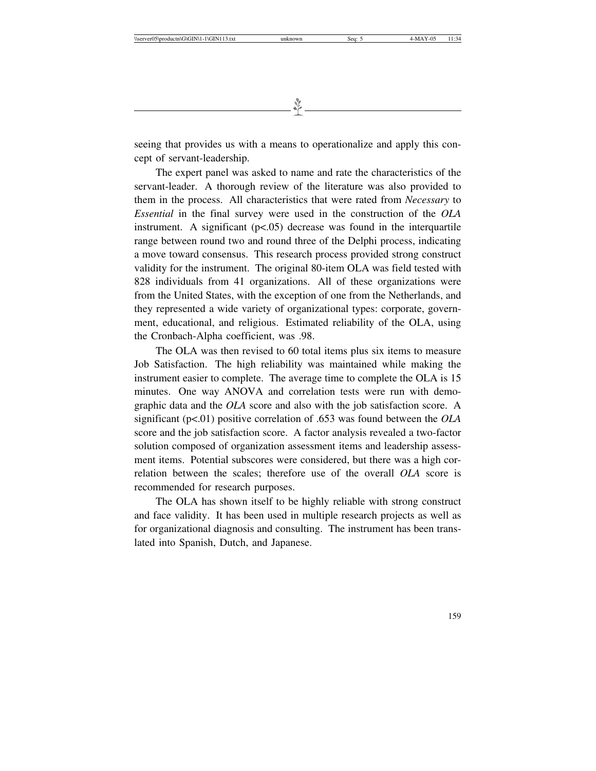seeing that provides us with a means to operationalize and apply this concept of servant-leadership.

The expert panel was asked to name and rate the characteristics of the servant-leader. A thorough review of the literature was also provided to them in the process. All characteristics that were rated from *Necessary* to *Essential* in the final survey were used in the construction of the *OLA* instrument. A significant  $(p<.05)$  decrease was found in the interquartile range between round two and round three of the Delphi process, indicating a move toward consensus. This research process provided strong construct validity for the instrument. The original 80-item OLA was field tested with 828 individuals from 41 organizations. All of these organizations were from the United States, with the exception of one from the Netherlands, and they represented a wide variety of organizational types: corporate, government, educational, and religious. Estimated reliability of the OLA, using the Cronbach-Alpha coefficient, was .98.

The OLA was then revised to 60 total items plus six items to measure Job Satisfaction. The high reliability was maintained while making the instrument easier to complete. The average time to complete the OLA is 15 minutes. One way ANOVA and correlation tests were run with demographic data and the *OLA* score and also with the job satisfaction score. A significant (p<.01) positive correlation of .653 was found between the *OLA* score and the job satisfaction score. A factor analysis revealed a two-factor solution composed of organization assessment items and leadership assessment items. Potential subscores were considered, but there was a high correlation between the scales; therefore use of the overall *OLA* score is recommended for research purposes.

The OLA has shown itself to be highly reliable with strong construct and face validity. It has been used in multiple research projects as well as for organizational diagnosis and consulting. The instrument has been translated into Spanish, Dutch, and Japanese.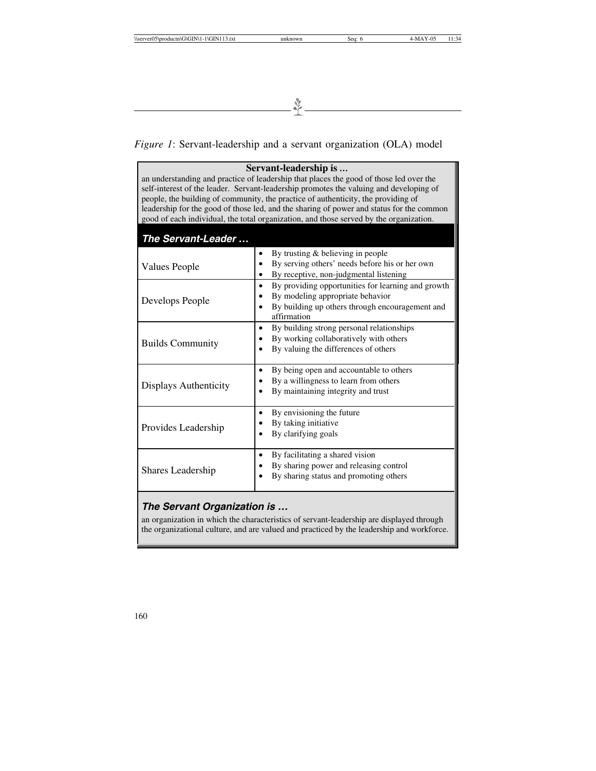| <b>Nservert</b><br>95\productn\G\GIN\1-1\GIN113.txt | :nown | Seq: | $\Omega^{\varepsilon}$ | <br>. |
|-----------------------------------------------------|-------|------|------------------------|-------|
|                                                     |       |      |                        |       |

*Figure 1*: Servant-leadership and a servant organization (OLA) model

Ne

| Servant-leadership is<br>an understanding and practice of leadership that places the good of those led over the<br>self-interest of the leader. Servant-leadership promotes the valuing and developing of<br>people, the building of community, the practice of authenticity, the providing of<br>leadership for the good of those led, and the sharing of power and status for the common<br>good of each individual, the total organization, and those served by the organization. |                                                                                                                                                                       |  |  |  |
|--------------------------------------------------------------------------------------------------------------------------------------------------------------------------------------------------------------------------------------------------------------------------------------------------------------------------------------------------------------------------------------------------------------------------------------------------------------------------------------|-----------------------------------------------------------------------------------------------------------------------------------------------------------------------|--|--|--|
| The Servant-Leader                                                                                                                                                                                                                                                                                                                                                                                                                                                                   |                                                                                                                                                                       |  |  |  |
| <b>Values People</b>                                                                                                                                                                                                                                                                                                                                                                                                                                                                 | By trusting $&$ believing in people<br>٠<br>By serving others' needs before his or her own<br>By receptive, non-judgmental listening                                  |  |  |  |
| Develops People                                                                                                                                                                                                                                                                                                                                                                                                                                                                      | By providing opportunities for learning and growth<br>$\bullet$<br>By modeling appropriate behavior<br>By building up others through encouragement and<br>affirmation |  |  |  |
| <b>Builds Community</b>                                                                                                                                                                                                                                                                                                                                                                                                                                                              | By building strong personal relationships<br>By working collaboratively with others<br>By valuing the differences of others                                           |  |  |  |
| Displays Authenticity                                                                                                                                                                                                                                                                                                                                                                                                                                                                | By being open and accountable to others<br>٠<br>By a willingness to learn from others<br>By maintaining integrity and trust                                           |  |  |  |
| Provides Leadership                                                                                                                                                                                                                                                                                                                                                                                                                                                                  | By envisioning the future<br>By taking initiative<br>By clarifying goals                                                                                              |  |  |  |
| <b>Shares Leadership</b>                                                                                                                                                                                                                                                                                                                                                                                                                                                             | By facilitating a shared vision<br>$\bullet$<br>By sharing power and releasing control<br>By sharing status and promoting others                                      |  |  |  |

# *The Servant Organization is …*

an organization in which the characteristics of servant-leadership are displayed through the organizational culture, and are valued and practiced by the leadership and workforce.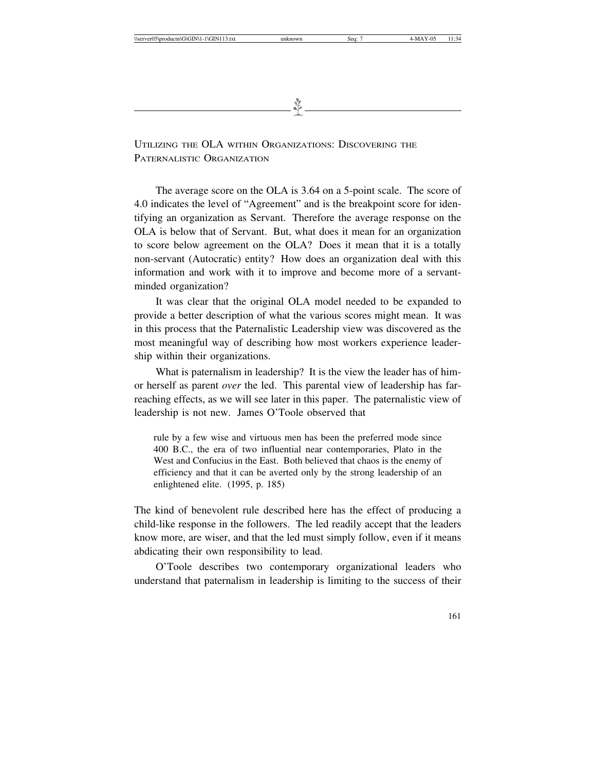| \\server05\productn\G\GIN\1-1\GIN113.txt | unknown        | Seq: 7 | 4-MAY-05 | 11:34 |
|------------------------------------------|----------------|--------|----------|-------|
|                                          |                |        |          |       |
|                                          |                |        |          |       |
|                                          |                |        |          |       |
|                                          |                |        |          |       |
|                                          |                |        |          |       |
|                                          |                |        |          |       |
|                                          |                |        |          |       |
|                                          |                |        |          |       |
|                                          | <b>COMPANY</b> |        |          |       |

UTILIZING THE OLA WITHIN ORGANIZATIONS: DISCOVERING THE PATERNALISTIC ORGANIZATION

The average score on the OLA is 3.64 on a 5-point scale. The score of 4.0 indicates the level of "Agreement" and is the breakpoint score for identifying an organization as Servant. Therefore the average response on the OLA is below that of Servant. But, what does it mean for an organization to score below agreement on the OLA? Does it mean that it is a totally non-servant (Autocratic) entity? How does an organization deal with this information and work with it to improve and become more of a servantminded organization?

It was clear that the original OLA model needed to be expanded to provide a better description of what the various scores might mean. It was in this process that the Paternalistic Leadership view was discovered as the most meaningful way of describing how most workers experience leadership within their organizations.

What is paternalism in leadership? It is the view the leader has of himor herself as parent *over* the led. This parental view of leadership has farreaching effects, as we will see later in this paper. The paternalistic view of leadership is not new. James O'Toole observed that

rule by a few wise and virtuous men has been the preferred mode since 400 B.C., the era of two influential near contemporaries, Plato in the West and Confucius in the East. Both believed that chaos is the enemy of efficiency and that it can be averted only by the strong leadership of an enlightened elite. (1995, p. 185)

The kind of benevolent rule described here has the effect of producing a child-like response in the followers. The led readily accept that the leaders know more, are wiser, and that the led must simply follow, even if it means abdicating their own responsibility to lead.

O'Toole describes two contemporary organizational leaders who understand that paternalism in leadership is limiting to the success of their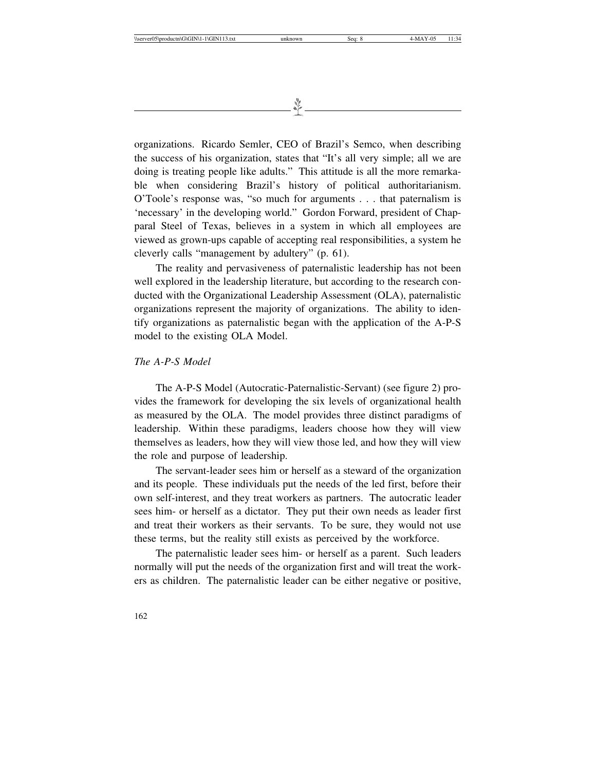| \\server05\productn\G\GIN\1-1\GIN113.txt | unknown | Seq: 8 | $4-MAY-05$ | 11:34 |
|------------------------------------------|---------|--------|------------|-------|
|                                          |         |        |            |       |
|                                          |         |        |            |       |
|                                          |         |        |            |       |
|                                          |         |        |            |       |
|                                          |         |        |            |       |

organizations. Ricardo Semler, CEO of Brazil's Semco, when describing the success of his organization, states that "It's all very simple; all we are doing is treating people like adults." This attitude is all the more remarkable when considering Brazil's history of political authoritarianism. O'Toole's response was, "so much for arguments . . . that paternalism is 'necessary' in the developing world." Gordon Forward, president of Chapparal Steel of Texas, believes in a system in which all employees are viewed as grown-ups capable of accepting real responsibilities, a system he cleverly calls "management by adultery" (p. 61).

The reality and pervasiveness of paternalistic leadership has not been well explored in the leadership literature, but according to the research conducted with the Organizational Leadership Assessment (OLA), paternalistic organizations represent the majority of organizations. The ability to identify organizations as paternalistic began with the application of the A-P-S model to the existing OLA Model.

## *The A-P-S Model*

The A-P-S Model (Autocratic-Paternalistic-Servant) (see figure 2) provides the framework for developing the six levels of organizational health as measured by the OLA. The model provides three distinct paradigms of leadership. Within these paradigms, leaders choose how they will view themselves as leaders, how they will view those led, and how they will view the role and purpose of leadership.

The servant-leader sees him or herself as a steward of the organization and its people. These individuals put the needs of the led first, before their own self-interest, and they treat workers as partners. The autocratic leader sees him- or herself as a dictator. They put their own needs as leader first and treat their workers as their servants. To be sure, they would not use these terms, but the reality still exists as perceived by the workforce.

The paternalistic leader sees him- or herself as a parent. Such leaders normally will put the needs of the organization first and will treat the workers as children. The paternalistic leader can be either negative or positive,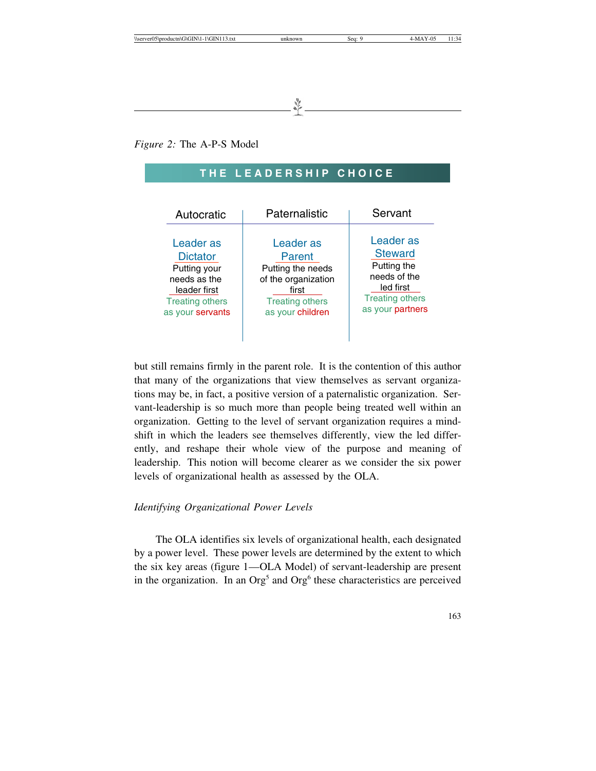| \\server05\productn\G\GIN\1-1\GIN113.txt | unknown | Seq: $9$ | $4-MAY-05$ | 11:34 |
|------------------------------------------|---------|----------|------------|-------|
|                                          |         |          |            |       |
|                                          |         |          |            |       |
|                                          |         |          |            |       |
|                                          |         |          |            |       |
|                                          |         |          |            |       |
|                                          |         |          |            |       |
|                                          |         |          |            |       |

*Figure 2:* The A-P-S Model



but still remains firmly in the parent role. It is the contention of this author that many of the organizations that view themselves as servant organizations may be, in fact, a positive version of a paternalistic organization. Servant-leadership is so much more than people being treated well within an organization. Getting to the level of servant organization requires a mindshift in which the leaders see themselves differently, view the led differently, and reshape their whole view of the purpose and meaning of leadership. This notion will become clearer as we consider the six power levels of organizational health as assessed by the OLA.

### *Identifying Organizational Power Levels*

The OLA identifies six levels of organizational health, each designated by a power level. These power levels are determined by the extent to which the six key areas (figure 1—OLA Model) of servant-leadership are present in the organization. In an  $\text{Org}^5$  and  $\text{Org}^6$  these characteristics are perceived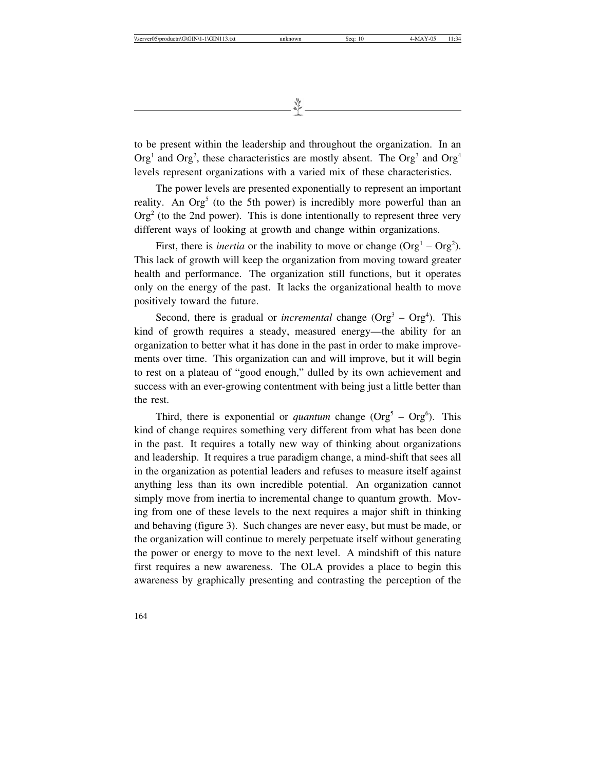to be present within the leadership and throughout the organization. In an Org<sup>1</sup> and Org<sup>2</sup>, these characteristics are mostly absent. The Org<sup>3</sup> and Org<sup>4</sup> levels represent organizations with a varied mix of these characteristics.

The power levels are presented exponentially to represent an important reality. An Org<sup>5</sup> (to the 5th power) is incredibly more powerful than an  $Org<sup>2</sup>$  (to the 2nd power). This is done intentionally to represent three very different ways of looking at growth and change within organizations.

First, there is *inertia* or the inability to move or change  $(Org<sup>1</sup> - Org<sup>2</sup>)$ . This lack of growth will keep the organization from moving toward greater health and performance. The organization still functions, but it operates only on the energy of the past. It lacks the organizational health to move positively toward the future.

Second, there is gradual or *incremental* change  $(Org<sup>3</sup> - Org<sup>4</sup>)$ . This kind of growth requires a steady, measured energy—the ability for an organization to better what it has done in the past in order to make improvements over time. This organization can and will improve, but it will begin to rest on a plateau of "good enough," dulled by its own achievement and success with an ever-growing contentment with being just a little better than the rest.

Third, there is exponential or *quantum* change  $(Org^5 - Org^6)$ . This kind of change requires something very different from what has been done in the past. It requires a totally new way of thinking about organizations and leadership. It requires a true paradigm change, a mind-shift that sees all in the organization as potential leaders and refuses to measure itself against anything less than its own incredible potential. An organization cannot simply move from inertia to incremental change to quantum growth. Moving from one of these levels to the next requires a major shift in thinking and behaving (figure 3). Such changes are never easy, but must be made, or the organization will continue to merely perpetuate itself without generating the power or energy to move to the next level. A mindshift of this nature first requires a new awareness. The OLA provides a place to begin this awareness by graphically presenting and contrasting the perception of the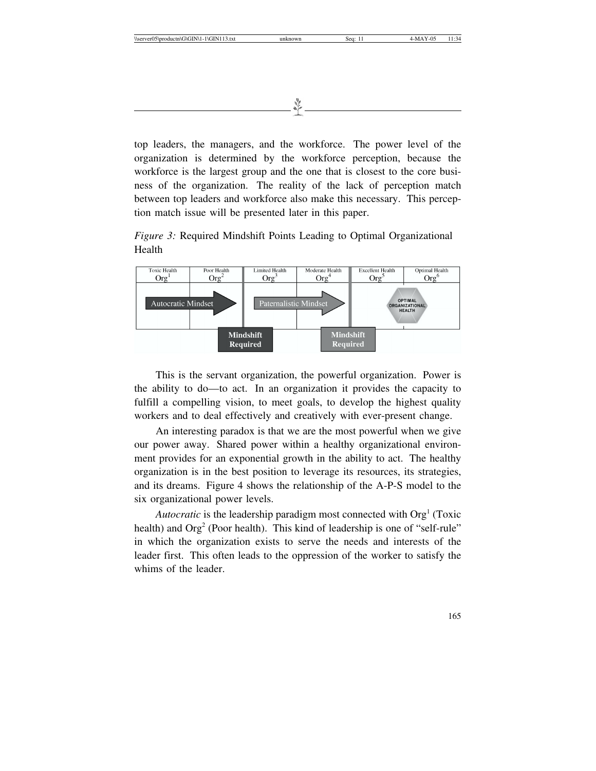| \\server05\productn\G\GIN\1-1\GIN113.txt | unknown | Seq: | $4-MAY-05$ | 11:34 |
|------------------------------------------|---------|------|------------|-------|
|                                          |         |      |            |       |
|                                          |         |      |            |       |
|                                          |         |      |            |       |

top leaders, the managers, and the workforce. The power level of the organization is determined by the workforce perception, because the workforce is the largest group and the one that is closest to the core business of the organization. The reality of the lack of perception match between top leaders and workforce also make this necessary. This perception match issue will be presented later in this paper.

*Figure 3:* Required Mindshift Points Leading to Optimal Organizational Health



This is the servant organization, the powerful organization. Power is the ability to do—to act. In an organization it provides the capacity to fulfill a compelling vision, to meet goals, to develop the highest quality workers and to deal effectively and creatively with ever-present change.

An interesting paradox is that we are the most powerful when we give our power away. Shared power within a healthy organizational environment provides for an exponential growth in the ability to act. The healthy organization is in the best position to leverage its resources, its strategies, and its dreams. Figure 4 shows the relationship of the A-P-S model to the six organizational power levels.

Autocratic is the leadership paradigm most connected with Org<sup>1</sup> (Toxic health) and Org<sup>2</sup> (Poor health). This kind of leadership is one of "self-rule" in which the organization exists to serve the needs and interests of the leader first. This often leads to the oppression of the worker to satisfy the whims of the leader.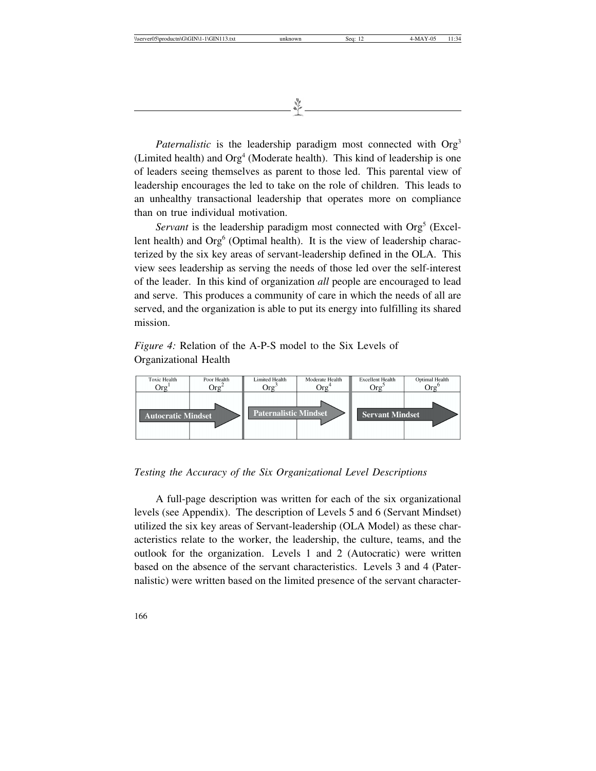| \\server05\productn\G\GIN\1-1\GIN113.txt | unknown | Seq: 12 | 4-MAY-05 | 11:34 |
|------------------------------------------|---------|---------|----------|-------|
|                                          |         |         |          |       |
|                                          |         |         |          |       |
|                                          |         |         |          |       |
|                                          |         |         |          |       |
|                                          |         |         |          |       |
|                                          |         |         |          |       |
|                                          |         |         |          |       |
|                                          |         |         |          |       |

Paternalistic is the leadership paradigm most connected with Org<sup>3</sup> (Limited health) and  $\text{Org}^4$  (Moderate health). This kind of leadership is one of leaders seeing themselves as parent to those led. This parental view of leadership encourages the led to take on the role of children. This leads to an unhealthy transactional leadership that operates more on compliance than on true individual motivation.

Servant is the leadership paradigm most connected with Org<sup>5</sup> (Excellent health) and Org<sup>6</sup> (Optimal health). It is the view of leadership characterized by the six key areas of servant-leadership defined in the OLA. This view sees leadership as serving the needs of those led over the self-interest of the leader. In this kind of organization *all* people are encouraged to lead and serve. This produces a community of care in which the needs of all are served, and the organization is able to put its energy into fulfilling its shared mission.

*Figure 4:* Relation of the A-P-S model to the Six Levels of Organizational Health



# *Testing the Accuracy of the Six Organizational Level Descriptions*

A full-page description was written for each of the six organizational levels (see Appendix). The description of Levels 5 and 6 (Servant Mindset) utilized the six key areas of Servant-leadership (OLA Model) as these characteristics relate to the worker, the leadership, the culture, teams, and the outlook for the organization. Levels 1 and 2 (Autocratic) were written based on the absence of the servant characteristics. Levels 3 and 4 (Paternalistic) were written based on the limited presence of the servant character-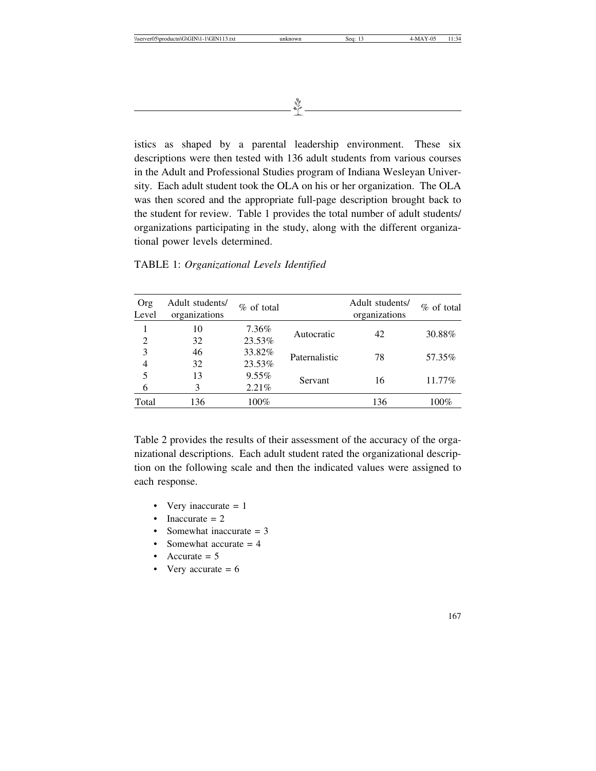| \\server05\productn\G\GIN\1-1\GIN113.txt | unknown | Seq: 13 | $4-MAY-05$ | 11:34 |
|------------------------------------------|---------|---------|------------|-------|
|                                          |         |         |            |       |
|                                          |         |         |            |       |
|                                          |         |         |            |       |
|                                          |         |         |            |       |
|                                          |         |         |            |       |
|                                          |         |         |            |       |

No

istics as shaped by a parental leadership environment. These six descriptions were then tested with 136 adult students from various courses in the Adult and Professional Studies program of Indiana Wesleyan University. Each adult student took the OLA on his or her organization. The OLA was then scored and the appropriate full-page description brought back to the student for review. Table 1 provides the total number of adult students/ organizations participating in the study, along with the different organizational power levels determined.

|  | TABLE 1: Organizational Levels Identified |  |  |
|--|-------------------------------------------|--|--|
|--|-------------------------------------------|--|--|

| Org<br>Level   | Adult students/<br>organizations | $\%$ of total |               | Adult students/<br>organizations | $\%$ of total |
|----------------|----------------------------------|---------------|---------------|----------------------------------|---------------|
|                | 10                               | 7.36%         | Autocratic    | 42                               | 30.88%        |
| 2              | 32                               | 23.53%        |               |                                  |               |
| 3              | 46                               | 33.82%        | Paternalistic | 78                               | 57.35%        |
| $\overline{4}$ | 32                               | 23.53%        |               |                                  |               |
| 5              | 13                               | $9.55\%$      | Servant       | 16                               | 11.77%        |
| 6              | 3                                | 2.21%         |               |                                  |               |
| Total          | 136                              | 100%          |               | 136                              | 100%          |

Table 2 provides the results of their assessment of the accuracy of the organizational descriptions. Each adult student rated the organizational description on the following scale and then the indicated values were assigned to each response.

- Very inaccurate  $= 1$
- Inaccurate  $= 2$
- Somewhat inaccurate  $= 3$
- Somewhat accurate  $= 4$
- Accurate  $= 5$
- Very accurate  $= 6$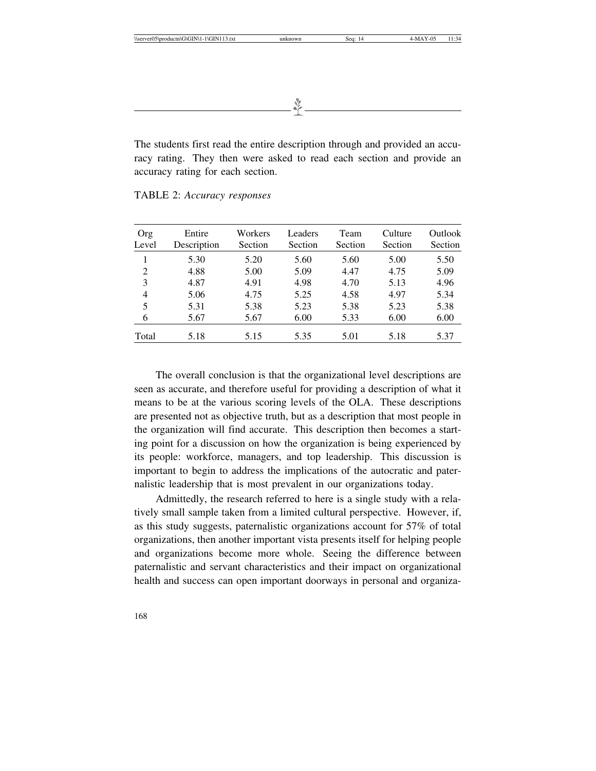| \\server05\productn\G\GIN\1-1\GIN113.txt | unknown | Sea: | $4-MAY-05$ | 11:34 |
|------------------------------------------|---------|------|------------|-------|
|                                          |         |      |            |       |
|                                          |         |      |            |       |
|                                          |         |      |            |       |

The students first read the entire description through and provided an accuracy rating. They then were asked to read each section and provide an accuracy rating for each section.

| Org<br>Level | Entire<br>Description | Workers<br>Section | Leaders<br>Section | Team<br>Section | Culture<br>Section | Outlook<br>Section |
|--------------|-----------------------|--------------------|--------------------|-----------------|--------------------|--------------------|
|              | 5.30                  | 5.20               | 5.60               | 5.60            | 5.00               | 5.50               |
| 2            | 4.88                  | 5.00               | 5.09               | 4.47            | 4.75               | 5.09               |
| 3            | 4.87                  | 4.91               | 4.98               | 4.70            | 5.13               | 4.96               |
| 4            | 5.06                  | 4.75               | 5.25               | 4.58            | 4.97               | 5.34               |
| 5            | 5.31                  | 5.38               | 5.23               | 5.38            | 5.23               | 5.38               |
| 6            | 5.67                  | 5.67               | 6.00               | 5.33            | 6.00               | 6.00               |
| Total        | 5.18                  | 5.15               | 5.35               | 5.01            | 5.18               | 5.37               |

TABLE 2: *Accuracy responses*

The overall conclusion is that the organizational level descriptions are seen as accurate, and therefore useful for providing a description of what it means to be at the various scoring levels of the OLA. These descriptions are presented not as objective truth, but as a description that most people in the organization will find accurate. This description then becomes a starting point for a discussion on how the organization is being experienced by its people: workforce, managers, and top leadership. This discussion is important to begin to address the implications of the autocratic and paternalistic leadership that is most prevalent in our organizations today.

Admittedly, the research referred to here is a single study with a relatively small sample taken from a limited cultural perspective. However, if, as this study suggests, paternalistic organizations account for 57% of total organizations, then another important vista presents itself for helping people and organizations become more whole. Seeing the difference between paternalistic and servant characteristics and their impact on organizational health and success can open important doorways in personal and organiza-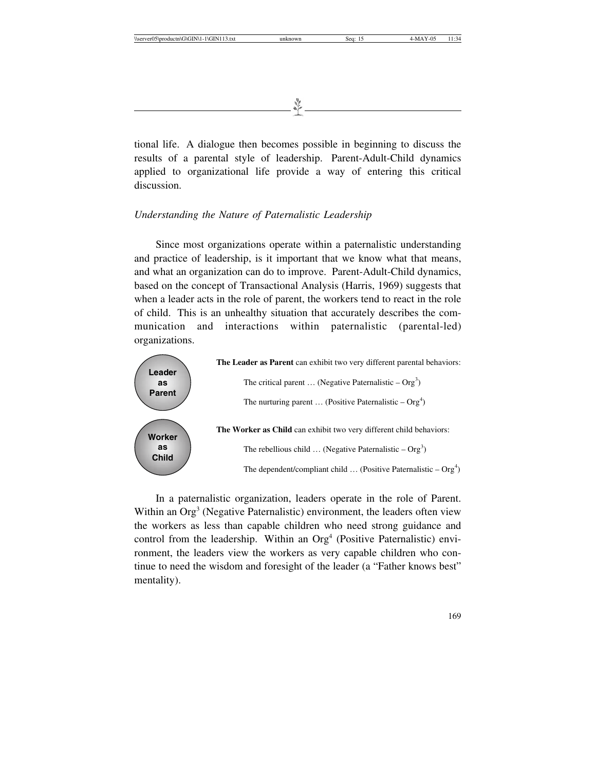| \\server05\productn\G\GIN\1-1\GIN113.txt | unknown    | Seq: 15 | 4-MAY-05 | 11:34 |
|------------------------------------------|------------|---------|----------|-------|
|                                          |            |         |          |       |
|                                          |            |         |          |       |
|                                          |            |         |          |       |
|                                          |            |         |          |       |
|                                          |            |         |          |       |
|                                          |            |         |          |       |
|                                          |            |         |          |       |
|                                          | $\sqrt{2}$ |         |          |       |
|                                          |            |         |          |       |

tional life. A dialogue then becomes possible in beginning to discuss the results of a parental style of leadership. Parent-Adult-Child dynamics applied to organizational life provide a way of entering this critical discussion.

T

# *Understanding the Nature of Paternalistic Leadership*

Since most organizations operate within a paternalistic understanding and practice of leadership, is it important that we know what that means, and what an organization can do to improve. Parent-Adult-Child dynamics, based on the concept of Transactional Analysis (Harris, 1969) suggests that when a leader acts in the role of parent, the workers tend to react in the role of child. This is an unhealthy situation that accurately describes the communication and interactions within paternalistic (parental-led) organizations.



In a paternalistic organization, leaders operate in the role of Parent. Within an Org<sup>3</sup> (Negative Paternalistic) environment, the leaders often view the workers as less than capable children who need strong guidance and control from the leadership. Within an  $Org<sup>4</sup>$  (Positive Paternalistic) environment, the leaders view the workers as very capable children who continue to need the wisdom and foresight of the leader (a "Father knows best" mentality).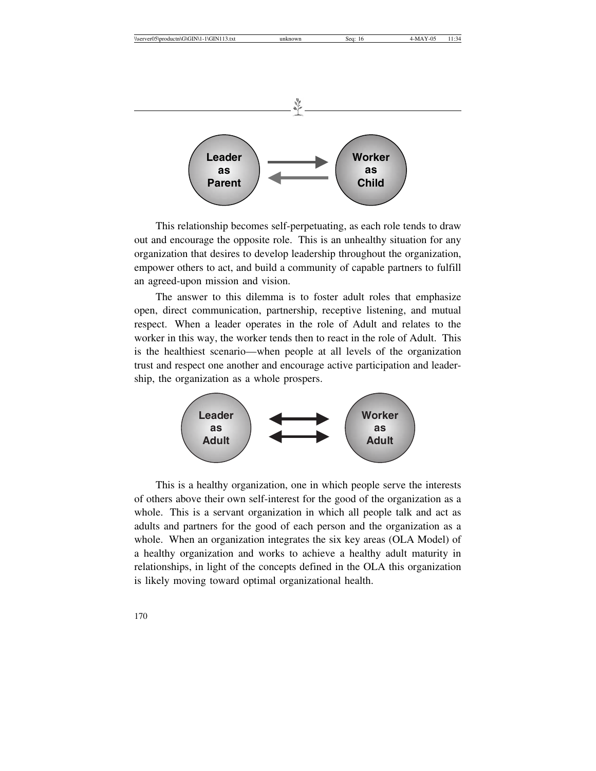

This relationship becomes self-perpetuating, as each role tends to draw out and encourage the opposite role. This is an unhealthy situation for any organization that desires to develop leadership throughout the organization, empower others to act, and build a community of capable partners to fulfill an agreed-upon mission and vision.

The answer to this dilemma is to foster adult roles that emphasize open, direct communication, partnership, receptive listening, and mutual respect. When a leader operates in the role of Adult and relates to the worker in this way, the worker tends then to react in the role of Adult. This is the healthiest scenario—when people at all levels of the organization trust and respect one another and encourage active participation and leadership, the organization as a whole prospers.



This is a healthy organization, one in which people serve the interests of others above their own self-interest for the good of the organization as a whole. This is a servant organization in which all people talk and act as adults and partners for the good of each person and the organization as a whole. When an organization integrates the six key areas (OLA Model) of a healthy organization and works to achieve a healthy adult maturity in relationships, in light of the concepts defined in the OLA this organization is likely moving toward optimal organizational health.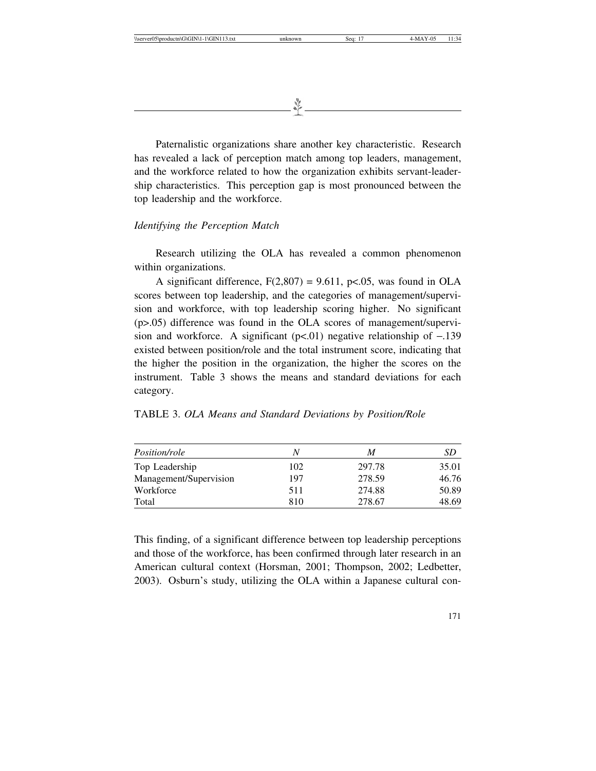| \\server05\productn\G\GIN\1-1\GIN113.txt | unknown | Seq: 17 | $4-MAY-05$ | 11:34 |
|------------------------------------------|---------|---------|------------|-------|
|                                          |         |         |            |       |
|                                          |         |         |            |       |
|                                          |         |         |            |       |
|                                          |         |         |            |       |
|                                          |         |         |            |       |
|                                          |         |         |            |       |
|                                          |         |         |            |       |

Paternalistic organizations share another key characteristic. Research has revealed a lack of perception match among top leaders, management, and the workforce related to how the organization exhibits servant-leadership characteristics. This perception gap is most pronounced between the top leadership and the workforce.

# *Identifying the Perception Match*

Research utilizing the OLA has revealed a common phenomenon within organizations.

A significant difference,  $F(2,807) = 9.611$ ,  $p<.05$ , was found in OLA scores between top leadership, and the categories of management/supervision and workforce, with top leadership scoring higher. No significant (p>.05) difference was found in the OLA scores of management/supervision and workforce. A significant (p<.01) negative relationship of −.139 existed between position/role and the total instrument score, indicating that the higher the position in the organization, the higher the scores on the instrument. Table 3 shows the means and standard deviations for each category.

| <i>Position/role</i>   | N   | M      | SD    |
|------------------------|-----|--------|-------|
| Top Leadership         | 102 | 297.78 | 35.01 |
| Management/Supervision | 197 | 278.59 | 46.76 |
| Workforce              | 511 | 274.88 | 50.89 |
| Total                  | 810 | 278.67 | 48.69 |

# TABLE 3. *OLA Means and Standard Deviations by Position/Role*

This finding, of a significant difference between top leadership perceptions and those of the workforce, has been confirmed through later research in an American cultural context (Horsman, 2001; Thompson, 2002; Ledbetter, 2003). Osburn's study, utilizing the OLA within a Japanese cultural con-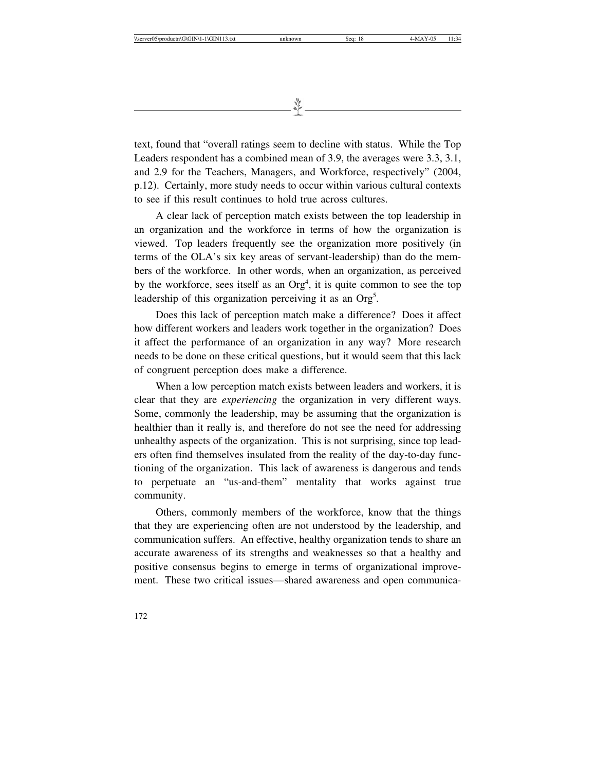text, found that "overall ratings seem to decline with status. While the Top Leaders respondent has a combined mean of 3.9, the averages were 3.3, 3.1, and 2.9 for the Teachers, Managers, and Workforce, respectively" (2004, p.12). Certainly, more study needs to occur within various cultural contexts to see if this result continues to hold true across cultures.

A clear lack of perception match exists between the top leadership in an organization and the workforce in terms of how the organization is viewed. Top leaders frequently see the organization more positively (in terms of the OLA's six key areas of servant-leadership) than do the members of the workforce. In other words, when an organization, as perceived by the workforce, sees itself as an  $Org^4$ , it is quite common to see the top leadership of this organization perceiving it as an Org<sup>5</sup>.

Does this lack of perception match make a difference? Does it affect how different workers and leaders work together in the organization? Does it affect the performance of an organization in any way? More research needs to be done on these critical questions, but it would seem that this lack of congruent perception does make a difference.

When a low perception match exists between leaders and workers, it is clear that they are *experiencing* the organization in very different ways. Some, commonly the leadership, may be assuming that the organization is healthier than it really is, and therefore do not see the need for addressing unhealthy aspects of the organization. This is not surprising, since top leaders often find themselves insulated from the reality of the day-to-day functioning of the organization. This lack of awareness is dangerous and tends to perpetuate an "us-and-them" mentality that works against true community.

Others, commonly members of the workforce, know that the things that they are experiencing often are not understood by the leadership, and communication suffers. An effective, healthy organization tends to share an accurate awareness of its strengths and weaknesses so that a healthy and positive consensus begins to emerge in terms of organizational improvement. These two critical issues—shared awareness and open communica-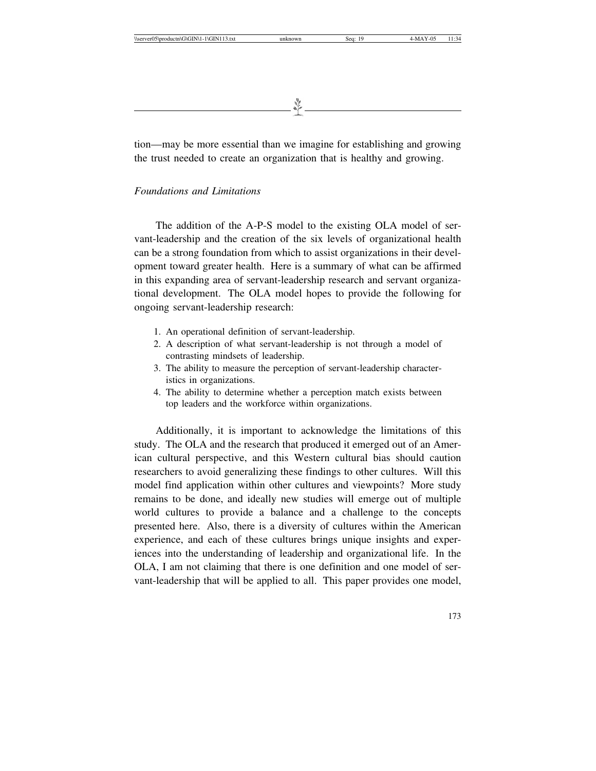| \\server05\productn\G\GIN\1-1\GIN113.txt | unknown | Seq: 19 | $4-MAY-05$ | 11:34 |
|------------------------------------------|---------|---------|------------|-------|
|                                          |         |         |            |       |
|                                          |         |         |            |       |
|                                          |         |         |            |       |
|                                          |         |         |            |       |
|                                          |         |         |            |       |
|                                          |         |         |            |       |
|                                          | M       |         |            |       |
|                                          |         |         |            |       |
|                                          | ويتطعن  |         |            |       |

tion—may be more essential than we imagine for establishing and growing the trust needed to create an organization that is healthy and growing.

# *Foundations and Limitations*

The addition of the A-P-S model to the existing OLA model of servant-leadership and the creation of the six levels of organizational health can be a strong foundation from which to assist organizations in their development toward greater health. Here is a summary of what can be affirmed in this expanding area of servant-leadership research and servant organizational development. The OLA model hopes to provide the following for ongoing servant-leadership research:

- 1. An operational definition of servant-leadership.
- 2. A description of what servant-leadership is not through a model of contrasting mindsets of leadership.
- 3. The ability to measure the perception of servant-leadership characteristics in organizations.
- 4. The ability to determine whether a perception match exists between top leaders and the workforce within organizations.

Additionally, it is important to acknowledge the limitations of this study. The OLA and the research that produced it emerged out of an American cultural perspective, and this Western cultural bias should caution researchers to avoid generalizing these findings to other cultures. Will this model find application within other cultures and viewpoints? More study remains to be done, and ideally new studies will emerge out of multiple world cultures to provide a balance and a challenge to the concepts presented here. Also, there is a diversity of cultures within the American experience, and each of these cultures brings unique insights and experiences into the understanding of leadership and organizational life. In the OLA, I am not claiming that there is one definition and one model of servant-leadership that will be applied to all. This paper provides one model,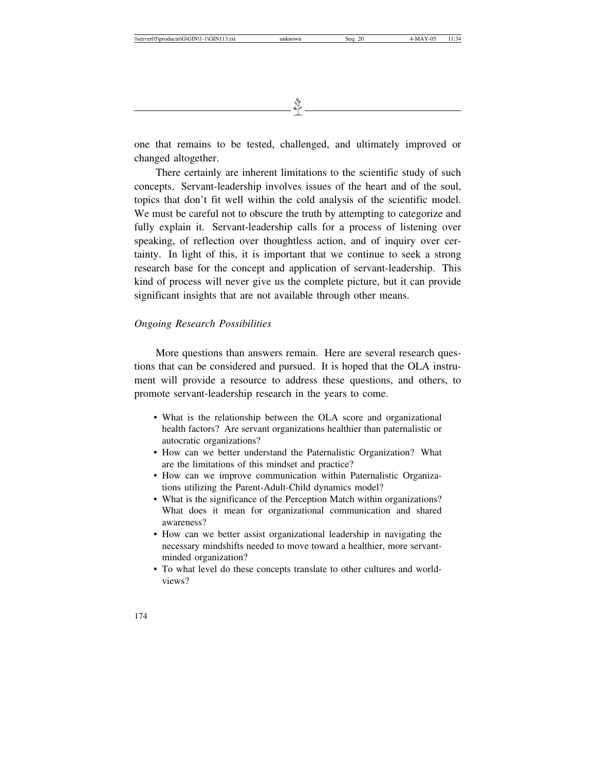one that remains to be tested, challenged, and ultimately improved or changed altogether.

There certainly are inherent limitations to the scientific study of such concepts. Servant-leadership involves issues of the heart and of the soul, topics that don't fit well within the cold analysis of the scientific model. We must be careful not to obscure the truth by attempting to categorize and fully explain it. Servant-leadership calls for a process of listening over speaking, of reflection over thoughtless action, and of inquiry over certainty. In light of this, it is important that we continue to seek a strong research base for the concept and application of servant-leadership. This kind of process will never give us the complete picture, but it can provide significant insights that are not available through other means.

## *Ongoing Research Possibilities*

More questions than answers remain. Here are several research questions that can be considered and pursued. It is hoped that the OLA instrument will provide a resource to address these questions, and others, to promote servant-leadership research in the years to come.

- What is the relationship between the OLA score and organizational health factors? Are servant organizations healthier than paternalistic or autocratic organizations?
- How can we better understand the Paternalistic Organization? What are the limitations of this mindset and practice?
- How can we improve communication within Paternalistic Organizations utilizing the Parent-Adult-Child dynamics model?
- What is the significance of the Perception Match within organizations? What does it mean for organizational communication and shared awareness?
- How can we better assist organizational leadership in navigating the necessary mindshifts needed to move toward a healthier, more servantminded organization?
- To what level do these concepts translate to other cultures and worldviews?
- 174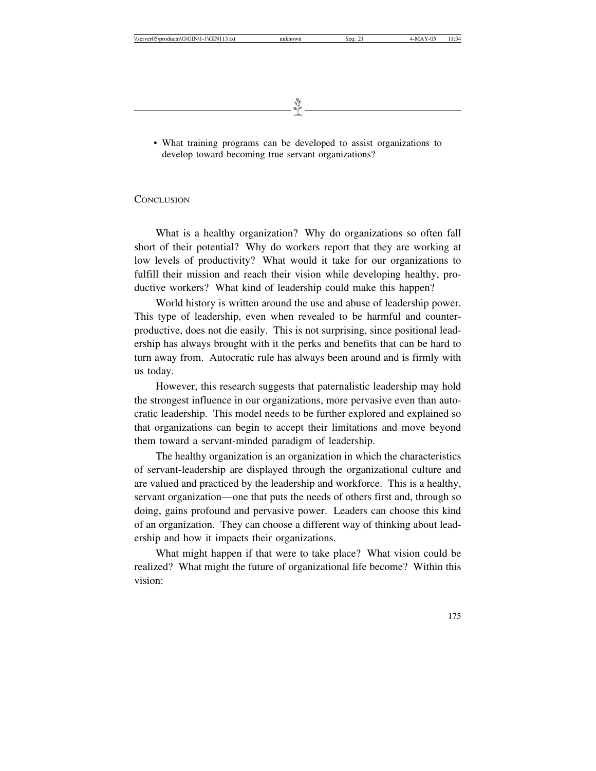| \\server05\productn\G\GIN\1-1\GIN113.txt | unknown           | Seq: 21 | 4-MAY-05 | 11:34 |
|------------------------------------------|-------------------|---------|----------|-------|
|                                          |                   |         |          |       |
|                                          |                   |         |          |       |
|                                          |                   |         |          |       |
|                                          |                   |         |          |       |
|                                          |                   |         |          |       |
|                                          |                   |         |          |       |
|                                          | ØF.               |         |          |       |
|                                          |                   |         |          |       |
|                                          | <b>Contractor</b> |         |          |       |

• What training programs can be developed to assist organizations to develop toward becoming true servant organizations?

# **CONCLUSION**

What is a healthy organization? Why do organizations so often fall short of their potential? Why do workers report that they are working at low levels of productivity? What would it take for our organizations to fulfill their mission and reach their vision while developing healthy, productive workers? What kind of leadership could make this happen?

World history is written around the use and abuse of leadership power. This type of leadership, even when revealed to be harmful and counterproductive, does not die easily. This is not surprising, since positional leadership has always brought with it the perks and benefits that can be hard to turn away from. Autocratic rule has always been around and is firmly with us today.

However, this research suggests that paternalistic leadership may hold the strongest influence in our organizations, more pervasive even than autocratic leadership. This model needs to be further explored and explained so that organizations can begin to accept their limitations and move beyond them toward a servant-minded paradigm of leadership.

The healthy organization is an organization in which the characteristics of servant-leadership are displayed through the organizational culture and are valued and practiced by the leadership and workforce. This is a healthy, servant organization—one that puts the needs of others first and, through so doing, gains profound and pervasive power. Leaders can choose this kind of an organization. They can choose a different way of thinking about leadership and how it impacts their organizations.

What might happen if that were to take place? What vision could be realized? What might the future of organizational life become? Within this vision: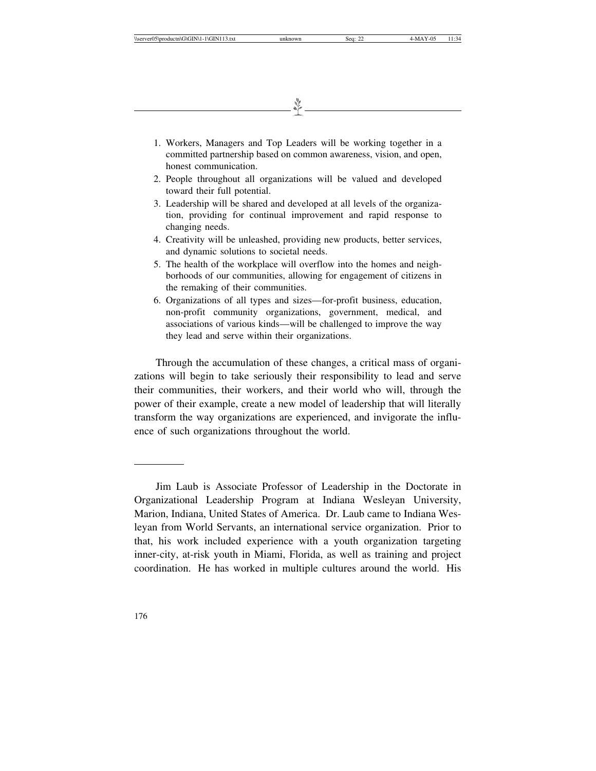- 
- 1. Workers, Managers and Top Leaders will be working together in a committed partnership based on common awareness, vision, and open, honest communication.
- 2. People throughout all organizations will be valued and developed toward their full potential.
- 3. Leadership will be shared and developed at all levels of the organization, providing for continual improvement and rapid response to changing needs.
- 4. Creativity will be unleashed, providing new products, better services, and dynamic solutions to societal needs.
- 5. The health of the workplace will overflow into the homes and neighborhoods of our communities, allowing for engagement of citizens in the remaking of their communities.
- 6. Organizations of all types and sizes—for-profit business, education, non-profit community organizations, government, medical, and associations of various kinds—will be challenged to improve the way they lead and serve within their organizations.

Through the accumulation of these changes, a critical mass of organizations will begin to take seriously their responsibility to lead and serve their communities, their workers, and their world who will, through the power of their example, create a new model of leadership that will literally transform the way organizations are experienced, and invigorate the influence of such organizations throughout the world.

Jim Laub is Associate Professor of Leadership in the Doctorate in Organizational Leadership Program at Indiana Wesleyan University, Marion, Indiana, United States of America. Dr. Laub came to Indiana Wesleyan from World Servants, an international service organization. Prior to that, his work included experience with a youth organization targeting inner-city, at-risk youth in Miami, Florida, as well as training and project coordination. He has worked in multiple cultures around the world. His

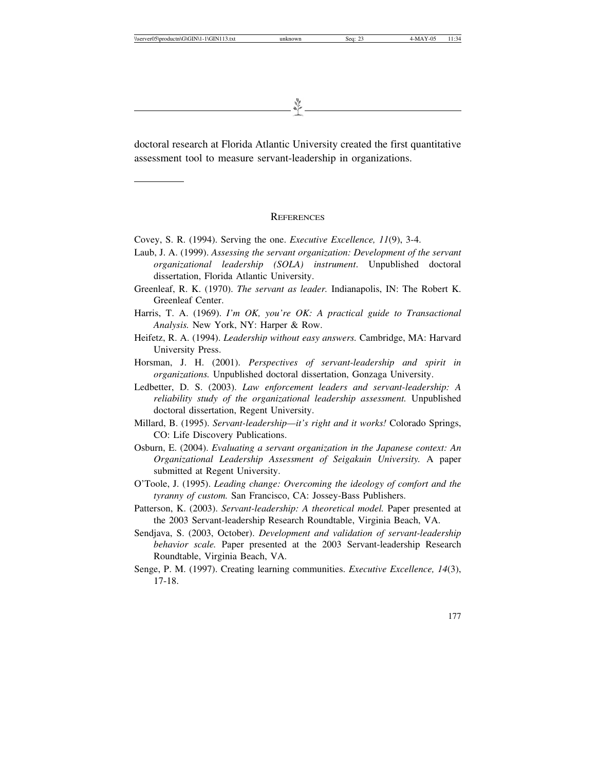| \\server05\productn\G\GIN\1-1\GIN113.txt | unknown | Seq: 23 | $4-MAY-05$ | 11:34 |
|------------------------------------------|---------|---------|------------|-------|
|                                          |         |         |            |       |
|                                          |         |         |            |       |
|                                          |         |         |            |       |

**REFERENCES** 

doctoral research at Florida Atlantic University created the first quantitative

Covey, S. R. (1994). Serving the one. *Executive Excellence, 11*(9), 3-4.

assessment tool to measure servant-leadership in organizations.

- Laub, J. A. (1999). *Assessing the servant organization: Development of the servant organizational leadership (SOLA) instrument*. Unpublished doctoral dissertation, Florida Atlantic University.
- Greenleaf, R. K. (1970). *The servant as leader.* Indianapolis, IN: The Robert K. Greenleaf Center.
- Harris, T. A. (1969). *I'm OK, you're OK: A practical guide to Transactional Analysis.* New York, NY: Harper & Row.
- Heifetz, R. A. (1994). *Leadership without easy answers.* Cambridge, MA: Harvard University Press.
- Horsman, J. H. (2001). *Perspectives of servant-leadership and spirit in organizations.* Unpublished doctoral dissertation, Gonzaga University.
- Ledbetter, D. S. (2003). *Law enforcement leaders and servant-leadership: A reliability study of the organizational leadership assessment.* Unpublished doctoral dissertation, Regent University.
- Millard, B. (1995). *Servant-leadership—it's right and it works!* Colorado Springs, CO: Life Discovery Publications.
- Osburn, E. (2004). *Evaluating a servant organization in the Japanese context: An Organizational Leadership Assessment of Seigakuin University.* A paper submitted at Regent University.
- O'Toole, J. (1995). *Leading change: Overcoming the ideology of comfort and the tyranny of custom.* San Francisco, CA: Jossey-Bass Publishers.
- Patterson, K. (2003). *Servant-leadership: A theoretical model.* Paper presented at the 2003 Servant-leadership Research Roundtable, Virginia Beach, VA.
- Sendjava, S. (2003, October). *Development and validation of servant-leadership behavior scale.* Paper presented at the 2003 Servant-leadership Research Roundtable, Virginia Beach, VA.
- Senge, P. M. (1997). Creating learning communities. *Executive Excellence, 14*(3), 17-18.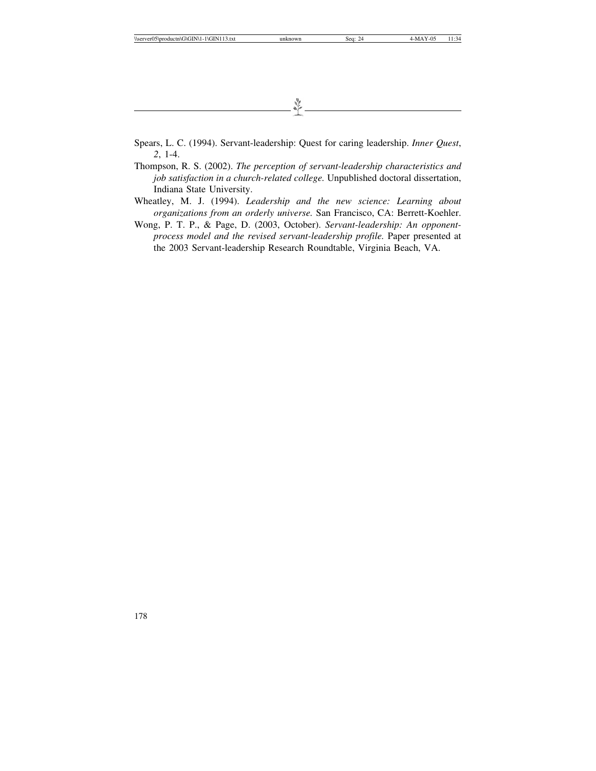

Spears, L. C. (1994). Servant-leadership: Quest for caring leadership. *Inner Quest*, *2*, 1-4.

- Thompson, R. S. (2002). *The perception of servant-leadership characteristics and job satisfaction in a church-related college.* Unpublished doctoral dissertation, Indiana State University.
- Wheatley, M. J. (1994). *Leadership and the new science: Learning about organizations from an orderly universe.* San Francisco, CA: Berrett-Koehler.
- Wong, P. T. P., & Page, D. (2003, October). *Servant-leadership: An opponentprocess model and the revised servant-leadership profile.* Paper presented at the 2003 Servant-leadership Research Roundtable, Virginia Beach, VA.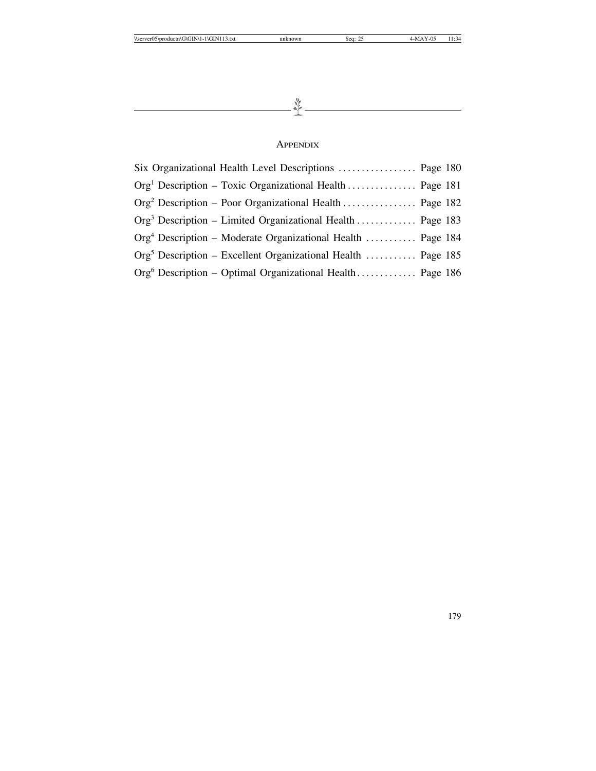<u> 1989 - Johann Barbara, martxa a</u>

 $\frac{1}{2}$ 

# **APPENDIX**

| $Org2$ Description – Poor Organizational Health  Page 182               |  |
|-------------------------------------------------------------------------|--|
| $Org3$ Description – Limited Organizational Health  Page 183            |  |
| Org <sup>4</sup> Description – Moderate Organizational Health  Page 184 |  |
| $Org5$ Description – Excellent Organizational Health  Page 185          |  |
| Org <sup>6</sup> Description – Optimal Organizational Health Page 186   |  |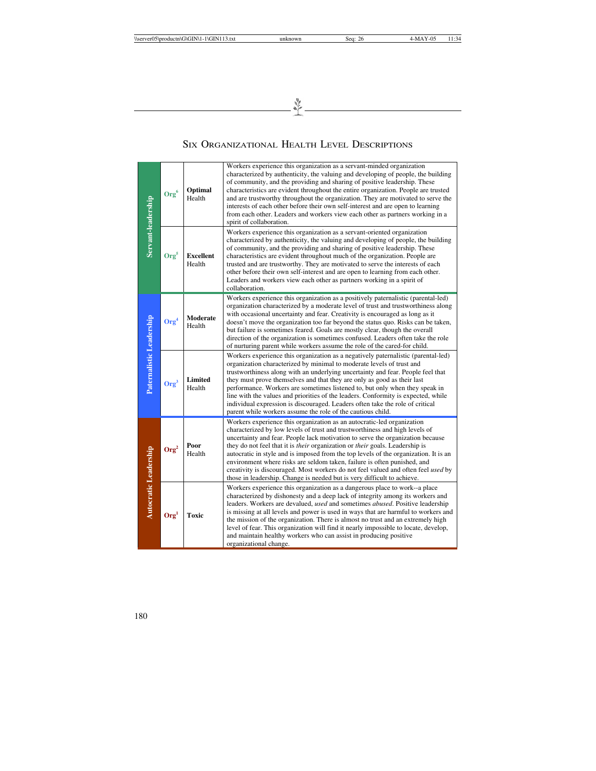**Alge** 

# SIX ORGANIZATIONAL HEALTH LEVEL DESCRIPTIONS

|                              | Org <sup>6</sup> | Optimal<br>Health          | Workers experience this organization as a servant-minded organization<br>characterized by authenticity, the valuing and developing of people, the building<br>of community, and the providing and sharing of positive leadership. These<br>characteristics are evident throughout the entire organization. People are trusted<br>and are trustworthy throughout the organization. They are motivated to serve the<br>interests of each other before their own self-interest and are open to learning<br>from each other. Leaders and workers view each other as partners working in a<br>spirit of collaboration.                                                         |
|------------------------------|------------------|----------------------------|---------------------------------------------------------------------------------------------------------------------------------------------------------------------------------------------------------------------------------------------------------------------------------------------------------------------------------------------------------------------------------------------------------------------------------------------------------------------------------------------------------------------------------------------------------------------------------------------------------------------------------------------------------------------------|
| Servant-leadership           | $\mathbf{Org}^5$ | <b>Excellent</b><br>Health | Workers experience this organization as a servant-oriented organization<br>characterized by authenticity, the valuing and developing of people, the building<br>of community, and the providing and sharing of positive leadership. These<br>characteristics are evident throughout much of the organization. People are<br>trusted and are trustworthy. They are motivated to serve the interests of each<br>other before their own self-interest and are open to learning from each other.<br>Leaders and workers view each other as partners working in a spirit of<br>collaboration.                                                                                  |
|                              | Org <sup>4</sup> | Moderate<br>Health         | Workers experience this organization as a positively paternalistic (parental-led)<br>organization characterized by a moderate level of trust and trustworthiness along<br>with occasional uncertainty and fear. Creativity is encouraged as long as it<br>doesn't move the organization too far beyond the status quo. Risks can be taken,<br>but failure is sometimes feared. Goals are mostly clear, though the overall<br>direction of the organization is sometimes confused. Leaders often take the role<br>of nurturing parent while workers assume the role of the cared-for child.                                                                                |
| Paternalistic Leadership     | $\mathbf{Org}^3$ | Limited<br>Health          | Workers experience this organization as a negatively paternalistic (parental-led)<br>organization characterized by minimal to moderate levels of trust and<br>trustworthiness along with an underlying uncertainty and fear. People feel that<br>they must prove themselves and that they are only as good as their last<br>performance. Workers are sometimes listened to, but only when they speak in<br>line with the values and priorities of the leaders. Conformity is expected, while<br>individual expression is discouraged. Leaders often take the role of critical<br>parent while workers assume the role of the cautious child.                              |
| <b>Autocratic Leadership</b> | Org <sup>2</sup> | Poor<br>Health             | Workers experience this organization as an autocratic-led organization<br>characterized by low levels of trust and trustworthiness and high levels of<br>uncertainty and fear. People lack motivation to serve the organization because<br>they do not feel that it is <i>their</i> organization or <i>their</i> goals. Leadership is<br>autocratic in style and is imposed from the top levels of the organization. It is an<br>environment where risks are seldom taken, failure is often punished, and<br>creativity is discouraged. Most workers do not feel valued and often feel used by<br>those in leadership. Change is needed but is very difficult to achieve. |
|                              | Org <sup>1</sup> | Toxic                      | Workers experience this organization as a dangerous place to work--a place<br>characterized by dishonesty and a deep lack of integrity among its workers and<br>leaders. Workers are devalued, <i>used</i> and sometimes <i>abused</i> . Positive leadership<br>is missing at all levels and power is used in ways that are harmful to workers and<br>the mission of the organization. There is almost no trust and an extremely high<br>level of fear. This organization will find it nearly impossible to locate, develop,<br>and maintain healthy workers who can assist in producing positive<br>organizational change.                                               |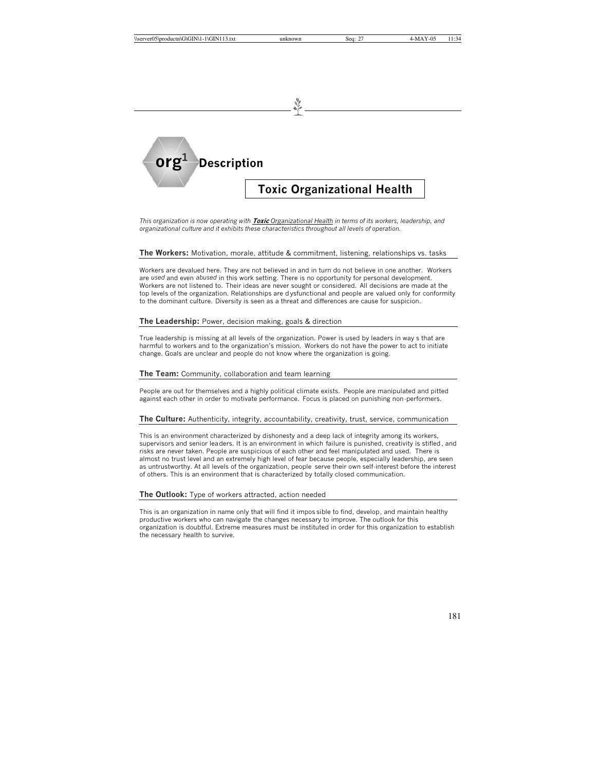

This organization is now operating with **Toxic** Organizational Health in terms of its workers, leadership, and organizational culture and it exhibits these characteristics throughout all levels of operation.

## The Workers: Motivation, morale, attitude & commitment, listening, relationships vs. tasks

Workers are devalued here. They are not believed in and in turn do not believe in one another. Workers are used and even abused in this work setting. There is no opportunity for personal development. Workers are not listened to. Their ideas are never sought or considered. All decisions are made at the top levels of the organization. Relationships are dysfunctional and people are valued only for conformity to the dominant culture. Diversity is seen as a threat and differences are cause for suspicion.

## The Leadership: Power, decision making, goals & direction

True leadership is missing at all levels of the organization. Power is used by leaders in way s that are harmful to workers and to the organization's mission. Workers do not have the power to act to initiate change. Goals are unclear and people do not know where the organization is going.

### The Team: Community, collaboration and team learning

People are out for themselves and a highly political climate exists. People are manipulated and pitted against each other in order to motivate performance. Focus is placed on punishing non-performers.

### The Culture: Authenticity, integrity, accountability, creativity, trust, service, communication

This is an environment characterized by dishonesty and a deep lack of integrity among its workers, supervisors and senior leaders. It is an environment in which failure is punished, creativity is stifled, and risks are never taken. People are suspicious of each other and feel manipulated and used. There is almost no trust level and an extremely high level of fear because people, especially leadership, are seen as untrustworthy. At all levels of the organization, people serve their own self-interest before the interest of others. This is an environment that is characterized by totally closed communication.

### The Outlook: Type of workers attracted, action needed

This is an organization in name only that will find it impos sible to find, develop, and maintain healthy productive workers who can navigate the changes necessary to improve. The outlook for this organization is doubtful. Extreme measures must be instituted in order for this organization to establish the necessary health to survive.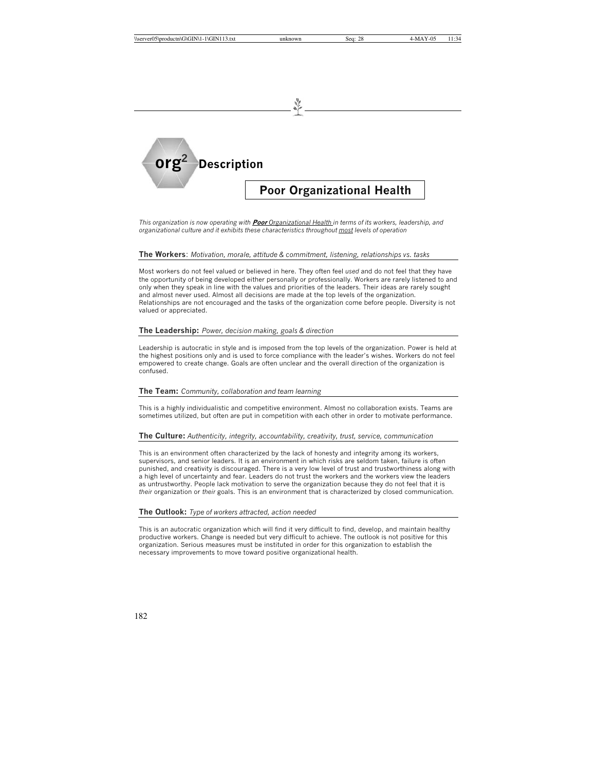

This organization is now operating with **Poor** Organizational Health in terms of its workers, leadership, and organizational culture and it exhibits these characteristics throughout most levels of operation

### The Workers: Motivation, morale, attitude & commitment, listening, relationships vs. tasks

Most workers do not feel valued or believed in here. They often feel used and do not feel that they have the opportunity of being developed either personally or professionally. Workers are rarely listened to and only when they speak in line with the values and priorities of the leaders. Their ideas are rarely sought and almost never used. Almost all decisions are made at the top levels of the organization. Relationships are not encouraged and the tasks of the organization come before people. Diversity is not valued or appreciated.

### The Leadership: Power, decision making, goals & direction

Leadership is autocratic in style and is imposed from the top levels of the organization. Power is held at the highest positions only and is used to force compliance with the leader's wishes. Workers do not feel empowered to create change. Goals are often unclear and the overall direction of the organization is confused.

#### The Team: Community, collaboration and team learning

This is a highly individualistic and competitive environment. Almost no collaboration exists. Teams are sometimes utilized, but often are put in competition with each other in order to motivate performance.

#### The Culture: Authenticity, integrity, accountability, creativity, trust, service, communication

This is an environment often characterized by the lack of honesty and integrity among its workers, supervisors, and senior leaders. It is an environment in which risks are seldom taken, failure is often punished, and creativity is discouraged. There is a very low level of trust and trustworthiness along with a high level of uncertainty and fear. Leaders do not trust the workers and the workers view the leaders as untrustworthy. People lack motivation to serve the organization because they do not feel that it is their organization or their goals. This is an environment that is characterized by closed communication.

### The Outlook: Type of workers attracted, action needed

This is an autocratic organization which will find it very difficult to find, develop, and maintain healthy productive workers. Change is needed but very difficult to achieve. The outlook is not positive for this organization. Serious measures must be instituted in order for this organization to establish the necessary improvements to move toward positive organizational health.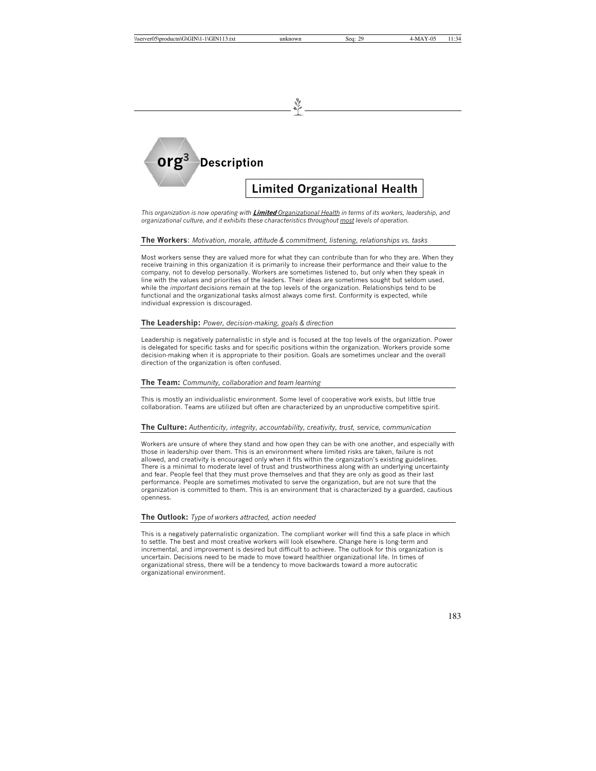

This organization is now operating with *Limited Organizational Health* in terms of its workers, leadership, and organizational culture, and it exhibits these characteristics throughout most levels of operation.

The Workers: Motivation, morale, attitude & commitment, listening, relationships vs. tasks

Most workers sense they are valued more for what they can contribute than for who they are. When they receive training in this organization it is primarily to increase their performance and their value to the company, not to develop personally. Workers are sometimes listened to, but only when they speak in line with the values and priorities of the leaders. Their ideas are sometimes sought but seldom used, while the *important* decisions remain at the top levels of the organization. Relationships tend to be functional and the organizational tasks almost always come first. Conformity is expected, while individual expression is discouraged.

#### The Leadership: Power, decision-making, goals & direction

Leadership is negatively paternalistic in style and is focused at the top levels of the organization. Power is delegated for specific tasks and for specific positions within the organization. Workers provide some decision making when it is appropriate to their position. Goals are sometimes unclear and the overall direction of the organization is often confused.

#### The Team: Community, collaboration and team learning

This is mostly an individualistic environment. Some level of cooperative work exists, but little true collaboration. Teams are utilized but often are characterized by an unproductive competitive spirit.

### The Culture: Authenticity, integrity, accountability, creativity, trust, service, communication

Workers are unsure of where they stand and how open they can be with one another, and especially with those in leadership over them. This is an environment where limited risks are taken, failure is not allowed, and creativity is encouraged only when it fits within the organization's existing guidelines. There is a minimal to moderate level of trust and trustworthiness along with an underlying uncertainty and fear. People feel that they must prove themselves and that they are only as good as their last performance. People are sometimes motivated to serve the organization, but are not sure that the organization is committed to them. This is an environment that is characterized by a guarded, cautious openness.

## The Outlook: Type of workers attracted, action needed

This is a negatively paternalistic organization. The compliant worker will find this a safe place in which to settle. The best and most creative workers will look elsewhere. Change here is long term and incremental, and improvement is desired but difficult to achieve. The outlook for this organization is uncertain. Decisions need to be made to move toward healthier organizational life. In times of organizational stress, there will be a tendency to move backwards toward a more autocratic organizational environment.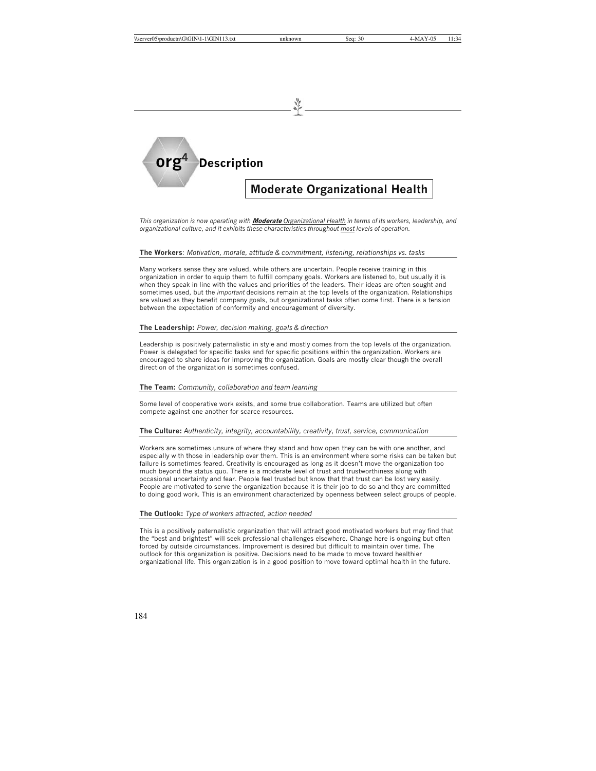

This organization is now operating with **Moderate** Organizational Health in terms of its workers, leadership, and organizational culture, and it exhibits these characteristics throughout most levels of operation.

The Workers: Motivation, morale, attitude & commitment, listening, relationships vs. tasks

Many workers sense they are valued, while others are uncertain. People receive training in this organization in order to equip them to fulfill company goals. Workers are listened to, but usually it is when they speak in line with the values and priorities of the leaders. Their ideas are often sought and sometimes used, but the important decisions remain at the top levels of the organization. Relationships are valued as they benefit company goals, but organizational tasks often come first. There is a tension between the expectation of conformity and encouragement of diversity.

#### The Leadership: Power, decision making, goals & direction

Leadership is positively paternalistic in style and mostly comes from the top levels of the organization. Power is delegated for specific tasks and for specific positions within the organization. Workers are encouraged to share ideas for improving the organization. Goals are mostly clear though the overall direction of the organization is sometimes confused.

#### The Team: Community, collaboration and team learning

Some level of cooperative work exists, and some true collaboration. Teams are utilized but often compete against one another for scarce resources.

#### The Culture: Authenticity, integrity, accountability, creativity, trust, service, communication

Workers are sometimes unsure of where they stand and how open they can be with one another, and<br>especially with those in leadership over them. This is an environment where some risks can be taken but failure is sometimes feared. Creativity is encouraged as long as it doesn't move the organization too much beyond the status quo. There is a moderate level of trust and trustworthiness along with occasional uncertainty and fear. People feel trusted but know that that trust can be lost very easily. People are motivated to serve the organization because it is their job to do so and they are committed to doing good work. This is an environment characterized by openness between select groups of people.

#### The Outlook: Type of workers attracted, action needed

This is a positively paternalistic organization that will attract good motivated workers but may find that the "best and brightest" will seek professional challenges elsewhere. Change here is ongoing but often forced by outside circumstances. Improvement is desired but difficult to maintain over time. The outlook for this organization is positive. Decisions need to be made to move toward healthier organizational life. This organization is in a good position to move toward optimal health in the future.

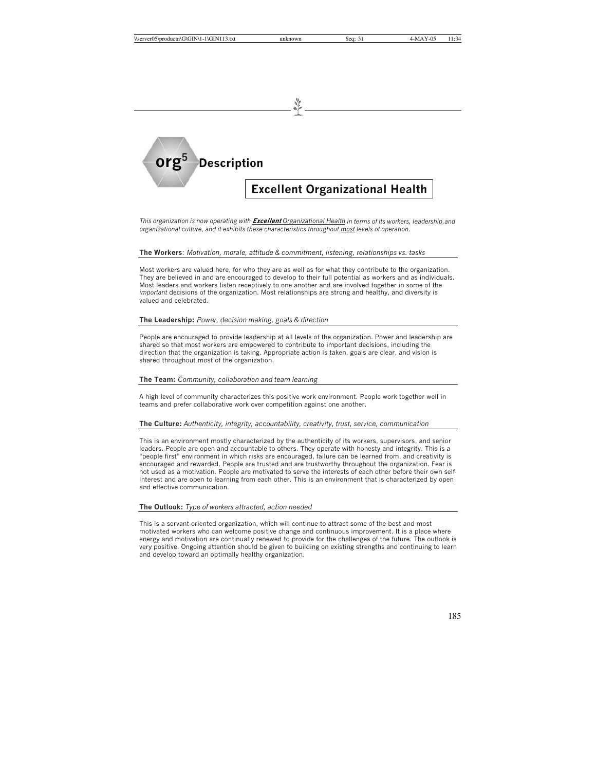

This organization is now operating with **Excellent** Organizational Health in terms of its workers, leadership, and organizational culture, and it exhibits these characteristics throughout most levels of operation.

The Workers: Motivation, morale, attitude & commitment, listening, relationships vs. tasks

Most workers are valued here, for who they are as well as for what they contribute to the organization. They are believed in and are encouraged to develop to their full potential as workers and as individuals. Most leaders and workers listen receptively to one another and are involved together in some of the important decisions of the organization. Most relationships are strong and healthy, and diversity is valued and celebrated.

### The Leadership: Power, decision making, goals & direction

People are encouraged to provide leadership at all levels of the organization. Power and leadership are shared so that most workers are empowered to contribute to important decisions, including the direction that the organization is taking. Appropriate action is taken, goals are clear, and vision is shared throughout most of the organization.

#### The Team: Community, collaboration and team learning

A high level of community characterizes this positive work environment. People work together well in teams and prefer collaborative work over competition against one another.

#### The Culture: Authenticity, integrity, accountability, creativity, trust, service, communication

This is an environment mostly characterized by the authenticity of its workers, supervisors, and senior leaders. People are open and accountable to others. They operate with honesty and integrity. This is a "people first" environment in which risks are encouraged, failure can be learned from, and creativity is encouraged and rewarded. People are trusted and are trustworthy throughout the organization. Fear is not used as a motivation. People are motivated to serve the interests of each other before their own selfinterest and are open to learning from each other. This is an environment that is characterized by open and effective communication.

# The Outlook: Type of workers attracted, action needed

This is a servant-oriented organization, which will continue to attract some of the best and most motivated workers who can welcome positive change and continuous improvement. It is a place where energy and motivation are continually renewed to provide for the challenges of the future. The outlook is very positive. Ongoing attention should be given to building on existing strengths and continuing to learn and develop toward an optimally healthy organization.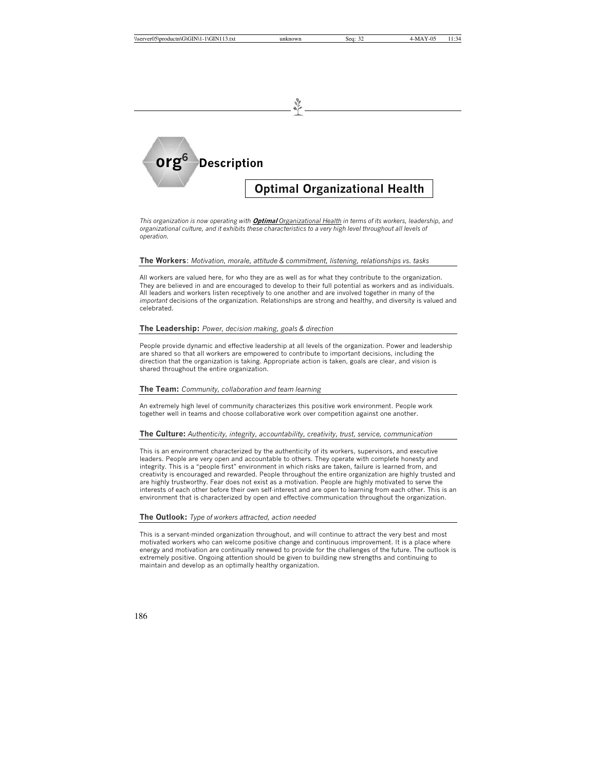

This organization is now operating with *Optimal* Organizational Health in terms of its workers, leadership, and organizational culture, and it exhibits these characteristics to a very high level throughout all levels of operation.

The Workers: Motivation, morale, attitude & commitment, listening, relationships vs. tasks

All workers are valued here, for who they are as well as for what they contribute to the organization They are believed in and are encouraged to develop to their full potential as workers and as individuals. All leaders and workers listen receptively to one another and are involved together in many of the important decisions of the organization. Relationships are strong and healthy, and diversity is valued and celebrated.

#### The Leadership: Power, decision making, goals & direction

People provide dynamic and effective leadership at all levels of the organization. Power and leadership are shared so that all workers are empowered to contribute to important decisions, including the direction that the organization is taking. Appropriate action is taken, goals are clear, and vision is shared throughout the entire organization.

#### The Team: Community, collaboration and team learning

An extremely high level of community characterizes this positive work environment. People work together well in teams and choose collaborative work over competition against one another.

#### The Culture: Authenticity, integrity, accountability, creativity, trust, service, communication

This is an environment characterized by the authenticity of its workers, supervisors, and executive leaders. People are very open and accountable to others. They operate with complete honesty and integrity. This is a "people first" environment in which risks are taken, failure is learned from, and creativity is encouraged and rewarded. People throughout the entire organization are highly trusted and are highly trustworthy. Fear does not exist as a motivation. People are highly motivated to serve the interests of each other before their own self-interest and are open to learning from each other. This is an environment that is characterized by open and effective communication throughout the organization.

## The Outlook: Type of workers attracted, action needed

This is a servant-minded organization throughout, and will continue to attract the very best and most motivated workers who can welcome positive change and continuous improvement. It is a place where energy and motivation are continually renewed to provide for the challenges of the future. The outlook is extremely positive. Ongoing attention should be given to building new strengths and continuing to maintain and develop as an optimally healthy organization.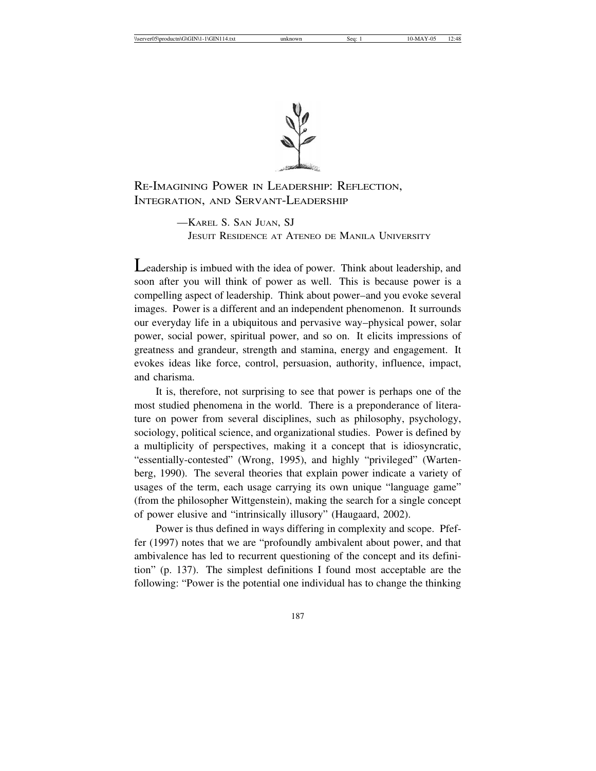

RE-IMAGINING POWER IN LEADERSHIP: REFLECTION, INTEGRATION, AND SERVANT-LEADERSHIP

> —KAREL S. SAN JUAN, SJ JESUIT RESIDENCE AT ATENEO DE MANILA UNIVERSITY

Leadership is imbued with the idea of power. Think about leadership, and soon after you will think of power as well. This is because power is a compelling aspect of leadership. Think about power–and you evoke several images. Power is a different and an independent phenomenon. It surrounds our everyday life in a ubiquitous and pervasive way–physical power, solar power, social power, spiritual power, and so on. It elicits impressions of greatness and grandeur, strength and stamina, energy and engagement. It evokes ideas like force, control, persuasion, authority, influence, impact, and charisma.

It is, therefore, not surprising to see that power is perhaps one of the most studied phenomena in the world. There is a preponderance of literature on power from several disciplines, such as philosophy, psychology, sociology, political science, and organizational studies. Power is defined by a multiplicity of perspectives, making it a concept that is idiosyncratic, "essentially-contested" (Wrong, 1995), and highly "privileged" (Wartenberg, 1990). The several theories that explain power indicate a variety of usages of the term, each usage carrying its own unique "language game" (from the philosopher Wittgenstein), making the search for a single concept of power elusive and "intrinsically illusory" (Haugaard, 2002).

Power is thus defined in ways differing in complexity and scope. Pfeffer (1997) notes that we are "profoundly ambivalent about power, and that ambivalence has led to recurrent questioning of the concept and its definition" (p. 137). The simplest definitions I found most acceptable are the following: "Power is the potential one individual has to change the thinking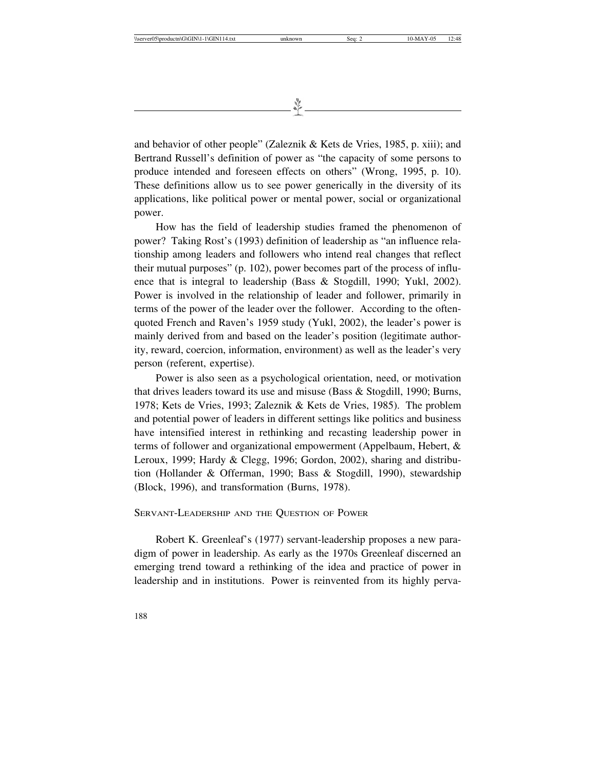and behavior of other people" (Zaleznik & Kets de Vries, 1985, p. xiii); and Bertrand Russell's definition of power as "the capacity of some persons to produce intended and foreseen effects on others" (Wrong, 1995, p. 10). These definitions allow us to see power generically in the diversity of its applications, like political power or mental power, social or organizational power.

How has the field of leadership studies framed the phenomenon of power? Taking Rost's (1993) definition of leadership as "an influence relationship among leaders and followers who intend real changes that reflect their mutual purposes" (p. 102), power becomes part of the process of influence that is integral to leadership (Bass & Stogdill, 1990; Yukl, 2002). Power is involved in the relationship of leader and follower, primarily in terms of the power of the leader over the follower. According to the oftenquoted French and Raven's 1959 study (Yukl, 2002), the leader's power is mainly derived from and based on the leader's position (legitimate authority, reward, coercion, information, environment) as well as the leader's very person (referent, expertise).

Power is also seen as a psychological orientation, need, or motivation that drives leaders toward its use and misuse (Bass & Stogdill, 1990; Burns, 1978; Kets de Vries, 1993; Zaleznik & Kets de Vries, 1985). The problem and potential power of leaders in different settings like politics and business have intensified interest in rethinking and recasting leadership power in terms of follower and organizational empowerment (Appelbaum, Hebert, & Leroux, 1999; Hardy & Clegg, 1996; Gordon, 2002), sharing and distribution (Hollander & Offerman, 1990; Bass & Stogdill, 1990), stewardship (Block, 1996), and transformation (Burns, 1978).

## SERVANT-LEADERSHIP AND THE QUESTION OF POWER

Robert K. Greenleaf's (1977) servant-leadership proposes a new paradigm of power in leadership. As early as the 1970s Greenleaf discerned an emerging trend toward a rethinking of the idea and practice of power in leadership and in institutions. Power is reinvented from its highly perva-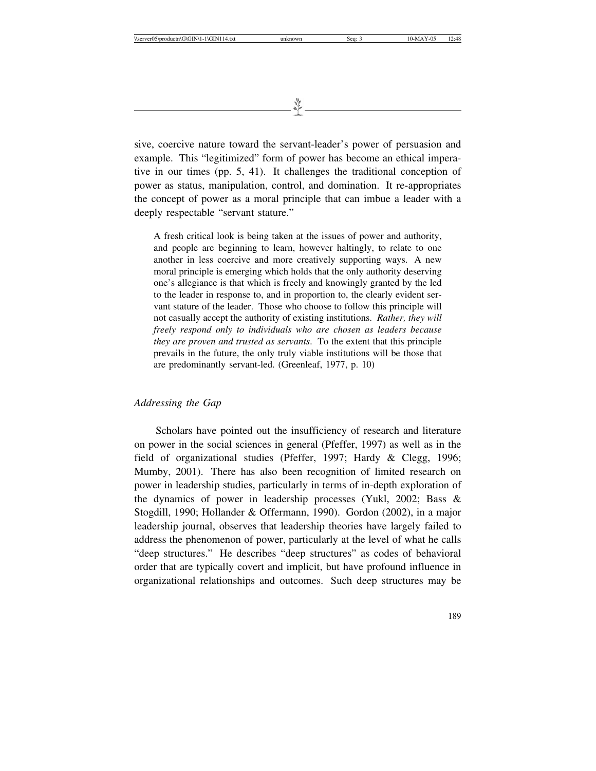| \\server05\productn\G\GIN\1-1\GIN114.txt | unknown | Seq: $3$ | $10-MAY-05$ | 12:48 |
|------------------------------------------|---------|----------|-------------|-------|
|                                          |         |          |             |       |
|                                          |         |          |             |       |
|                                          |         |          |             |       |
|                                          |         |          |             |       |
|                                          |         |          |             |       |
|                                          |         |          |             |       |

sive, coercive nature toward the servant-leader's power of persuasion and example. This "legitimized" form of power has become an ethical imperative in our times (pp. 5, 41). It challenges the traditional conception of power as status, manipulation, control, and domination. It re-appropriates the concept of power as a moral principle that can imbue a leader with a deeply respectable "servant stature."

A fresh critical look is being taken at the issues of power and authority, and people are beginning to learn, however haltingly, to relate to one another in less coercive and more creatively supporting ways. A new moral principle is emerging which holds that the only authority deserving one's allegiance is that which is freely and knowingly granted by the led to the leader in response to, and in proportion to, the clearly evident servant stature of the leader. Those who choose to follow this principle will not casually accept the authority of existing institutions. *Rather, they will freely respond only to individuals who are chosen as leaders because they are proven and trusted as servants*. To the extent that this principle prevails in the future, the only truly viable institutions will be those that are predominantly servant-led. (Greenleaf, 1977, p. 10)

## *Addressing the Gap*

Scholars have pointed out the insufficiency of research and literature on power in the social sciences in general (Pfeffer, 1997) as well as in the field of organizational studies (Pfeffer, 1997; Hardy & Clegg, 1996; Mumby, 2001). There has also been recognition of limited research on power in leadership studies, particularly in terms of in-depth exploration of the dynamics of power in leadership processes (Yukl, 2002; Bass & Stogdill, 1990; Hollander & Offermann, 1990). Gordon (2002), in a major leadership journal, observes that leadership theories have largely failed to address the phenomenon of power, particularly at the level of what he calls "deep structures." He describes "deep structures" as codes of behavioral order that are typically covert and implicit, but have profound influence in organizational relationships and outcomes. Such deep structures may be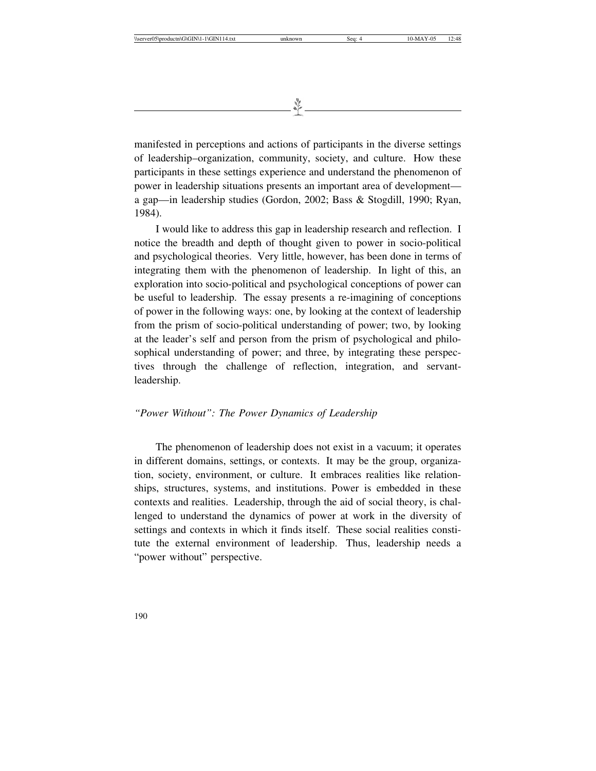¥

manifested in perceptions and actions of participants in the diverse settings of leadership–organization, community, society, and culture. How these participants in these settings experience and understand the phenomenon of power in leadership situations presents an important area of development a gap—in leadership studies (Gordon, 2002; Bass & Stogdill, 1990; Ryan, 1984).

I would like to address this gap in leadership research and reflection. I notice the breadth and depth of thought given to power in socio-political and psychological theories. Very little, however, has been done in terms of integrating them with the phenomenon of leadership. In light of this, an exploration into socio-political and psychological conceptions of power can be useful to leadership. The essay presents a re-imagining of conceptions of power in the following ways: one, by looking at the context of leadership from the prism of socio-political understanding of power; two, by looking at the leader's self and person from the prism of psychological and philosophical understanding of power; and three, by integrating these perspectives through the challenge of reflection, integration, and servantleadership.

## *"Power Without": The Power Dynamics of Leadership*

The phenomenon of leadership does not exist in a vacuum; it operates in different domains, settings, or contexts. It may be the group, organization, society, environment, or culture. It embraces realities like relationships, structures, systems, and institutions. Power is embedded in these contexts and realities. Leadership, through the aid of social theory, is challenged to understand the dynamics of power at work in the diversity of settings and contexts in which it finds itself. These social realities constitute the external environment of leadership. Thus, leadership needs a "power without" perspective.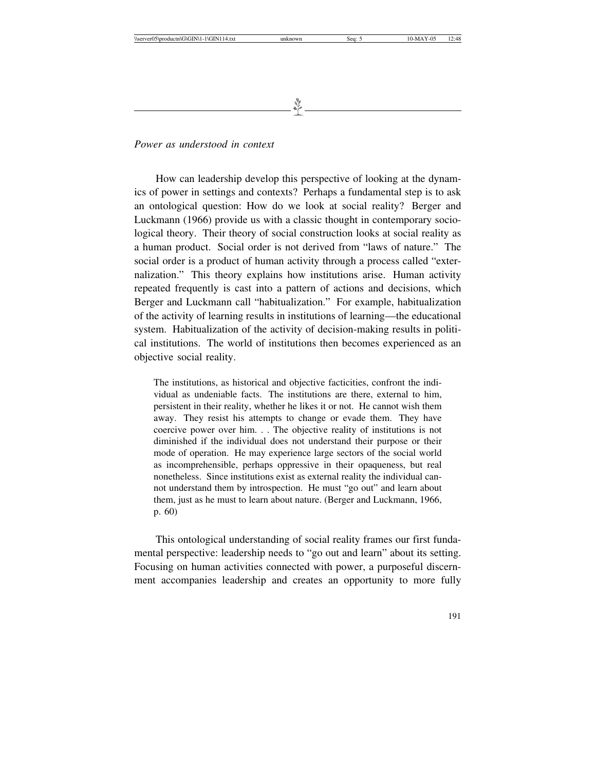# *Power as understood in context*

How can leadership develop this perspective of looking at the dynamics of power in settings and contexts? Perhaps a fundamental step is to ask an ontological question: How do we look at social reality? Berger and Luckmann (1966) provide us with a classic thought in contemporary sociological theory. Their theory of social construction looks at social reality as a human product. Social order is not derived from "laws of nature." The social order is a product of human activity through a process called "externalization." This theory explains how institutions arise. Human activity repeated frequently is cast into a pattern of actions and decisions, which Berger and Luckmann call "habitualization." For example, habitualization of the activity of learning results in institutions of learning—the educational system. Habitualization of the activity of decision-making results in political institutions. The world of institutions then becomes experienced as an objective social reality.

The institutions, as historical and objective facticities, confront the individual as undeniable facts. The institutions are there, external to him, persistent in their reality, whether he likes it or not. He cannot wish them away. They resist his attempts to change or evade them. They have coercive power over him. . . The objective reality of institutions is not diminished if the individual does not understand their purpose or their mode of operation. He may experience large sectors of the social world as incomprehensible, perhaps oppressive in their opaqueness, but real nonetheless. Since institutions exist as external reality the individual cannot understand them by introspection. He must "go out" and learn about them, just as he must to learn about nature. (Berger and Luckmann, 1966, p. 60)

This ontological understanding of social reality frames our first fundamental perspective: leadership needs to "go out and learn" about its setting. Focusing on human activities connected with power, a purposeful discernment accompanies leadership and creates an opportunity to more fully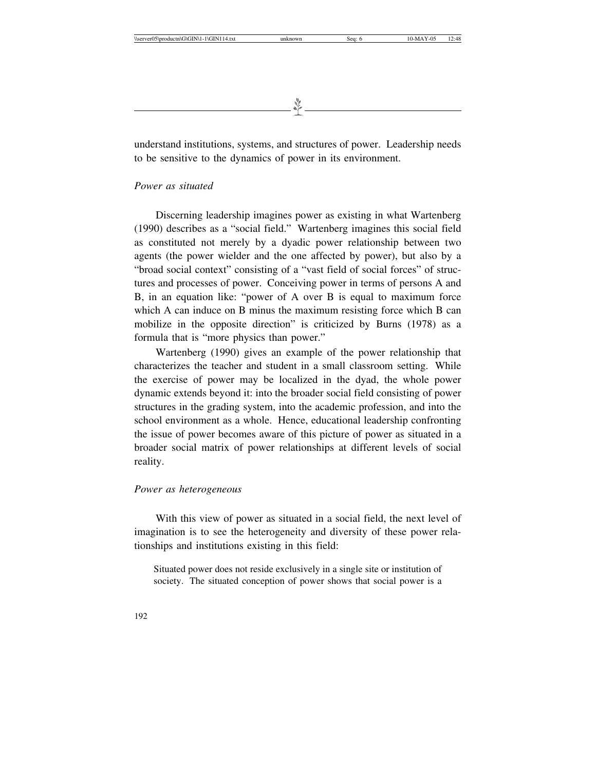| \\server05\productn\G\GIN\1-1\GIN114.txt | unknown               | Seq: $6$ | 10-MAY-05 | 12:48 |
|------------------------------------------|-----------------------|----------|-----------|-------|
|                                          |                       |          |           |       |
|                                          |                       |          |           |       |
|                                          |                       |          |           |       |
|                                          |                       |          |           |       |
|                                          |                       |          |           |       |
|                                          |                       |          |           |       |
|                                          | <b>Against Market</b> |          |           |       |

understand institutions, systems, and structures of power. Leadership needs to be sensitive to the dynamics of power in its environment.

# *Power as situated*

Discerning leadership imagines power as existing in what Wartenberg (1990) describes as a "social field." Wartenberg imagines this social field as constituted not merely by a dyadic power relationship between two agents (the power wielder and the one affected by power), but also by a "broad social context" consisting of a "vast field of social forces" of structures and processes of power. Conceiving power in terms of persons A and B, in an equation like: "power of A over B is equal to maximum force which A can induce on B minus the maximum resisting force which B can mobilize in the opposite direction" is criticized by Burns (1978) as a formula that is "more physics than power."

Wartenberg (1990) gives an example of the power relationship that characterizes the teacher and student in a small classroom setting. While the exercise of power may be localized in the dyad, the whole power dynamic extends beyond it: into the broader social field consisting of power structures in the grading system, into the academic profession, and into the school environment as a whole. Hence, educational leadership confronting the issue of power becomes aware of this picture of power as situated in a broader social matrix of power relationships at different levels of social reality.

## *Power as heterogeneous*

With this view of power as situated in a social field, the next level of imagination is to see the heterogeneity and diversity of these power relationships and institutions existing in this field:

Situated power does not reside exclusively in a single site or institution of society. The situated conception of power shows that social power is a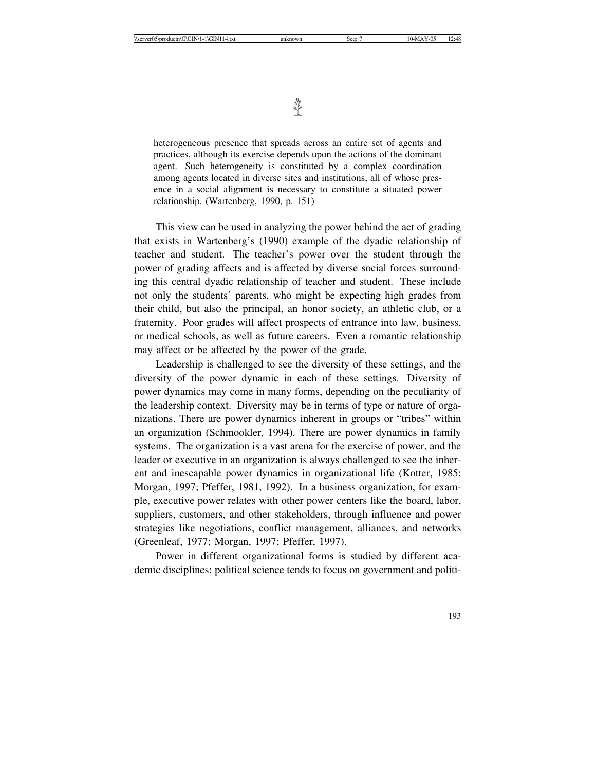heterogeneous presence that spreads across an entire set of agents and practices, although its exercise depends upon the actions of the dominant agent. Such heterogeneity is constituted by a complex coordination among agents located in diverse sites and institutions, all of whose presence in a social alignment is necessary to constitute a situated power relationship. (Wartenberg, 1990, p. 151)

This view can be used in analyzing the power behind the act of grading that exists in Wartenberg's (1990) example of the dyadic relationship of teacher and student. The teacher's power over the student through the power of grading affects and is affected by diverse social forces surrounding this central dyadic relationship of teacher and student. These include not only the students' parents, who might be expecting high grades from their child, but also the principal, an honor society, an athletic club, or a fraternity. Poor grades will affect prospects of entrance into law, business, or medical schools, as well as future careers. Even a romantic relationship may affect or be affected by the power of the grade.

Leadership is challenged to see the diversity of these settings, and the diversity of the power dynamic in each of these settings. Diversity of power dynamics may come in many forms, depending on the peculiarity of the leadership context. Diversity may be in terms of type or nature of organizations. There are power dynamics inherent in groups or "tribes" within an organization (Schmookler, 1994). There are power dynamics in family systems. The organization is a vast arena for the exercise of power, and the leader or executive in an organization is always challenged to see the inherent and inescapable power dynamics in organizational life (Kotter, 1985; Morgan, 1997; Pfeffer, 1981, 1992). In a business organization, for example, executive power relates with other power centers like the board, labor, suppliers, customers, and other stakeholders, through influence and power strategies like negotiations, conflict management, alliances, and networks (Greenleaf, 1977; Morgan, 1997; Pfeffer, 1997).

Power in different organizational forms is studied by different academic disciplines: political science tends to focus on government and politi-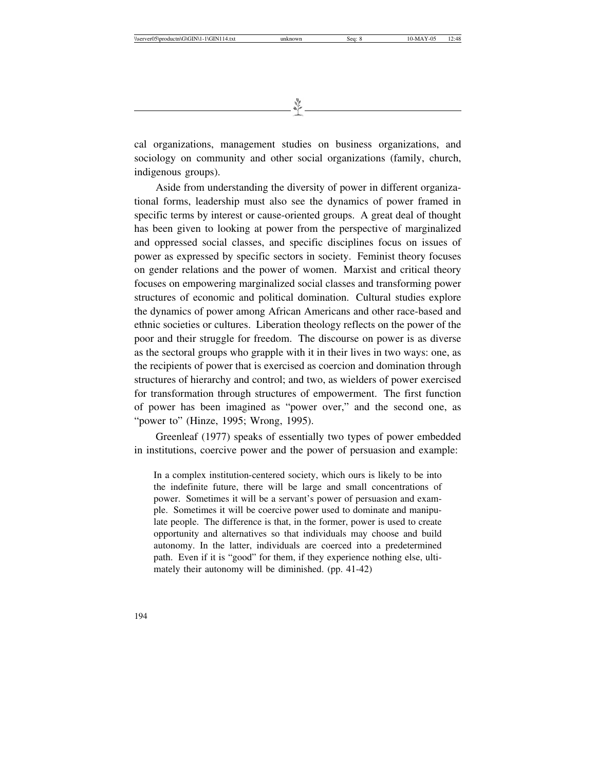cal organizations, management studies on business organizations, and sociology on community and other social organizations (family, church, indigenous groups).

Aside from understanding the diversity of power in different organizational forms, leadership must also see the dynamics of power framed in specific terms by interest or cause-oriented groups. A great deal of thought has been given to looking at power from the perspective of marginalized and oppressed social classes, and specific disciplines focus on issues of power as expressed by specific sectors in society. Feminist theory focuses on gender relations and the power of women. Marxist and critical theory focuses on empowering marginalized social classes and transforming power structures of economic and political domination. Cultural studies explore the dynamics of power among African Americans and other race-based and ethnic societies or cultures. Liberation theology reflects on the power of the poor and their struggle for freedom. The discourse on power is as diverse as the sectoral groups who grapple with it in their lives in two ways: one, as the recipients of power that is exercised as coercion and domination through structures of hierarchy and control; and two, as wielders of power exercised for transformation through structures of empowerment. The first function of power has been imagined as "power over," and the second one, as "power to" (Hinze, 1995; Wrong, 1995).

Greenleaf (1977) speaks of essentially two types of power embedded in institutions, coercive power and the power of persuasion and example:

In a complex institution-centered society, which ours is likely to be into the indefinite future, there will be large and small concentrations of power. Sometimes it will be a servant's power of persuasion and example. Sometimes it will be coercive power used to dominate and manipulate people. The difference is that, in the former, power is used to create opportunity and alternatives so that individuals may choose and build autonomy. In the latter, individuals are coerced into a predetermined path. Even if it is "good" for them, if they experience nothing else, ultimately their autonomy will be diminished. (pp. 41-42)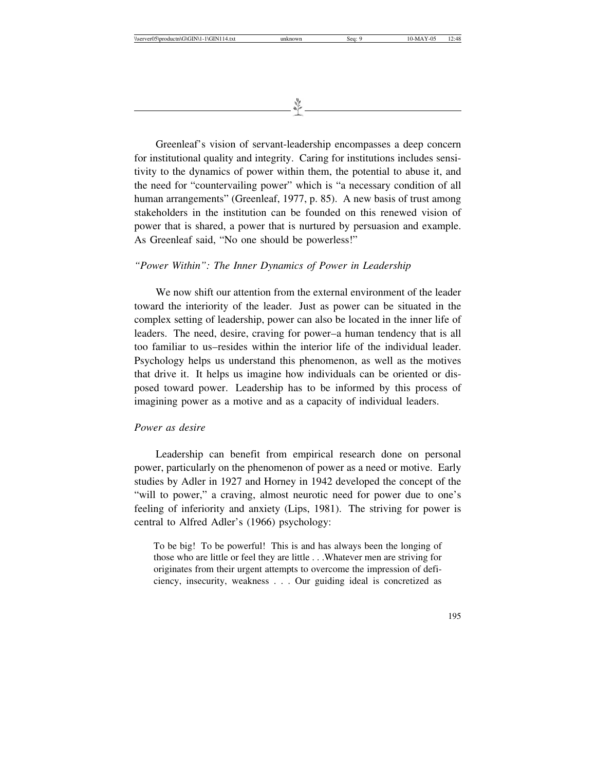| \\server05\productn\G\GIN\1-1\GIN114.txt | unknown | Seq: $9$ | $10-MAY-05$ | 12:48 |
|------------------------------------------|---------|----------|-------------|-------|
|                                          |         |          |             |       |
|                                          |         |          |             |       |
|                                          |         |          |             |       |
|                                          |         |          |             |       |
|                                          |         |          |             |       |
|                                          |         |          |             |       |

Greenleaf's vision of servant-leadership encompasses a deep concern for institutional quality and integrity. Caring for institutions includes sensitivity to the dynamics of power within them, the potential to abuse it, and the need for "countervailing power" which is "a necessary condition of all human arrangements" (Greenleaf, 1977, p. 85). A new basis of trust among stakeholders in the institution can be founded on this renewed vision of power that is shared, a power that is nurtured by persuasion and example. As Greenleaf said, "No one should be powerless!"

# *"Power Within": The Inner Dynamics of Power in Leadership*

We now shift our attention from the external environment of the leader toward the interiority of the leader. Just as power can be situated in the complex setting of leadership, power can also be located in the inner life of leaders. The need, desire, craving for power–a human tendency that is all too familiar to us–resides within the interior life of the individual leader. Psychology helps us understand this phenomenon, as well as the motives that drive it. It helps us imagine how individuals can be oriented or disposed toward power. Leadership has to be informed by this process of imagining power as a motive and as a capacity of individual leaders.

# *Power as desire*

Leadership can benefit from empirical research done on personal power, particularly on the phenomenon of power as a need or motive. Early studies by Adler in 1927 and Horney in 1942 developed the concept of the "will to power," a craving, almost neurotic need for power due to one's feeling of inferiority and anxiety (Lips, 1981). The striving for power is central to Alfred Adler's (1966) psychology:

To be big! To be powerful! This is and has always been the longing of those who are little or feel they are little . . .Whatever men are striving for originates from their urgent attempts to overcome the impression of deficiency, insecurity, weakness . . . Our guiding ideal is concretized as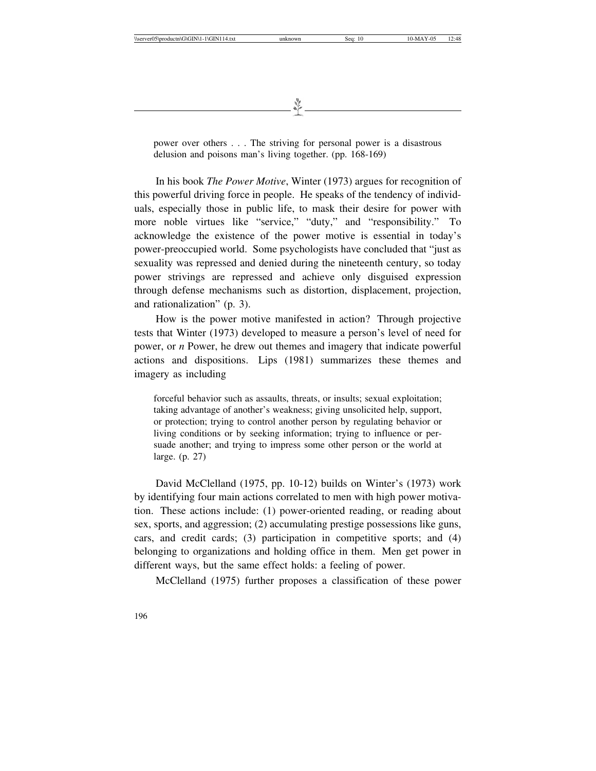| \\server05\productn\G\GIN\1-1\GIN114.txt | unknown | Sea: 10 | $10-MAY-05$ | 12:48 |
|------------------------------------------|---------|---------|-------------|-------|
|                                          |         |         |             |       |
|                                          |         |         |             |       |
|                                          |         |         |             |       |
|                                          |         |         |             |       |

power over others . . . The striving for personal power is a disastrous delusion and poisons man's living together. (pp. 168-169)

In his book *The Power Motive*, Winter (1973) argues for recognition of this powerful driving force in people. He speaks of the tendency of individuals, especially those in public life, to mask their desire for power with more noble virtues like "service," "duty," and "responsibility." To acknowledge the existence of the power motive is essential in today's power-preoccupied world. Some psychologists have concluded that "just as sexuality was repressed and denied during the nineteenth century, so today power strivings are repressed and achieve only disguised expression through defense mechanisms such as distortion, displacement, projection, and rationalization" (p. 3).

How is the power motive manifested in action? Through projective tests that Winter (1973) developed to measure a person's level of need for power, or *n* Power, he drew out themes and imagery that indicate powerful actions and dispositions. Lips (1981) summarizes these themes and imagery as including

forceful behavior such as assaults, threats, or insults; sexual exploitation; taking advantage of another's weakness; giving unsolicited help, support, or protection; trying to control another person by regulating behavior or living conditions or by seeking information; trying to influence or persuade another; and trying to impress some other person or the world at large. (p. 27)

David McClelland (1975, pp. 10-12) builds on Winter's (1973) work by identifying four main actions correlated to men with high power motivation. These actions include: (1) power-oriented reading, or reading about sex, sports, and aggression; (2) accumulating prestige possessions like guns, cars, and credit cards; (3) participation in competitive sports; and (4) belonging to organizations and holding office in them. Men get power in different ways, but the same effect holds: a feeling of power.

McClelland (1975) further proposes a classification of these power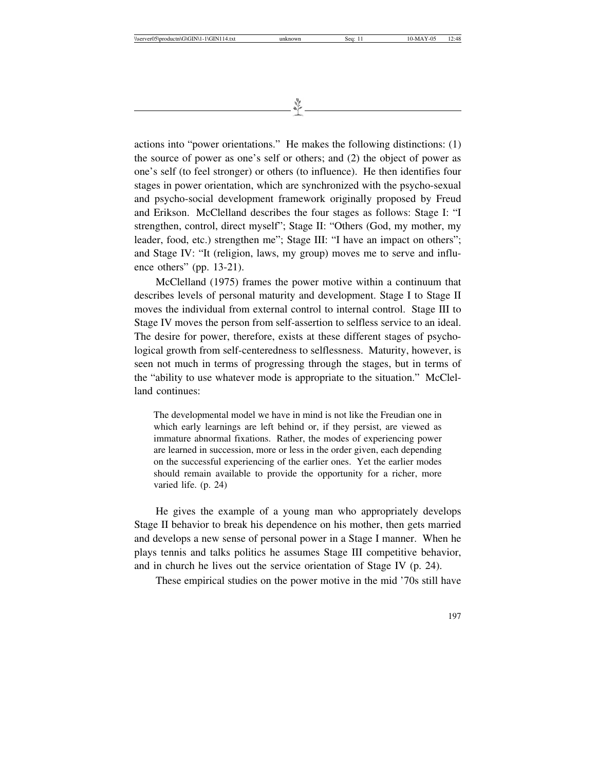actions into "power orientations." He makes the following distinctions: (1) the source of power as one's self or others; and (2) the object of power as one's self (to feel stronger) or others (to influence). He then identifies four stages in power orientation, which are synchronized with the psycho-sexual and psycho-social development framework originally proposed by Freud and Erikson. McClelland describes the four stages as follows: Stage I: "I strengthen, control, direct myself"; Stage II: "Others (God, my mother, my leader, food, etc.) strengthen me"; Stage III: "I have an impact on others"; and Stage IV: "It (religion, laws, my group) moves me to serve and influence others" (pp. 13-21).

McClelland (1975) frames the power motive within a continuum that describes levels of personal maturity and development. Stage I to Stage II moves the individual from external control to internal control. Stage III to Stage IV moves the person from self-assertion to selfless service to an ideal. The desire for power, therefore, exists at these different stages of psychological growth from self-centeredness to selflessness. Maturity, however, is seen not much in terms of progressing through the stages, but in terms of the "ability to use whatever mode is appropriate to the situation." McClelland continues:

The developmental model we have in mind is not like the Freudian one in which early learnings are left behind or, if they persist, are viewed as immature abnormal fixations. Rather, the modes of experiencing power are learned in succession, more or less in the order given, each depending on the successful experiencing of the earlier ones. Yet the earlier modes should remain available to provide the opportunity for a richer, more varied life. (p. 24)

He gives the example of a young man who appropriately develops Stage II behavior to break his dependence on his mother, then gets married and develops a new sense of personal power in a Stage I manner. When he plays tennis and talks politics he assumes Stage III competitive behavior, and in church he lives out the service orientation of Stage IV (p. 24).

These empirical studies on the power motive in the mid '70s still have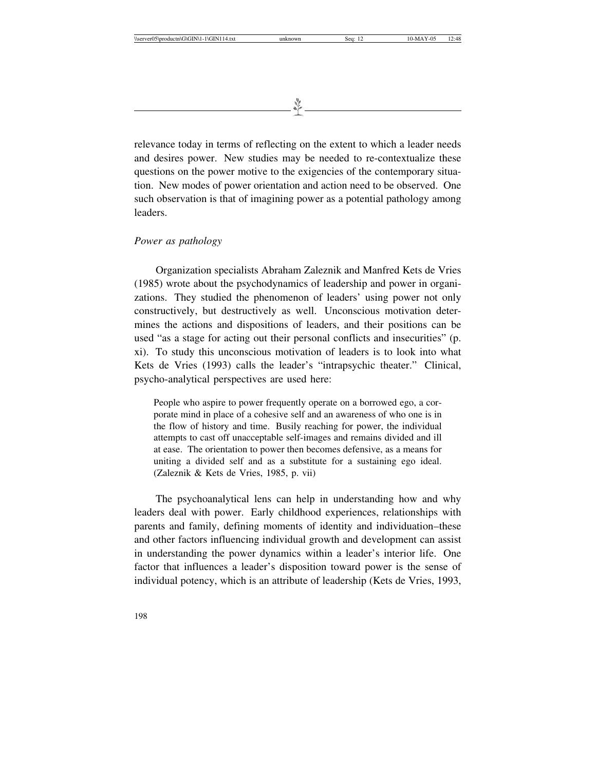| \\server05\productn\G\GIN\1-1\GIN114.txt | unknown | Seq: 12 | $10-MAY-05$ | 12:48 |
|------------------------------------------|---------|---------|-------------|-------|
|                                          |         |         |             |       |
|                                          |         |         |             |       |
|                                          |         |         |             |       |

relevance today in terms of reflecting on the extent to which a leader needs and desires power. New studies may be needed to re-contextualize these questions on the power motive to the exigencies of the contemporary situation. New modes of power orientation and action need to be observed. One such observation is that of imagining power as a potential pathology among leaders.

## *Power as pathology*

Organization specialists Abraham Zaleznik and Manfred Kets de Vries (1985) wrote about the psychodynamics of leadership and power in organizations. They studied the phenomenon of leaders' using power not only constructively, but destructively as well. Unconscious motivation determines the actions and dispositions of leaders, and their positions can be used "as a stage for acting out their personal conflicts and insecurities" (p. xi). To study this unconscious motivation of leaders is to look into what Kets de Vries (1993) calls the leader's "intrapsychic theater." Clinical, psycho-analytical perspectives are used here:

People who aspire to power frequently operate on a borrowed ego, a corporate mind in place of a cohesive self and an awareness of who one is in the flow of history and time. Busily reaching for power, the individual attempts to cast off unacceptable self-images and remains divided and ill at ease. The orientation to power then becomes defensive, as a means for uniting a divided self and as a substitute for a sustaining ego ideal. (Zaleznik & Kets de Vries, 1985, p. vii)

The psychoanalytical lens can help in understanding how and why leaders deal with power. Early childhood experiences, relationships with parents and family, defining moments of identity and individuation–these and other factors influencing individual growth and development can assist in understanding the power dynamics within a leader's interior life. One factor that influences a leader's disposition toward power is the sense of individual potency, which is an attribute of leadership (Kets de Vries, 1993,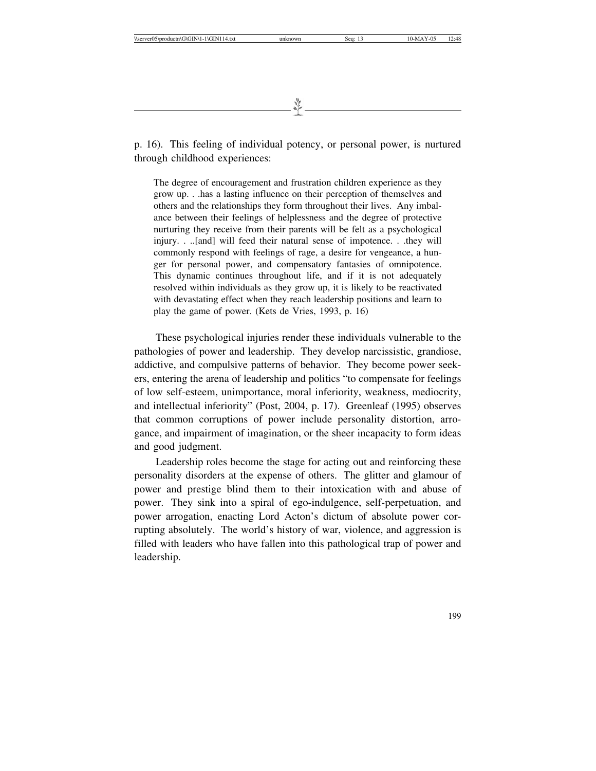| \\server05\productn\G\GIN\1-1\GIN114.txt | unknown | Seq: 13 | 10-MAY-05 | 12:48 |
|------------------------------------------|---------|---------|-----------|-------|
|                                          |         |         |           |       |
|                                          |         |         |           |       |
|                                          |         |         |           |       |
|                                          |         |         |           |       |
|                                          |         |         |           |       |
|                                          |         |         |           |       |
|                                          |         |         |           |       |
|                                          |         |         |           |       |

p. 16). This feeling of individual potency, or personal power, is nurtured through childhood experiences:

The degree of encouragement and frustration children experience as they grow up. . .has a lasting influence on their perception of themselves and others and the relationships they form throughout their lives. Any imbalance between their feelings of helplessness and the degree of protective nurturing they receive from their parents will be felt as a psychological injury. . ..[and] will feed their natural sense of impotence. . .they will commonly respond with feelings of rage, a desire for vengeance, a hunger for personal power, and compensatory fantasies of omnipotence. This dynamic continues throughout life, and if it is not adequately resolved within individuals as they grow up, it is likely to be reactivated with devastating effect when they reach leadership positions and learn to play the game of power. (Kets de Vries, 1993, p. 16)

These psychological injuries render these individuals vulnerable to the pathologies of power and leadership. They develop narcissistic, grandiose, addictive, and compulsive patterns of behavior. They become power seekers, entering the arena of leadership and politics "to compensate for feelings of low self-esteem, unimportance, moral inferiority, weakness, mediocrity, and intellectual inferiority" (Post, 2004, p. 17). Greenleaf (1995) observes that common corruptions of power include personality distortion, arrogance, and impairment of imagination, or the sheer incapacity to form ideas and good judgment.

Leadership roles become the stage for acting out and reinforcing these personality disorders at the expense of others. The glitter and glamour of power and prestige blind them to their intoxication with and abuse of power. They sink into a spiral of ego-indulgence, self-perpetuation, and power arrogation, enacting Lord Acton's dictum of absolute power corrupting absolutely. The world's history of war, violence, and aggression is filled with leaders who have fallen into this pathological trap of power and leadership.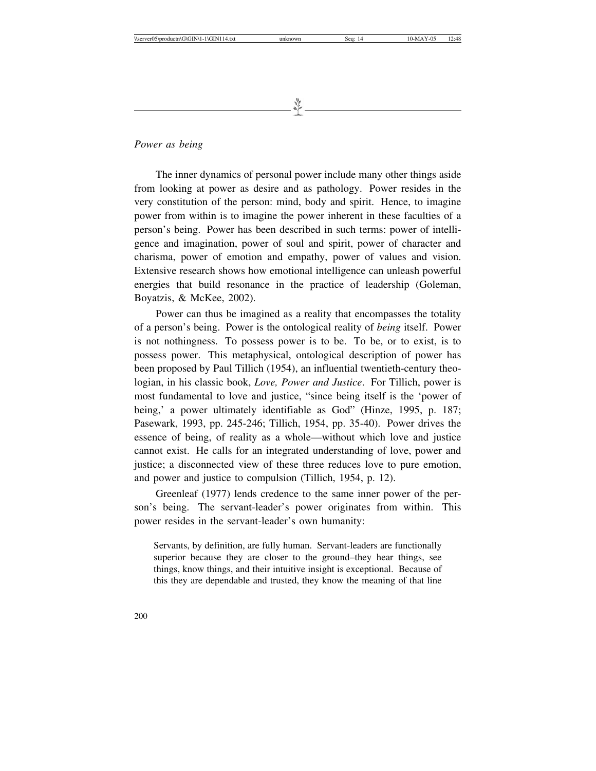## *Power as being*

The inner dynamics of personal power include many other things aside from looking at power as desire and as pathology. Power resides in the very constitution of the person: mind, body and spirit. Hence, to imagine power from within is to imagine the power inherent in these faculties of a person's being. Power has been described in such terms: power of intelligence and imagination, power of soul and spirit, power of character and charisma, power of emotion and empathy, power of values and vision. Extensive research shows how emotional intelligence can unleash powerful energies that build resonance in the practice of leadership (Goleman, Boyatzis, & McKee, 2002).

Power can thus be imagined as a reality that encompasses the totality of a person's being. Power is the ontological reality of *being* itself. Power is not nothingness. To possess power is to be. To be, or to exist, is to possess power. This metaphysical, ontological description of power has been proposed by Paul Tillich (1954), an influential twentieth-century theologian, in his classic book, *Love, Power and Justice*. For Tillich, power is most fundamental to love and justice, "since being itself is the 'power of being,' a power ultimately identifiable as God" (Hinze, 1995, p. 187; Pasewark, 1993, pp. 245-246; Tillich, 1954, pp. 35-40). Power drives the essence of being, of reality as a whole—without which love and justice cannot exist. He calls for an integrated understanding of love, power and justice; a disconnected view of these three reduces love to pure emotion, and power and justice to compulsion (Tillich, 1954, p. 12).

Greenleaf (1977) lends credence to the same inner power of the person's being. The servant-leader's power originates from within. This power resides in the servant-leader's own humanity:

Servants, by definition, are fully human. Servant-leaders are functionally superior because they are closer to the ground–they hear things, see things, know things, and their intuitive insight is exceptional. Because of this they are dependable and trusted, they know the meaning of that line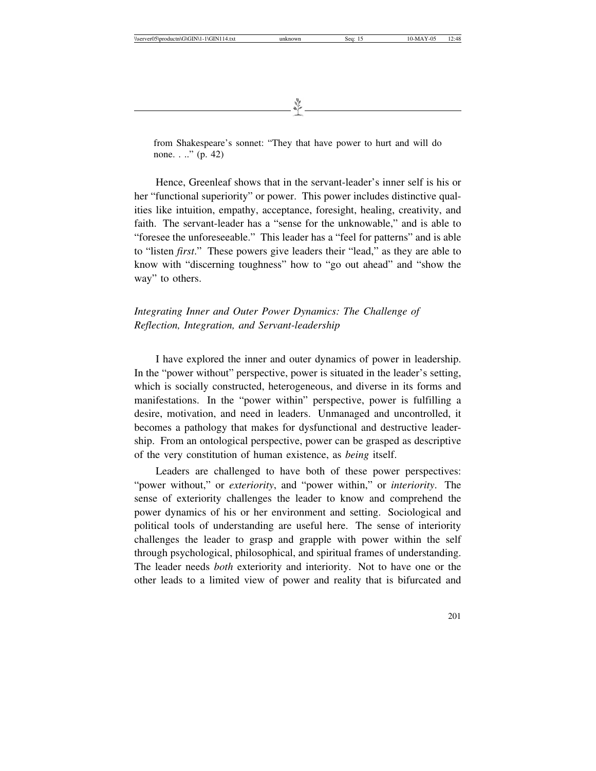|  | \\server05\productn\G\GIN\1-1\GIN114.txt |  | sea: | 10-MAY-05 | 12:48 |
|--|------------------------------------------|--|------|-----------|-------|
|--|------------------------------------------|--|------|-----------|-------|

from Shakespeare's sonnet: "They that have power to hurt and will do none. . .." (p. 42)

Hence, Greenleaf shows that in the servant-leader's inner self is his or her "functional superiority" or power. This power includes distinctive qualities like intuition, empathy, acceptance, foresight, healing, creativity, and faith. The servant-leader has a "sense for the unknowable," and is able to "foresee the unforeseeable." This leader has a "feel for patterns" and is able to "listen *first*." These powers give leaders their "lead," as they are able to know with "discerning toughness" how to "go out ahead" and "show the way" to others.

# *Integrating Inner and Outer Power Dynamics: The Challenge of Reflection, Integration, and Servant-leadership*

I have explored the inner and outer dynamics of power in leadership. In the "power without" perspective, power is situated in the leader's setting, which is socially constructed, heterogeneous, and diverse in its forms and manifestations. In the "power within" perspective, power is fulfilling a desire, motivation, and need in leaders. Unmanaged and uncontrolled, it becomes a pathology that makes for dysfunctional and destructive leadership. From an ontological perspective, power can be grasped as descriptive of the very constitution of human existence, as *being* itself.

Leaders are challenged to have both of these power perspectives: "power without," or *exteriority*, and "power within," or *interiority*. The sense of exteriority challenges the leader to know and comprehend the power dynamics of his or her environment and setting. Sociological and political tools of understanding are useful here. The sense of interiority challenges the leader to grasp and grapple with power within the self through psychological, philosophical, and spiritual frames of understanding. The leader needs *both* exteriority and interiority. Not to have one or the other leads to a limited view of power and reality that is bifurcated and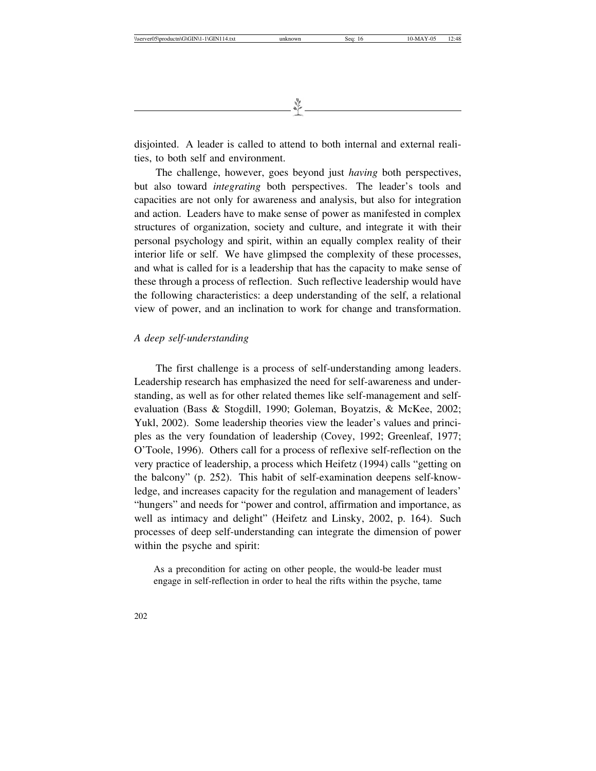Ne

disjointed. A leader is called to attend to both internal and external realities, to both self and environment.

The challenge, however, goes beyond just *having* both perspectives, but also toward *integrating* both perspectives. The leader's tools and capacities are not only for awareness and analysis, but also for integration and action. Leaders have to make sense of power as manifested in complex structures of organization, society and culture, and integrate it with their personal psychology and spirit, within an equally complex reality of their interior life or self. We have glimpsed the complexity of these processes, and what is called for is a leadership that has the capacity to make sense of these through a process of reflection. Such reflective leadership would have the following characteristics: a deep understanding of the self, a relational view of power, and an inclination to work for change and transformation.

#### *A deep self-understanding*

The first challenge is a process of self-understanding among leaders. Leadership research has emphasized the need for self-awareness and understanding, as well as for other related themes like self-management and selfevaluation (Bass & Stogdill, 1990; Goleman, Boyatzis, & McKee, 2002; Yukl, 2002). Some leadership theories view the leader's values and principles as the very foundation of leadership (Covey, 1992; Greenleaf, 1977; O'Toole, 1996). Others call for a process of reflexive self-reflection on the very practice of leadership, a process which Heifetz (1994) calls "getting on the balcony" (p. 252). This habit of self-examination deepens self-knowledge, and increases capacity for the regulation and management of leaders' "hungers" and needs for "power and control, affirmation and importance, as well as intimacy and delight" (Heifetz and Linsky, 2002, p. 164). Such processes of deep self-understanding can integrate the dimension of power within the psyche and spirit:

As a precondition for acting on other people, the would-be leader must engage in self-reflection in order to heal the rifts within the psyche, tame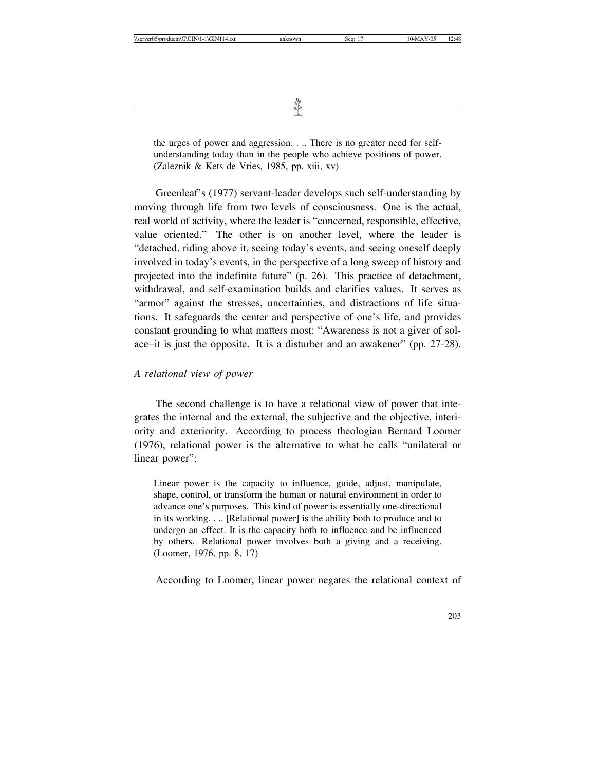| \\server\\ | $_{\rm H311}$ -1\GIN114 t <sup>1</sup><br>. .<br>$-0.5$<br>5\productn\G\GIN\<br>Sea<br>unknown<br>AA<br>-171.<br>. | ∙4' |
|------------|--------------------------------------------------------------------------------------------------------------------|-----|
|------------|--------------------------------------------------------------------------------------------------------------------|-----|

the urges of power and aggression. . .. There is no greater need for selfunderstanding today than in the people who achieve positions of power. (Zaleznik & Kets de Vries, 1985, pp. xiii, xv)

Greenleaf's (1977) servant-leader develops such self-understanding by moving through life from two levels of consciousness. One is the actual, real world of activity, where the leader is "concerned, responsible, effective, value oriented." The other is on another level, where the leader is "detached, riding above it, seeing today's events, and seeing oneself deeply involved in today's events, in the perspective of a long sweep of history and projected into the indefinite future" (p. 26). This practice of detachment, withdrawal, and self-examination builds and clarifies values. It serves as "armor" against the stresses, uncertainties, and distractions of life situations. It safeguards the center and perspective of one's life, and provides constant grounding to what matters most: "Awareness is not a giver of solace–it is just the opposite. It is a disturber and an awakener" (pp. 27-28).

#### *A relational view of power*

The second challenge is to have a relational view of power that integrates the internal and the external, the subjective and the objective, interiority and exteriority. According to process theologian Bernard Loomer (1976), relational power is the alternative to what he calls "unilateral or linear power":

Linear power is the capacity to influence, guide, adjust, manipulate, shape, control, or transform the human or natural environment in order to advance one's purposes. This kind of power is essentially one-directional in its working. . .. [Relational power] is the ability both to produce and to undergo an effect. It is the capacity both to influence and be influenced by others. Relational power involves both a giving and a receiving. (Loomer, 1976, pp. 8, 17)

According to Loomer, linear power negates the relational context of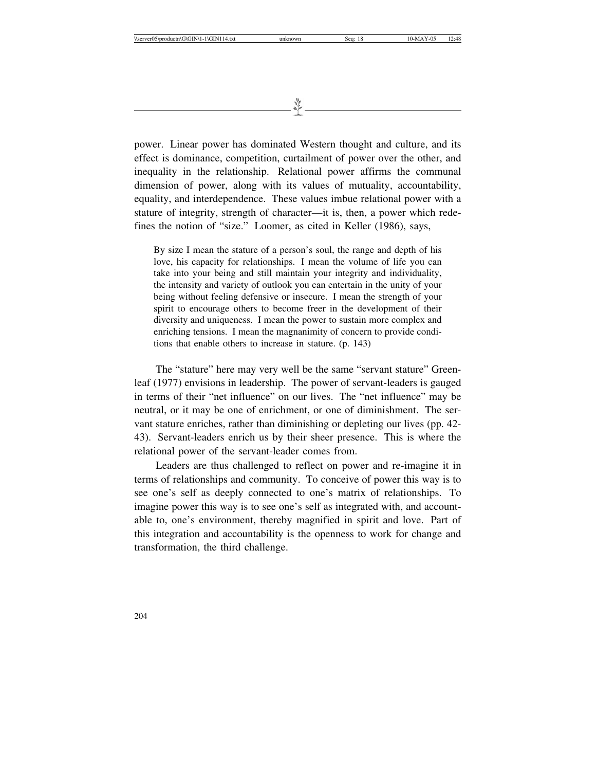| <b><i><u>Nserver</u></i></b><br>C(CIN)<br>J\1-1\GIN114.txt<br>5\productn\G\Gl | sea | AC<br>. .<br>. .<br>$\Omega$<br>.<br> |
|-------------------------------------------------------------------------------|-----|---------------------------------------|
|                                                                               |     |                                       |

power. Linear power has dominated Western thought and culture, and its effect is dominance, competition, curtailment of power over the other, and inequality in the relationship. Relational power affirms the communal dimension of power, along with its values of mutuality, accountability, equality, and interdependence. These values imbue relational power with a stature of integrity, strength of character—it is, then, a power which redefines the notion of "size." Loomer, as cited in Keller (1986), says,

By size I mean the stature of a person's soul, the range and depth of his love, his capacity for relationships. I mean the volume of life you can take into your being and still maintain your integrity and individuality, the intensity and variety of outlook you can entertain in the unity of your being without feeling defensive or insecure. I mean the strength of your spirit to encourage others to become freer in the development of their diversity and uniqueness. I mean the power to sustain more complex and enriching tensions. I mean the magnanimity of concern to provide conditions that enable others to increase in stature. (p. 143)

The "stature" here may very well be the same "servant stature" Greenleaf (1977) envisions in leadership. The power of servant-leaders is gauged in terms of their "net influence" on our lives. The "net influence" may be neutral, or it may be one of enrichment, or one of diminishment. The servant stature enriches, rather than diminishing or depleting our lives (pp. 42- 43). Servant-leaders enrich us by their sheer presence. This is where the relational power of the servant-leader comes from.

Leaders are thus challenged to reflect on power and re-imagine it in terms of relationships and community. To conceive of power this way is to see one's self as deeply connected to one's matrix of relationships. To imagine power this way is to see one's self as integrated with, and accountable to, one's environment, thereby magnified in spirit and love. Part of this integration and accountability is the openness to work for change and transformation, the third challenge.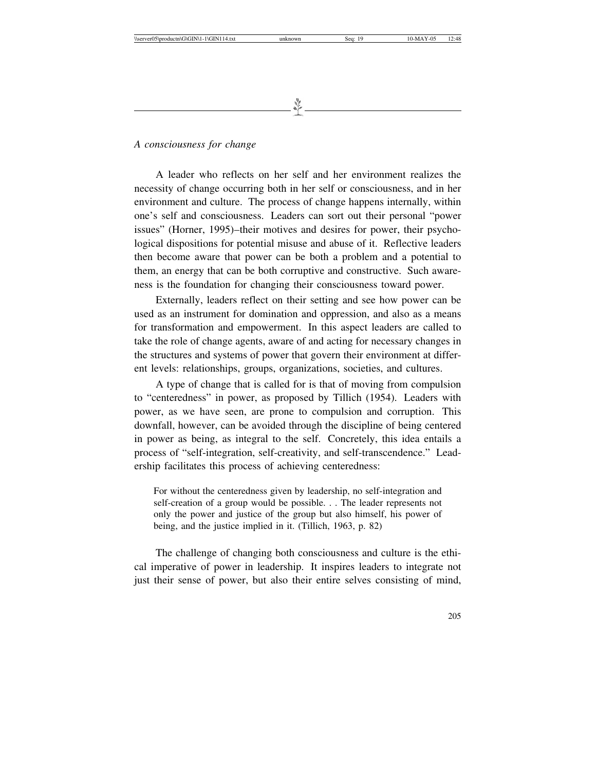# *A consciousness for change*

A leader who reflects on her self and her environment realizes the necessity of change occurring both in her self or consciousness, and in her environment and culture. The process of change happens internally, within one's self and consciousness. Leaders can sort out their personal "power issues" (Horner, 1995)–their motives and desires for power, their psychological dispositions for potential misuse and abuse of it. Reflective leaders then become aware that power can be both a problem and a potential to them, an energy that can be both corruptive and constructive. Such awareness is the foundation for changing their consciousness toward power.

Externally, leaders reflect on their setting and see how power can be used as an instrument for domination and oppression, and also as a means for transformation and empowerment. In this aspect leaders are called to take the role of change agents, aware of and acting for necessary changes in the structures and systems of power that govern their environment at different levels: relationships, groups, organizations, societies, and cultures.

A type of change that is called for is that of moving from compulsion to "centeredness" in power, as proposed by Tillich (1954). Leaders with power, as we have seen, are prone to compulsion and corruption. This downfall, however, can be avoided through the discipline of being centered in power as being, as integral to the self. Concretely, this idea entails a process of "self-integration, self-creativity, and self-transcendence." Leadership facilitates this process of achieving centeredness:

For without the centeredness given by leadership, no self-integration and self-creation of a group would be possible. . . The leader represents not only the power and justice of the group but also himself, his power of being, and the justice implied in it. (Tillich, 1963, p. 82)

The challenge of changing both consciousness and culture is the ethical imperative of power in leadership. It inspires leaders to integrate not just their sense of power, but also their entire selves consisting of mind,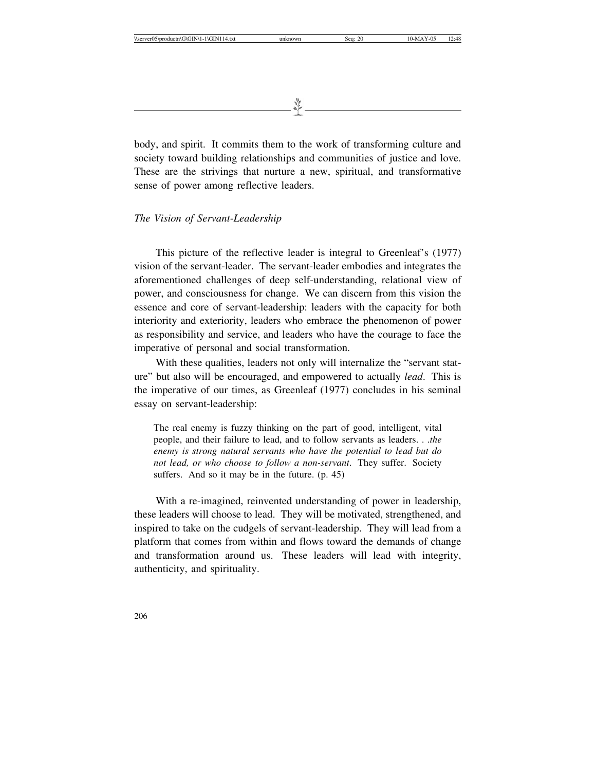| \\server05\productn\G\GIN\1-1\GIN114.txt | unknown | Seq: $20$ | 10-MAY-05 | 12:48 |
|------------------------------------------|---------|-----------|-----------|-------|
|                                          |         |           |           |       |
|                                          |         |           |           |       |
|                                          |         |           |           |       |
|                                          |         |           |           |       |
|                                          |         |           |           |       |
|                                          |         |           |           |       |
|                                          |         |           |           |       |

body, and spirit. It commits them to the work of transforming culture and society toward building relationships and communities of justice and love. These are the strivings that nurture a new, spiritual, and transformative sense of power among reflective leaders.

# *The Vision of Servant-Leadership*

This picture of the reflective leader is integral to Greenleaf's (1977) vision of the servant-leader. The servant-leader embodies and integrates the aforementioned challenges of deep self-understanding, relational view of power, and consciousness for change. We can discern from this vision the essence and core of servant-leadership: leaders with the capacity for both interiority and exteriority, leaders who embrace the phenomenon of power as responsibility and service, and leaders who have the courage to face the imperative of personal and social transformation.

With these qualities, leaders not only will internalize the "servant stature" but also will be encouraged, and empowered to actually *lead*. This is the imperative of our times, as Greenleaf (1977) concludes in his seminal essay on servant-leadership:

The real enemy is fuzzy thinking on the part of good, intelligent, vital people, and their failure to lead, and to follow servants as leaders. . .*the enemy is strong natural servants who have the potential to lead but do not lead, or who choose to follow a non-servant*. They suffer. Society suffers. And so it may be in the future. (p. 45)

With a re-imagined, reinvented understanding of power in leadership, these leaders will choose to lead. They will be motivated, strengthened, and inspired to take on the cudgels of servant-leadership. They will lead from a platform that comes from within and flows toward the demands of change and transformation around us. These leaders will lead with integrity, authenticity, and spirituality.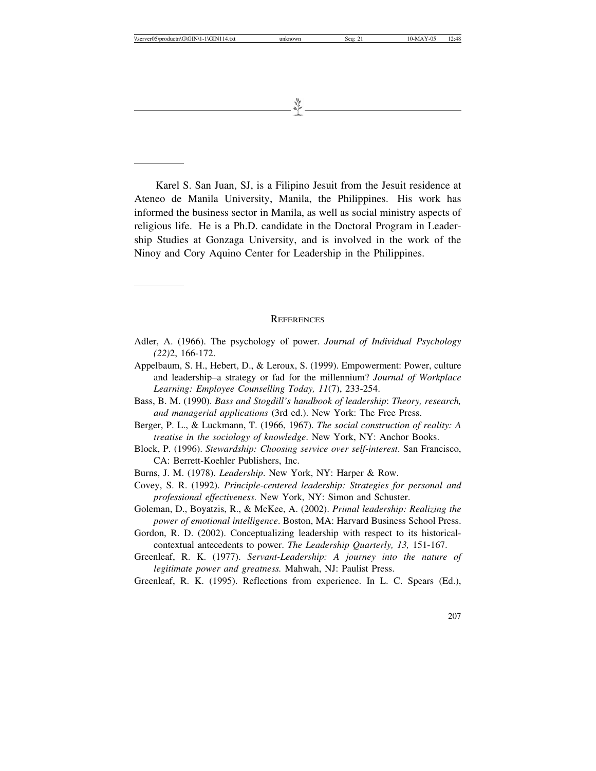| \\server05\productn\G\GIN\1-1\GIN114.txt | unknown | Seq: $21$ | 10-MAY-05 | 12:48 |
|------------------------------------------|---------|-----------|-----------|-------|
|                                          |         |           |           |       |
|                                          |         |           |           |       |
|                                          |         |           |           |       |
|                                          |         |           |           |       |
|                                          |         |           |           |       |
|                                          |         |           |           |       |
|                                          |         |           |           |       |
|                                          | Y       |           |           |       |
|                                          |         |           |           |       |
|                                          |         |           |           |       |

Karel S. San Juan, SJ, is a Filipino Jesuit from the Jesuit residence at Ateneo de Manila University, Manila, the Philippines. His work has informed the business sector in Manila, as well as social ministry aspects of religious life. He is a Ph.D. candidate in the Doctoral Program in Leadership Studies at Gonzaga University, and is involved in the work of the Ninoy and Cory Aquino Center for Leadership in the Philippines.

#### **REFERENCES**

- Adler, A. (1966). The psychology of power. *Journal of Individual Psychology (22)*2, 166-172.
- Appelbaum, S. H., Hebert, D., & Leroux, S. (1999). Empowerment: Power, culture and leadership–a strategy or fad for the millennium? *Journal of Workplace Learning: Employee Counselling Today, 11*(7), 233-254.
- Bass, B. M. (1990). *Bass and Stogdill's handbook of leadership*: *Theory, research, and managerial applications* (3rd ed.). New York: The Free Press.
- Berger, P. L., & Luckmann, T. (1966, 1967). *The social construction of reality: A treatise in the sociology of knowledge*. New York, NY: Anchor Books.
- Block, P. (1996). *Stewardship: Choosing service over self-interest*. San Francisco, CA: Berrett-Koehler Publishers, Inc.

Burns, J. M. (1978). *Leadership*. New York, NY: Harper & Row.

- Covey, S. R. (1992). *Principle-centered leadership: Strategies for personal and professional effectiveness.* New York, NY: Simon and Schuster.
- Goleman, D., Boyatzis, R., & McKee, A. (2002). *Primal leadership: Realizing the power of emotional intelligence*. Boston, MA: Harvard Business School Press.
- Gordon, R. D. (2002). Conceptualizing leadership with respect to its historicalcontextual antecedents to power. *The Leadership Quarterly, 13,* 151-167.
- Greenleaf, R. K. (1977). *Servant-Leadership: A journey into the nature of legitimate power and greatness.* Mahwah, NJ: Paulist Press.
- Greenleaf, R. K. (1995). Reflections from experience. In L. C. Spears (Ed.),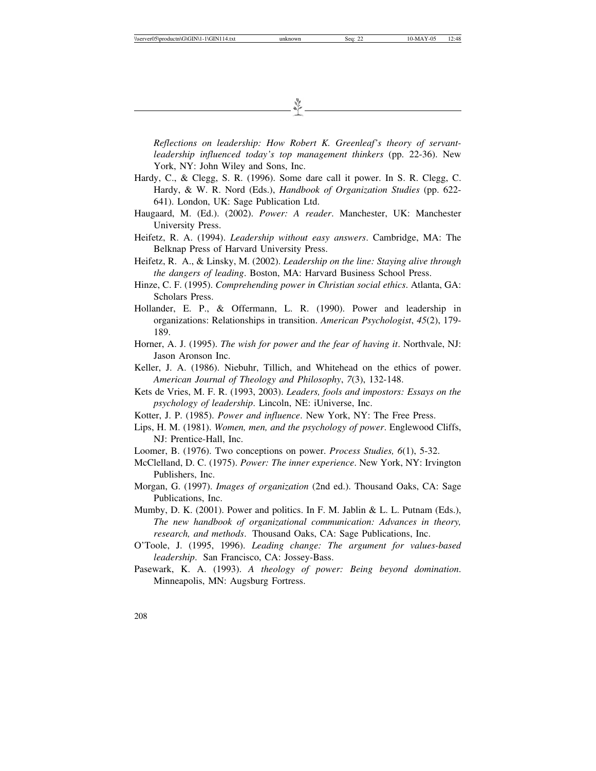*Reflections on leadership: How Robert K. Greenleaf's theory of servantleadership influenced today's top management thinkers* (pp. 22-36). New York, NY: John Wiley and Sons, Inc.

- Hardy, C., & Clegg, S. R. (1996). Some dare call it power. In S. R. Clegg, C. Hardy, & W. R. Nord (Eds.), *Handbook of Organization Studies* (pp. 622- 641). London, UK: Sage Publication Ltd.
- Haugaard, M. (Ed.). (2002). *Power: A reader*. Manchester, UK: Manchester University Press.
- Heifetz, R. A. (1994). *Leadership without easy answers*. Cambridge, MA: The Belknap Press of Harvard University Press.
- Heifetz, R. A., & Linsky, M. (2002). *Leadership on the line: Staying alive through the dangers of leading*. Boston, MA: Harvard Business School Press.
- Hinze, C. F. (1995). *Comprehending power in Christian social ethics*. Atlanta, GA: Scholars Press.
- Hollander, E. P., & Offermann, L. R. (1990). Power and leadership in organizations: Relationships in transition. *American Psychologist*, *45*(2), 179- 189.
- Horner, A. J. (1995). *The wish for power and the fear of having it*. Northvale, NJ: Jason Aronson Inc.
- Keller, J. A. (1986). Niebuhr, Tillich, and Whitehead on the ethics of power. *American Journal of Theology and Philosophy*, *7*(3), 132-148.
- Kets de Vries, M. F. R. (1993, 2003). *Leaders, fools and impostors: Essays on the psychology of leadership*. Lincoln, NE: iUniverse, Inc.
- Kotter, J. P. (1985). *Power and influence*. New York, NY: The Free Press.
- Lips, H. M. (1981). *Women, men, and the psychology of power*. Englewood Cliffs, NJ: Prentice-Hall, Inc.
- Loomer, B. (1976). Two conceptions on power. *Process Studies, 6*(1), 5-32.
- McClelland, D. C. (1975). *Power: The inner experience*. New York, NY: Irvington Publishers, Inc.
- Morgan, G. (1997). *Images of organization* (2nd ed.). Thousand Oaks, CA: Sage Publications, Inc.
- Mumby, D. K. (2001). Power and politics. In F. M. Jablin & L. L. Putnam (Eds.), *The new handbook of organizational communication: Advances in theory, research, and methods*. Thousand Oaks, CA: Sage Publications, Inc.
- O'Toole, J. (1995, 1996). *Leading change: The argument for values-based leadership*. San Francisco, CA: Jossey-Bass.
- Pasewark, K. A. (1993). *A theology of power: Being beyond domination*. Minneapolis, MN: Augsburg Fortress.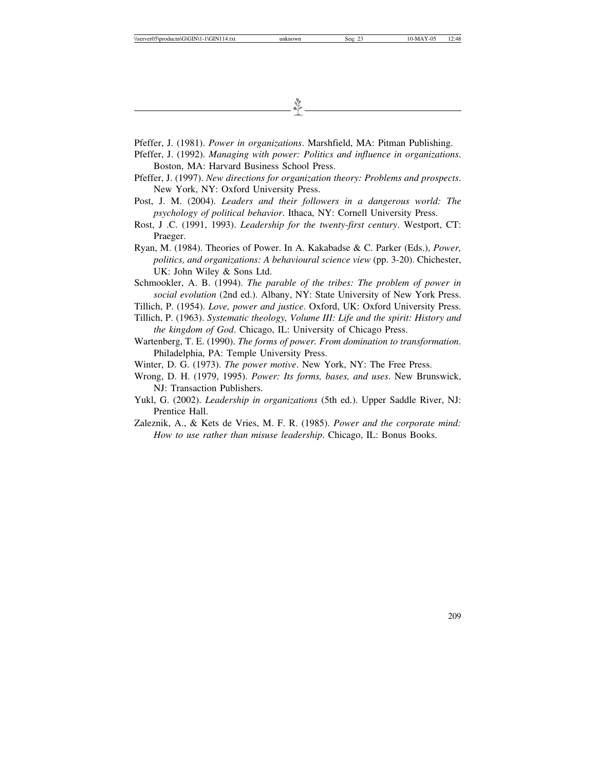Pfeffer, J. (1981). *Power in organizations*. Marshfield, MA: Pitman Publishing.

- Pfeffer, J. (1992). *Managing with power: Politics and influence in organizations*. Boston, MA: Harvard Business School Press.
- Pfeffer, J. (1997). *New directions for organization theory: Problems and prospects*. New York, NY: Oxford University Press.
- Post, J. M. (2004). *Leaders and their followers in a dangerous world: The psychology of political behavior*. Ithaca, NY: Cornell University Press.
- Rost, J .C. (1991, 1993). *Leadership for the twenty-first century*. Westport, CT: Praeger.
- Ryan, M. (1984). Theories of Power. In A. Kakabadse & C. Parker (Eds.), *Power, politics, and organizations: A behavioural science view* (pp. 3-20). Chichester, UK: John Wiley & Sons Ltd.
- Schmookler, A. B. (1994). *The parable of the tribes: The problem of power in social evolution* (2nd ed.). Albany, NY: State University of New York Press.
- Tillich, P. (1954). *Love, power and justice*. Oxford, UK: Oxford University Press.
- Tillich, P. (1963). *Systematic theology, Volume III: Life and the spirit: History and the kingdom of God*. Chicago, IL: University of Chicago Press.
- Wartenberg, T. E. (1990). *The forms of power. From domination to transformation*. Philadelphia, PA: Temple University Press.
- Winter, D. G. (1973). *The power motive*. New York, NY: The Free Press.
- Wrong, D. H. (1979, 1995). *Power: Its forms, bases, and uses*. New Brunswick, NJ: Transaction Publishers.
- Yukl, G. (2002). *Leadership in organizations* (5th ed.). Upper Saddle River, NJ: Prentice Hall.
- Zaleznik, A., & Kets de Vries, M. F. R. (1985). *Power and the corporate mind: How to use rather than misuse leadership*. Chicago, IL: Bonus Books.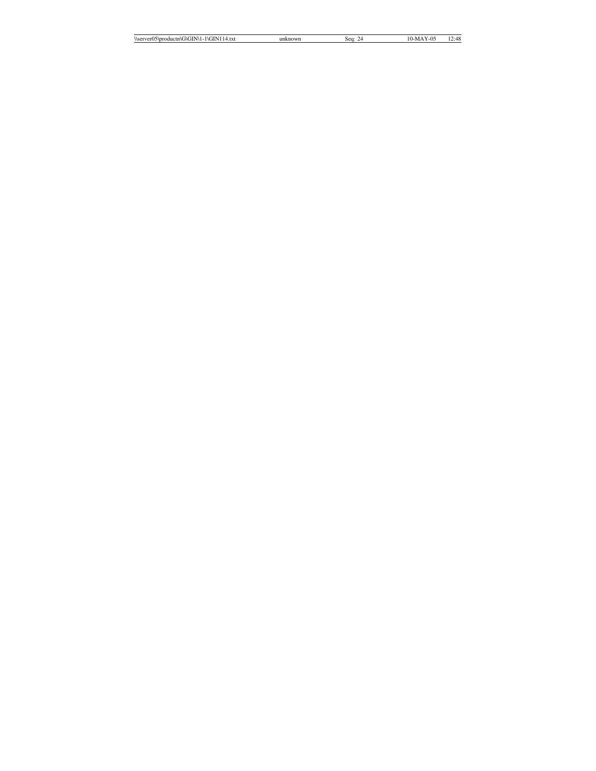| \\serv<br>- I N<br>$\cdots$<br>$+1$<br>il N'<br>CITIN TN TH<br>oduct<br>4.UU<br>N V I<br>111<br>,,,,, | unk<br>. | sea | . .<br>.<br>. | $-11$ |
|-------------------------------------------------------------------------------------------------------|----------|-----|---------------|-------|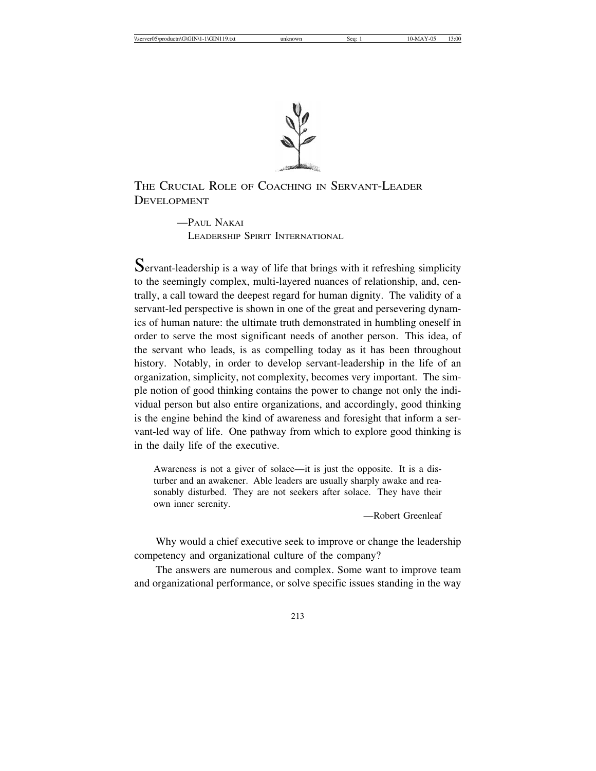

THE CRUCIAL ROLE OF COACHING IN SERVANT-LEADER DEVELOPMENT

> —PAUL NAKAI LEADERSHIP SPIRIT INTERNATIONAL

Servant-leadership is a way of life that brings with it refreshing simplicity to the seemingly complex, multi-layered nuances of relationship, and, centrally, a call toward the deepest regard for human dignity. The validity of a servant-led perspective is shown in one of the great and persevering dynamics of human nature: the ultimate truth demonstrated in humbling oneself in order to serve the most significant needs of another person. This idea, of the servant who leads, is as compelling today as it has been throughout history. Notably, in order to develop servant-leadership in the life of an organization, simplicity, not complexity, becomes very important. The simple notion of good thinking contains the power to change not only the individual person but also entire organizations, and accordingly, good thinking is the engine behind the kind of awareness and foresight that inform a servant-led way of life. One pathway from which to explore good thinking is in the daily life of the executive.

Awareness is not a giver of solace—it is just the opposite. It is a disturber and an awakener. Able leaders are usually sharply awake and reasonably disturbed. They are not seekers after solace. They have their own inner serenity.

—Robert Greenleaf

Why would a chief executive seek to improve or change the leadership competency and organizational culture of the company?

The answers are numerous and complex. Some want to improve team and organizational performance, or solve specific issues standing in the way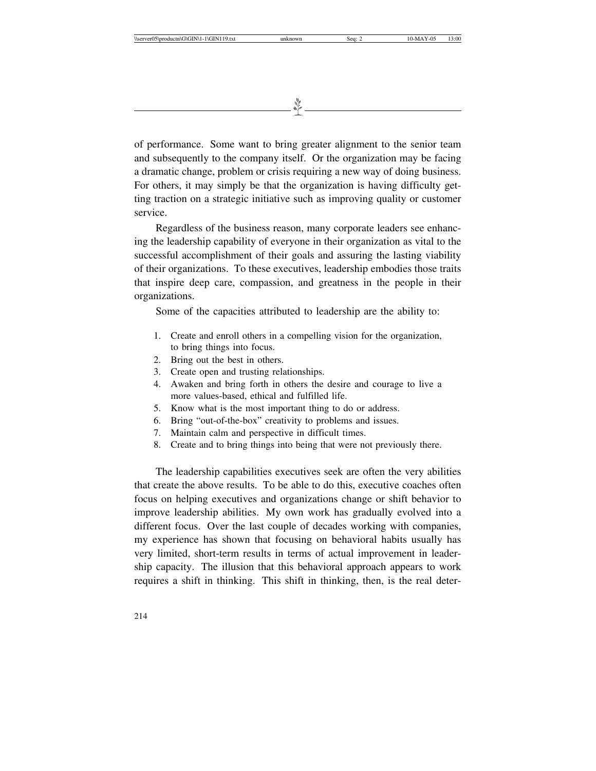of performance. Some want to bring greater alignment to the senior team and subsequently to the company itself. Or the organization may be facing a dramatic change, problem or crisis requiring a new way of doing business. For others, it may simply be that the organization is having difficulty getting traction on a strategic initiative such as improving quality or customer service.

Regardless of the business reason, many corporate leaders see enhancing the leadership capability of everyone in their organization as vital to the successful accomplishment of their goals and assuring the lasting viability of their organizations. To these executives, leadership embodies those traits that inspire deep care, compassion, and greatness in the people in their organizations.

Some of the capacities attributed to leadership are the ability to:

- 1. Create and enroll others in a compelling vision for the organization, to bring things into focus.
- 2. Bring out the best in others.
- 3. Create open and trusting relationships.
- 4. Awaken and bring forth in others the desire and courage to live a more values-based, ethical and fulfilled life.
- 5. Know what is the most important thing to do or address.
- 6. Bring "out-of-the-box" creativity to problems and issues.
- 7. Maintain calm and perspective in difficult times.
- 8. Create and to bring things into being that were not previously there.

The leadership capabilities executives seek are often the very abilities that create the above results. To be able to do this, executive coaches often focus on helping executives and organizations change or shift behavior to improve leadership abilities. My own work has gradually evolved into a different focus. Over the last couple of decades working with companies, my experience has shown that focusing on behavioral habits usually has very limited, short-term results in terms of actual improvement in leadership capacity. The illusion that this behavioral approach appears to work requires a shift in thinking. This shift in thinking, then, is the real deter-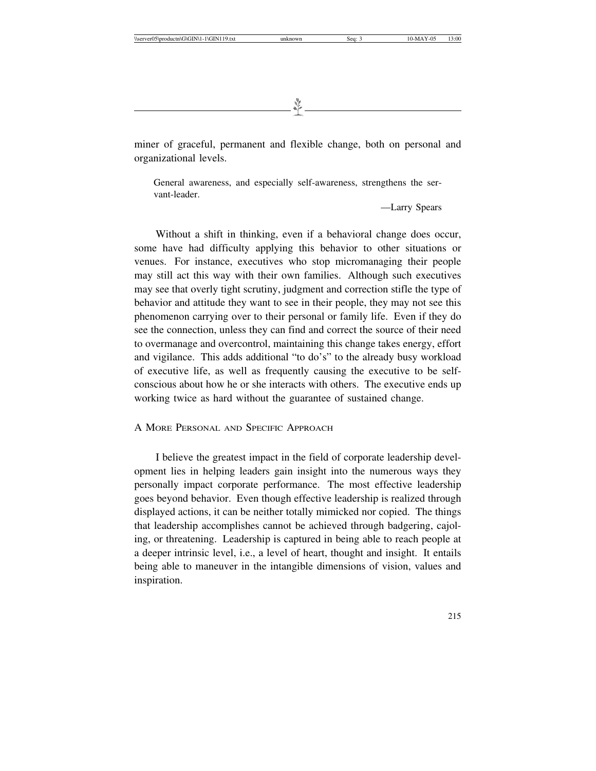miner of graceful, permanent and flexible change, both on personal and organizational levels.

General awareness, and especially self-awareness, strengthens the servant-leader.

—Larry Spears

Without a shift in thinking, even if a behavioral change does occur, some have had difficulty applying this behavior to other situations or venues. For instance, executives who stop micromanaging their people may still act this way with their own families. Although such executives may see that overly tight scrutiny, judgment and correction stifle the type of behavior and attitude they want to see in their people, they may not see this phenomenon carrying over to their personal or family life. Even if they do see the connection, unless they can find and correct the source of their need to overmanage and overcontrol, maintaining this change takes energy, effort and vigilance. This adds additional "to do's" to the already busy workload of executive life, as well as frequently causing the executive to be selfconscious about how he or she interacts with others. The executive ends up working twice as hard without the guarantee of sustained change.

### A MORE PERSONAL AND SPECIFIC APPROACH

I believe the greatest impact in the field of corporate leadership development lies in helping leaders gain insight into the numerous ways they personally impact corporate performance. The most effective leadership goes beyond behavior. Even though effective leadership is realized through displayed actions, it can be neither totally mimicked nor copied. The things that leadership accomplishes cannot be achieved through badgering, cajoling, or threatening. Leadership is captured in being able to reach people at a deeper intrinsic level, i.e., a level of heart, thought and insight. It entails being able to maneuver in the intangible dimensions of vision, values and inspiration.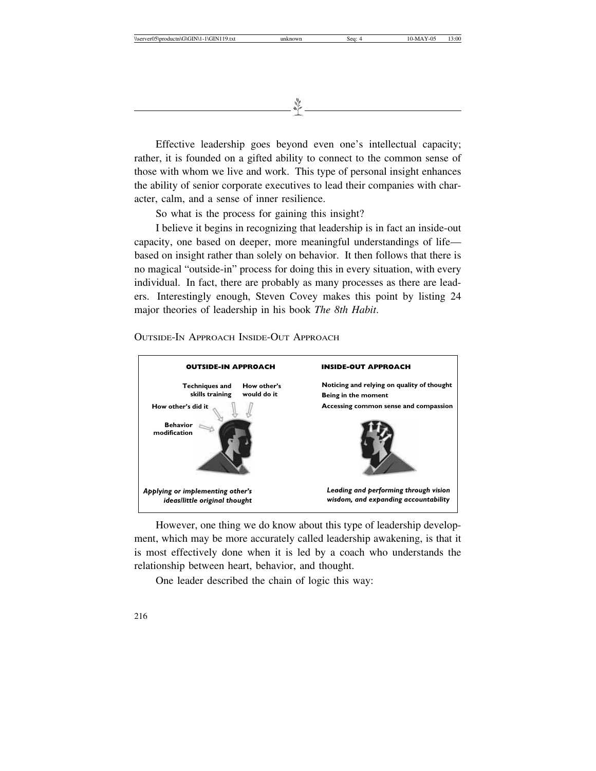| \\server05\productn\G\GIN\1-1\GIN119.txt | unknown | Seq: $4$ | $10-MAY-05$ | 13:00 |
|------------------------------------------|---------|----------|-------------|-------|
|                                          |         |          |             |       |
|                                          |         |          |             |       |
|                                          |         |          |             |       |
|                                          |         |          |             |       |
|                                          |         |          |             |       |
|                                          |         |          |             |       |

Effective leadership goes beyond even one's intellectual capacity; rather, it is founded on a gifted ability to connect to the common sense of those with whom we live and work. This type of personal insight enhances the ability of senior corporate executives to lead their companies with character, calm, and a sense of inner resilience.

So what is the process for gaining this insight?

I believe it begins in recognizing that leadership is in fact an inside-out capacity, one based on deeper, more meaningful understandings of life based on insight rather than solely on behavior. It then follows that there is no magical "outside-in" process for doing this in every situation, with every individual. In fact, there are probably as many processes as there are leaders. Interestingly enough, Steven Covey makes this point by listing 24 major theories of leadership in his book *The 8th Habit*.

OUTSIDE-IN APPROACH INSIDE-OUT APPROACH



However, one thing we do know about this type of leadership development, which may be more accurately called leadership awakening, is that it is most effectively done when it is led by a coach who understands the relationship between heart, behavior, and thought.

One leader described the chain of logic this way: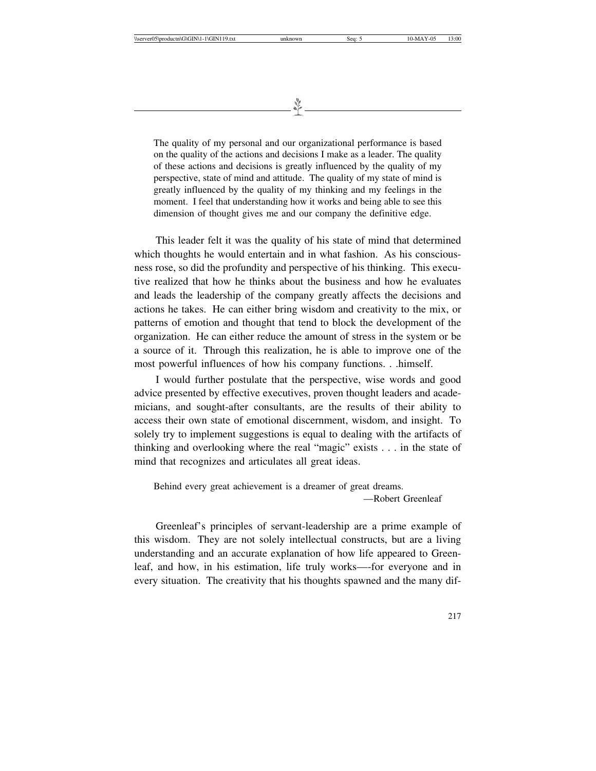The quality of my personal and our organizational performance is based on the quality of the actions and decisions I make as a leader. The quality of these actions and decisions is greatly influenced by the quality of my perspective, state of mind and attitude. The quality of my state of mind is greatly influenced by the quality of my thinking and my feelings in the moment. I feel that understanding how it works and being able to see this dimension of thought gives me and our company the definitive edge.

This leader felt it was the quality of his state of mind that determined which thoughts he would entertain and in what fashion. As his consciousness rose, so did the profundity and perspective of his thinking. This executive realized that how he thinks about the business and how he evaluates and leads the leadership of the company greatly affects the decisions and actions he takes. He can either bring wisdom and creativity to the mix, or patterns of emotion and thought that tend to block the development of the organization. He can either reduce the amount of stress in the system or be a source of it. Through this realization, he is able to improve one of the most powerful influences of how his company functions. . .himself.

I would further postulate that the perspective, wise words and good advice presented by effective executives, proven thought leaders and academicians, and sought-after consultants, are the results of their ability to access their own state of emotional discernment, wisdom, and insight. To solely try to implement suggestions is equal to dealing with the artifacts of thinking and overlooking where the real "magic" exists . . . in the state of mind that recognizes and articulates all great ideas.

Behind every great achievement is a dreamer of great dreams. —Robert Greenleaf

Greenleaf's principles of servant-leadership are a prime example of this wisdom. They are not solely intellectual constructs, but are a living understanding and an accurate explanation of how life appeared to Greenleaf, and how, in his estimation, life truly works—-for everyone and in every situation. The creativity that his thoughts spawned and the many dif-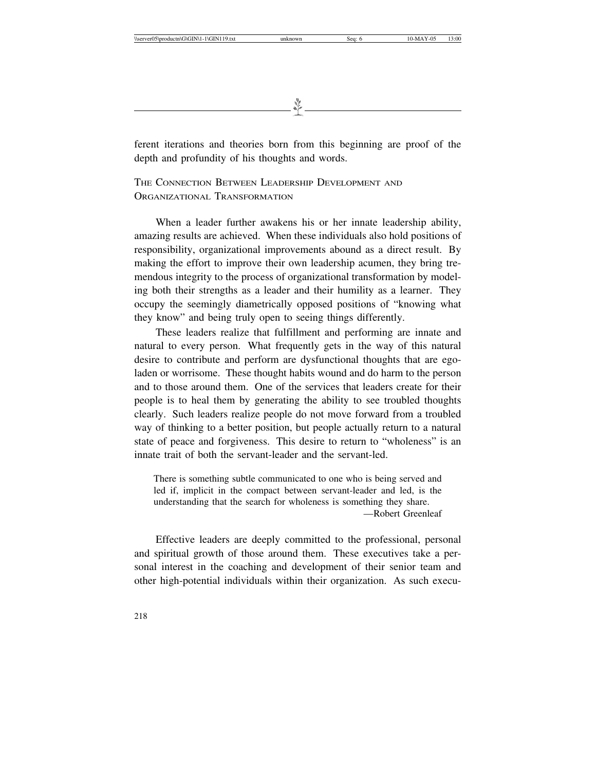| \\server05\productn\G\GIN\1-1\GIN119.txt |  | Sea: | 10-MAY-05 | 13:00 |
|------------------------------------------|--|------|-----------|-------|
|------------------------------------------|--|------|-----------|-------|

ferent iterations and theories born from this beginning are proof of the depth and profundity of his thoughts and words.

THE CONNECTION BETWEEN LEADERSHIP DEVELOPMENT AND ORGANIZATIONAL TRANSFORMATION

When a leader further awakens his or her innate leadership ability, amazing results are achieved. When these individuals also hold positions of responsibility, organizational improvements abound as a direct result. By making the effort to improve their own leadership acumen, they bring tremendous integrity to the process of organizational transformation by modeling both their strengths as a leader and their humility as a learner. They occupy the seemingly diametrically opposed positions of "knowing what they know" and being truly open to seeing things differently.

These leaders realize that fulfillment and performing are innate and natural to every person. What frequently gets in the way of this natural desire to contribute and perform are dysfunctional thoughts that are egoladen or worrisome. These thought habits wound and do harm to the person and to those around them. One of the services that leaders create for their people is to heal them by generating the ability to see troubled thoughts clearly. Such leaders realize people do not move forward from a troubled way of thinking to a better position, but people actually return to a natural state of peace and forgiveness. This desire to return to "wholeness" is an innate trait of both the servant-leader and the servant-led.

There is something subtle communicated to one who is being served and led if, implicit in the compact between servant-leader and led, is the understanding that the search for wholeness is something they share. —Robert Greenleaf

Effective leaders are deeply committed to the professional, personal and spiritual growth of those around them. These executives take a personal interest in the coaching and development of their senior team and other high-potential individuals within their organization. As such execu-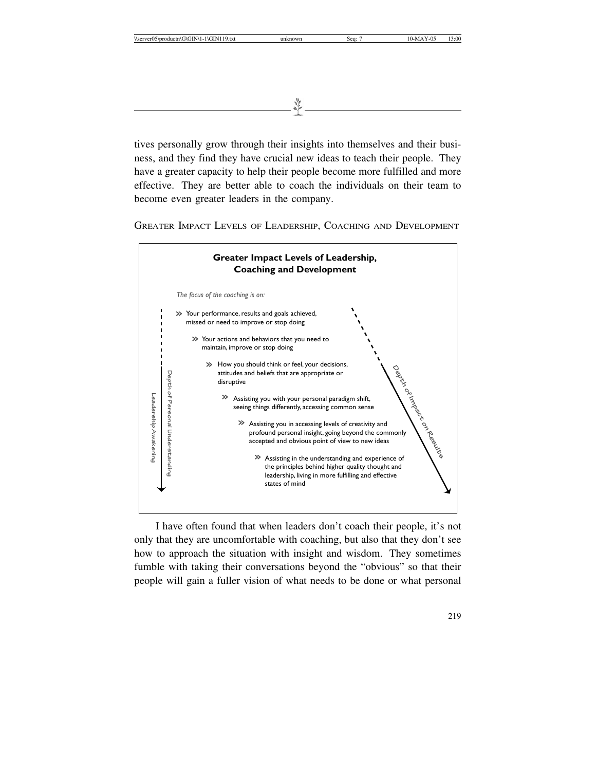| \\server05\productn\G\GIN\1-1\GIN119.txt | unknown | Seq: $7$ | 10-MAY-05 | 13:00 |
|------------------------------------------|---------|----------|-----------|-------|
|                                          |         |          |           |       |
|                                          |         |          |           |       |
|                                          |         |          |           |       |
|                                          |         |          |           |       |
|                                          |         |          |           |       |
|                                          |         |          |           |       |
|                                          |         |          |           |       |

tives personally grow through their insights into themselves and their business, and they find they have crucial new ideas to teach their people. They have a greater capacity to help their people become more fulfilled and more effective. They are better able to coach the individuals on their team to become even greater leaders in the company.

GREATER IMPACT LEVELS OF LEADERSHIP, COACHING AND DEVELOPMENT



I have often found that when leaders don't coach their people, it's not only that they are uncomfortable with coaching, but also that they don't see how to approach the situation with insight and wisdom. They sometimes fumble with taking their conversations beyond the "obvious" so that their people will gain a fuller vision of what needs to be done or what personal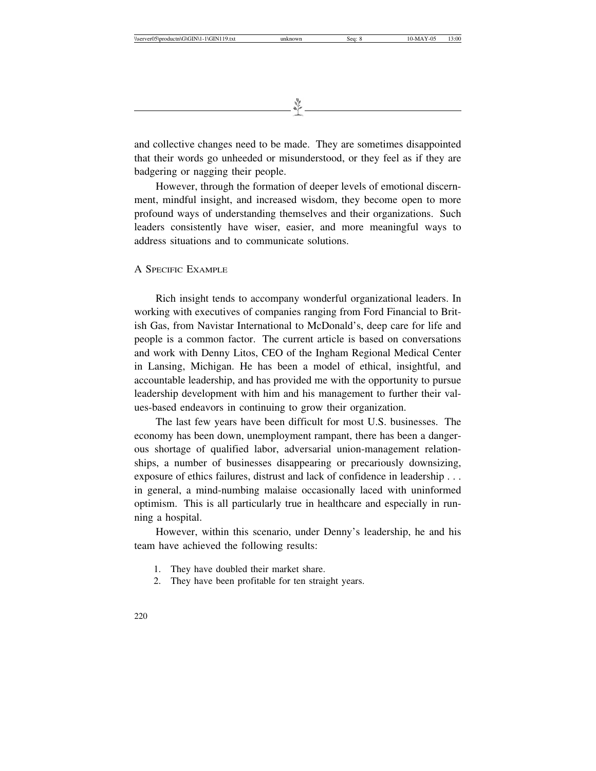| \\server05\productn\G\GIN\1-1\GIN119.txt | unknown | Sea: | $MAX-05$<br>10-MAY | 13:00 |
|------------------------------------------|---------|------|--------------------|-------|
|                                          |         |      |                    |       |

and collective changes need to be made. They are sometimes disappointed that their words go unheeded or misunderstood, or they feel as if they are badgering or nagging their people.

However, through the formation of deeper levels of emotional discernment, mindful insight, and increased wisdom, they become open to more profound ways of understanding themselves and their organizations. Such leaders consistently have wiser, easier, and more meaningful ways to address situations and to communicate solutions.

## A SPECIFIC EXAMPLE

Rich insight tends to accompany wonderful organizational leaders. In working with executives of companies ranging from Ford Financial to British Gas, from Navistar International to McDonald's, deep care for life and people is a common factor. The current article is based on conversations and work with Denny Litos, CEO of the Ingham Regional Medical Center in Lansing, Michigan. He has been a model of ethical, insightful, and accountable leadership, and has provided me with the opportunity to pursue leadership development with him and his management to further their values-based endeavors in continuing to grow their organization.

The last few years have been difficult for most U.S. businesses. The economy has been down, unemployment rampant, there has been a dangerous shortage of qualified labor, adversarial union-management relationships, a number of businesses disappearing or precariously downsizing, exposure of ethics failures, distrust and lack of confidence in leadership . . . in general, a mind-numbing malaise occasionally laced with uninformed optimism. This is all particularly true in healthcare and especially in running a hospital.

However, within this scenario, under Denny's leadership, he and his team have achieved the following results:

- 1. They have doubled their market share.
- 2. They have been profitable for ten straight years.
- 220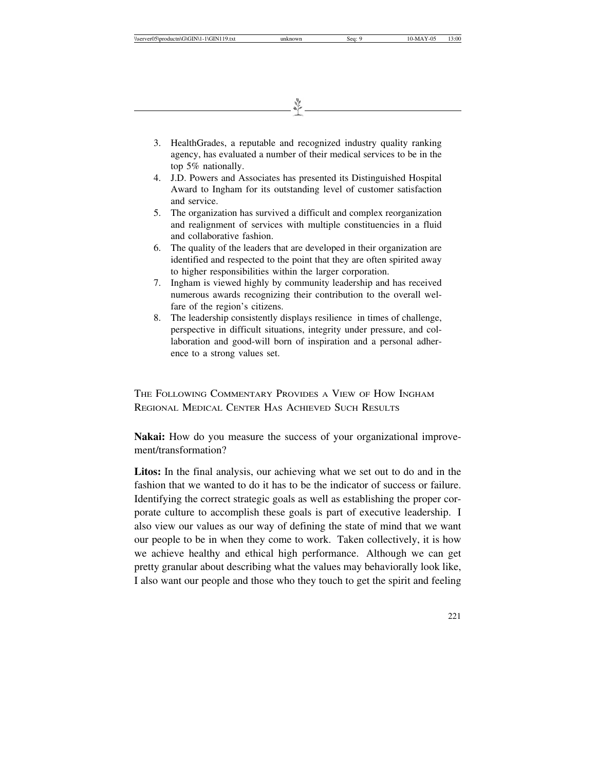- 3. HealthGrades, a reputable and recognized industry quality ranking agency, has evaluated a number of their medical services to be in the top 5% nationally.
- 4. J.D. Powers and Associates has presented its Distinguished Hospital Award to Ingham for its outstanding level of customer satisfaction and service.
- 5. The organization has survived a difficult and complex reorganization and realignment of services with multiple constituencies in a fluid and collaborative fashion.
- 6. The quality of the leaders that are developed in their organization are identified and respected to the point that they are often spirited away to higher responsibilities within the larger corporation.
- 7. Ingham is viewed highly by community leadership and has received numerous awards recognizing their contribution to the overall welfare of the region's citizens.
- 8. The leadership consistently displays resilience in times of challenge, perspective in difficult situations, integrity under pressure, and collaboration and good-will born of inspiration and a personal adherence to a strong values set.

THE FOLLOWING COMMENTARY PROVIDES A VIEW OF HOW INGHAM REGIONAL MEDICAL CENTER HAS ACHIEVED SUCH RESULTS

**Nakai:** How do you measure the success of your organizational improvement/transformation?

**Litos:** In the final analysis, our achieving what we set out to do and in the fashion that we wanted to do it has to be the indicator of success or failure. Identifying the correct strategic goals as well as establishing the proper corporate culture to accomplish these goals is part of executive leadership. I also view our values as our way of defining the state of mind that we want our people to be in when they come to work. Taken collectively, it is how we achieve healthy and ethical high performance. Although we can get pretty granular about describing what the values may behaviorally look like, I also want our people and those who they touch to get the spirit and feeling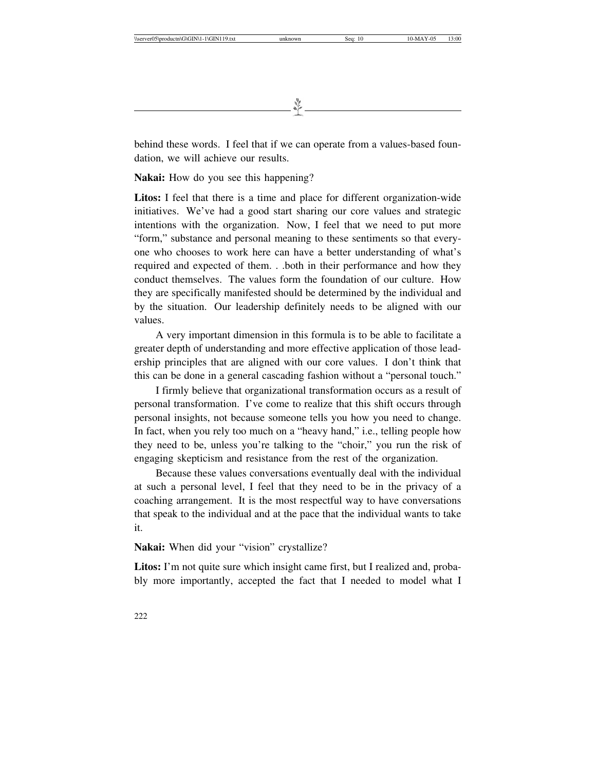| \\server05\productn\G\GIN\1-1\GIN119.txt | unknown<br>Seg: | 13:00<br>Y-05<br>10-MAY |
|------------------------------------------|-----------------|-------------------------|
|------------------------------------------|-----------------|-------------------------|

behind these words. I feel that if we can operate from a values-based foundation, we will achieve our results.

**Nakai:** How do you see this happening?

Litos: I feel that there is a time and place for different organization-wide initiatives. We've had a good start sharing our core values and strategic intentions with the organization. Now, I feel that we need to put more "form," substance and personal meaning to these sentiments so that everyone who chooses to work here can have a better understanding of what's required and expected of them. . .both in their performance and how they conduct themselves. The values form the foundation of our culture. How they are specifically manifested should be determined by the individual and by the situation. Our leadership definitely needs to be aligned with our values.

A very important dimension in this formula is to be able to facilitate a greater depth of understanding and more effective application of those leadership principles that are aligned with our core values. I don't think that this can be done in a general cascading fashion without a "personal touch."

I firmly believe that organizational transformation occurs as a result of personal transformation. I've come to realize that this shift occurs through personal insights, not because someone tells you how you need to change. In fact, when you rely too much on a "heavy hand," i.e., telling people how they need to be, unless you're talking to the "choir," you run the risk of engaging skepticism and resistance from the rest of the organization.

Because these values conversations eventually deal with the individual at such a personal level, I feel that they need to be in the privacy of a coaching arrangement. It is the most respectful way to have conversations that speak to the individual and at the pace that the individual wants to take it.

Nakai: When did your "vision" crystallize?

Litos: I'm not quite sure which insight came first, but I realized and, probably more importantly, accepted the fact that I needed to model what I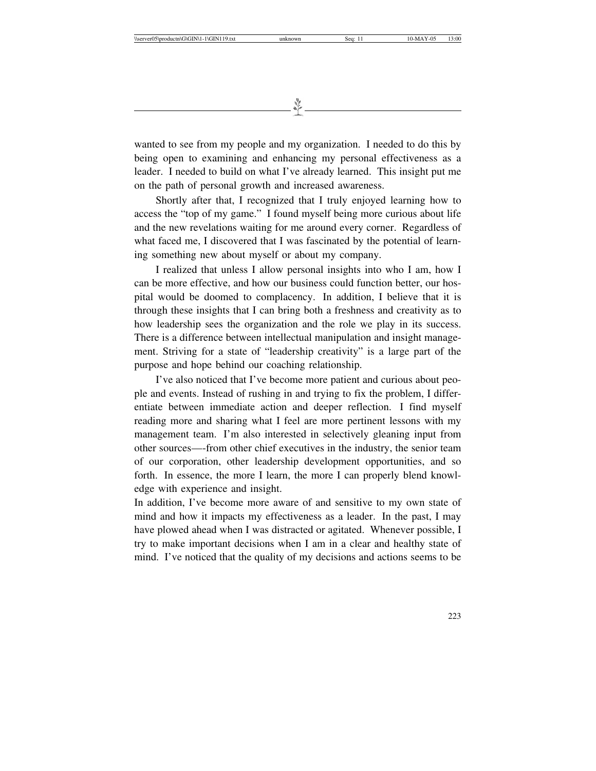wanted to see from my people and my organization. I needed to do this by being open to examining and enhancing my personal effectiveness as a leader. I needed to build on what I've already learned. This insight put me on the path of personal growth and increased awareness.

Shortly after that, I recognized that I truly enjoyed learning how to access the "top of my game." I found myself being more curious about life and the new revelations waiting for me around every corner. Regardless of what faced me, I discovered that I was fascinated by the potential of learning something new about myself or about my company.

I realized that unless I allow personal insights into who I am, how I can be more effective, and how our business could function better, our hospital would be doomed to complacency. In addition, I believe that it is through these insights that I can bring both a freshness and creativity as to how leadership sees the organization and the role we play in its success. There is a difference between intellectual manipulation and insight management. Striving for a state of "leadership creativity" is a large part of the purpose and hope behind our coaching relationship.

I've also noticed that I've become more patient and curious about people and events. Instead of rushing in and trying to fix the problem, I differentiate between immediate action and deeper reflection. I find myself reading more and sharing what I feel are more pertinent lessons with my management team. I'm also interested in selectively gleaning input from other sources—-from other chief executives in the industry, the senior team of our corporation, other leadership development opportunities, and so forth. In essence, the more I learn, the more I can properly blend knowledge with experience and insight.

In addition, I've become more aware of and sensitive to my own state of mind and how it impacts my effectiveness as a leader. In the past, I may have plowed ahead when I was distracted or agitated. Whenever possible, I try to make important decisions when I am in a clear and healthy state of mind. I've noticed that the quality of my decisions and actions seems to be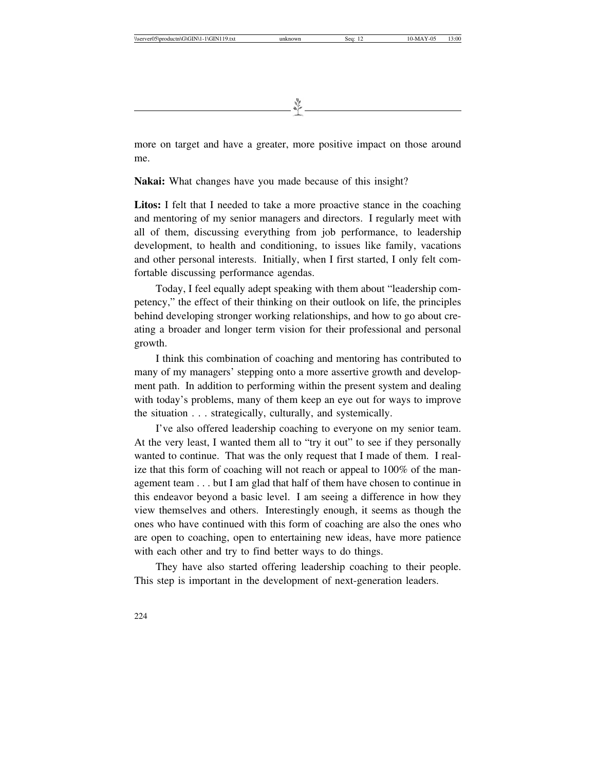| \\server05\productn\G\GIN\1-1\GIN119.txt | unknown<br>sea. | 10-MAY-05 | 13:00 |
|------------------------------------------|-----------------|-----------|-------|
|------------------------------------------|-----------------|-----------|-------|

more on target and have a greater, more positive impact on those around me.

**Nakai:** What changes have you made because of this insight?

**Litos:** I felt that I needed to take a more proactive stance in the coaching and mentoring of my senior managers and directors. I regularly meet with all of them, discussing everything from job performance, to leadership development, to health and conditioning, to issues like family, vacations and other personal interests. Initially, when I first started, I only felt comfortable discussing performance agendas.

Today, I feel equally adept speaking with them about "leadership competency," the effect of their thinking on their outlook on life, the principles behind developing stronger working relationships, and how to go about creating a broader and longer term vision for their professional and personal growth.

I think this combination of coaching and mentoring has contributed to many of my managers' stepping onto a more assertive growth and development path. In addition to performing within the present system and dealing with today's problems, many of them keep an eye out for ways to improve the situation . . . strategically, culturally, and systemically.

I've also offered leadership coaching to everyone on my senior team. At the very least, I wanted them all to "try it out" to see if they personally wanted to continue. That was the only request that I made of them. I realize that this form of coaching will not reach or appeal to 100% of the management team . . . but I am glad that half of them have chosen to continue in this endeavor beyond a basic level. I am seeing a difference in how they view themselves and others. Interestingly enough, it seems as though the ones who have continued with this form of coaching are also the ones who are open to coaching, open to entertaining new ideas, have more patience with each other and try to find better ways to do things.

They have also started offering leadership coaching to their people. This step is important in the development of next-generation leaders.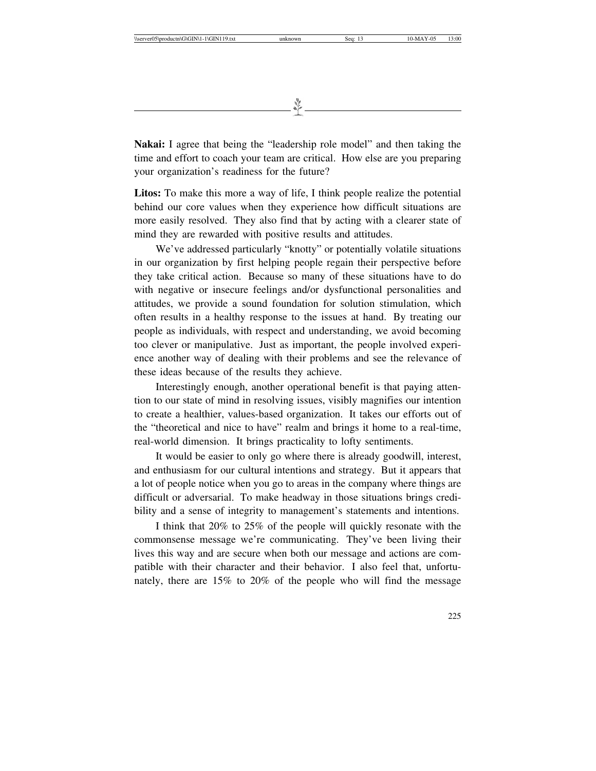| \\server05\productn\G\GIN\1-1\GIN119.txt<br>10-MAY-05<br>Sea:<br>unknown. | 13:00 |
|---------------------------------------------------------------------------|-------|
|---------------------------------------------------------------------------|-------|

**Nakai:** I agree that being the "leadership role model" and then taking the time and effort to coach your team are critical. How else are you preparing your organization's readiness for the future?

**Litos:** To make this more a way of life, I think people realize the potential behind our core values when they experience how difficult situations are more easily resolved. They also find that by acting with a clearer state of mind they are rewarded with positive results and attitudes.

We've addressed particularly "knotty" or potentially volatile situations in our organization by first helping people regain their perspective before they take critical action. Because so many of these situations have to do with negative or insecure feelings and/or dysfunctional personalities and attitudes, we provide a sound foundation for solution stimulation, which often results in a healthy response to the issues at hand. By treating our people as individuals, with respect and understanding, we avoid becoming too clever or manipulative. Just as important, the people involved experience another way of dealing with their problems and see the relevance of these ideas because of the results they achieve.

Interestingly enough, another operational benefit is that paying attention to our state of mind in resolving issues, visibly magnifies our intention to create a healthier, values-based organization. It takes our efforts out of the "theoretical and nice to have" realm and brings it home to a real-time, real-world dimension. It brings practicality to lofty sentiments.

It would be easier to only go where there is already goodwill, interest, and enthusiasm for our cultural intentions and strategy. But it appears that a lot of people notice when you go to areas in the company where things are difficult or adversarial. To make headway in those situations brings credibility and a sense of integrity to management's statements and intentions.

I think that 20% to 25% of the people will quickly resonate with the commonsense message we're communicating. They've been living their lives this way and are secure when both our message and actions are compatible with their character and their behavior. I also feel that, unfortunately, there are 15% to 20% of the people who will find the message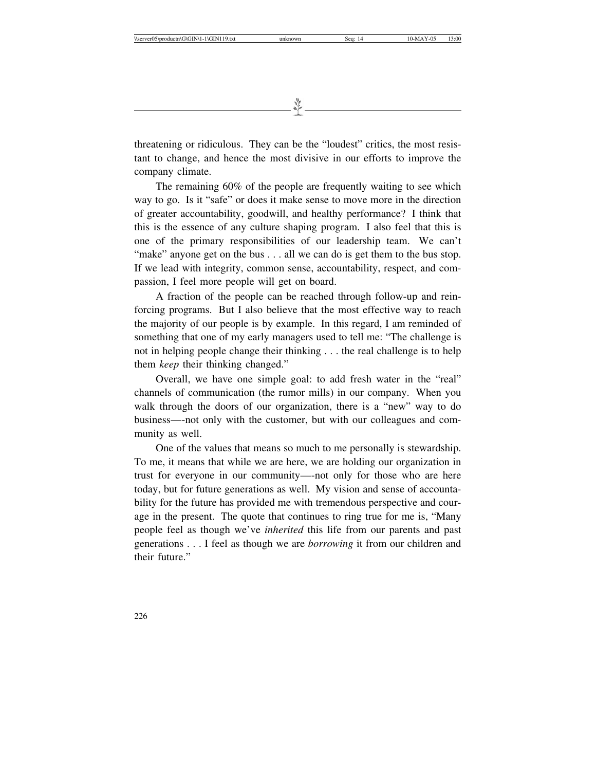threatening or ridiculous. They can be the "loudest" critics, the most resistant to change, and hence the most divisive in our efforts to improve the company climate.

The remaining 60% of the people are frequently waiting to see which way to go. Is it "safe" or does it make sense to move more in the direction of greater accountability, goodwill, and healthy performance? I think that this is the essence of any culture shaping program. I also feel that this is one of the primary responsibilities of our leadership team. We can't "make" anyone get on the bus . . . all we can do is get them to the bus stop. If we lead with integrity, common sense, accountability, respect, and compassion, I feel more people will get on board.

A fraction of the people can be reached through follow-up and reinforcing programs. But I also believe that the most effective way to reach the majority of our people is by example. In this regard, I am reminded of something that one of my early managers used to tell me: "The challenge is not in helping people change their thinking . . . the real challenge is to help them *keep* their thinking changed."

Overall, we have one simple goal: to add fresh water in the "real" channels of communication (the rumor mills) in our company. When you walk through the doors of our organization, there is a "new" way to do business—-not only with the customer, but with our colleagues and community as well.

One of the values that means so much to me personally is stewardship. To me, it means that while we are here, we are holding our organization in trust for everyone in our community—-not only for those who are here today, but for future generations as well. My vision and sense of accountability for the future has provided me with tremendous perspective and courage in the present. The quote that continues to ring true for me is, "Many people feel as though we've *inherited* this life from our parents and past generations . . . I feel as though we are *borrowing* it from our children and their future."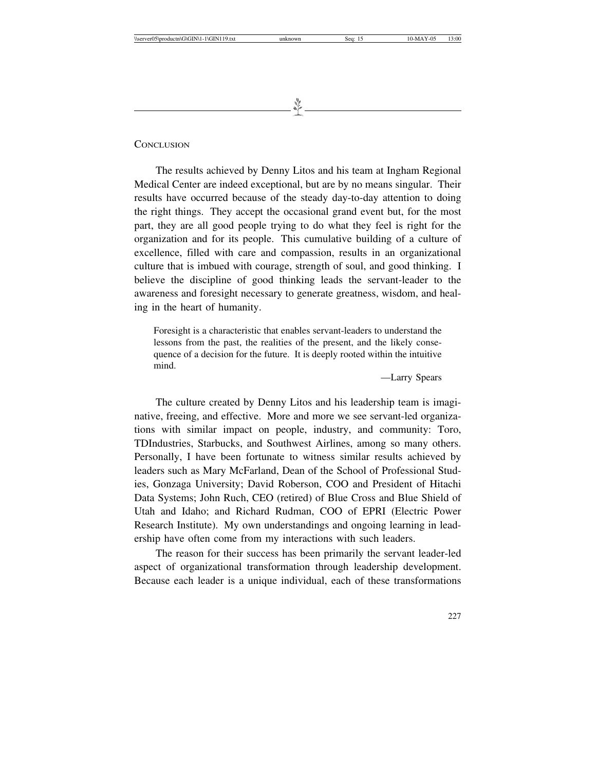# **CONCLUSION**

The results achieved by Denny Litos and his team at Ingham Regional Medical Center are indeed exceptional, but are by no means singular. Their results have occurred because of the steady day-to-day attention to doing the right things. They accept the occasional grand event but, for the most part, they are all good people trying to do what they feel is right for the organization and for its people. This cumulative building of a culture of excellence, filled with care and compassion, results in an organizational culture that is imbued with courage, strength of soul, and good thinking. I believe the discipline of good thinking leads the servant-leader to the awareness and foresight necessary to generate greatness, wisdom, and healing in the heart of humanity.

Foresight is a characteristic that enables servant-leaders to understand the lessons from the past, the realities of the present, and the likely consequence of a decision for the future. It is deeply rooted within the intuitive mind.

—Larry Spears

The culture created by Denny Litos and his leadership team is imaginative, freeing, and effective. More and more we see servant-led organizations with similar impact on people, industry, and community: Toro, TDIndustries, Starbucks, and Southwest Airlines, among so many others. Personally, I have been fortunate to witness similar results achieved by leaders such as Mary McFarland, Dean of the School of Professional Studies, Gonzaga University; David Roberson, COO and President of Hitachi Data Systems; John Ruch, CEO (retired) of Blue Cross and Blue Shield of Utah and Idaho; and Richard Rudman, COO of EPRI (Electric Power Research Institute). My own understandings and ongoing learning in leadership have often come from my interactions with such leaders.

The reason for their success has been primarily the servant leader-led aspect of organizational transformation through leadership development. Because each leader is a unique individual, each of these transformations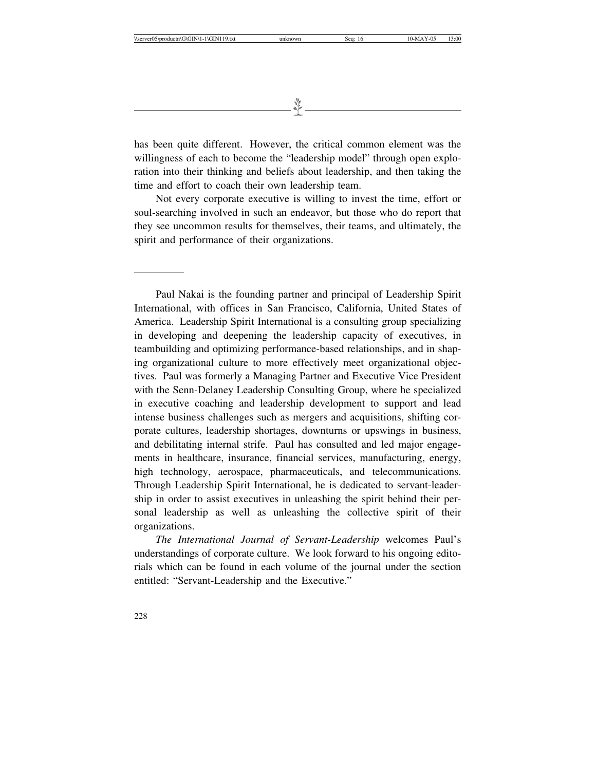| \\server05\productn\G\GIN\1-1\GIN119.txt | unknown | Seg: 16 | $10-MAY-05$ | 13:00 |
|------------------------------------------|---------|---------|-------------|-------|
|                                          |         |         |             |       |
|                                          |         |         |             |       |
|                                          |         |         |             |       |

has been quite different. However, the critical common element was the willingness of each to become the "leadership model" through open exploration into their thinking and beliefs about leadership, and then taking the time and effort to coach their own leadership team.

Not every corporate executive is willing to invest the time, effort or soul-searching involved in such an endeavor, but those who do report that they see uncommon results for themselves, their teams, and ultimately, the spirit and performance of their organizations.

Paul Nakai is the founding partner and principal of Leadership Spirit International, with offices in San Francisco, California, United States of America. Leadership Spirit International is a consulting group specializing in developing and deepening the leadership capacity of executives, in teambuilding and optimizing performance-based relationships, and in shaping organizational culture to more effectively meet organizational objectives. Paul was formerly a Managing Partner and Executive Vice President with the Senn-Delaney Leadership Consulting Group, where he specialized in executive coaching and leadership development to support and lead intense business challenges such as mergers and acquisitions, shifting corporate cultures, leadership shortages, downturns or upswings in business, and debilitating internal strife. Paul has consulted and led major engagements in healthcare, insurance, financial services, manufacturing, energy, high technology, aerospace, pharmaceuticals, and telecommunications. Through Leadership Spirit International, he is dedicated to servant-leadership in order to assist executives in unleashing the spirit behind their personal leadership as well as unleashing the collective spirit of their organizations.

*The International Journal of Servant-Leadership* welcomes Paul's understandings of corporate culture. We look forward to his ongoing editorials which can be found in each volume of the journal under the section entitled: "Servant-Leadership and the Executive."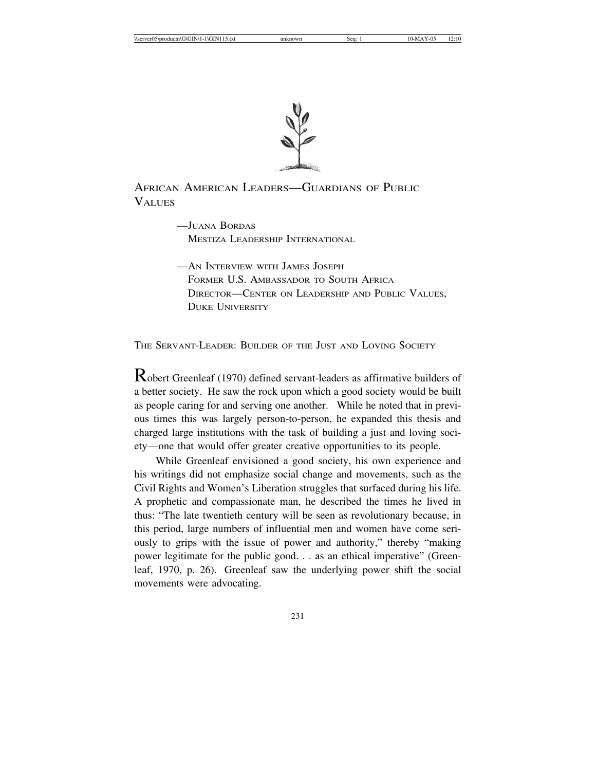

AFRICAN AMERICAN LEADERS—GUARDIANS OF PUBLIC **VALUES** 

> —JUANA BORDAS MESTIZA LEADERSHIP INTERNATIONAL

—AN INTERVIEW WITH JAMES JOSEPH FORMER U.S. AMBASSADOR TO SOUTH AFRICA DIRECTOR—CENTER ON LEADERSHIP AND PUBLIC VALUES, DUKE UNIVERSITY

THE SERVANT-LEADER: BUILDER OF THE JUST AND LOVING SOCIETY

Robert Greenleaf (1970) defined servant-leaders as affirmative builders of a better society. He saw the rock upon which a good society would be built as people caring for and serving one another. While he noted that in previous times this was largely person-to-person, he expanded this thesis and charged large institutions with the task of building a just and loving society—one that would offer greater creative opportunities to its people.

While Greenleaf envisioned a good society, his own experience and his writings did not emphasize social change and movements, such as the Civil Rights and Women's Liberation struggles that surfaced during his life. A prophetic and compassionate man, he described the times he lived in thus: "The late twentieth century will be seen as revolutionary because, in this period, large numbers of influential men and women have come seriously to grips with the issue of power and authority," thereby "making power legitimate for the public good. . . as an ethical imperative" (Greenleaf, 1970, p. 26). Greenleaf saw the underlying power shift the social movements were advocating.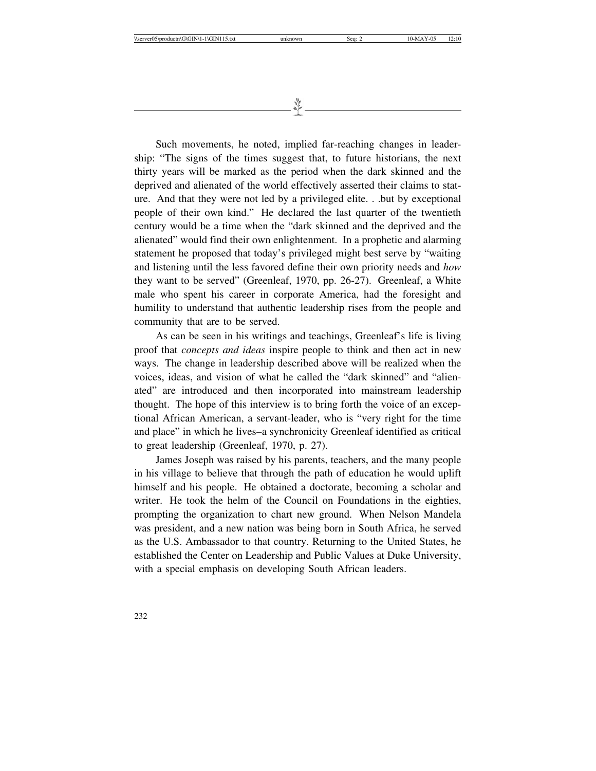| \\server05\productn\G\GIN\1-1\GIN115.txt | unknown | Seq: $2$ | 10-MAY-05 | 12:10 |
|------------------------------------------|---------|----------|-----------|-------|
|                                          |         |          |           |       |
|                                          |         |          |           |       |
|                                          |         |          |           |       |
|                                          |         |          |           |       |
|                                          |         |          |           |       |
|                                          |         |          |           |       |

Such movements, he noted, implied far-reaching changes in leadership: "The signs of the times suggest that, to future historians, the next thirty years will be marked as the period when the dark skinned and the deprived and alienated of the world effectively asserted their claims to stature. And that they were not led by a privileged elite. . .but by exceptional people of their own kind." He declared the last quarter of the twentieth century would be a time when the "dark skinned and the deprived and the alienated" would find their own enlightenment. In a prophetic and alarming statement he proposed that today's privileged might best serve by "waiting and listening until the less favored define their own priority needs and *how* they want to be served" (Greenleaf, 1970, pp. 26-27). Greenleaf, a White male who spent his career in corporate America, had the foresight and humility to understand that authentic leadership rises from the people and community that are to be served.

As can be seen in his writings and teachings, Greenleaf's life is living proof that *concepts and ideas* inspire people to think and then act in new ways. The change in leadership described above will be realized when the voices, ideas, and vision of what he called the "dark skinned" and "alienated" are introduced and then incorporated into mainstream leadership thought. The hope of this interview is to bring forth the voice of an exceptional African American, a servant-leader, who is "very right for the time and place" in which he lives–a synchronicity Greenleaf identified as critical to great leadership (Greenleaf, 1970, p. 27).

James Joseph was raised by his parents, teachers, and the many people in his village to believe that through the path of education he would uplift himself and his people. He obtained a doctorate, becoming a scholar and writer. He took the helm of the Council on Foundations in the eighties, prompting the organization to chart new ground. When Nelson Mandela was president, and a new nation was being born in South Africa, he served as the U.S. Ambassador to that country. Returning to the United States, he established the Center on Leadership and Public Values at Duke University, with a special emphasis on developing South African leaders.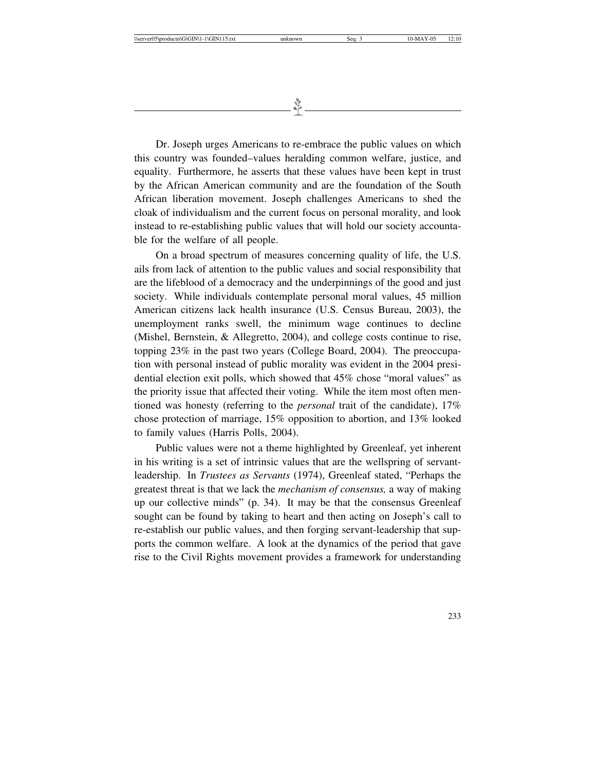Dr. Joseph urges Americans to re-embrace the public values on which this country was founded–values heralding common welfare, justice, and equality. Furthermore, he asserts that these values have been kept in trust by the African American community and are the foundation of the South African liberation movement. Joseph challenges Americans to shed the cloak of individualism and the current focus on personal morality, and look instead to re-establishing public values that will hold our society accountable for the welfare of all people.

On a broad spectrum of measures concerning quality of life, the U.S. ails from lack of attention to the public values and social responsibility that are the lifeblood of a democracy and the underpinnings of the good and just society. While individuals contemplate personal moral values, 45 million American citizens lack health insurance (U.S. Census Bureau, 2003), the unemployment ranks swell, the minimum wage continues to decline (Mishel, Bernstein, & Allegretto, 2004), and college costs continue to rise, topping 23% in the past two years (College Board, 2004). The preoccupation with personal instead of public morality was evident in the 2004 presidential election exit polls, which showed that 45% chose "moral values" as the priority issue that affected their voting. While the item most often mentioned was honesty (referring to the *personal* trait of the candidate), 17% chose protection of marriage, 15% opposition to abortion, and 13% looked to family values (Harris Polls, 2004).

Public values were not a theme highlighted by Greenleaf, yet inherent in his writing is a set of intrinsic values that are the wellspring of servantleadership. In *Trustees as Servants* (1974), Greenleaf stated, "Perhaps the greatest threat is that we lack the *mechanism of consensus,* a way of making up our collective minds" (p. 34). It may be that the consensus Greenleaf sought can be found by taking to heart and then acting on Joseph's call to re-establish our public values, and then forging servant-leadership that supports the common welfare. A look at the dynamics of the period that gave rise to the Civil Rights movement provides a framework for understanding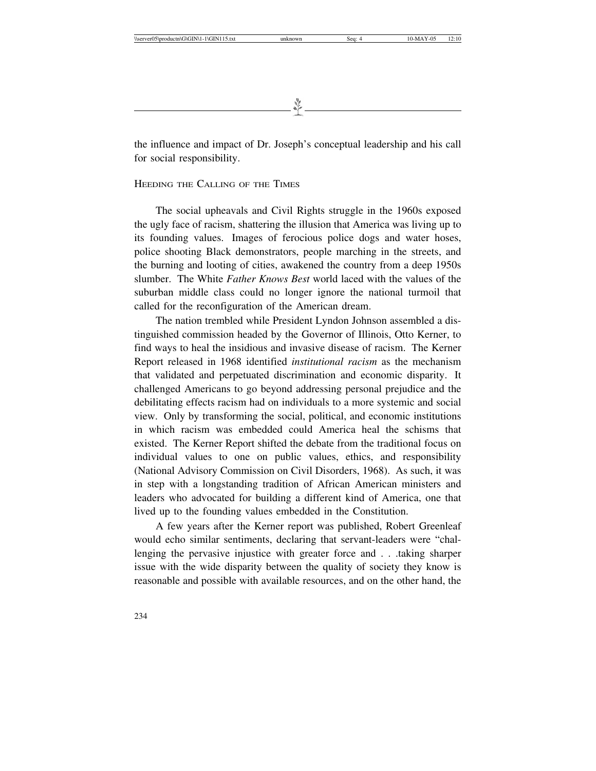\\server05\productn\G\GIN\1-1\GIN115.txt unknown Seq: 4 10-MAY-05 12:10

the influence and impact of Dr. Joseph's conceptual leadership and his call for social responsibility.

# HEEDING THE CALLING OF THE TIMES

The social upheavals and Civil Rights struggle in the 1960s exposed the ugly face of racism, shattering the illusion that America was living up to its founding values. Images of ferocious police dogs and water hoses, police shooting Black demonstrators, people marching in the streets, and the burning and looting of cities, awakened the country from a deep 1950s slumber. The White *Father Knows Best* world laced with the values of the suburban middle class could no longer ignore the national turmoil that called for the reconfiguration of the American dream.

The nation trembled while President Lyndon Johnson assembled a distinguished commission headed by the Governor of Illinois, Otto Kerner, to find ways to heal the insidious and invasive disease of racism. The Kerner Report released in 1968 identified *institutional racism* as the mechanism that validated and perpetuated discrimination and economic disparity. It challenged Americans to go beyond addressing personal prejudice and the debilitating effects racism had on individuals to a more systemic and social view. Only by transforming the social, political, and economic institutions in which racism was embedded could America heal the schisms that existed. The Kerner Report shifted the debate from the traditional focus on individual values to one on public values, ethics, and responsibility (National Advisory Commission on Civil Disorders, 1968). As such, it was in step with a longstanding tradition of African American ministers and leaders who advocated for building a different kind of America, one that lived up to the founding values embedded in the Constitution.

A few years after the Kerner report was published, Robert Greenleaf would echo similar sentiments, declaring that servant-leaders were "challenging the pervasive injustice with greater force and . . .taking sharper issue with the wide disparity between the quality of society they know is reasonable and possible with available resources, and on the other hand, the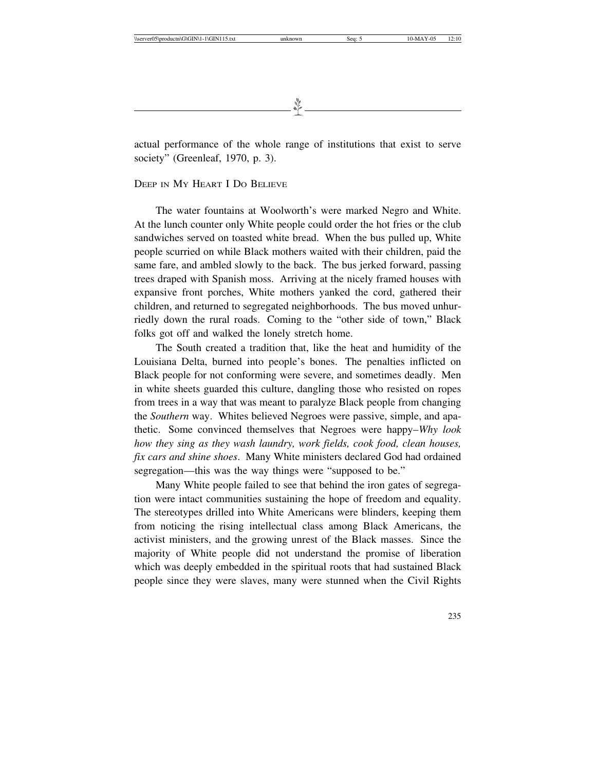| \\server05\productn\G\GIN\1-1\GIN115.txt | unknown | Seq: $5$ | 10-MAY-05 | 12:10 |
|------------------------------------------|---------|----------|-----------|-------|
|                                          |         |          |           |       |
|                                          |         |          |           |       |
|                                          |         |          |           |       |
|                                          |         |          |           |       |
|                                          |         |          |           |       |
|                                          |         |          |           |       |
|                                          |         |          |           |       |
|                                          |         |          |           |       |

actual performance of the whole range of institutions that exist to serve society" (Greenleaf, 1970, p. 3).

Y

## DEEP IN MY HEART I DO BELIEVE

The water fountains at Woolworth's were marked Negro and White. At the lunch counter only White people could order the hot fries or the club sandwiches served on toasted white bread. When the bus pulled up, White people scurried on while Black mothers waited with their children, paid the same fare, and ambled slowly to the back. The bus jerked forward, passing trees draped with Spanish moss. Arriving at the nicely framed houses with expansive front porches, White mothers yanked the cord, gathered their children, and returned to segregated neighborhoods. The bus moved unhurriedly down the rural roads. Coming to the "other side of town," Black folks got off and walked the lonely stretch home.

The South created a tradition that, like the heat and humidity of the Louisiana Delta, burned into people's bones. The penalties inflicted on Black people for not conforming were severe, and sometimes deadly. Men in white sheets guarded this culture, dangling those who resisted on ropes from trees in a way that was meant to paralyze Black people from changing the *Southern* way. Whites believed Negroes were passive, simple, and apathetic. Some convinced themselves that Negroes were happy–*Why look how they sing as they wash laundry, work fields, cook food, clean houses, fix cars and shine shoes*. Many White ministers declared God had ordained segregation—this was the way things were "supposed to be."

Many White people failed to see that behind the iron gates of segregation were intact communities sustaining the hope of freedom and equality. The stereotypes drilled into White Americans were blinders, keeping them from noticing the rising intellectual class among Black Americans, the activist ministers, and the growing unrest of the Black masses. Since the majority of White people did not understand the promise of liberation which was deeply embedded in the spiritual roots that had sustained Black people since they were slaves, many were stunned when the Civil Rights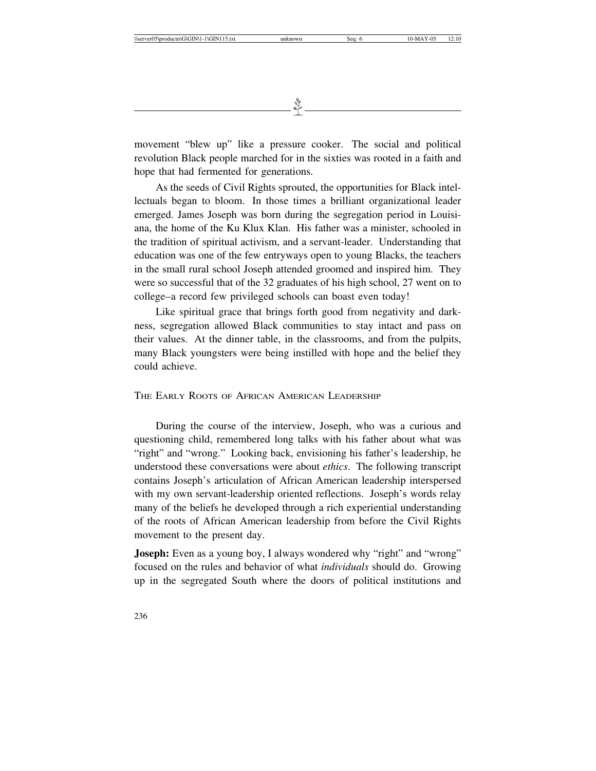movement "blew up" like a pressure cooker. The social and political revolution Black people marched for in the sixties was rooted in a faith and hope that had fermented for generations.

As the seeds of Civil Rights sprouted, the opportunities for Black intellectuals began to bloom. In those times a brilliant organizational leader emerged. James Joseph was born during the segregation period in Louisiana, the home of the Ku Klux Klan. His father was a minister, schooled in the tradition of spiritual activism, and a servant-leader. Understanding that education was one of the few entryways open to young Blacks, the teachers in the small rural school Joseph attended groomed and inspired him. They were so successful that of the 32 graduates of his high school, 27 went on to college–a record few privileged schools can boast even today!

Like spiritual grace that brings forth good from negativity and darkness, segregation allowed Black communities to stay intact and pass on their values. At the dinner table, in the classrooms, and from the pulpits, many Black youngsters were being instilled with hope and the belief they could achieve.

THE EARLY ROOTS OF AFRICAN AMERICAN LEADERSHIP

During the course of the interview, Joseph, who was a curious and questioning child, remembered long talks with his father about what was "right" and "wrong." Looking back, envisioning his father's leadership, he understood these conversations were about *ethics*. The following transcript contains Joseph's articulation of African American leadership interspersed with my own servant-leadership oriented reflections. Joseph's words relay many of the beliefs he developed through a rich experiential understanding of the roots of African American leadership from before the Civil Rights movement to the present day.

**Joseph:** Even as a young boy, I always wondered why "right" and "wrong" focused on the rules and behavior of what *individuals* should do. Growing up in the segregated South where the doors of political institutions and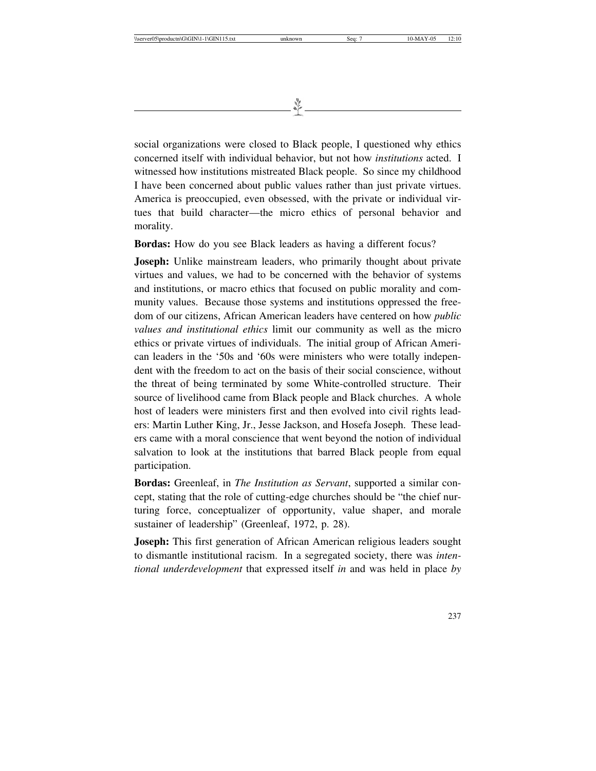social organizations were closed to Black people, I questioned why ethics concerned itself with individual behavior, but not how *institutions* acted. I witnessed how institutions mistreated Black people. So since my childhood I have been concerned about public values rather than just private virtues. America is preoccupied, even obsessed, with the private or individual virtues that build character—the micro ethics of personal behavior and morality.

**Bordas:** How do you see Black leaders as having a different focus?

**Joseph:** Unlike mainstream leaders, who primarily thought about private virtues and values, we had to be concerned with the behavior of systems and institutions, or macro ethics that focused on public morality and community values. Because those systems and institutions oppressed the freedom of our citizens, African American leaders have centered on how *public values and institutional ethics* limit our community as well as the micro ethics or private virtues of individuals. The initial group of African American leaders in the '50s and '60s were ministers who were totally independent with the freedom to act on the basis of their social conscience, without the threat of being terminated by some White-controlled structure. Their source of livelihood came from Black people and Black churches. A whole host of leaders were ministers first and then evolved into civil rights leaders: Martin Luther King, Jr., Jesse Jackson, and Hosefa Joseph. These leaders came with a moral conscience that went beyond the notion of individual salvation to look at the institutions that barred Black people from equal participation.

**Bordas:** Greenleaf, in *The Institution as Servant*, supported a similar concept, stating that the role of cutting-edge churches should be "the chief nurturing force, conceptualizer of opportunity, value shaper, and morale sustainer of leadership" (Greenleaf, 1972, p. 28).

**Joseph:** This first generation of African American religious leaders sought to dismantle institutional racism. In a segregated society, there was *intentional underdevelopment* that expressed itself *in* and was held in place *by*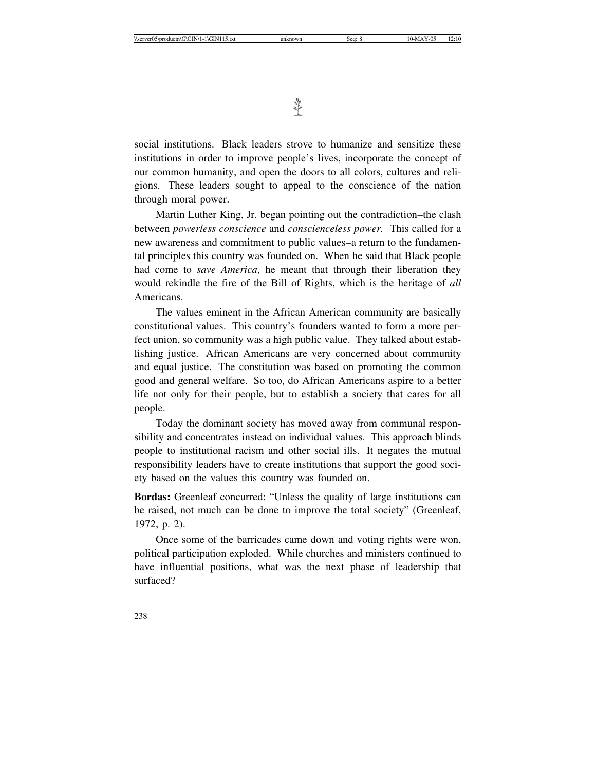social institutions. Black leaders strove to humanize and sensitize these institutions in order to improve people's lives, incorporate the concept of our common humanity, and open the doors to all colors, cultures and religions. These leaders sought to appeal to the conscience of the nation through moral power.

Martin Luther King, Jr. began pointing out the contradiction–the clash between *powerless conscience* and *conscienceless power.* This called for a new awareness and commitment to public values–a return to the fundamental principles this country was founded on. When he said that Black people had come to *save America*, he meant that through their liberation they would rekindle the fire of the Bill of Rights, which is the heritage of *all* Americans.

The values eminent in the African American community are basically constitutional values. This country's founders wanted to form a more perfect union, so community was a high public value. They talked about establishing justice. African Americans are very concerned about community and equal justice. The constitution was based on promoting the common good and general welfare. So too, do African Americans aspire to a better life not only for their people, but to establish a society that cares for all people.

Today the dominant society has moved away from communal responsibility and concentrates instead on individual values. This approach blinds people to institutional racism and other social ills. It negates the mutual responsibility leaders have to create institutions that support the good society based on the values this country was founded on.

**Bordas:** Greenleaf concurred: "Unless the quality of large institutions can be raised, not much can be done to improve the total society" (Greenleaf, 1972, p. 2).

Once some of the barricades came down and voting rights were won, political participation exploded. While churches and ministers continued to have influential positions, what was the next phase of leadership that surfaced?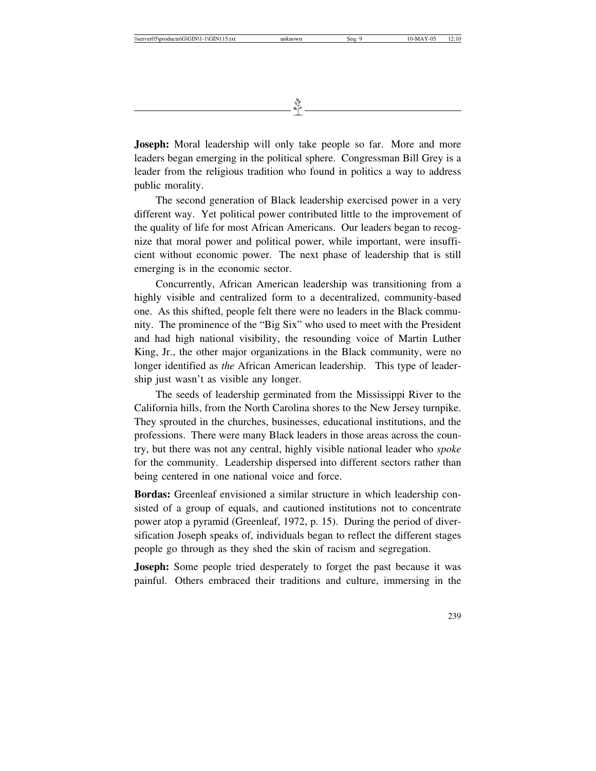**Joseph:** Moral leadership will only take people so far. More and more leaders began emerging in the political sphere. Congressman Bill Grey is a leader from the religious tradition who found in politics a way to address public morality.

The second generation of Black leadership exercised power in a very different way. Yet political power contributed little to the improvement of the quality of life for most African Americans. Our leaders began to recognize that moral power and political power, while important, were insufficient without economic power. The next phase of leadership that is still emerging is in the economic sector.

Concurrently, African American leadership was transitioning from a highly visible and centralized form to a decentralized, community-based one. As this shifted, people felt there were no leaders in the Black community. The prominence of the "Big Six" who used to meet with the President and had high national visibility, the resounding voice of Martin Luther King, Jr., the other major organizations in the Black community, were no longer identified as *the* African American leadership. This type of leadership just wasn't as visible any longer.

The seeds of leadership germinated from the Mississippi River to the California hills, from the North Carolina shores to the New Jersey turnpike. They sprouted in the churches, businesses, educational institutions, and the professions. There were many Black leaders in those areas across the country, but there was not any central, highly visible national leader who *spoke* for the community. Leadership dispersed into different sectors rather than being centered in one national voice and force.

**Bordas:** Greenleaf envisioned a similar structure in which leadership consisted of a group of equals, and cautioned institutions not to concentrate power atop a pyramid (Greenleaf, 1972, p. 15). During the period of diversification Joseph speaks of, individuals began to reflect the different stages people go through as they shed the skin of racism and segregation.

**Joseph:** Some people tried desperately to forget the past because it was painful. Others embraced their traditions and culture, immersing in the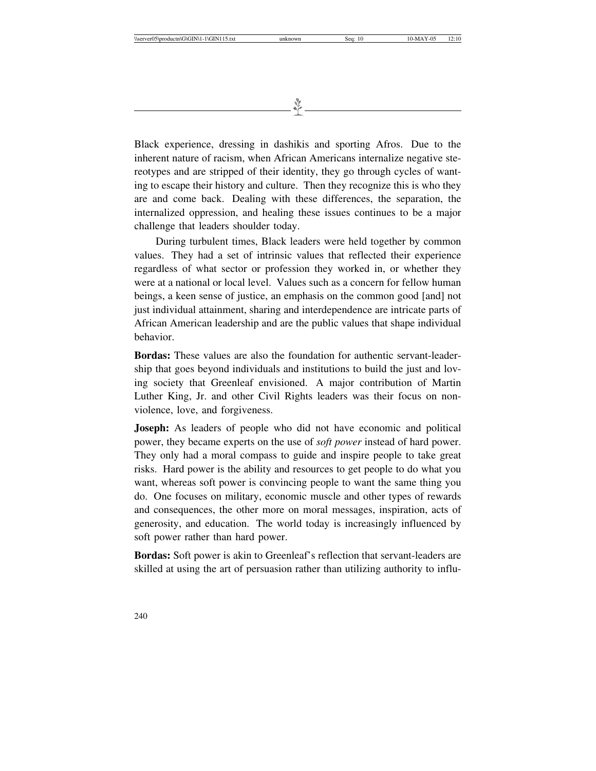| \\server05\productn\G\GIN\1-1\GIN115.txt | unknown | Seq: 10 | 10-MAY-05 | 12:10 |
|------------------------------------------|---------|---------|-----------|-------|
|                                          |         |         |           |       |
|                                          |         |         |           |       |
|                                          |         |         |           |       |

Black experience, dressing in dashikis and sporting Afros. Due to the inherent nature of racism, when African Americans internalize negative stereotypes and are stripped of their identity, they go through cycles of wanting to escape their history and culture. Then they recognize this is who they are and come back. Dealing with these differences, the separation, the internalized oppression, and healing these issues continues to be a major challenge that leaders shoulder today.

During turbulent times, Black leaders were held together by common values. They had a set of intrinsic values that reflected their experience regardless of what sector or profession they worked in, or whether they were at a national or local level. Values such as a concern for fellow human beings, a keen sense of justice, an emphasis on the common good [and] not just individual attainment, sharing and interdependence are intricate parts of African American leadership and are the public values that shape individual behavior.

**Bordas:** These values are also the foundation for authentic servant-leadership that goes beyond individuals and institutions to build the just and loving society that Greenleaf envisioned. A major contribution of Martin Luther King, Jr. and other Civil Rights leaders was their focus on nonviolence, love, and forgiveness.

**Joseph:** As leaders of people who did not have economic and political power, they became experts on the use of *soft power* instead of hard power. They only had a moral compass to guide and inspire people to take great risks. Hard power is the ability and resources to get people to do what you want, whereas soft power is convincing people to want the same thing you do. One focuses on military, economic muscle and other types of rewards and consequences, the other more on moral messages, inspiration, acts of generosity, and education. The world today is increasingly influenced by soft power rather than hard power.

**Bordas:** Soft power is akin to Greenleaf's reflection that servant-leaders are skilled at using the art of persuasion rather than utilizing authority to influ-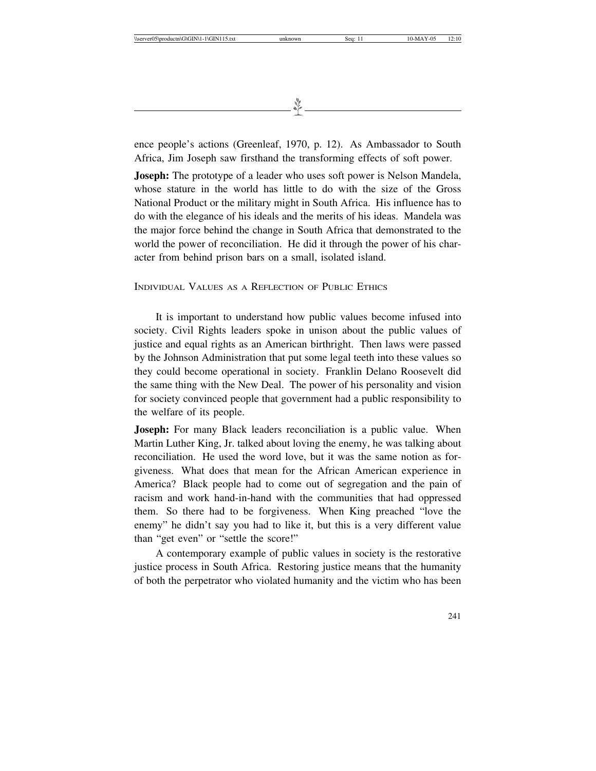| \\server05\productn\G\GIN\1-1\GIN115.txt<br>Seg: 11 | $10-MAY-05$ | 12:10 |
|-----------------------------------------------------|-------------|-------|
|                                                     |             |       |
|                                                     |             |       |
|                                                     |             |       |

ence people's actions (Greenleaf, 1970, p. 12). As Ambassador to South Africa, Jim Joseph saw firsthand the transforming effects of soft power.

**Joseph:** The prototype of a leader who uses soft power is Nelson Mandela, whose stature in the world has little to do with the size of the Gross National Product or the military might in South Africa. His influence has to do with the elegance of his ideals and the merits of his ideas. Mandela was the major force behind the change in South Africa that demonstrated to the world the power of reconciliation. He did it through the power of his character from behind prison bars on a small, isolated island.

#### INDIVIDUAL VALUES AS A REFLECTION OF PUBLIC ETHICS

It is important to understand how public values become infused into society. Civil Rights leaders spoke in unison about the public values of justice and equal rights as an American birthright. Then laws were passed by the Johnson Administration that put some legal teeth into these values so they could become operational in society. Franklin Delano Roosevelt did the same thing with the New Deal. The power of his personality and vision for society convinced people that government had a public responsibility to the welfare of its people.

**Joseph:** For many Black leaders reconciliation is a public value. When Martin Luther King, Jr. talked about loving the enemy, he was talking about reconciliation. He used the word love, but it was the same notion as forgiveness. What does that mean for the African American experience in America? Black people had to come out of segregation and the pain of racism and work hand-in-hand with the communities that had oppressed them. So there had to be forgiveness. When King preached "love the enemy" he didn't say you had to like it, but this is a very different value than "get even" or "settle the score!"

A contemporary example of public values in society is the restorative justice process in South Africa. Restoring justice means that the humanity of both the perpetrator who violated humanity and the victim who has been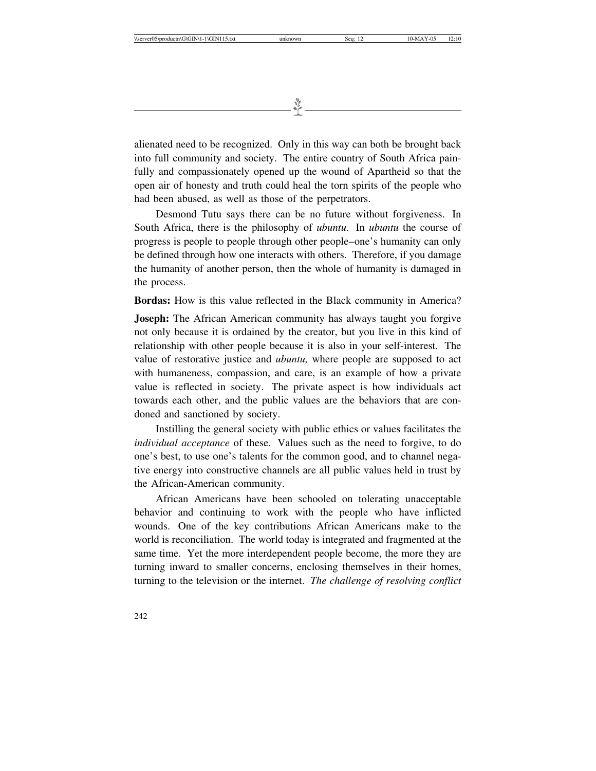| 05\productn\G\GIN\1-1\GIN115.txt<br>\\server05 | nowr | Seq. $1^\circ$ | $-MAY-05$<br>10-MA | 12:10 |
|------------------------------------------------|------|----------------|--------------------|-------|
|                                                |      |                |                    |       |
|                                                |      |                |                    |       |

alienated need to be recognized. Only in this way can both be brought back into full community and society. The entire country of South Africa painfully and compassionately opened up the wound of Apartheid so that the open air of honesty and truth could heal the torn spirits of the people who had been abused, as well as those of the perpetrators.

Desmond Tutu says there can be no future without forgiveness. In South Africa, there is the philosophy of *ubuntu*. In *ubuntu* the course of progress is people to people through other people–one's humanity can only be defined through how one interacts with others. Therefore, if you damage the humanity of another person, then the whole of humanity is damaged in the process.

**Bordas:** How is this value reflected in the Black community in America?

**Joseph:** The African American community has always taught you forgive not only because it is ordained by the creator, but you live in this kind of relationship with other people because it is also in your self-interest. The value of restorative justice and *ubuntu,* where people are supposed to act with humaneness, compassion, and care, is an example of how a private value is reflected in society. The private aspect is how individuals act towards each other, and the public values are the behaviors that are condoned and sanctioned by society.

Instilling the general society with public ethics or values facilitates the *individual acceptance* of these. Values such as the need to forgive, to do one's best, to use one's talents for the common good, and to channel negative energy into constructive channels are all public values held in trust by the African-American community.

African Americans have been schooled on tolerating unacceptable behavior and continuing to work with the people who have inflicted wounds. One of the key contributions African Americans make to the world is reconciliation. The world today is integrated and fragmented at the same time. Yet the more interdependent people become, the more they are turning inward to smaller concerns, enclosing themselves in their homes, turning to the television or the internet. *The challenge of resolving conflict*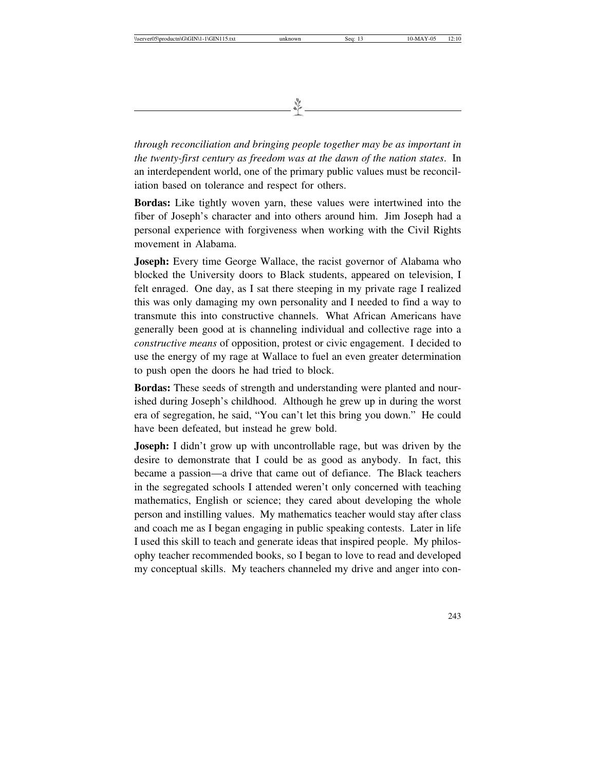| \\server05\productn\G\GIN\1-1\GIN115.txt | unknown | Seq: 13 | $10-MAY-05$ | 12:10 |
|------------------------------------------|---------|---------|-------------|-------|
|                                          |         |         |             |       |
|                                          |         |         |             |       |
|                                          |         |         |             |       |
|                                          |         |         |             |       |

*through reconciliation and bringing people together may be as important in the twenty-first century as freedom was at the dawn of the nation states*. In an interdependent world, one of the primary public values must be reconciliation based on tolerance and respect for others.

**Bordas:** Like tightly woven yarn, these values were intertwined into the fiber of Joseph's character and into others around him. Jim Joseph had a personal experience with forgiveness when working with the Civil Rights movement in Alabama.

**Joseph:** Every time George Wallace, the racist governor of Alabama who blocked the University doors to Black students, appeared on television, I felt enraged. One day, as I sat there steeping in my private rage I realized this was only damaging my own personality and I needed to find a way to transmute this into constructive channels. What African Americans have generally been good at is channeling individual and collective rage into a *constructive means* of opposition, protest or civic engagement. I decided to use the energy of my rage at Wallace to fuel an even greater determination to push open the doors he had tried to block.

**Bordas:** These seeds of strength and understanding were planted and nourished during Joseph's childhood. Although he grew up in during the worst era of segregation, he said, "You can't let this bring you down." He could have been defeated, but instead he grew bold.

**Joseph:** I didn't grow up with uncontrollable rage, but was driven by the desire to demonstrate that I could be as good as anybody. In fact, this became a passion—a drive that came out of defiance. The Black teachers in the segregated schools I attended weren't only concerned with teaching mathematics, English or science; they cared about developing the whole person and instilling values. My mathematics teacher would stay after class and coach me as I began engaging in public speaking contests. Later in life I used this skill to teach and generate ideas that inspired people. My philosophy teacher recommended books, so I began to love to read and developed my conceptual skills. My teachers channeled my drive and anger into con-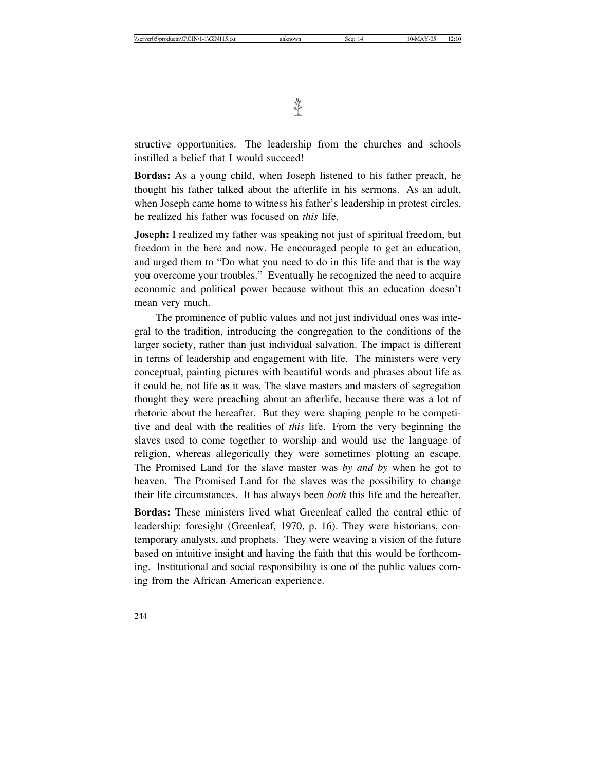structive opportunities. The leadership from the churches and schools instilled a belief that I would succeed!

**Bordas:** As a young child, when Joseph listened to his father preach, he thought his father talked about the afterlife in his sermons. As an adult, when Joseph came home to witness his father's leadership in protest circles, he realized his father was focused on *this* life.

**Joseph:** I realized my father was speaking not just of spiritual freedom, but freedom in the here and now. He encouraged people to get an education, and urged them to "Do what you need to do in this life and that is the way you overcome your troubles." Eventually he recognized the need to acquire economic and political power because without this an education doesn't mean very much.

The prominence of public values and not just individual ones was integral to the tradition, introducing the congregation to the conditions of the larger society, rather than just individual salvation. The impact is different in terms of leadership and engagement with life. The ministers were very conceptual, painting pictures with beautiful words and phrases about life as it could be, not life as it was. The slave masters and masters of segregation thought they were preaching about an afterlife, because there was a lot of rhetoric about the hereafter. But they were shaping people to be competitive and deal with the realities of *this* life. From the very beginning the slaves used to come together to worship and would use the language of religion, whereas allegorically they were sometimes plotting an escape. The Promised Land for the slave master was *by and by* when he got to heaven. The Promised Land for the slaves was the possibility to change their life circumstances. It has always been *both* this life and the hereafter.

**Bordas:** These ministers lived what Greenleaf called the central ethic of leadership: foresight (Greenleaf, 1970, p. 16). They were historians, contemporary analysts, and prophets. They were weaving a vision of the future based on intuitive insight and having the faith that this would be forthcoming. Institutional and social responsibility is one of the public values coming from the African American experience.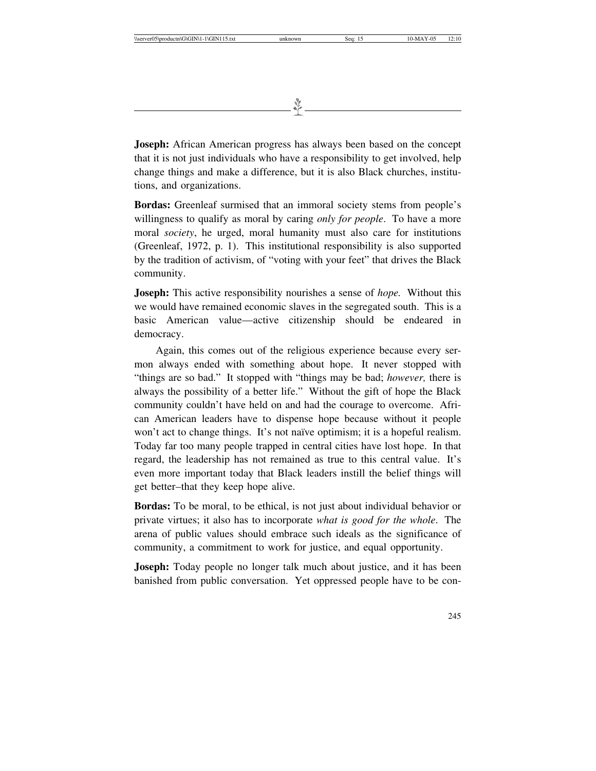**Joseph:** African American progress has always been based on the concept that it is not just individuals who have a responsibility to get involved, help change things and make a difference, but it is also Black churches, institutions, and organizations.

**Bordas:** Greenleaf surmised that an immoral society stems from people's willingness to qualify as moral by caring *only for people*. To have a more moral *society*, he urged, moral humanity must also care for institutions (Greenleaf, 1972, p. 1). This institutional responsibility is also supported by the tradition of activism, of "voting with your feet" that drives the Black community.

**Joseph:** This active responsibility nourishes a sense of *hope*. Without this we would have remained economic slaves in the segregated south. This is a basic American value—active citizenship should be endeared in democracy.

Again, this comes out of the religious experience because every sermon always ended with something about hope. It never stopped with "things are so bad." It stopped with "things may be bad; *however,* there is always the possibility of a better life." Without the gift of hope the Black community couldn't have held on and had the courage to overcome. African American leaders have to dispense hope because without it people won't act to change things. It's not naïve optimism; it is a hopeful realism. Today far too many people trapped in central cities have lost hope. In that regard, the leadership has not remained as true to this central value. It's even more important today that Black leaders instill the belief things will get better–that they keep hope alive.

**Bordas:** To be moral, to be ethical, is not just about individual behavior or private virtues; it also has to incorporate *what is good for the whole*. The arena of public values should embrace such ideals as the significance of community, a commitment to work for justice, and equal opportunity.

**Joseph:** Today people no longer talk much about justice, and it has been banished from public conversation. Yet oppressed people have to be con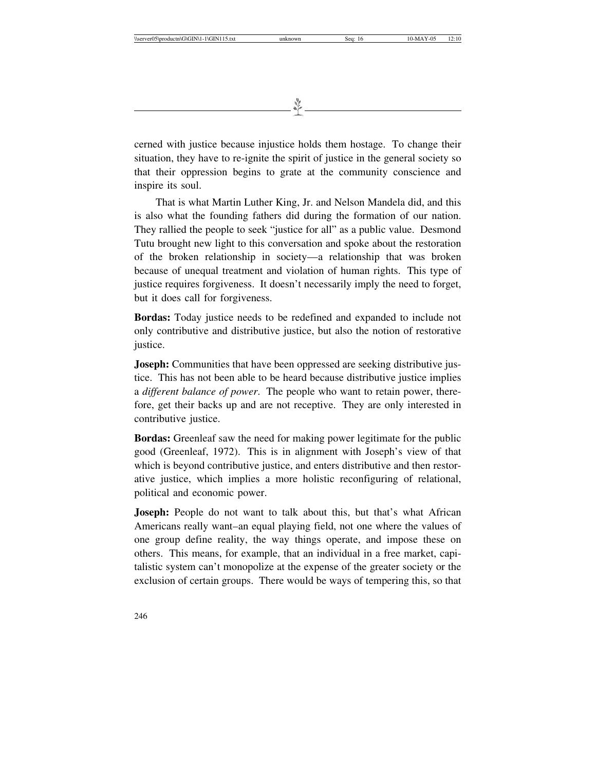cerned with justice because injustice holds them hostage. To change their situation, they have to re-ignite the spirit of justice in the general society so that their oppression begins to grate at the community conscience and inspire its soul.

That is what Martin Luther King, Jr. and Nelson Mandela did, and this is also what the founding fathers did during the formation of our nation. They rallied the people to seek "justice for all" as a public value. Desmond Tutu brought new light to this conversation and spoke about the restoration of the broken relationship in society—a relationship that was broken because of unequal treatment and violation of human rights. This type of justice requires forgiveness. It doesn't necessarily imply the need to forget, but it does call for forgiveness.

**Bordas:** Today justice needs to be redefined and expanded to include not only contributive and distributive justice, but also the notion of restorative justice.

**Joseph:** Communities that have been oppressed are seeking distributive justice. This has not been able to be heard because distributive justice implies a *different balance of power*. The people who want to retain power, therefore, get their backs up and are not receptive. They are only interested in contributive justice.

**Bordas:** Greenleaf saw the need for making power legitimate for the public good (Greenleaf, 1972). This is in alignment with Joseph's view of that which is beyond contributive justice, and enters distributive and then restorative justice, which implies a more holistic reconfiguring of relational, political and economic power.

**Joseph:** People do not want to talk about this, but that's what African Americans really want–an equal playing field, not one where the values of one group define reality, the way things operate, and impose these on others. This means, for example, that an individual in a free market, capitalistic system can't monopolize at the expense of the greater society or the exclusion of certain groups. There would be ways of tempering this, so that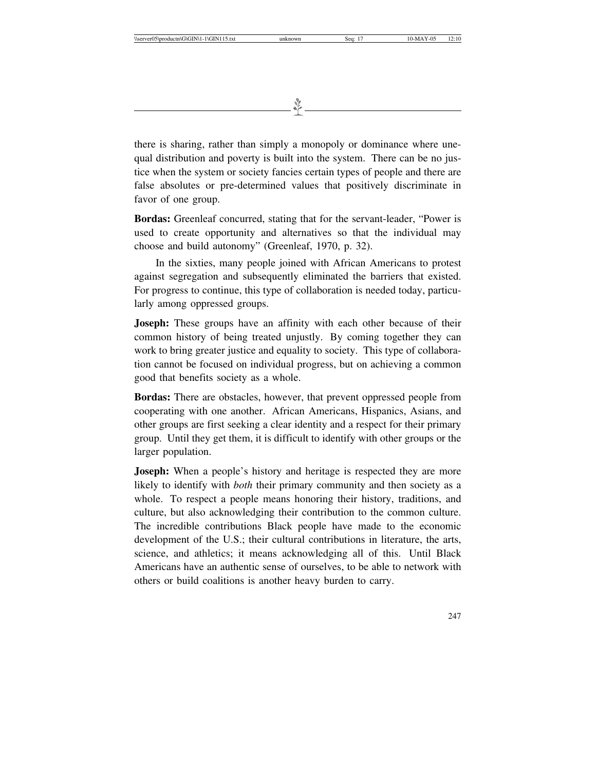there is sharing, rather than simply a monopoly or dominance where unequal distribution and poverty is built into the system. There can be no justice when the system or society fancies certain types of people and there are false absolutes or pre-determined values that positively discriminate in favor of one group.

**Bordas:** Greenleaf concurred, stating that for the servant-leader, "Power is used to create opportunity and alternatives so that the individual may choose and build autonomy" (Greenleaf, 1970, p. 32).

In the sixties, many people joined with African Americans to protest against segregation and subsequently eliminated the barriers that existed. For progress to continue, this type of collaboration is needed today, particularly among oppressed groups.

**Joseph:** These groups have an affinity with each other because of their common history of being treated unjustly. By coming together they can work to bring greater justice and equality to society. This type of collaboration cannot be focused on individual progress, but on achieving a common good that benefits society as a whole.

**Bordas:** There are obstacles, however, that prevent oppressed people from cooperating with one another. African Americans, Hispanics, Asians, and other groups are first seeking a clear identity and a respect for their primary group. Until they get them, it is difficult to identify with other groups or the larger population.

**Joseph:** When a people's history and heritage is respected they are more likely to identify with *both* their primary community and then society as a whole. To respect a people means honoring their history, traditions, and culture, but also acknowledging their contribution to the common culture. The incredible contributions Black people have made to the economic development of the U.S.; their cultural contributions in literature, the arts, science, and athletics; it means acknowledging all of this. Until Black Americans have an authentic sense of ourselves, to be able to network with others or build coalitions is another heavy burden to carry.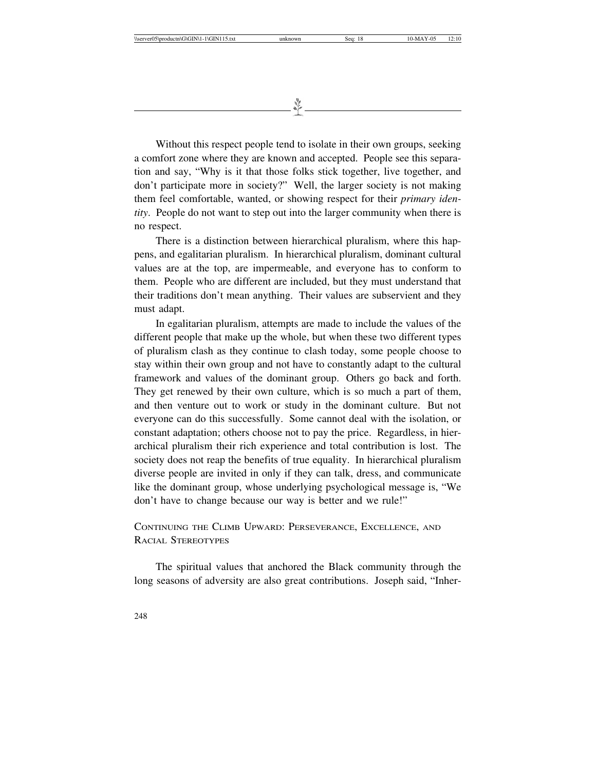Without this respect people tend to isolate in their own groups, seeking a comfort zone where they are known and accepted. People see this separation and say, "Why is it that those folks stick together, live together, and don't participate more in society?" Well, the larger society is not making them feel comfortable, wanted, or showing respect for their *primary identity*. People do not want to step out into the larger community when there is no respect.

There is a distinction between hierarchical pluralism, where this happens, and egalitarian pluralism. In hierarchical pluralism, dominant cultural values are at the top, are impermeable, and everyone has to conform to them. People who are different are included, but they must understand that their traditions don't mean anything. Their values are subservient and they must adapt.

In egalitarian pluralism, attempts are made to include the values of the different people that make up the whole, but when these two different types of pluralism clash as they continue to clash today, some people choose to stay within their own group and not have to constantly adapt to the cultural framework and values of the dominant group. Others go back and forth. They get renewed by their own culture, which is so much a part of them, and then venture out to work or study in the dominant culture. But not everyone can do this successfully. Some cannot deal with the isolation, or constant adaptation; others choose not to pay the price. Regardless, in hierarchical pluralism their rich experience and total contribution is lost. The society does not reap the benefits of true equality. In hierarchical pluralism diverse people are invited in only if they can talk, dress, and communicate like the dominant group, whose underlying psychological message is, "We don't have to change because our way is better and we rule!"

CONTINUING THE CLIMB UPWARD: PERSEVERANCE, EXCELLENCE, AND RACIAL STEREOTYPES

The spiritual values that anchored the Black community through the long seasons of adversity are also great contributions. Joseph said, "Inher-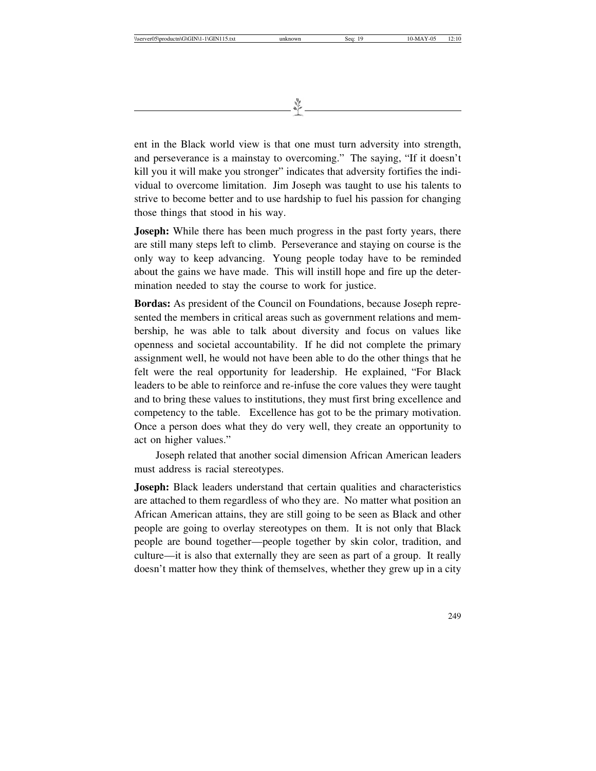| \\server05\productn\G\GIN\1-1\GIN115.txt | unknown | Seq: 19 | $10-MAY-05$ | 12:10 |
|------------------------------------------|---------|---------|-------------|-------|
|                                          |         |         |             |       |
|                                          |         |         |             |       |
|                                          |         |         |             |       |

ent in the Black world view is that one must turn adversity into strength, and perseverance is a mainstay to overcoming." The saying, "If it doesn't kill you it will make you stronger" indicates that adversity fortifies the individual to overcome limitation. Jim Joseph was taught to use his talents to strive to become better and to use hardship to fuel his passion for changing those things that stood in his way.

**Joseph:** While there has been much progress in the past forty years, there are still many steps left to climb. Perseverance and staying on course is the only way to keep advancing. Young people today have to be reminded about the gains we have made. This will instill hope and fire up the determination needed to stay the course to work for justice.

**Bordas:** As president of the Council on Foundations, because Joseph represented the members in critical areas such as government relations and membership, he was able to talk about diversity and focus on values like openness and societal accountability. If he did not complete the primary assignment well, he would not have been able to do the other things that he felt were the real opportunity for leadership. He explained, "For Black leaders to be able to reinforce and re-infuse the core values they were taught and to bring these values to institutions, they must first bring excellence and competency to the table. Excellence has got to be the primary motivation. Once a person does what they do very well, they create an opportunity to act on higher values."

Joseph related that another social dimension African American leaders must address is racial stereotypes.

**Joseph:** Black leaders understand that certain qualities and characteristics are attached to them regardless of who they are. No matter what position an African American attains, they are still going to be seen as Black and other people are going to overlay stereotypes on them. It is not only that Black people are bound together—people together by skin color, tradition, and culture—it is also that externally they are seen as part of a group. It really doesn't matter how they think of themselves, whether they grew up in a city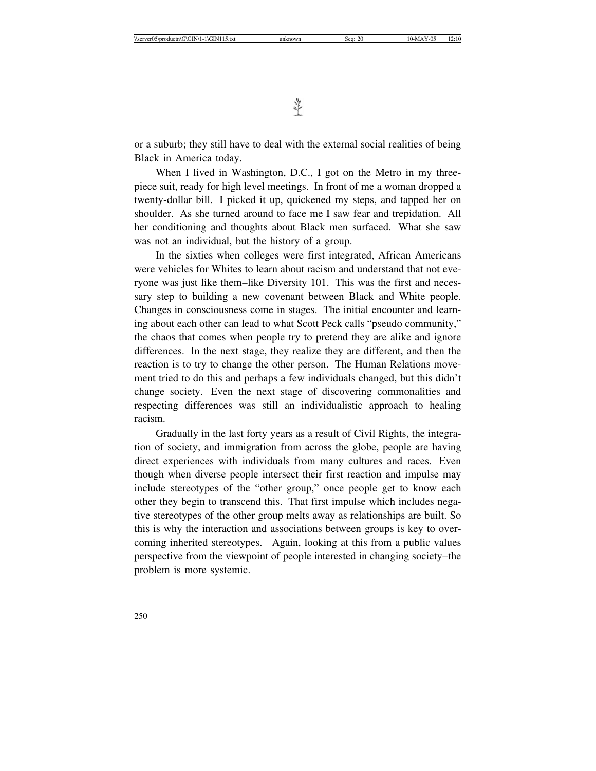or a suburb; they still have to deal with the external social realities of being Black in America today.

When I lived in Washington, D.C., I got on the Metro in my threepiece suit, ready for high level meetings. In front of me a woman dropped a twenty-dollar bill. I picked it up, quickened my steps, and tapped her on shoulder. As she turned around to face me I saw fear and trepidation. All her conditioning and thoughts about Black men surfaced. What she saw was not an individual, but the history of a group.

In the sixties when colleges were first integrated, African Americans were vehicles for Whites to learn about racism and understand that not everyone was just like them–like Diversity 101. This was the first and necessary step to building a new covenant between Black and White people. Changes in consciousness come in stages. The initial encounter and learning about each other can lead to what Scott Peck calls "pseudo community," the chaos that comes when people try to pretend they are alike and ignore differences. In the next stage, they realize they are different, and then the reaction is to try to change the other person. The Human Relations movement tried to do this and perhaps a few individuals changed, but this didn't change society. Even the next stage of discovering commonalities and respecting differences was still an individualistic approach to healing racism.

Gradually in the last forty years as a result of Civil Rights, the integration of society, and immigration from across the globe, people are having direct experiences with individuals from many cultures and races. Even though when diverse people intersect their first reaction and impulse may include stereotypes of the "other group," once people get to know each other they begin to transcend this. That first impulse which includes negative stereotypes of the other group melts away as relationships are built. So this is why the interaction and associations between groups is key to overcoming inherited stereotypes. Again, looking at this from a public values perspective from the viewpoint of people interested in changing society–the problem is more systemic.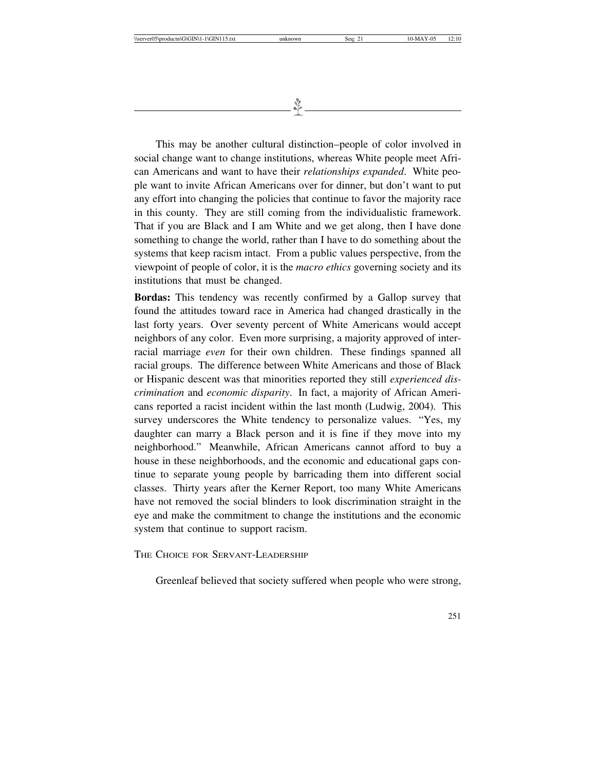This may be another cultural distinction–people of color involved in social change want to change institutions, whereas White people meet African Americans and want to have their *relationships expanded*. White people want to invite African Americans over for dinner, but don't want to put any effort into changing the policies that continue to favor the majority race in this county. They are still coming from the individualistic framework. That if you are Black and I am White and we get along, then I have done something to change the world, rather than I have to do something about the systems that keep racism intact. From a public values perspective, from the viewpoint of people of color, it is the *macro ethics* governing society and its institutions that must be changed.

**Bordas:** This tendency was recently confirmed by a Gallop survey that found the attitudes toward race in America had changed drastically in the last forty years. Over seventy percent of White Americans would accept neighbors of any color. Even more surprising, a majority approved of interracial marriage *even* for their own children. These findings spanned all racial groups. The difference between White Americans and those of Black or Hispanic descent was that minorities reported they still *experienced discrimination* and *economic disparity*. In fact, a majority of African Americans reported a racist incident within the last month (Ludwig, 2004). This survey underscores the White tendency to personalize values. "Yes, my daughter can marry a Black person and it is fine if they move into my neighborhood." Meanwhile, African Americans cannot afford to buy a house in these neighborhoods, and the economic and educational gaps continue to separate young people by barricading them into different social classes. Thirty years after the Kerner Report, too many White Americans have not removed the social blinders to look discrimination straight in the eye and make the commitment to change the institutions and the economic system that continue to support racism.

THE CHOICE FOR SERVANT-LEADERSHIP

Greenleaf believed that society suffered when people who were strong,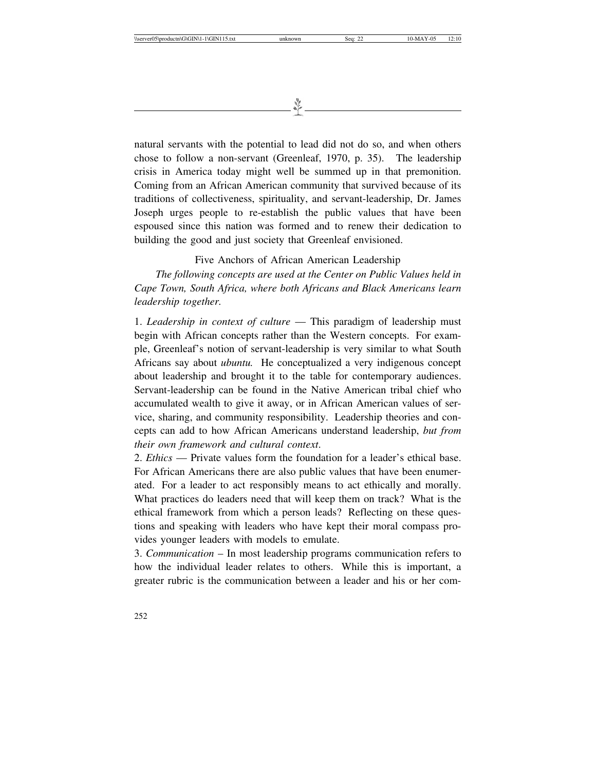| \\server05\productn\G\GIN\1-1\GIN115.txt | unknown | Seq: 22 | 10-MAY-05 | 12:10 |
|------------------------------------------|---------|---------|-----------|-------|
|                                          |         |         |           |       |
|                                          |         |         |           |       |

¥

natural servants with the potential to lead did not do so, and when others chose to follow a non-servant (Greenleaf, 1970, p. 35). The leadership crisis in America today might well be summed up in that premonition. Coming from an African American community that survived because of its traditions of collectiveness, spirituality, and servant-leadership, Dr. James Joseph urges people to re-establish the public values that have been espoused since this nation was formed and to renew their dedication to building the good and just society that Greenleaf envisioned.

Five Anchors of African American Leadership

*The following concepts are used at the Center on Public Values held in Cape Town, South Africa, where both Africans and Black Americans learn leadership together.*

1. *Leadership in context of culture* — This paradigm of leadership must begin with African concepts rather than the Western concepts. For example, Greenleaf's notion of servant-leadership is very similar to what South Africans say about *ubuntu.* He conceptualized a very indigenous concept about leadership and brought it to the table for contemporary audiences. Servant-leadership can be found in the Native American tribal chief who accumulated wealth to give it away, or in African American values of service, sharing, and community responsibility. Leadership theories and concepts can add to how African Americans understand leadership, *but from their own framework and cultural context*.

2. *Ethics* — Private values form the foundation for a leader's ethical base. For African Americans there are also public values that have been enumerated. For a leader to act responsibly means to act ethically and morally. What practices do leaders need that will keep them on track? What is the ethical framework from which a person leads? Reflecting on these questions and speaking with leaders who have kept their moral compass provides younger leaders with models to emulate.

3. *Communication* – In most leadership programs communication refers to how the individual leader relates to others. While this is important, a greater rubric is the communication between a leader and his or her com-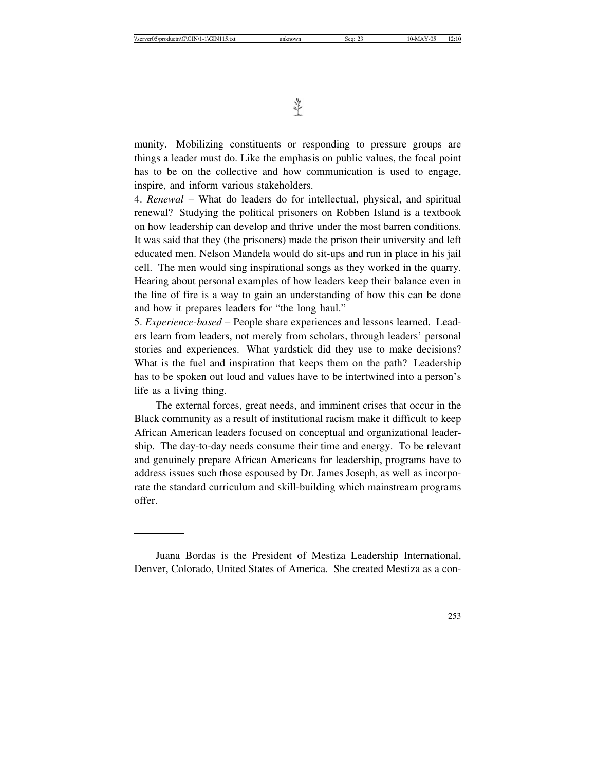munity. Mobilizing constituents or responding to pressure groups are things a leader must do. Like the emphasis on public values, the focal point has to be on the collective and how communication is used to engage, inspire, and inform various stakeholders.

4. *Renewal* – What do leaders do for intellectual, physical, and spiritual renewal? Studying the political prisoners on Robben Island is a textbook on how leadership can develop and thrive under the most barren conditions. It was said that they (the prisoners) made the prison their university and left educated men. Nelson Mandela would do sit-ups and run in place in his jail cell. The men would sing inspirational songs as they worked in the quarry. Hearing about personal examples of how leaders keep their balance even in the line of fire is a way to gain an understanding of how this can be done and how it prepares leaders for "the long haul."

5. *Experience-based* – People share experiences and lessons learned. Leaders learn from leaders, not merely from scholars, through leaders' personal stories and experiences. What yardstick did they use to make decisions? What is the fuel and inspiration that keeps them on the path? Leadership has to be spoken out loud and values have to be intertwined into a person's life as a living thing.

The external forces, great needs, and imminent crises that occur in the Black community as a result of institutional racism make it difficult to keep African American leaders focused on conceptual and organizational leadership. The day-to-day needs consume their time and energy. To be relevant and genuinely prepare African Americans for leadership, programs have to address issues such those espoused by Dr. James Joseph, as well as incorporate the standard curriculum and skill-building which mainstream programs offer.

Juana Bordas is the President of Mestiza Leadership International, Denver, Colorado, United States of America. She created Mestiza as a con-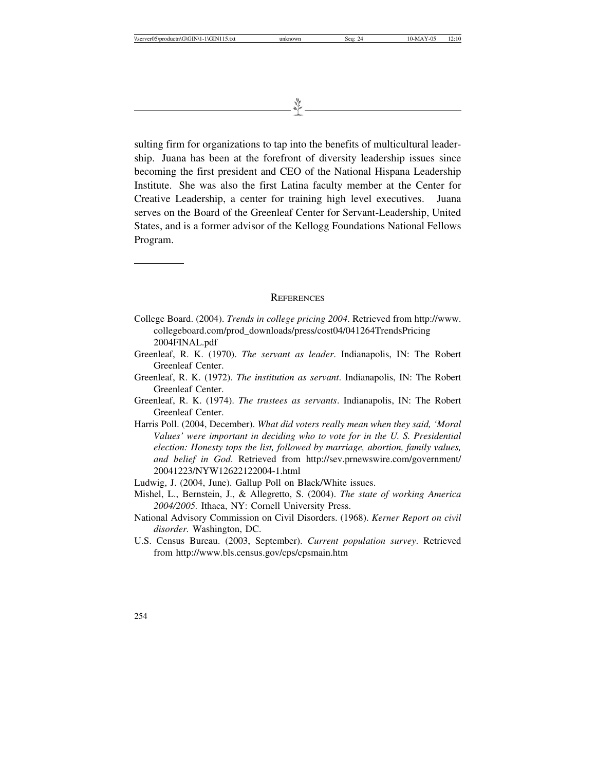| \\server05\productn\G\GIN\1-1\GIN115.txt | known | Seq: 24 | $10-MAY-05$ | 12:10 |
|------------------------------------------|-------|---------|-------------|-------|
|                                          |       |         |             |       |
|                                          |       |         |             |       |

sulting firm for organizations to tap into the benefits of multicultural leadership. Juana has been at the forefront of diversity leadership issues since becoming the first president and CEO of the National Hispana Leadership Institute. She was also the first Latina faculty member at the Center for Creative Leadership, a center for training high level executives. Juana serves on the Board of the Greenleaf Center for Servant-Leadership, United States, and is a former advisor of the Kellogg Foundations National Fellows Program.

#### **REFERENCES**

- College Board. (2004). *Trends in college pricing 2004*. Retrieved from http://www. collegeboard.com/prod\_downloads/press/cost04/041264TrendsPricing 2004FINAL.pdf
- Greenleaf, R. K. (1970). *The servant as leader*. Indianapolis, IN: The Robert Greenleaf Center.
- Greenleaf, R. K. (1972). *The institution as servant*. Indianapolis, IN: The Robert Greenleaf Center.
- Greenleaf, R. K. (1974). *The trustees as servants*. Indianapolis, IN: The Robert Greenleaf Center.
- Harris Poll. (2004, December). *What did voters really mean when they said, 'Moral Values' were important in deciding who to vote for in the U. S. Presidential election: Honesty tops the list, followed by marriage, abortion, family values, and belief in God*. Retrieved from http://sev.prnewswire.com/government/ 20041223/NYW12622122004-1.html
- Ludwig, J. (2004, June). Gallup Poll on Black/White issues.
- Mishel, L., Bernstein, J., & Allegretto, S. (2004). *The state of working America 2004/2005.* Ithaca, NY: Cornell University Press.
- National Advisory Commission on Civil Disorders. (1968). *Kerner Report on civil disorder.* Washington, DC.
- U.S. Census Bureau. (2003, September). *Current population survey*. Retrieved from http://www.bls.census.gov/cps/cpsmain.htm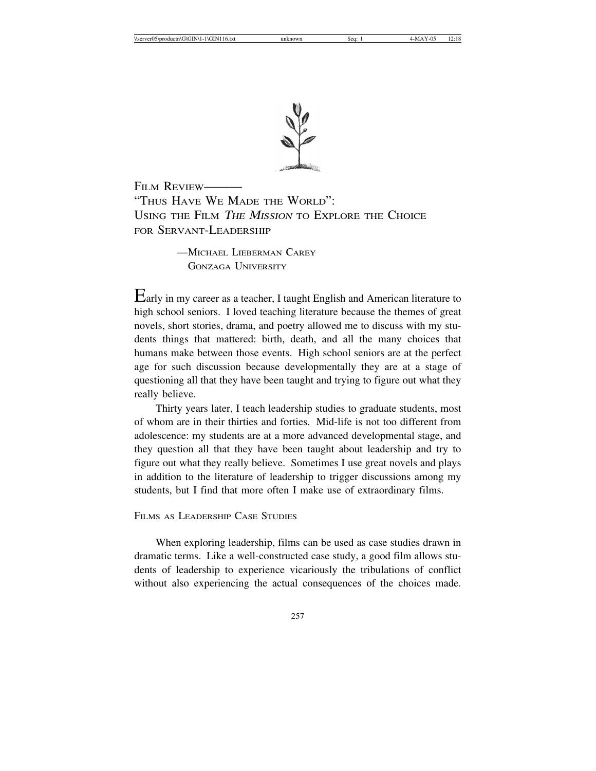

FILM REVIEW-"THUS HAVE WE MADE THE WORLD": USING THE FILM <sup>T</sup>HE MISSION TO EXPLORE THE CHOICE FOR SERVANT-LEADERSHIP

> —MICHAEL LIEBERMAN CAREY GONZAGA UNIVERSITY

Early in my career as a teacher, I taught English and American literature to high school seniors. I loved teaching literature because the themes of great novels, short stories, drama, and poetry allowed me to discuss with my students things that mattered: birth, death, and all the many choices that humans make between those events. High school seniors are at the perfect age for such discussion because developmentally they are at a stage of questioning all that they have been taught and trying to figure out what they really believe.

Thirty years later, I teach leadership studies to graduate students, most of whom are in their thirties and forties. Mid-life is not too different from adolescence: my students are at a more advanced developmental stage, and they question all that they have been taught about leadership and try to figure out what they really believe. Sometimes I use great novels and plays in addition to the literature of leadership to trigger discussions among my students, but I find that more often I make use of extraordinary films.

#### FILMS AS LEADERSHIP CASE STUDIES

When exploring leadership, films can be used as case studies drawn in dramatic terms. Like a well-constructed case study, a good film allows students of leadership to experience vicariously the tribulations of conflict without also experiencing the actual consequences of the choices made.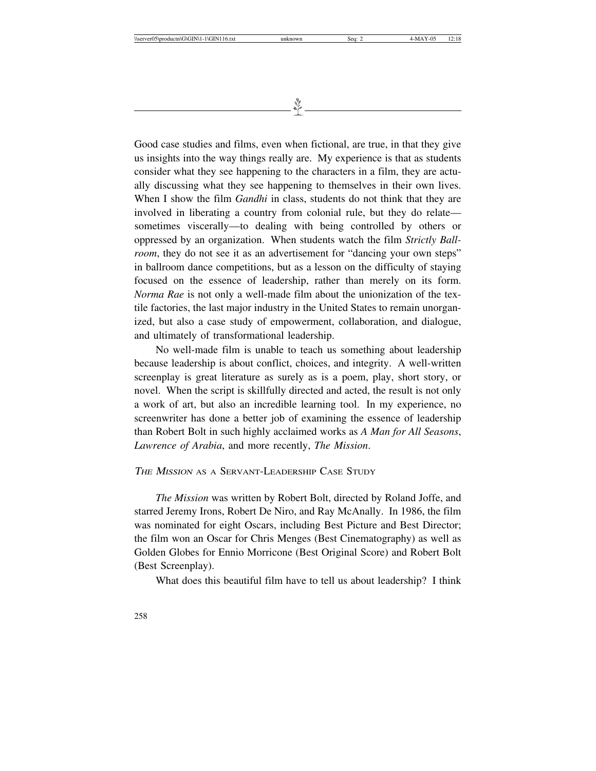Good case studies and films, even when fictional, are true, in that they give us insights into the way things really are. My experience is that as students consider what they see happening to the characters in a film, they are actually discussing what they see happening to themselves in their own lives. When I show the film *Gandhi* in class, students do not think that they are involved in liberating a country from colonial rule, but they do relate sometimes viscerally—to dealing with being controlled by others or oppressed by an organization. When students watch the film *Strictly Ballroom*, they do not see it as an advertisement for "dancing your own steps" in ballroom dance competitions, but as a lesson on the difficulty of staying focused on the essence of leadership, rather than merely on its form. *Norma Rae* is not only a well-made film about the unionization of the textile factories, the last major industry in the United States to remain unorganized, but also a case study of empowerment, collaboration, and dialogue, and ultimately of transformational leadership.

No well-made film is unable to teach us something about leadership because leadership is about conflict, choices, and integrity. A well-written screenplay is great literature as surely as is a poem, play, short story, or novel. When the script is skillfully directed and acted, the result is not only a work of art, but also an incredible learning tool. In my experience, no screenwriter has done a better job of examining the essence of leadership than Robert Bolt in such highly acclaimed works as *A Man for All Seasons*, *Lawrence of Arabia*, and more recently, *The Mission*.

#### THE MISSION AS A SERVANT-LEADERSHIP CASE STUDY

*The Mission* was written by Robert Bolt, directed by Roland Joffe, and starred Jeremy Irons, Robert De Niro, and Ray McAnally. In 1986, the film was nominated for eight Oscars, including Best Picture and Best Director; the film won an Oscar for Chris Menges (Best Cinematography) as well as Golden Globes for Ennio Morricone (Best Original Score) and Robert Bolt (Best Screenplay).

What does this beautiful film have to tell us about leadership? I think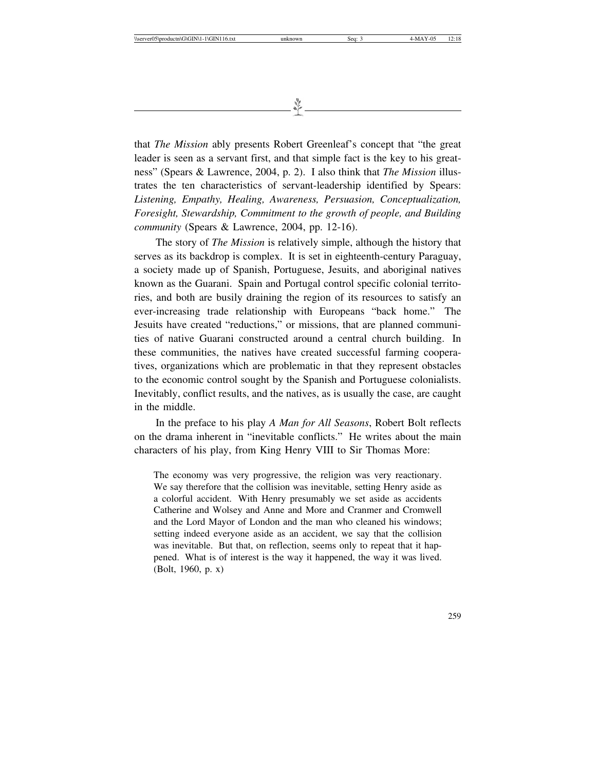| \\server05\productn\G\GIN\1-1\GIN116.txt | unknown | Seq: $3$ | $4-MAY-05$ | 12:18 |
|------------------------------------------|---------|----------|------------|-------|
|                                          |         |          |            |       |
|                                          |         |          |            |       |
|                                          |         |          |            |       |
|                                          |         |          |            |       |
|                                          |         |          |            |       |

that *The Mission* ably presents Robert Greenleaf's concept that "the great leader is seen as a servant first, and that simple fact is the key to his greatness" (Spears & Lawrence, 2004, p. 2). I also think that *The Mission* illustrates the ten characteristics of servant-leadership identified by Spears: *Listening, Empathy, Healing, Awareness, Persuasion, Conceptualization, Foresight, Stewardship, Commitment to the growth of people, and Building community* (Spears & Lawrence, 2004, pp. 12-16).

The story of *The Mission* is relatively simple, although the history that serves as its backdrop is complex. It is set in eighteenth-century Paraguay, a society made up of Spanish, Portuguese, Jesuits, and aboriginal natives known as the Guarani. Spain and Portugal control specific colonial territories, and both are busily draining the region of its resources to satisfy an ever-increasing trade relationship with Europeans "back home." The Jesuits have created "reductions," or missions, that are planned communities of native Guarani constructed around a central church building. In these communities, the natives have created successful farming cooperatives, organizations which are problematic in that they represent obstacles to the economic control sought by the Spanish and Portuguese colonialists. Inevitably, conflict results, and the natives, as is usually the case, are caught in the middle.

In the preface to his play *A Man for All Seasons*, Robert Bolt reflects on the drama inherent in "inevitable conflicts." He writes about the main characters of his play, from King Henry VIII to Sir Thomas More:

The economy was very progressive, the religion was very reactionary. We say therefore that the collision was inevitable, setting Henry aside as a colorful accident. With Henry presumably we set aside as accidents Catherine and Wolsey and Anne and More and Cranmer and Cromwell and the Lord Mayor of London and the man who cleaned his windows; setting indeed everyone aside as an accident, we say that the collision was inevitable. But that, on reflection, seems only to repeat that it happened. What is of interest is the way it happened, the way it was lived. (Bolt, 1960, p. x)

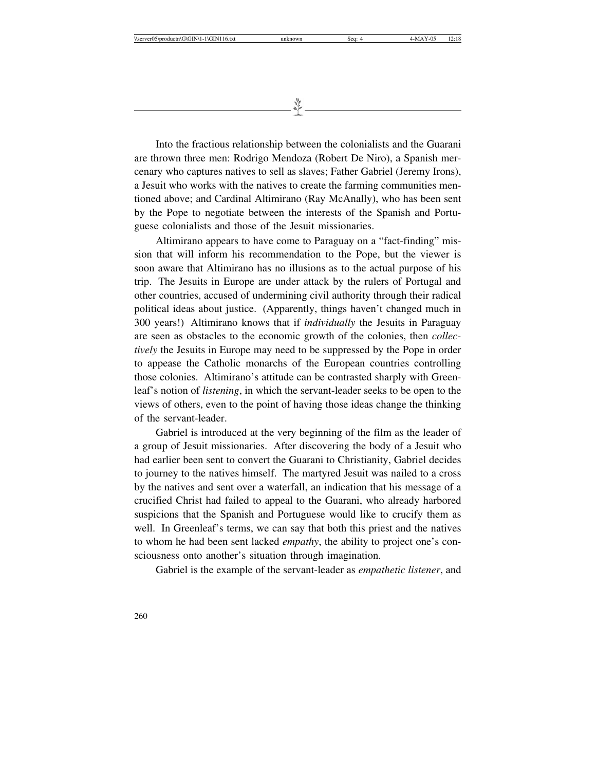Into the fractious relationship between the colonialists and the Guarani are thrown three men: Rodrigo Mendoza (Robert De Niro), a Spanish mercenary who captures natives to sell as slaves; Father Gabriel (Jeremy Irons), a Jesuit who works with the natives to create the farming communities mentioned above; and Cardinal Altimirano (Ray McAnally), who has been sent by the Pope to negotiate between the interests of the Spanish and Portuguese colonialists and those of the Jesuit missionaries.

Altimirano appears to have come to Paraguay on a "fact-finding" mission that will inform his recommendation to the Pope, but the viewer is soon aware that Altimirano has no illusions as to the actual purpose of his trip. The Jesuits in Europe are under attack by the rulers of Portugal and other countries, accused of undermining civil authority through their radical political ideas about justice. (Apparently, things haven't changed much in 300 years!) Altimirano knows that if *individually* the Jesuits in Paraguay are seen as obstacles to the economic growth of the colonies, then *collectively* the Jesuits in Europe may need to be suppressed by the Pope in order to appease the Catholic monarchs of the European countries controlling those colonies. Altimirano's attitude can be contrasted sharply with Greenleaf's notion of *listening*, in which the servant-leader seeks to be open to the views of others, even to the point of having those ideas change the thinking of the servant-leader.

Gabriel is introduced at the very beginning of the film as the leader of a group of Jesuit missionaries. After discovering the body of a Jesuit who had earlier been sent to convert the Guarani to Christianity, Gabriel decides to journey to the natives himself. The martyred Jesuit was nailed to a cross by the natives and sent over a waterfall, an indication that his message of a crucified Christ had failed to appeal to the Guarani, who already harbored suspicions that the Spanish and Portuguese would like to crucify them as well. In Greenleaf's terms, we can say that both this priest and the natives to whom he had been sent lacked *empathy*, the ability to project one's consciousness onto another's situation through imagination.

Gabriel is the example of the servant-leader as *empathetic listener*, and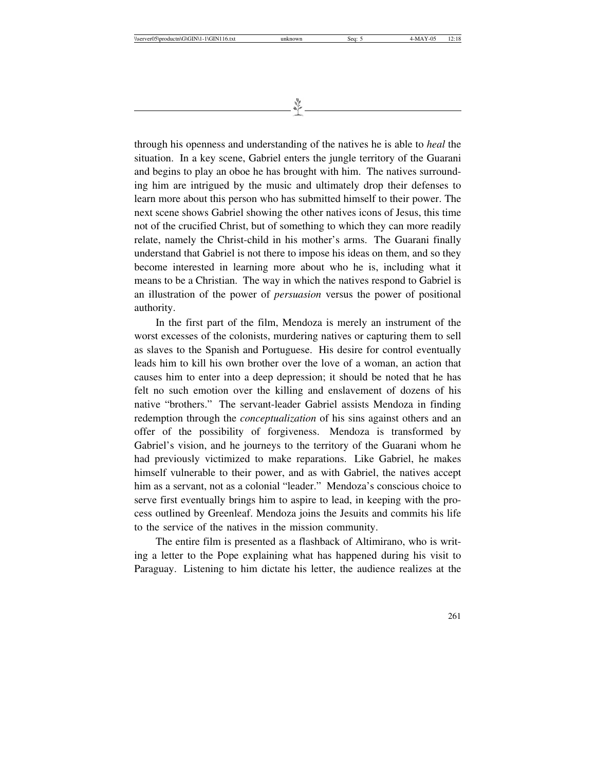¥

through his openness and understanding of the natives he is able to *heal* the situation. In a key scene, Gabriel enters the jungle territory of the Guarani and begins to play an oboe he has brought with him. The natives surrounding him are intrigued by the music and ultimately drop their defenses to learn more about this person who has submitted himself to their power. The next scene shows Gabriel showing the other natives icons of Jesus, this time not of the crucified Christ, but of something to which they can more readily relate, namely the Christ-child in his mother's arms. The Guarani finally understand that Gabriel is not there to impose his ideas on them, and so they become interested in learning more about who he is, including what it means to be a Christian. The way in which the natives respond to Gabriel is an illustration of the power of *persuasion* versus the power of positional authority.

In the first part of the film, Mendoza is merely an instrument of the worst excesses of the colonists, murdering natives or capturing them to sell as slaves to the Spanish and Portuguese. His desire for control eventually leads him to kill his own brother over the love of a woman, an action that causes him to enter into a deep depression; it should be noted that he has felt no such emotion over the killing and enslavement of dozens of his native "brothers." The servant-leader Gabriel assists Mendoza in finding redemption through the *conceptualization* of his sins against others and an offer of the possibility of forgiveness. Mendoza is transformed by Gabriel's vision, and he journeys to the territory of the Guarani whom he had previously victimized to make reparations. Like Gabriel, he makes himself vulnerable to their power, and as with Gabriel, the natives accept him as a servant, not as a colonial "leader." Mendoza's conscious choice to serve first eventually brings him to aspire to lead, in keeping with the process outlined by Greenleaf. Mendoza joins the Jesuits and commits his life to the service of the natives in the mission community.

The entire film is presented as a flashback of Altimirano, who is writing a letter to the Pope explaining what has happened during his visit to Paraguay. Listening to him dictate his letter, the audience realizes at the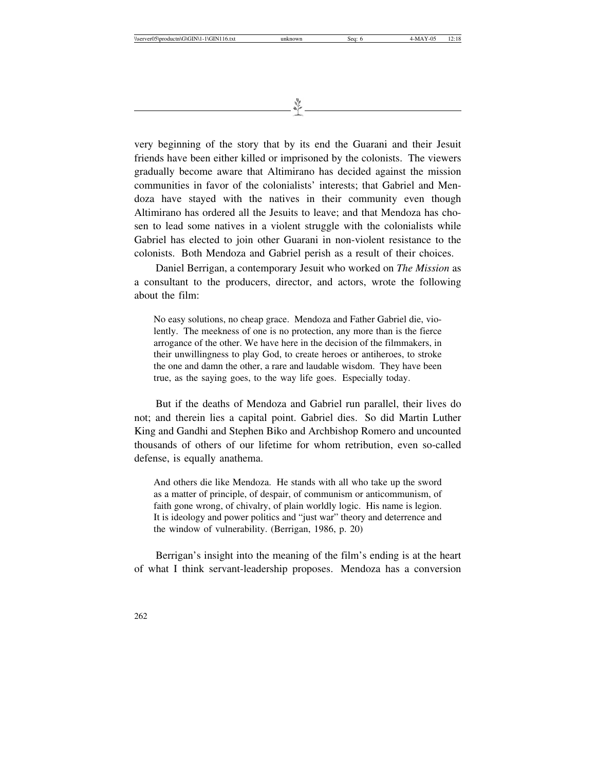¥

very beginning of the story that by its end the Guarani and their Jesuit friends have been either killed or imprisoned by the colonists. The viewers gradually become aware that Altimirano has decided against the mission communities in favor of the colonialists' interests; that Gabriel and Mendoza have stayed with the natives in their community even though Altimirano has ordered all the Jesuits to leave; and that Mendoza has chosen to lead some natives in a violent struggle with the colonialists while Gabriel has elected to join other Guarani in non-violent resistance to the colonists. Both Mendoza and Gabriel perish as a result of their choices.

Daniel Berrigan, a contemporary Jesuit who worked on *The Mission* as a consultant to the producers, director, and actors, wrote the following about the film:

No easy solutions, no cheap grace. Mendoza and Father Gabriel die, violently. The meekness of one is no protection, any more than is the fierce arrogance of the other. We have here in the decision of the filmmakers, in their unwillingness to play God, to create heroes or antiheroes, to stroke the one and damn the other, a rare and laudable wisdom. They have been true, as the saying goes, to the way life goes. Especially today.

But if the deaths of Mendoza and Gabriel run parallel, their lives do not; and therein lies a capital point. Gabriel dies. So did Martin Luther King and Gandhi and Stephen Biko and Archbishop Romero and uncounted thousands of others of our lifetime for whom retribution, even so-called defense, is equally anathema.

And others die like Mendoza. He stands with all who take up the sword as a matter of principle, of despair, of communism or anticommunism, of faith gone wrong, of chivalry, of plain worldly logic. His name is legion. It is ideology and power politics and "just war" theory and deterrence and the window of vulnerability. (Berrigan, 1986, p. 20)

Berrigan's insight into the meaning of the film's ending is at the heart of what I think servant-leadership proposes. Mendoza has a conversion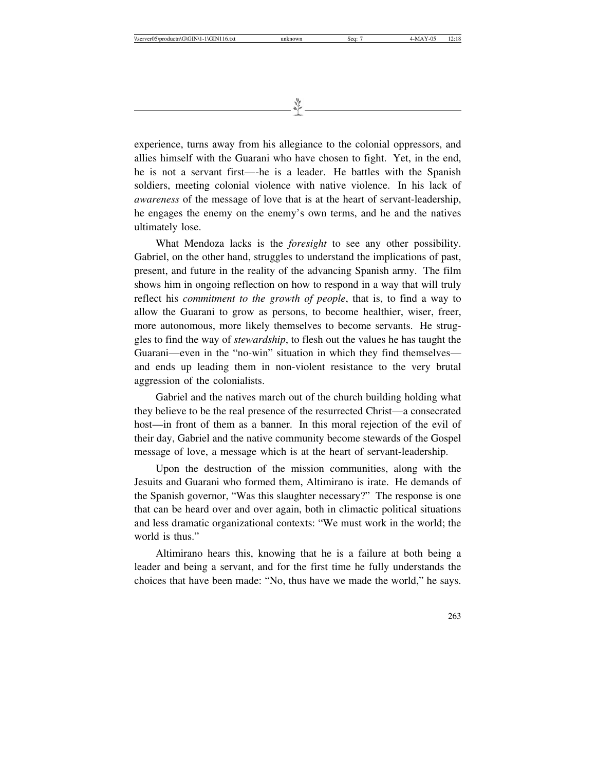experience, turns away from his allegiance to the colonial oppressors, and allies himself with the Guarani who have chosen to fight. Yet, in the end, he is not a servant first—-he is a leader. He battles with the Spanish soldiers, meeting colonial violence with native violence. In his lack of *awareness* of the message of love that is at the heart of servant-leadership, he engages the enemy on the enemy's own terms, and he and the natives ultimately lose.

What Mendoza lacks is the *foresight* to see any other possibility. Gabriel, on the other hand, struggles to understand the implications of past, present, and future in the reality of the advancing Spanish army. The film shows him in ongoing reflection on how to respond in a way that will truly reflect his *commitment to the growth of people*, that is, to find a way to allow the Guarani to grow as persons, to become healthier, wiser, freer, more autonomous, more likely themselves to become servants. He struggles to find the way of *stewardship*, to flesh out the values he has taught the Guarani—even in the "no-win" situation in which they find themselves and ends up leading them in non-violent resistance to the very brutal aggression of the colonialists.

Gabriel and the natives march out of the church building holding what they believe to be the real presence of the resurrected Christ—a consecrated host—in front of them as a banner. In this moral rejection of the evil of their day, Gabriel and the native community become stewards of the Gospel message of love, a message which is at the heart of servant-leadership.

Upon the destruction of the mission communities, along with the Jesuits and Guarani who formed them, Altimirano is irate. He demands of the Spanish governor, "Was this slaughter necessary?" The response is one that can be heard over and over again, both in climactic political situations and less dramatic organizational contexts: "We must work in the world; the world is thus."

Altimirano hears this, knowing that he is a failure at both being a leader and being a servant, and for the first time he fully understands the choices that have been made: "No, thus have we made the world," he says.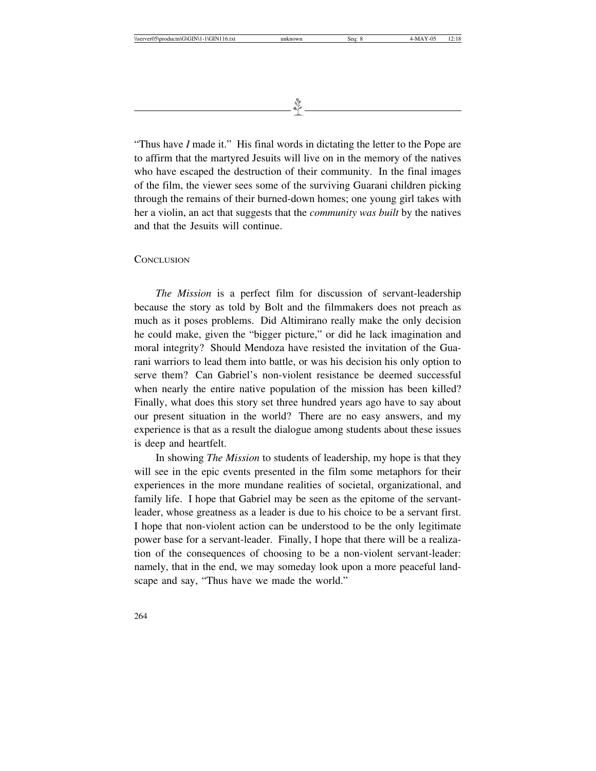| \\server05\productn\G\GIN\1-1\GIN116.txt | unknown | Seq: 8 | $4-MAY-05$ | 12:18 |
|------------------------------------------|---------|--------|------------|-------|
|                                          |         |        |            |       |
|                                          |         |        |            |       |
|                                          |         |        |            |       |
|                                          |         |        |            |       |
|                                          |         |        |            |       |

"Thus have *I* made it." His final words in dictating the letter to the Pope are to affirm that the martyred Jesuits will live on in the memory of the natives who have escaped the destruction of their community. In the final images of the film, the viewer sees some of the surviving Guarani children picking through the remains of their burned-down homes; one young girl takes with her a violin, an act that suggests that the *community was built* by the natives and that the Jesuits will continue.

#### **CONCLUSION**

*The Mission* is a perfect film for discussion of servant-leadership because the story as told by Bolt and the filmmakers does not preach as much as it poses problems. Did Altimirano really make the only decision he could make, given the "bigger picture," or did he lack imagination and moral integrity? Should Mendoza have resisted the invitation of the Guarani warriors to lead them into battle, or was his decision his only option to serve them? Can Gabriel's non-violent resistance be deemed successful when nearly the entire native population of the mission has been killed? Finally, what does this story set three hundred years ago have to say about our present situation in the world? There are no easy answers, and my experience is that as a result the dialogue among students about these issues is deep and heartfelt.

In showing *The Mission* to students of leadership, my hope is that they will see in the epic events presented in the film some metaphors for their experiences in the more mundane realities of societal, organizational, and family life. I hope that Gabriel may be seen as the epitome of the servantleader, whose greatness as a leader is due to his choice to be a servant first. I hope that non-violent action can be understood to be the only legitimate power base for a servant-leader. Finally, I hope that there will be a realization of the consequences of choosing to be a non-violent servant-leader: namely, that in the end, we may someday look upon a more peaceful landscape and say, "Thus have we made the world."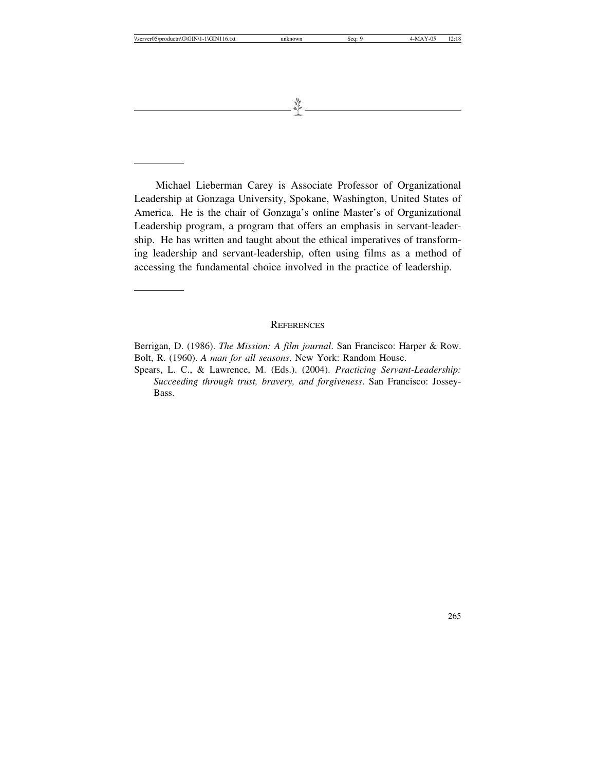| \\server05\productn\G\GIN\1-1\GIN116.txt | unknown           | Seq: 9 | 4-MAY-05 | 12:18 |
|------------------------------------------|-------------------|--------|----------|-------|
|                                          |                   |        |          |       |
|                                          |                   |        |          |       |
|                                          |                   |        |          |       |
|                                          |                   |        |          |       |
|                                          |                   |        |          |       |
|                                          |                   |        |          |       |
|                                          |                   |        |          |       |
|                                          | ∛                 |        |          |       |
|                                          |                   |        |          |       |
|                                          | <b>Contractor</b> |        |          |       |
|                                          |                   |        |          |       |

Michael Lieberman Carey is Associate Professor of Organizational Leadership at Gonzaga University, Spokane, Washington, United States of America. He is the chair of Gonzaga's online Master's of Organizational Leadership program, a program that offers an emphasis in servant-leadership. He has written and taught about the ethical imperatives of transforming leadership and servant-leadership, often using films as a method of accessing the fundamental choice involved in the practice of leadership.

#### **REFERENCES**

Berrigan, D. (1986). *The Mission: A film journal*. San Francisco: Harper & Row. Bolt, R. (1960). *A man for all seasons*. New York: Random House.

Spears, L. C., & Lawrence, M. (Eds.). (2004). *Practicing Servant-Leadership: Succeeding through trust, bravery, and forgiveness*. San Francisco: Jossey-Bass.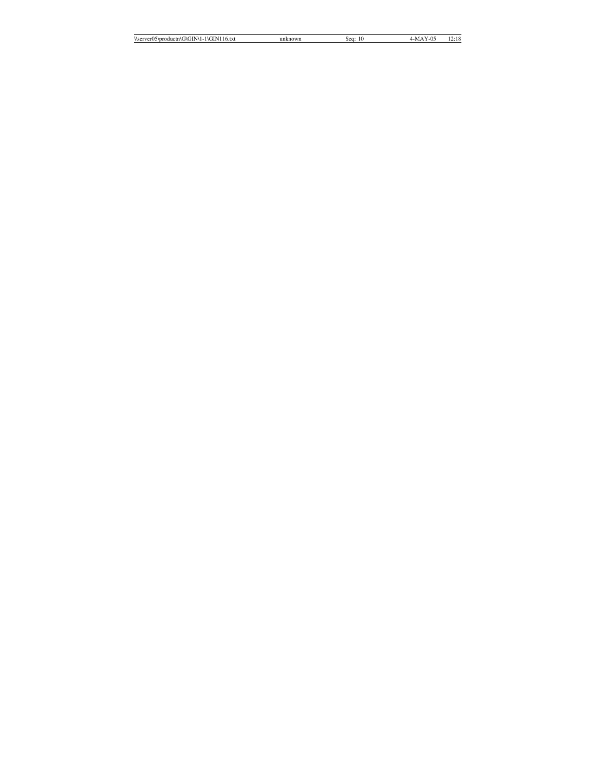| \1-1\GIN116.txt<br>roductn\G\GIN\1<br>\\server\<br>7) DL<br>VCLUJ | known<br>unk | -10<br>sea | $\bf{N}$<br>17 L A<br> | -<br>$1 - 1$ |
|-------------------------------------------------------------------|--------------|------------|------------------------|--------------|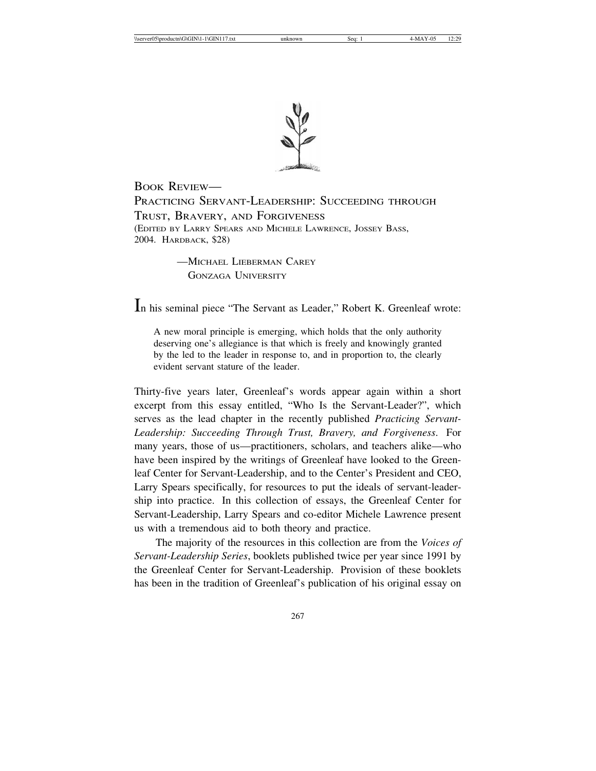

BOOK REVIEW— PRACTICING SERVANT-LEADERSHIP: SUCCEEDING THROUGH TRUST, BRAVERY, AND FORGIVENESS (EDITED BY LARRY SPEARS AND MICHELE LAWRENCE, JOSSEY BASS, 2004. HARDBACK, \$28)

> —MICHAEL LIEBERMAN CAREY GONZAGA UNIVERSITY

In his seminal piece "The Servant as Leader," Robert K. Greenleaf wrote:

A new moral principle is emerging, which holds that the only authority deserving one's allegiance is that which is freely and knowingly granted by the led to the leader in response to, and in proportion to, the clearly evident servant stature of the leader.

Thirty-five years later, Greenleaf's words appear again within a short excerpt from this essay entitled, "Who Is the Servant-Leader?", which serves as the lead chapter in the recently published *Practicing Servant-Leadership: Succeeding Through Trust, Bravery, and Forgiveness*. For many years, those of us—practitioners, scholars, and teachers alike—who have been inspired by the writings of Greenleaf have looked to the Greenleaf Center for Servant-Leadership, and to the Center's President and CEO, Larry Spears specifically, for resources to put the ideals of servant-leadership into practice. In this collection of essays, the Greenleaf Center for Servant-Leadership, Larry Spears and co-editor Michele Lawrence present us with a tremendous aid to both theory and practice.

The majority of the resources in this collection are from the *Voices of Servant-Leadership Series*, booklets published twice per year since 1991 by the Greenleaf Center for Servant-Leadership. Provision of these booklets has been in the tradition of Greenleaf's publication of his original essay on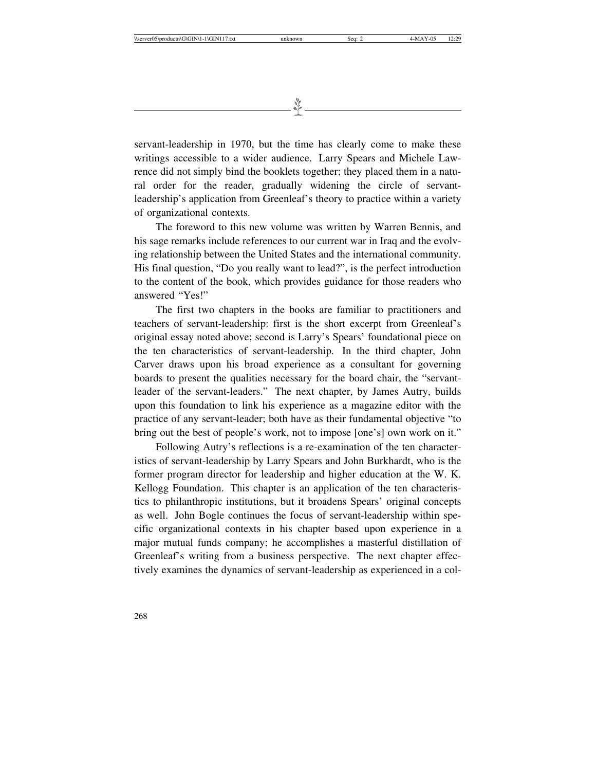| \\server05\productn\G\GIN\1-1\GIN117.txt | unknown | Seq: | $4-MAY-05$ | 12:29 |
|------------------------------------------|---------|------|------------|-------|
|                                          |         |      |            |       |
|                                          |         |      |            |       |
|                                          |         |      |            |       |
|                                          |         |      |            |       |
|                                          |         |      |            |       |

servant-leadership in 1970, but the time has clearly come to make these writings accessible to a wider audience. Larry Spears and Michele Lawrence did not simply bind the booklets together; they placed them in a natural order for the reader, gradually widening the circle of servantleadership's application from Greenleaf's theory to practice within a variety of organizational contexts.

The foreword to this new volume was written by Warren Bennis, and his sage remarks include references to our current war in Iraq and the evolving relationship between the United States and the international community. His final question, "Do you really want to lead?", is the perfect introduction to the content of the book, which provides guidance for those readers who answered "Yes!"

The first two chapters in the books are familiar to practitioners and teachers of servant-leadership: first is the short excerpt from Greenleaf's original essay noted above; second is Larry's Spears' foundational piece on the ten characteristics of servant-leadership. In the third chapter, John Carver draws upon his broad experience as a consultant for governing boards to present the qualities necessary for the board chair, the "servantleader of the servant-leaders." The next chapter, by James Autry, builds upon this foundation to link his experience as a magazine editor with the practice of any servant-leader; both have as their fundamental objective "to bring out the best of people's work, not to impose [one's] own work on it."

Following Autry's reflections is a re-examination of the ten characteristics of servant-leadership by Larry Spears and John Burkhardt, who is the former program director for leadership and higher education at the W. K. Kellogg Foundation. This chapter is an application of the ten characteristics to philanthropic institutions, but it broadens Spears' original concepts as well. John Bogle continues the focus of servant-leadership within specific organizational contexts in his chapter based upon experience in a major mutual funds company; he accomplishes a masterful distillation of Greenleaf's writing from a business perspective. The next chapter effectively examines the dynamics of servant-leadership as experienced in a col-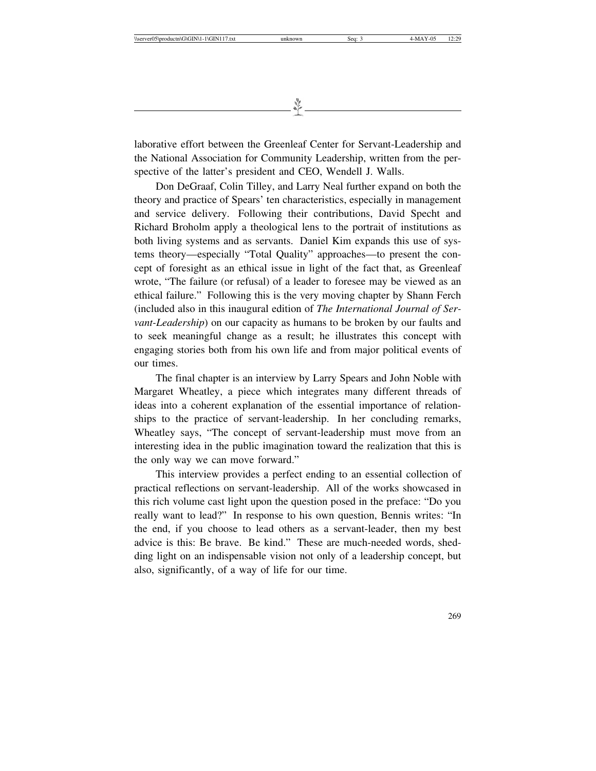| \\server05\productn\G\GIN\1-1\GIN117.txt | unknown | Seq: $3$ | $4-MAY-05$ | 12:29 |
|------------------------------------------|---------|----------|------------|-------|
|                                          |         |          |            |       |
|                                          |         |          |            |       |
|                                          |         |          |            |       |
|                                          |         |          |            |       |
|                                          |         |          |            |       |
|                                          |         |          |            |       |

laborative effort between the Greenleaf Center for Servant-Leadership and the National Association for Community Leadership, written from the perspective of the latter's president and CEO, Wendell J. Walls.

Don DeGraaf, Colin Tilley, and Larry Neal further expand on both the theory and practice of Spears' ten characteristics, especially in management and service delivery. Following their contributions, David Specht and Richard Broholm apply a theological lens to the portrait of institutions as both living systems and as servants. Daniel Kim expands this use of systems theory—especially "Total Quality" approaches—to present the concept of foresight as an ethical issue in light of the fact that, as Greenleaf wrote, "The failure (or refusal) of a leader to foresee may be viewed as an ethical failure." Following this is the very moving chapter by Shann Ferch (included also in this inaugural edition of *The International Journal of Servant-Leadership*) on our capacity as humans to be broken by our faults and to seek meaningful change as a result; he illustrates this concept with engaging stories both from his own life and from major political events of our times.

The final chapter is an interview by Larry Spears and John Noble with Margaret Wheatley, a piece which integrates many different threads of ideas into a coherent explanation of the essential importance of relationships to the practice of servant-leadership. In her concluding remarks, Wheatley says, "The concept of servant-leadership must move from an interesting idea in the public imagination toward the realization that this is the only way we can move forward."

This interview provides a perfect ending to an essential collection of practical reflections on servant-leadership. All of the works showcased in this rich volume cast light upon the question posed in the preface: "Do you really want to lead?" In response to his own question, Bennis writes: "In the end, if you choose to lead others as a servant-leader, then my best advice is this: Be brave. Be kind." These are much-needed words, shedding light on an indispensable vision not only of a leadership concept, but also, significantly, of a way of life for our time.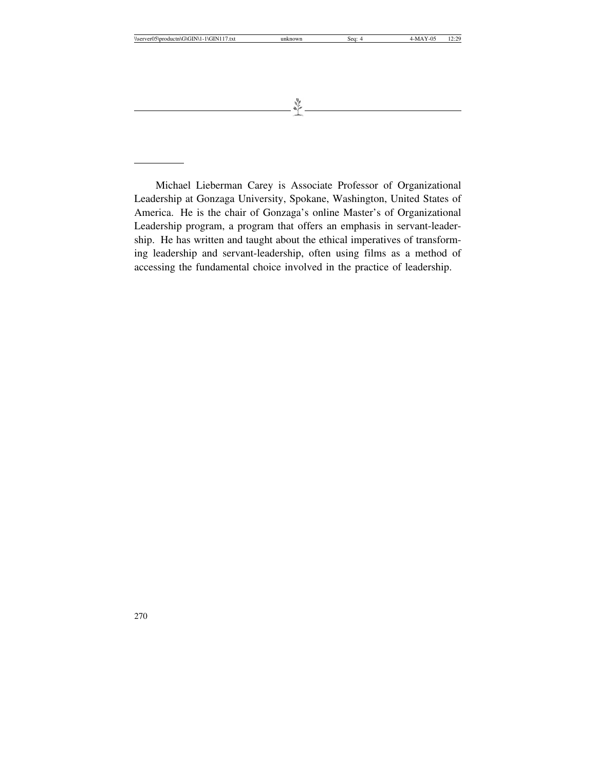| \\server05\productn\G\GIN\1-1\GIN117.txt | unknown           | Seq: $4$ | $4-MAY-05$ | 12:29 |
|------------------------------------------|-------------------|----------|------------|-------|
|                                          |                   |          |            |       |
|                                          |                   |          |            |       |
|                                          |                   |          |            |       |
|                                          |                   |          |            |       |
|                                          |                   |          |            |       |
|                                          |                   |          |            |       |
|                                          | $\mathscr{A}$     |          |            |       |
|                                          | a                 |          |            |       |
|                                          | <b>Contractor</b> |          |            |       |
|                                          |                   |          |            |       |

Michael Lieberman Carey is Associate Professor of Organizational Leadership at Gonzaga University, Spokane, Washington, United States of America. He is the chair of Gonzaga's online Master's of Organizational Leadership program, a program that offers an emphasis in servant-leadership. He has written and taught about the ethical imperatives of transforming leadership and servant-leadership, often using films as a method of accessing the fundamental choice involved in the practice of leadership.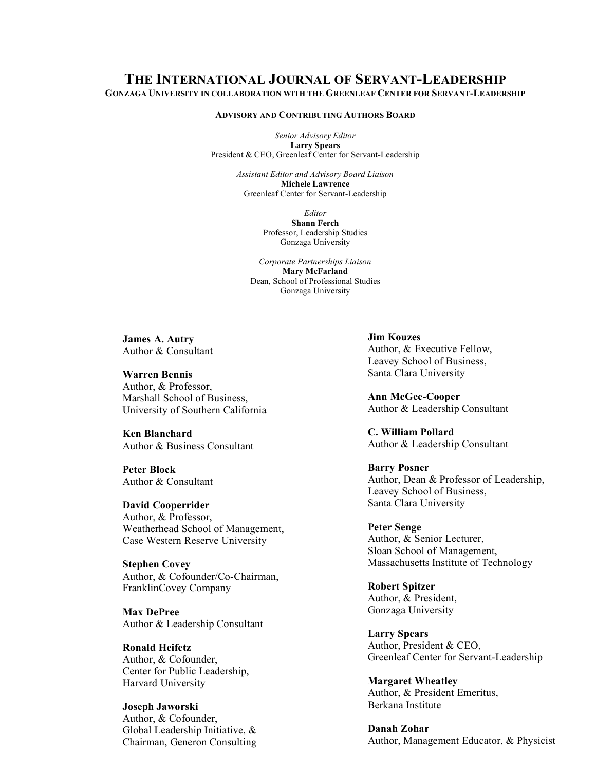#### **THE INTERNATIONAL JOURNAL OF SERVANT-LEADERSHIP GONZAGA UNIVERSITY IN COLLABORATION WITH THE GREENLEAF CENTER FOR SERVANT-LEADERSHIP**

#### **ADVISORY AND CONTRIBUTING AUTHORS BOARD**

*Senior Advisory Editor* **Larry Spears** President & CEO, Greenleaf Center for Servant-Leadership

> *Assistant Editor and Advisory Board Liaison* **Michele Lawrence** Greenleaf Center for Servant-Leadership

> > *Editor* **Shann Ferch** Professor, Leadership Studies Gonzaga University

*Corporate Partnerships Liaison* **Mary McFarland** Dean, School of Professional Studies Gonzaga University

**James A. Autry** Author & Consultant

**Warren Bennis** Author, & Professor, Marshall School of Business, University of Southern California

**Ken Blanchard** Author & Business Consultant

**Peter Block** Author & Consultant

**David Cooperrider** Author, & Professor, Weatherhead School of Management, Case Western Reserve University

**Stephen Covey** Author, & Cofounder/Co-Chairman, FranklinCovey Company

**Max DePree** Author & Leadership Consultant

**Ronald Heifetz** Author, & Cofounder, Center for Public Leadership, Harvard University

**Joseph Jaworski** Author, & Cofounder, Global Leadership Initiative, & Chairman, Generon Consulting **Jim Kouzes** Author, & Executive Fellow, Leavey School of Business, Santa Clara University

**Ann McGee-Cooper** Author & Leadership Consultant

**C. William Pollard** Author & Leadership Consultant

**Barry Posner** Author, Dean & Professor of Leadership, Leavey School of Business, Santa Clara University

**Peter Senge** Author, & Senior Lecturer, Sloan School of Management, Massachusetts Institute of Technology

**Robert Spitzer** Author, & President, Gonzaga University

**Larry Spears** Author, President & CEO, Greenleaf Center for Servant-Leadership

**Margaret Wheatley** Author, & President Emeritus, Berkana Institute

**Danah Zohar** Author, Management Educator, & Physicist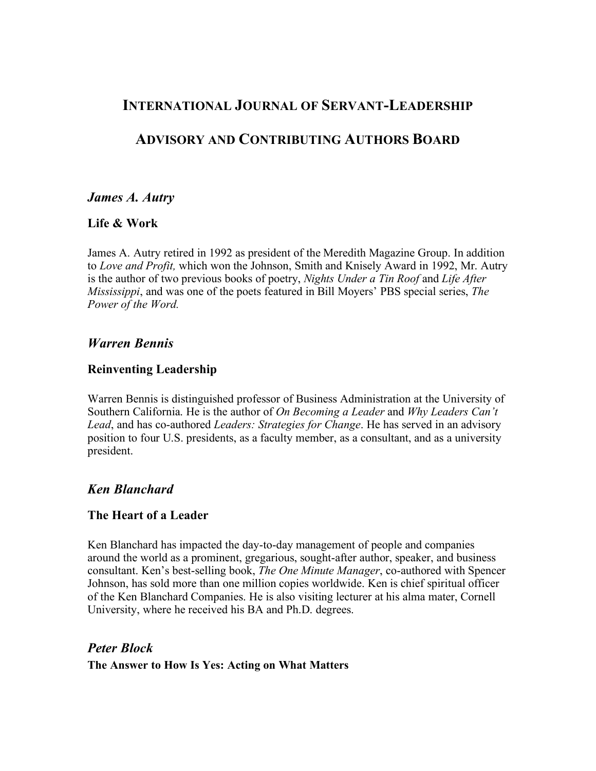# **INTERNATIONAL JOURNAL OF SERVANT-LEADERSHIP**

# **ADVISORY AND CONTRIBUTING AUTHORS BOARD**

## *James A. Autry*

### **Life & Work**

James A. Autry retired in 1992 as president of the Meredith Magazine Group. In addition to *Love and Profit,* which won the Johnson, Smith and Knisely Award in 1992, Mr. Autry is the author of two previous books of poetry, *Nights Under a Tin Roof* and *Life After Mississippi*, and was one of the poets featured in Bill Moyers' PBS special series, *The Power of the Word.*

### *Warren Bennis*

### **Reinventing Leadership**

Warren Bennis is distinguished professor of Business Administration at the University of Southern California. He is the author of *On Becoming a Leader* and *Why Leaders Can't Lead*, and has co-authored *Leaders: Strategies for Change*. He has served in an advisory position to four U.S. presidents, as a faculty member, as a consultant, and as a university president.

## *Ken Blanchard*

#### **The Heart of a Leader**

Ken Blanchard has impacted the day-to-day management of people and companies around the world as a prominent, gregarious, sought-after author, speaker, and business consultant. Ken's best-selling book, *The One Minute Manager*, co-authored with Spencer Johnson, has sold more than one million copies worldwide. Ken is chief spiritual officer of the Ken Blanchard Companies. He is also visiting lecturer at his alma mater, Cornell University, where he received his BA and Ph.D. degrees.

### *Peter Block* **The Answer to How Is Yes: Acting on What Matters**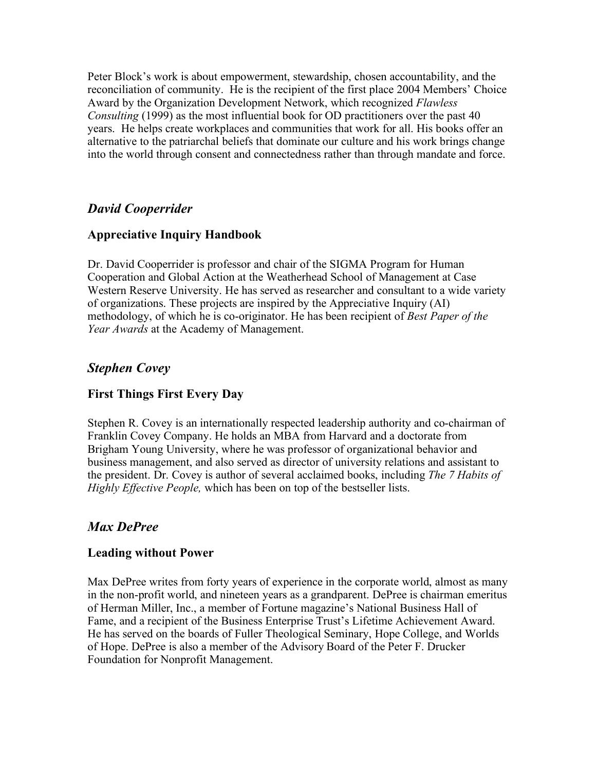Peter Block's work is about empowerment, stewardship, chosen accountability, and the reconciliation of community. He is the recipient of the first place 2004 Members' Choice Award by the Organization Development Network, which recognized *Flawless Consulting* (1999) as the most influential book for OD practitioners over the past 40 years. He helps create workplaces and communities that work for all. His books offer an alternative to the patriarchal beliefs that dominate our culture and his work brings change into the world through consent and connectedness rather than through mandate and force.

# *David Cooperrider*

## **Appreciative Inquiry Handbook**

Dr. David Cooperrider is professor and chair of the SIGMA Program for Human Cooperation and Global Action at the Weatherhead School of Management at Case Western Reserve University. He has served as researcher and consultant to a wide variety of organizations. These projects are inspired by the Appreciative Inquiry (AI) methodology, of which he is co-originator. He has been recipient of *Best Paper of the Year Awards* at the Academy of Management.

## *Stephen Covey*

#### **First Things First Every Day**

Stephen R. Covey is an internationally respected leadership authority and co-chairman of Franklin Covey Company. He holds an MBA from Harvard and a doctorate from Brigham Young University, where he was professor of organizational behavior and business management, and also served as director of university relations and assistant to the president. Dr. Covey is author of several acclaimed books, including *The 7 Habits of Highly Effective People,* which has been on top of the bestseller lists.

## *Max DePree*

## **Leading without Power**

Max DePree writes from forty years of experience in the corporate world, almost as many in the non-profit world, and nineteen years as a grandparent. DePree is chairman emeritus of Herman Miller, Inc., a member of Fortune magazine's National Business Hall of Fame, and a recipient of the Business Enterprise Trust's Lifetime Achievement Award. He has served on the boards of Fuller Theological Seminary, Hope College, and Worlds of Hope. DePree is also a member of the Advisory Board of the Peter F. Drucker Foundation for Nonprofit Management.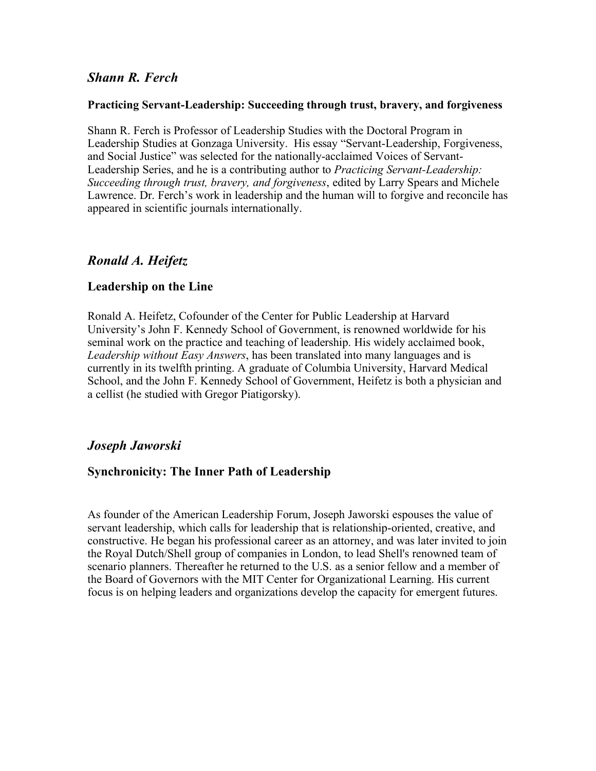## *Shann R. Ferch*

#### **Practicing Servant-Leadership: Succeeding through trust, bravery, and forgiveness**

Shann R. Ferch is Professor of Leadership Studies with the Doctoral Program in Leadership Studies at Gonzaga University. His essay "Servant-Leadership, Forgiveness, and Social Justice" was selected for the nationally-acclaimed Voices of Servant-Leadership Series, and he is a contributing author to *Practicing Servant-Leadership: Succeeding through trust, bravery, and forgiveness*, edited by Larry Spears and Michele Lawrence. Dr. Ferch's work in leadership and the human will to forgive and reconcile has appeared in scientific journals internationally.

## *Ronald A. Heifetz*

#### **Leadership on the Line**

Ronald A. Heifetz, Cofounder of the Center for Public Leadership at Harvard University's John F. Kennedy School of Government, is renowned worldwide for his seminal work on the practice and teaching of leadership. His widely acclaimed book, *Leadership without Easy Answers*, has been translated into many languages and is currently in its twelfth printing. A graduate of Columbia University, Harvard Medical School, and the John F. Kennedy School of Government, Heifetz is both a physician and a cellist (he studied with Gregor Piatigorsky).

## *Joseph Jaworski*

#### **Synchronicity: The Inner Path of Leadership**

As founder of the American Leadership Forum, Joseph Jaworski espouses the value of servant leadership, which calls for leadership that is relationship-oriented, creative, and constructive. He began his professional career as an attorney, and was later invited to join the Royal Dutch/Shell group of companies in London, to lead Shell's renowned team of scenario planners. Thereafter he returned to the U.S. as a senior fellow and a member of the Board of Governors with the MIT Center for Organizational Learning. His current focus is on helping leaders and organizations develop the capacity for emergent futures.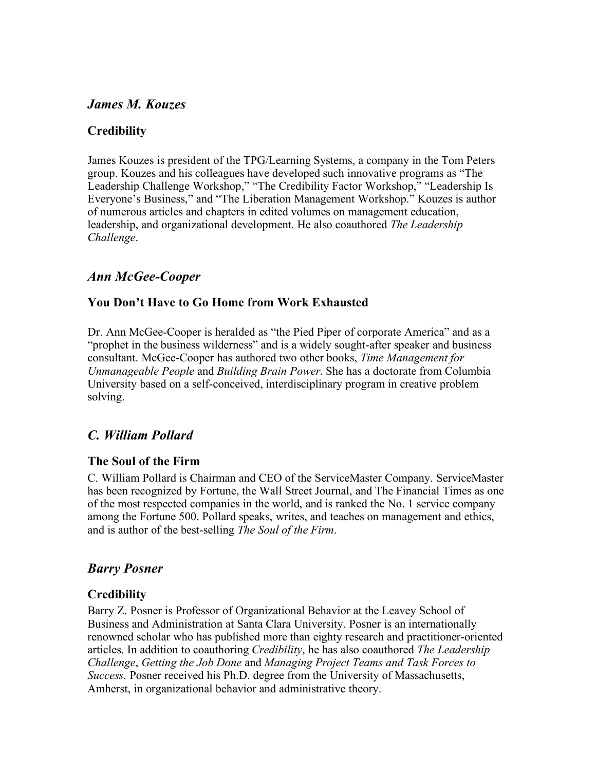## *James M. Kouzes*

## **Credibility**

James Kouzes is president of the TPG/Learning Systems, a company in the Tom Peters group. Kouzes and his colleagues have developed such innovative programs as "The Leadership Challenge Workshop," "The Credibility Factor Workshop," "Leadership Is Everyone's Business," and "The Liberation Management Workshop." Kouzes is author of numerous articles and chapters in edited volumes on management education, leadership, and organizational development. He also coauthored *The Leadership Challenge*.

## *Ann McGee-Cooper*

### **You Don't Have to Go Home from Work Exhausted**

Dr. Ann McGee-Cooper is heralded as "the Pied Piper of corporate America" and as a "prophet in the business wilderness" and is a widely sought-after speaker and business consultant. McGee-Cooper has authored two other books, *Time Management for Unmanageable People* and *Building Brain Power*. She has a doctorate from Columbia University based on a self-conceived, interdisciplinary program in creative problem solving.

## *C. William Pollard*

#### **The Soul of the Firm**

C. William Pollard is Chairman and CEO of the ServiceMaster Company. ServiceMaster has been recognized by Fortune, the Wall Street Journal, and The Financial Times as one of the most respected companies in the world, and is ranked the No. 1 service company among the Fortune 500. Pollard speaks, writes, and teaches on management and ethics, and is author of the best-selling *The Soul of the Firm*.

## *Barry Posner*

#### **Credibility**

Barry Z. Posner is Professor of Organizational Behavior at the Leavey School of Business and Administration at Santa Clara University. Posner is an internationally renowned scholar who has published more than eighty research and practitioner-oriented articles. In addition to coauthoring *Credibility*, he has also coauthored *The Leadership Challenge*, *Getting the Job Done* and *Managing Project Teams and Task Forces to Success*. Posner received his Ph.D. degree from the University of Massachusetts, Amherst, in organizational behavior and administrative theory.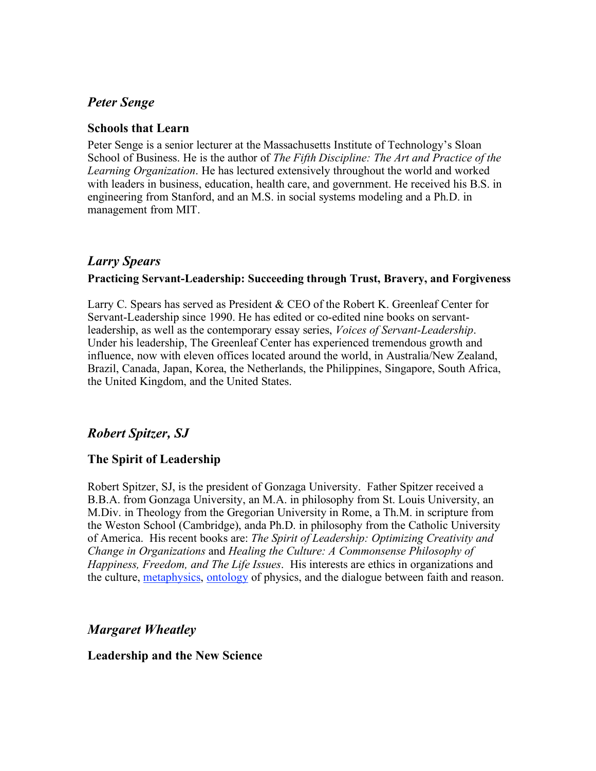## *Peter Senge*

#### **Schools that Learn**

Peter Senge is a senior lecturer at the Massachusetts Institute of Technology's Sloan School of Business. He is the author of *The Fifth Discipline: The Art and Practice of the Learning Organization*. He has lectured extensively throughout the world and worked with leaders in business, education, health care, and government. He received his B.S. in engineering from Stanford, and an M.S. in social systems modeling and a Ph.D. in management from MIT.

# *Larry Spears*

### **Practicing Servant-Leadership: Succeeding through Trust, Bravery, and Forgiveness**

Larry C. Spears has served as President & CEO of the Robert K. Greenleaf Center for Servant-Leadership since 1990. He has edited or co-edited nine books on servantleadership, as well as the contemporary essay series, *Voices of Servant-Leadership*. Under his leadership, The Greenleaf Center has experienced tremendous growth and influence, now with eleven offices located around the world, in Australia/New Zealand, Brazil, Canada, Japan, Korea, the Netherlands, the Philippines, Singapore, South Africa, the United Kingdom, and the United States.

# *Robert Spitzer, SJ*

# **The Spirit of Leadership**

Robert Spitzer, SJ, is the president of Gonzaga University. Father Spitzer received a B.B.A. from Gonzaga University, an M.A. in philosophy from St. Louis University, an M.Div. in Theology from the Gregorian University in Rome, a Th.M. in scripture from the Weston School (Cambridge), anda Ph.D. in philosophy from the Catholic University of America. His recent books are: *The Spirit of Leadership: Optimizing Creativity and Change in Organizations* and *Healing the Culture: A Commonsense Philosophy of Happiness, Freedom, and The Life Issues*. His interests are ethics in organizations and the culture, metaphysics, ontology of physics, and the dialogue between faith and reason.

*Margaret Wheatley*

#### **Leadership and the New Science**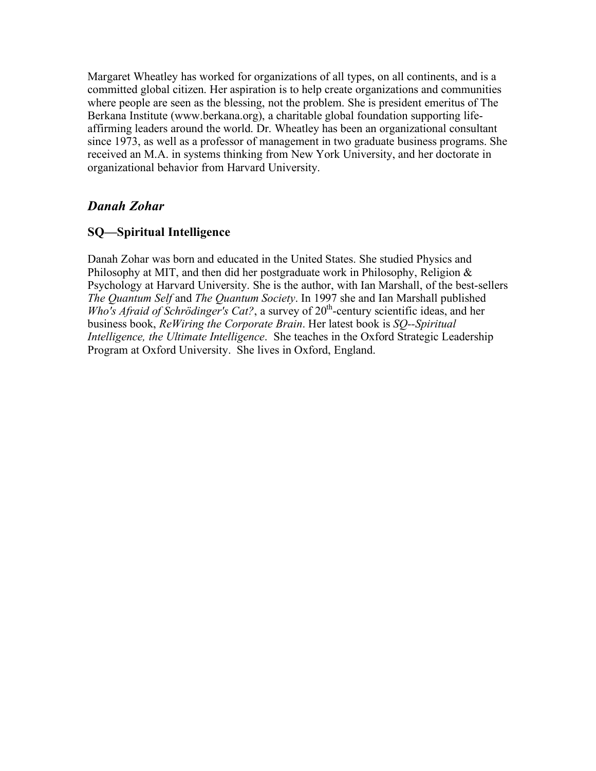Margaret Wheatley has worked for organizations of all types, on all continents, and is a committed global citizen. Her aspiration is to help create organizations and communities where people are seen as the blessing, not the problem. She is president emeritus of The Berkana Institute (www.berkana.org), a charitable global foundation supporting lifeaffirming leaders around the world. Dr. Wheatley has been an organizational consultant since 1973, as well as a professor of management in two graduate business programs. She received an M.A. in systems thinking from New York University, and her doctorate in organizational behavior from Harvard University.

# *Danah Zohar*

## **SQ—Spiritual Intelligence**

Danah Zohar was born and educated in the United States. She studied Physics and Philosophy at MIT, and then did her postgraduate work in Philosophy, Religion & Psychology at Harvard University. She is the author, with Ian Marshall, of the best-sellers *The Quantum Self* and *The Quantum Society*. In 1997 she and Ian Marshall published *Who's Afraid of Schrödinger's Cat?*, a survey of 20<sup>th</sup>-century scientific ideas, and her business book, *ReWiring the Corporate Brain*. Her latest book is *SQ--Spiritual Intelligence, the Ultimate Intelligence*. She teaches in the Oxford Strategic Leadership Program at Oxford University. She lives in Oxford, England.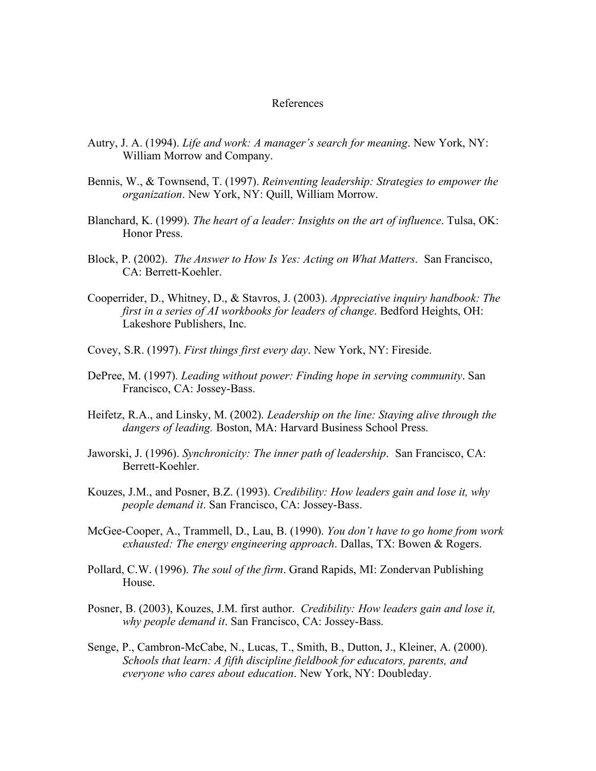#### References

- Autry, J. A. (1994). *Life and work: A manager's search for meaning*. New York, NY: William Morrow and Company.
- Bennis, W., & Townsend, T. (1997). *Reinventing leadership: Strategies to empower the organization*. New York, NY: Quill, William Morrow.
- Blanchard, K. (1999). *The heart of a leader: Insights on the art of influence*. Tulsa, OK: Honor Press.
- Block, P. (2002). *The Answer to How Is Yes: Acting on What Matters*. San Francisco, CA: Berrett-Koehler.
- Cooperrider, D., Whitney, D., & Stavros, J. (2003). *Appreciative inquiry handbook: The first in a series of AI workbooks for leaders of change*. Bedford Heights, OH: Lakeshore Publishers, Inc.
- Covey, S.R. (1997). *First things first every day*. New York, NY: Fireside.
- DePree, M. (1997). *Leading without power: Finding hope in serving community*. San Francisco, CA: Jossey-Bass.
- Heifetz, R.A., and Linsky, M. (2002). *Leadership on the line: Staying alive through the dangers of leading.* Boston, MA: Harvard Business School Press.
- Jaworski, J. (1996). *Synchronicity: The inner path of leadership*. San Francisco, CA: Berrett-Koehler.
- Kouzes, J.M., and Posner, B.Z. (1993). *Credibility: How leaders gain and lose it, why people demand it*. San Francisco, CA: Jossey-Bass.
- McGee-Cooper, A., Trammell, D., Lau, B. (1990). *You don't have to go home from work exhausted: The energy engineering approach*. Dallas, TX: Bowen & Rogers.
- Pollard, C.W. (1996). *The soul of the firm*. Grand Rapids, MI: Zondervan Publishing House.
- Posner, B. (2003), Kouzes, J.M. first author. *Credibility: How leaders gain and lose it, why people demand it*. San Francisco, CA: Jossey-Bass.
- Senge, P., Cambron-McCabe, N., Lucas, T., Smith, B., Dutton, J., Kleiner, A. (2000). *Schools that learn: A fifth discipline fieldbook for educators, parents, and everyone who cares about education*. New York, NY: Doubleday.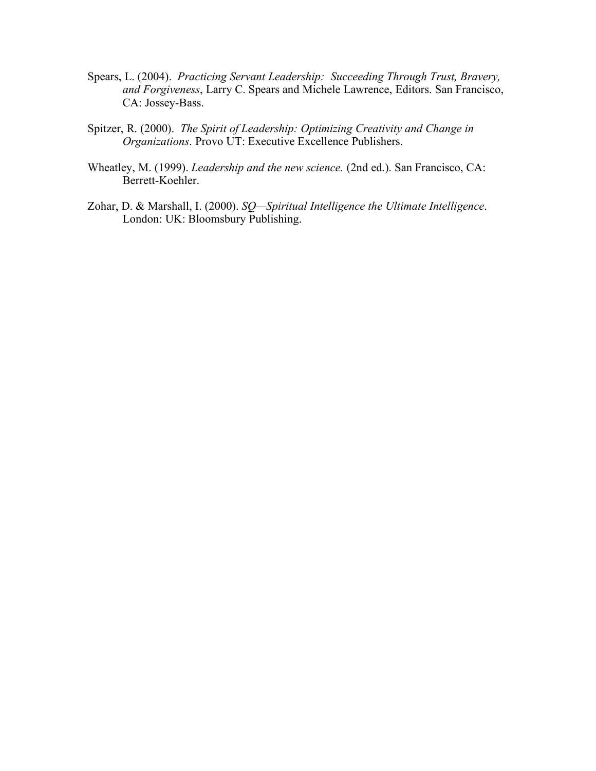- Spears, L. (2004). *Practicing Servant Leadership: Succeeding Through Trust, Bravery, and Forgiveness*, Larry C. Spears and Michele Lawrence, Editors. San Francisco, CA: Jossey-Bass.
- Spitzer, R. (2000). *The Spirit of Leadership: Optimizing Creativity and Change in Organizations*. Provo UT: Executive Excellence Publishers.
- Wheatley, M. (1999). *Leadership and the new science.* (2nd ed.). San Francisco, CA: Berrett-Koehler.
- Zohar, D. & Marshall, I. (2000). *SQ—Spiritual Intelligence the Ultimate Intelligence*. London: UK: Bloomsbury Publishing.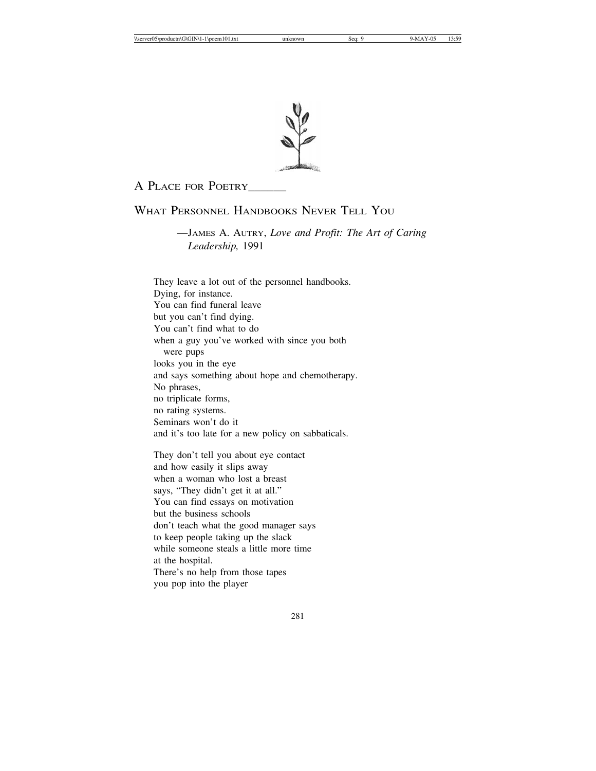

A PLACE FOR POETRY\_\_\_\_\_\_

## WHAT PERSONNEL HANDBOOKS NEVER TELL YOU

—JAMES A. AUTRY, *Love and Profit: The Art of Caring Leadership,* 1991

They leave a lot out of the personnel handbooks. Dying, for instance. You can find funeral leave but you can't find dying. You can't find what to do when a guy you've worked with since you both were pups looks you in the eye and says something about hope and chemotherapy. No phrases, no triplicate forms, no rating systems. Seminars won't do it and it's too late for a new policy on sabbaticals.

They don't tell you about eye contact and how easily it slips away when a woman who lost a breast says, "They didn't get it at all." You can find essays on motivation but the business schools don't teach what the good manager says to keep people taking up the slack while someone steals a little more time at the hospital. There's no help from those tapes you pop into the player